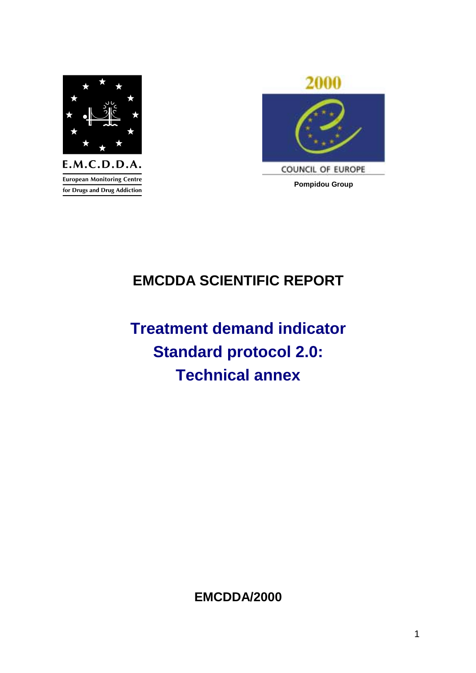

**European Monitoring Centre** for Drugs and Drug Addiction



# **EMCDDA SCIENTIFIC REPORT**

# **Treatment demand indicator Standard protocol 2.0: Technical annex**

**EMCDDA/2000**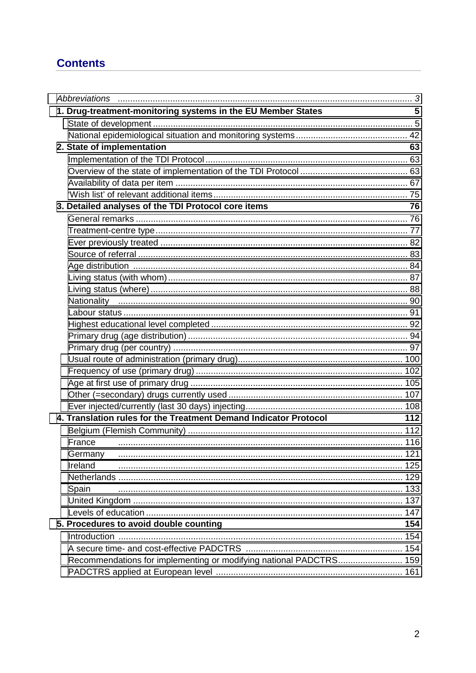# **Contents**

| 1. Drug-treatment-monitoring systems in the EU Member States       | 5   |
|--------------------------------------------------------------------|-----|
|                                                                    |     |
|                                                                    |     |
| 2. State of implementation                                         | 63  |
|                                                                    |     |
|                                                                    |     |
|                                                                    |     |
|                                                                    |     |
| 3. Detailed analyses of the TDI Protocol core items                | 76  |
|                                                                    |     |
|                                                                    |     |
|                                                                    |     |
|                                                                    |     |
|                                                                    |     |
|                                                                    |     |
|                                                                    |     |
|                                                                    |     |
|                                                                    |     |
|                                                                    |     |
|                                                                    |     |
|                                                                    |     |
|                                                                    |     |
|                                                                    |     |
|                                                                    |     |
|                                                                    |     |
|                                                                    |     |
| 4. Translation rules for the Treatment Demand Indicator Protocol   | 112 |
|                                                                    |     |
| France                                                             |     |
|                                                                    |     |
| Ireland                                                            |     |
|                                                                    |     |
| Spain                                                              |     |
|                                                                    |     |
|                                                                    |     |
| 5. Procedures to avoid double counting                             | 154 |
|                                                                    | 154 |
|                                                                    |     |
| Recommendations for implementing or modifying national PADCTRS 159 |     |
|                                                                    |     |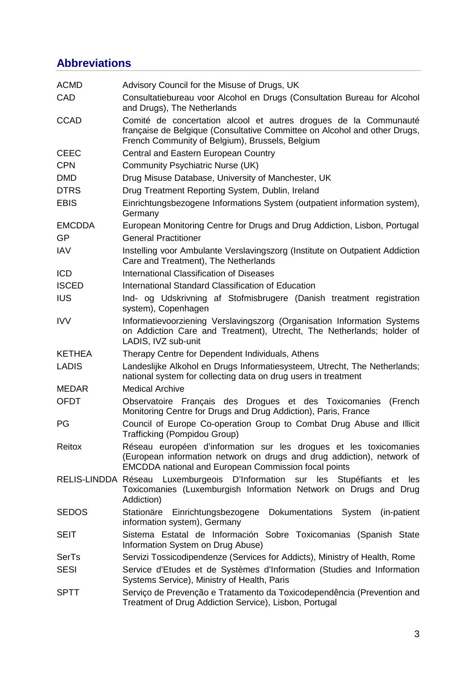# <span id="page-2-0"></span>**Abbreviations**

| <b>ACMD</b>   | Advisory Council for the Misuse of Drugs, UK                                                                                                                                                               |
|---------------|------------------------------------------------------------------------------------------------------------------------------------------------------------------------------------------------------------|
| CAD           | Consultatiebureau voor Alcohol en Drugs (Consultation Bureau for Alcohol<br>and Drugs), The Netherlands                                                                                                    |
| <b>CCAD</b>   | Comité de concertation alcool et autres drogues de la Communauté<br>française de Belgique (Consultative Committee on Alcohol and other Drugs,<br>French Community of Belgium), Brussels, Belgium           |
| <b>CEEC</b>   | Central and Eastern European Country                                                                                                                                                                       |
| <b>CPN</b>    | <b>Community Psychiatric Nurse (UK)</b>                                                                                                                                                                    |
| <b>DMD</b>    | Drug Misuse Database, University of Manchester, UK                                                                                                                                                         |
| <b>DTRS</b>   | Drug Treatment Reporting System, Dublin, Ireland                                                                                                                                                           |
| <b>EBIS</b>   | Einrichtungsbezogene Informations System (outpatient information system),<br>Germany                                                                                                                       |
| <b>EMCDDA</b> | European Monitoring Centre for Drugs and Drug Addiction, Lisbon, Portugal                                                                                                                                  |
| <b>GP</b>     | <b>General Practitioner</b>                                                                                                                                                                                |
| <b>IAV</b>    | Instelling voor Ambulante Verslavingszorg (Institute on Outpatient Addiction<br>Care and Treatment), The Netherlands                                                                                       |
| <b>ICD</b>    | International Classification of Diseases                                                                                                                                                                   |
| <b>ISCED</b>  | International Standard Classification of Education                                                                                                                                                         |
| <b>IUS</b>    | Ind- og Udskrivning af Stofmisbrugere (Danish treatment registration<br>system), Copenhagen                                                                                                                |
| <b>IVV</b>    | Informatievoorziening Verslavingszorg (Organisation Information Systems<br>on Addiction Care and Treatment), Utrecht, The Netherlands; holder of<br>LADIS, IVZ sub-unit                                    |
| <b>KETHEA</b> | Therapy Centre for Dependent Individuals, Athens                                                                                                                                                           |
| <b>LADIS</b>  | Landeslijke Alkohol en Drugs Informatiesysteem, Utrecht, The Netherlands;<br>national system for collecting data on drug users in treatment                                                                |
| <b>MEDAR</b>  | <b>Medical Archive</b>                                                                                                                                                                                     |
| <b>OFDT</b>   | Observatoire Français des Drogues et des Toxicomanies<br>(French<br>Monitoring Centre for Drugs and Drug Addiction), Paris, France                                                                         |
| PG            | Council of Europe Co-operation Group to Combat Drug Abuse and Illicit<br>Trafficking (Pompidou Group)                                                                                                      |
| Reitox        | Réseau européen d'information sur les drogues et les toxicomanies<br>(European information network on drugs and drug addiction), network of<br><b>EMCDDA</b> national and European Commission focal points |
|               | RELIS-LINDDA Réseau Luxemburgeois D'Information sur les Stupéfiants<br>et<br>les<br>Toxicomanies (Luxemburgish Information Network on Drugs and Drug<br>Addiction)                                         |
| <b>SEDOS</b>  | Stationäre<br>Einrichtungsbezogene Dokumentations System<br>(in-patient)<br>information system), Germany                                                                                                   |
| <b>SEIT</b>   | Sistema Estatal de Información Sobre Toxicomanias (Spanish State<br>Information System on Drug Abuse)                                                                                                      |
| SerTs         | Servizi Tossicodipendenze (Services for Addicts), Ministry of Health, Rome                                                                                                                                 |
| <b>SESI</b>   | Service d'Etudes et de Systèmes d'Information (Studies and Information<br>Systems Service), Ministry of Health, Paris                                                                                      |
| <b>SPTT</b>   | Serviço de Prevenção e Tratamento da Toxicodependência (Prevention and<br>Treatment of Drug Addiction Service), Lisbon, Portugal                                                                           |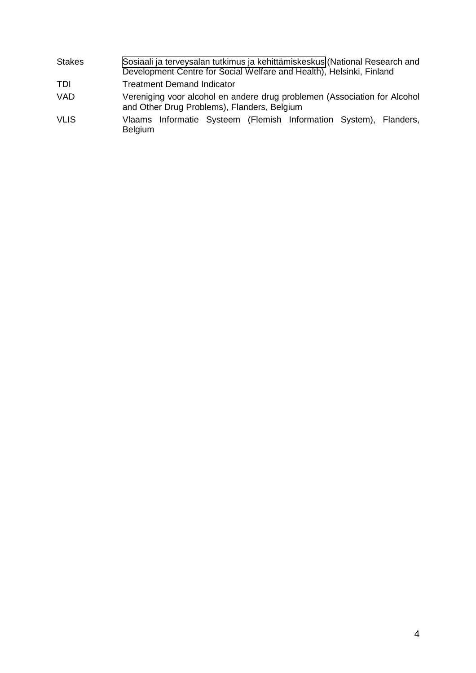- Stakes [Sosiaali ja terveysalan tutkimus ja kehittämiskeskus](http://www.stakes.fi/) (National Research and Development Centre for Social Welfare and Health), Helsinki, Finland
- TDI Treatment Demand Indicator
- VAD Vereniging voor alcohol en andere drug problemen (Association for Alcohol and Other Drug Problems), Flanders, Belgium
- VLIS Vlaams Informatie Systeem (Flemish Information System), Flanders, Belgium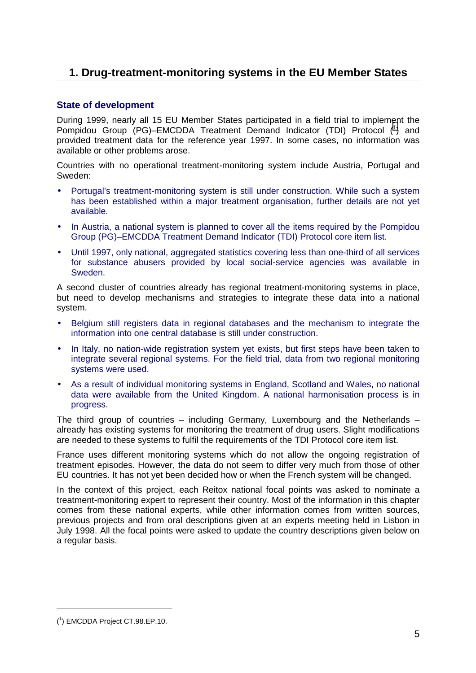# <span id="page-4-0"></span>**1. Drug-treatment-monitoring systems in the EU Member States**

# **State of development**

During 1999, nearly all 15 EU Member States participated in a field trial to implement the Pompidou Group (PG)-EMCDDA Treatment Demand Indicator (TDI) Protocol (<sup>1</sup>) and provided treatment data for the reference year 1997. In some cases, no information was available or other problems arose.

Countries with no operational treatment-monitoring system include Austria, Portugal and Sweden:

- Portugal's treatment-monitoring system is still under construction. While such a system has been established within a major treatment organisation, further details are not yet available.
- In Austria, a national system is planned to cover all the items required by the Pompidou Group (PG)–EMCDDA Treatment Demand Indicator (TDI) Protocol core item list.
- Until 1997, only national, aggregated statistics covering less than one-third of all services for substance abusers provided by local social-service agencies was available in Sweden.

A second cluster of countries already has regional treatment-monitoring systems in place, but need to develop mechanisms and strategies to integrate these data into a national system.

- Belgium still registers data in regional databases and the mechanism to integrate the information into one central database is still under construction.
- In Italy, no nation-wide registration system yet exists, but first steps have been taken to integrate several regional systems. For the field trial, data from two regional monitoring systems were used.
- As a result of individual monitoring systems in England, Scotland and Wales, no national data were available from the United Kingdom. A national harmonisation process is in progress.

The third group of countries – including Germany, Luxembourg and the Netherlands – already has existing systems for monitoring the treatment of drug users. Slight modifications are needed to these systems to fulfil the requirements of the TDI Protocol core item list.

France uses different monitoring systems which do not allow the ongoing registration of treatment episodes. However, the data do not seem to differ very much from those of other EU countries. It has not yet been decided how or when the French system will be changed.

In the context of this project, each Reitox national focal points was asked to nominate a treatment-monitoring expert to represent their country. Most of the information in this chapter comes from these national experts, while other information comes from written sources, previous projects and from oral descriptions given at an experts meeting held in Lisbon in July 1998. All the focal points were asked to update the country descriptions given below on a regular basis.

 $\overline{a}$ 

<sup>(</sup> 1 ) EMCDDA Project CT.98.EP.10.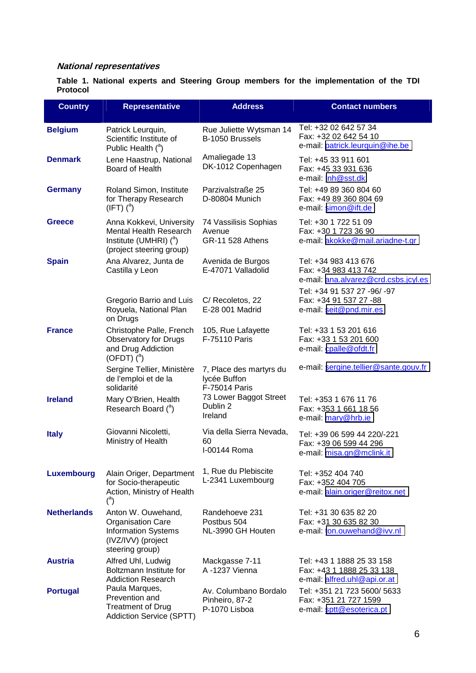# **National representatives**

**Table 1. National experts and Steering Group members for the implementation of the TDI Protocol** 

| <b>Country</b>     | <b>Representative</b>                                                                                                 | <b>Address</b>                                             | <b>Contact numbers</b>                                                                                              |
|--------------------|-----------------------------------------------------------------------------------------------------------------------|------------------------------------------------------------|---------------------------------------------------------------------------------------------------------------------|
| <b>Belgium</b>     | Patrick Leurquin,<br>Scientific Institute of<br>Public Health $(^a)$                                                  | Rue Juliette Wytsman 14<br>B-1050 Brussels                 | Tel: +32 02 642 57 34<br>Fax: +32 02 642 54 10<br>e-mail: patrick.leurquin@ihe.be                                   |
| <b>Denmark</b>     | Lene Haastrup, National<br>Board of Health                                                                            | Amaliegade 13<br>DK-1012 Copenhagen                        | Tel: +45 33 911 601<br>Fax: +45 33 931 636<br>e-mail: Inh@sst.dk                                                    |
| <b>Germany</b>     | Roland Simon, Institute<br>for Therapy Research<br>$(\text{IFT})$ $\binom{a}{x}$                                      | Parzivalstraße 25<br>D-80804 Munich                        | Tel: +49 89 360 804 60<br>Fax: +49 89 360 804 69<br>e-mail: simon@ift.de                                            |
| <b>Greece</b>      | Anna Kokkevi, University<br><b>Mental Health Research</b><br>Institute (UMHRI) $(^a)$<br>(project steering group)     | 74 Vassilisis Sophias<br>Avenue<br><b>GR-11 528 Athens</b> | Tel: +30 1 722 51 09<br>Fax: +30 1 723 36 90<br>e-mail: akokke@mail.ariadne-t.gr                                    |
| <b>Spain</b>       | Ana Alvarez, Junta de<br>Castilla y Leon                                                                              | Avenida de Burgos<br>E-47071 Valladolid                    | Tel: +34 983 413 676<br>Fax: +34 983 413 742<br>e-mail: ana.alvarez@crd.csbs.jcyl.es<br>Tel: +34 91 537 27 -96/ -97 |
|                    | Gregorio Barrio and Luis<br>Royuela, National Plan<br>on Drugs                                                        | C/ Recoletos, 22<br>E-28 001 Madrid                        | Fax: +34 91 537 27 -88<br>e-mail: seit@pnd.mir.es                                                                   |
| <b>France</b>      | Christophe Palle, French<br><b>Observatory for Drugs</b><br>and Drug Addiction<br>(OFDT) $(^a)$                       | 105, Rue Lafayette<br>F-75110 Paris                        | Tel: +33 1 53 201 616<br>Fax: +33 1 53 201 600<br>e-mail: cpalle@ofdt.fr                                            |
|                    | Sergine Tellier, Ministère<br>de l'emploi et de la<br>solidarité                                                      | 7, Place des martyrs du<br>lycée Buffon<br>F-75014 Paris   | e-mail: sergine.tellier@sante.gouv.fr                                                                               |
| <b>Ireland</b>     | Mary O'Brien, Health<br>Research Board ( <sup>a</sup> )                                                               | 73 Lower Baggot Street<br>Dublin 2<br>Ireland              | Tel: +353 1 676 11 76<br>Fax: +353 1 661 18 56<br>e-mail: mary@hrb.ie                                               |
| <b>Italy</b>       | Giovanni Nicoletti,<br>Ministry of Health                                                                             | Via della Sierra Nevada,<br>60<br>I-00144 Roma             | Tel: +39 06 599 44 220/-221<br>Fax: +39 06 599 44 296<br>e-mail: misa.gn@mclink.it                                  |
| Luxembourg         | Alain Origer, Department<br>for Socio-therapeutic<br>Action, Ministry of Health<br>$(^\text{a})$                      | 1, Rue du Plebiscite<br>L-2341 Luxembourg                  | Tel: +352 404 740<br>Fax: +352 404 705<br>e-mail: alain.origer@reitox.net                                           |
| <b>Netherlands</b> | Anton W. Ouwehand,<br><b>Organisation Care</b><br><b>Information Systems</b><br>(IVZ/IVV) (project<br>steering group) | Randehoeve 231<br>Postbus 504<br>NL-3990 GH Houten         | Tel: +31 30 635 82 20<br>Fax: +31 30 635 82 30<br>e-mail: ton.ouwehand@ivv.nl                                       |
| <b>Austria</b>     | Alfred Uhl, Ludwig<br>Boltzmann Institute for<br><b>Addiction Research</b>                                            | Mackgasse 7-11<br>A-1237 Vienna                            | Tel: +43 1 1888 25 33 158<br>Fax: +43 1 1888 25 33 138<br>e-mail: alfred.uhl@api.or.at                              |
| <b>Portugal</b>    | Paula Marques,<br>Prevention and<br><b>Treatment of Drug</b><br><b>Addiction Service (SPTT)</b>                       | Av. Columbano Bordalo<br>Pinheiro, 87-2<br>P-1070 Lisboa   | Tel: +351 21 723 5600/ 5633<br>Fax: +351 21 727 1599<br>e-mail: sptt@esoterica.pt                                   |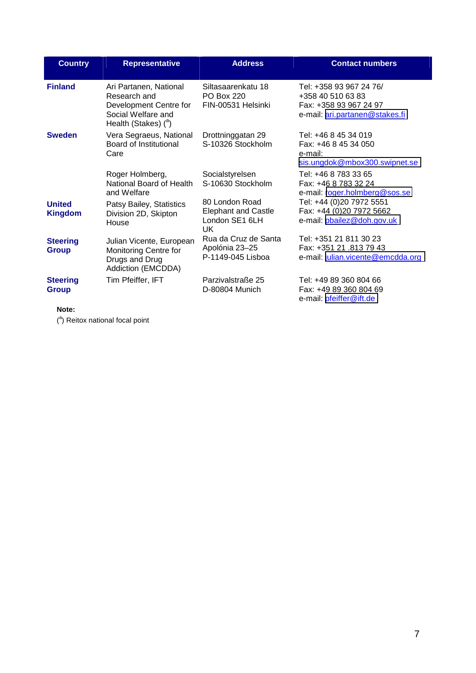| <b>Country</b>                  | <b>Representative</b>                                                                                                    | <b>Address</b>                                                        | <b>Contact numbers</b>                                                                                   |
|---------------------------------|--------------------------------------------------------------------------------------------------------------------------|-----------------------------------------------------------------------|----------------------------------------------------------------------------------------------------------|
| <b>Finland</b>                  | Ari Partanen, National<br>Research and<br>Development Centre for<br>Social Welfare and<br>Health (Stakes) $\binom{a}{b}$ | Siltasaarenkatu 18<br><b>PO Box 220</b><br>FIN-00531 Helsinki         | Tel: +358 93 967 24 76/<br>+358 40 510 63 83<br>Fax: +358 93 967 24 97<br>e-mail: ari.partanen@stakes.fi |
| <b>Sweden</b>                   | Vera Segraeus, National<br>Board of Institutional<br>Care                                                                | Drottninggatan 29<br>S-10326 Stockholm                                | Tel: +46 8 45 34 019<br>Fax: +46 8 45 34 050<br>e-mail:<br>sis.ungdok@mbox300.swipnet.se                 |
|                                 | Roger Holmberg,<br>National Board of Health<br>and Welfare                                                               | Socialstyrelsen<br>S-10630 Stockholm                                  | Tel: +46 8 783 33 65<br>Fax: +46 8 783 32 24<br>e-mail: roger.holmberg@sos.se                            |
| <b>United</b><br><b>Kingdom</b> | Patsy Bailey, Statistics<br>Division 2D, Skipton<br>House                                                                | 80 London Road<br><b>Elephant and Castle</b><br>London SE1 6LH<br>UK. | Tel: +44 (0)20 7972 5551<br>Fax: +44 (0)20 7972 5662<br>e-mail: pbailez@doh.gov.uk                       |
| <b>Steering</b><br><b>Group</b> | Julian Vicente, European<br>Monitoring Centre for<br>Drugs and Drug<br>Addiction (EMCDDA)                                | Rua da Cruz de Santa<br>Apolónia 23-25<br>P-1149-045 Lisboa           | Tel: +351 21 811 30 23<br>Fax: +351 21 .813 79 43<br>e-mail: julian.vicente@emcdda.org                   |
| <b>Steering</b><br><b>Group</b> | Tim Pfeiffer, IFT                                                                                                        | Parzivalstraße 25<br>D-80804 Munich                                   | Tel: +49 89 360 804 66<br>Fax: +49 89 360 804 69<br>e-mail: <i>pfeiffer@ift.de</i>                       |

**Note:** 

(<sup>a</sup>) Reitox national focal point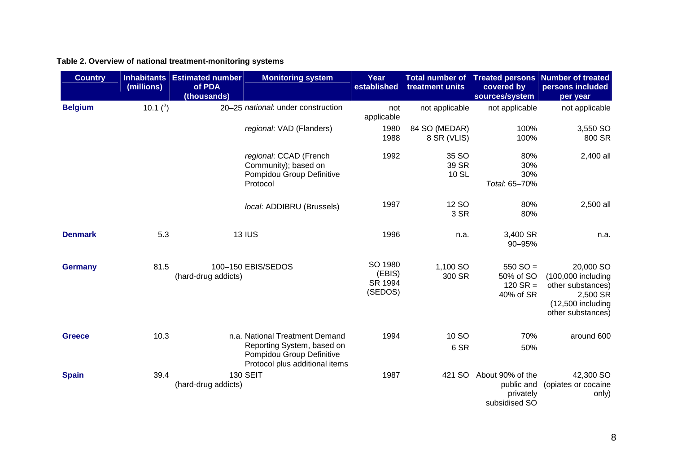# **Table 2. Overview of national treatment-monitoring systems**

| <b>Country</b> | (millions)    | <b>Inhabitants Estimated number</b><br>of PDA<br>(thousands) | <b>Monitoring system</b>                                                                                                    | Year<br>established                     | treatment units              | covered by<br>sources/system                                 | Total number of Treated persons Number of treated<br>persons included<br>per year                            |
|----------------|---------------|--------------------------------------------------------------|-----------------------------------------------------------------------------------------------------------------------------|-----------------------------------------|------------------------------|--------------------------------------------------------------|--------------------------------------------------------------------------------------------------------------|
| <b>Belgium</b> | 10.1 $(^{a})$ |                                                              | 20-25 national: under construction                                                                                          | not<br>applicable                       | not applicable               | not applicable                                               | not applicable                                                                                               |
|                |               |                                                              | regional: VAD (Flanders)                                                                                                    | 1980<br>1988                            | 84 SO (MEDAR)<br>8 SR (VLIS) | 100%<br>100%                                                 | 3,550 SO<br>800 SR                                                                                           |
|                |               |                                                              | regional: CCAD (French<br>Community); based on<br>Pompidou Group Definitive<br>Protocol                                     | 1992                                    | 35 SO<br>39 SR<br>10 SL      | 80%<br>30%<br>30%<br>Total: 65-70%                           | 2,400 all                                                                                                    |
|                |               |                                                              | local: ADDIBRU (Brussels)                                                                                                   | 1997                                    | 12 SO<br>3 SR                | 80%<br>80%                                                   | 2,500 all                                                                                                    |
| <b>Denmark</b> | 5.3           |                                                              | <b>13 IUS</b>                                                                                                               | 1996                                    | n.a.                         | 3,400 SR<br>90-95%                                           | n.a.                                                                                                         |
| <b>Germany</b> | 81.5          | (hard-drug addicts)                                          | 100-150 EBIS/SEDOS                                                                                                          | SO 1980<br>(EBIS)<br>SR 1994<br>(SEDOS) | 1,100 SO<br>300 SR           | $550$ SO =<br>50% of SO<br>$120$ SR =<br>40% of SR           | 20,000 SO<br>(100,000 including<br>other substances)<br>2,500 SR<br>$(12,500$ including<br>other substances) |
| <b>Greece</b>  | 10.3          |                                                              | n.a. National Treatment Demand<br>Reporting System, based on<br>Pompidou Group Definitive<br>Protocol plus additional items | 1994                                    | 10 SO<br>6 SR                | 70%<br>50%                                                   | around 600                                                                                                   |
| <b>Spain</b>   | 39.4          | (hard-drug addicts)                                          | <b>130 SEIT</b>                                                                                                             | 1987                                    | 421 SO                       | About 90% of the<br>public and<br>privately<br>subsidised SO | 42,300 SO<br>(opiates or cocaine<br>only)                                                                    |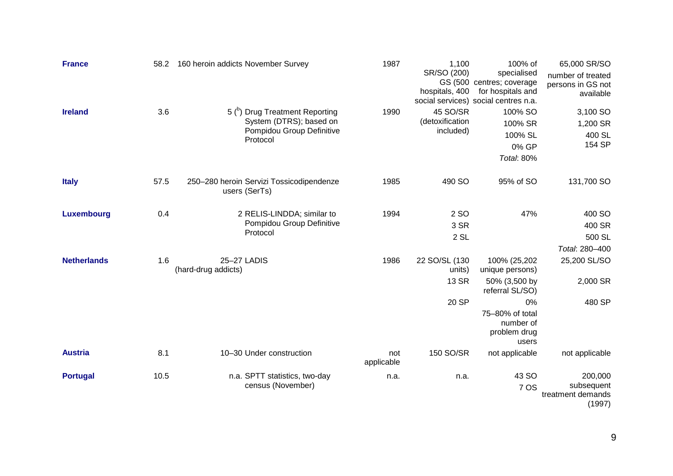| <b>France</b>      | 58.2 | 160 heroin addicts November Survey |                                                                                                               | 1987              | 1,100<br>SR/SO (200)<br>hospitals, 400           | 100% of<br>specialised<br>GS (500 centres; coverage<br>for hospitals and<br>social services) social centres n.a.                   | 65,000 SR/SO<br>number of treated<br>persons in GS not<br>available |
|--------------------|------|------------------------------------|---------------------------------------------------------------------------------------------------------------|-------------------|--------------------------------------------------|------------------------------------------------------------------------------------------------------------------------------------|---------------------------------------------------------------------|
| <b>Ireland</b>     | 3.6  |                                    | 5 <sup>(b)</sup> Drug Treatment Reporting<br>System (DTRS); based on<br>Pompidou Group Definitive<br>Protocol | 1990              | 45 SO/SR<br>(detoxification<br>included)         | 100% SO<br>100% SR<br>100% SL<br>0% GP<br><b>Total: 80%</b>                                                                        | 3,100 SO<br>1,200 SR<br>400 SL<br>154 SP                            |
| <b>Italy</b>       | 57.5 |                                    | 250-280 heroin Servizi Tossicodipendenze<br>users (SerTs)                                                     | 1985              | 490 SO                                           | 95% of SO                                                                                                                          | 131,700 SO                                                          |
| Luxembourg         | 0.4  |                                    | 2 RELIS-LINDDA; similar to<br>Pompidou Group Definitive<br>Protocol                                           | 1994              | 2 SO<br>3 SR<br>$2$ SL                           | 47%                                                                                                                                | 400 SO<br>400 SR<br>500 SL<br>Total: 280-400                        |
| <b>Netherlands</b> | 1.6  | 25-27 LADIS<br>(hard-drug addicts) |                                                                                                               | 1986              | 22 SO/SL (130<br>units)<br><b>13 SR</b><br>20 SP | 100% (25,202<br>unique persons)<br>50% (3,500 by<br>referral SL/SO)<br>0%<br>75-80% of total<br>number of<br>problem drug<br>users | 25,200 SL/SO<br>2,000 SR<br>480 SP                                  |
| <b>Austria</b>     | 8.1  |                                    | 10-30 Under construction                                                                                      | not<br>applicable | 150 SO/SR                                        | not applicable                                                                                                                     | not applicable                                                      |
| <b>Portugal</b>    | 10.5 |                                    | n.a. SPTT statistics, two-day<br>census (November)                                                            | n.a.              | n.a.                                             | 43 SO<br>7 OS                                                                                                                      | 200,000<br>subsequent<br>treatment demands<br>(1997)                |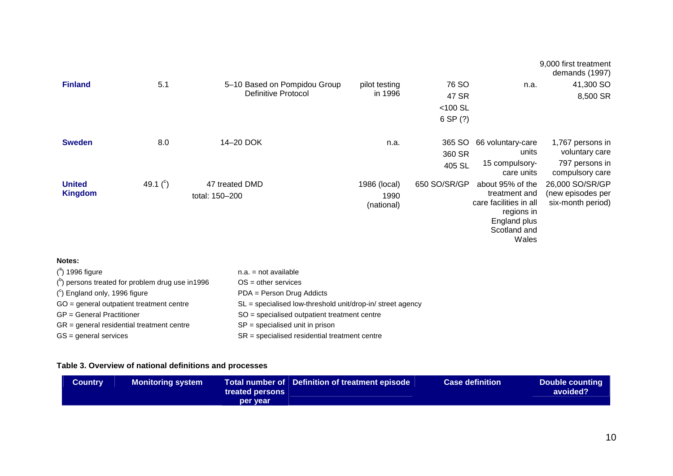|                                 |               |                                  |                                    |                  |                                                                                                                    | 9,000 first treatment<br>demands (1997)                   |
|---------------------------------|---------------|----------------------------------|------------------------------------|------------------|--------------------------------------------------------------------------------------------------------------------|-----------------------------------------------------------|
| <b>Finland</b>                  | 5.1           | 5-10 Based on Pompidou Group     | pilot testing                      | 76 SO            | n.a.                                                                                                               | 41,300 SO                                                 |
|                                 |               | <b>Definitive Protocol</b>       | in 1996                            | 47 SR            |                                                                                                                    | 8,500 SR                                                  |
|                                 |               |                                  |                                    | $<$ 100 SL       |                                                                                                                    |                                                           |
|                                 |               |                                  |                                    | 6 SP (?)         |                                                                                                                    |                                                           |
| <b>Sweden</b>                   | 8.0           | 14-20 DOK                        | n.a.                               | 365 SO<br>360 SR | 66 voluntary-care<br>units                                                                                         | 1,767 persons in<br>voluntary care                        |
|                                 |               |                                  |                                    | 405 SL           | 15 compulsory-<br>care units                                                                                       | 797 persons in<br>compulsory care                         |
| <b>United</b><br><b>Kingdom</b> | 49.1 $(^{c})$ | 47 treated DMD<br>total: 150-200 | 1986 (local)<br>1990<br>(national) | 650 SO/SR/GP     | about 95% of the<br>treatment and<br>care facilities in all<br>regions in<br>England plus<br>Scotland and<br>Wales | 26,000 SO/SR/GP<br>(new episodes per<br>six-month period) |
| Notes:                          |               |                                  |                                    |                  |                                                                                                                    |                                                           |

| $(^\text{a})$ 1996 figure                                       | $n.a. = not available$                                       |
|-----------------------------------------------------------------|--------------------------------------------------------------|
| $($ <sup>b</sup> ) persons treated for problem drug use in 1996 | $OS = other$ services                                        |
| $(^\circ)$ England only, 1996 figure                            | PDA = Person Drug Addicts                                    |
| GO = general outpatient treatment centre                        | $SL =$ specialised low-threshold unit/drop-in/ street agency |
| GP = General Practitioner                                       | SO = specialised outpatient treatment centre                 |
| GR = general residential treatment centre                       | $SP =$ specialised unit in prison                            |
| GS = general services                                           | $SR =$ specialised residential treatment centre              |

# **Table 3. Overview of national definitions and processes**

| Country | <b>Monitoring system</b> |                 | Total number of Definition of treatment episode | <b>Case definition</b> | <b>Double counting</b> |
|---------|--------------------------|-----------------|-------------------------------------------------|------------------------|------------------------|
|         |                          | treated persons |                                                 |                        | avoided?               |
|         |                          | per vear        |                                                 |                        |                        |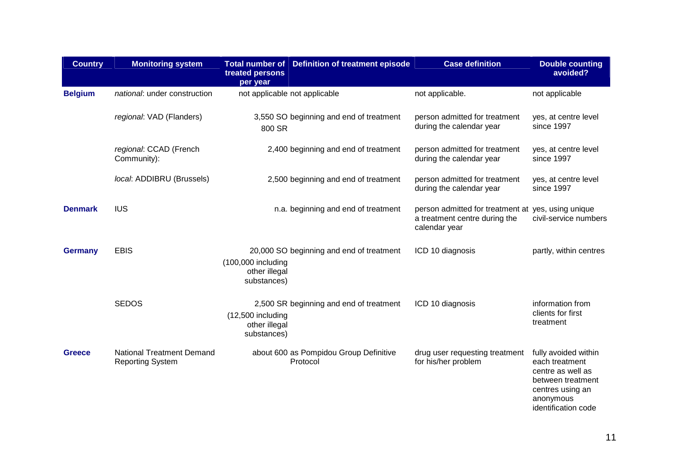| <b>Country</b> | <b>Monitoring system</b>                                    | treated persons<br>per year                         | Total number of Definition of treatment episode    | <b>Case definition</b>                                                                               | <b>Double counting</b><br>avoided?                                                                                |
|----------------|-------------------------------------------------------------|-----------------------------------------------------|----------------------------------------------------|------------------------------------------------------------------------------------------------------|-------------------------------------------------------------------------------------------------------------------|
| <b>Belgium</b> | national: under construction                                |                                                     | not applicable not applicable                      | not applicable.                                                                                      | not applicable                                                                                                    |
|                | regional: VAD (Flanders)                                    | 800 SR                                              | 3,550 SO beginning and end of treatment            | person admitted for treatment<br>during the calendar year                                            | yes, at centre level<br>since 1997                                                                                |
|                | regional: CCAD (French<br>Community):                       |                                                     | 2,400 beginning and end of treatment               | person admitted for treatment<br>during the calendar year                                            | yes, at centre level<br>since 1997                                                                                |
|                | local: ADDIBRU (Brussels)                                   |                                                     | 2,500 beginning and end of treatment               | person admitted for treatment<br>during the calendar year                                            | yes, at centre level<br>since 1997                                                                                |
| <b>Denmark</b> | <b>IUS</b>                                                  |                                                     | n.a. beginning and end of treatment                | person admitted for treatment at yes, using unique<br>a treatment centre during the<br>calendar year | civil-service numbers                                                                                             |
| <b>Germany</b> | <b>EBIS</b>                                                 | (100,000 including<br>other illegal<br>substances)  | 20,000 SO beginning and end of treatment           | ICD 10 diagnosis                                                                                     | partly, within centres                                                                                            |
|                | <b>SEDOS</b>                                                | $(12,500$ including<br>other illegal<br>substances) | 2,500 SR beginning and end of treatment            | ICD 10 diagnosis                                                                                     | information from<br>clients for first<br>treatment                                                                |
| <b>Greece</b>  | <b>National Treatment Demand</b><br><b>Reporting System</b> |                                                     | about 600 as Pompidou Group Definitive<br>Protocol | drug user requesting treatment<br>for his/her problem                                                | fully avoided within<br>each treatment<br>centre as well as<br>between treatment<br>centres using an<br>anonymous |

identification code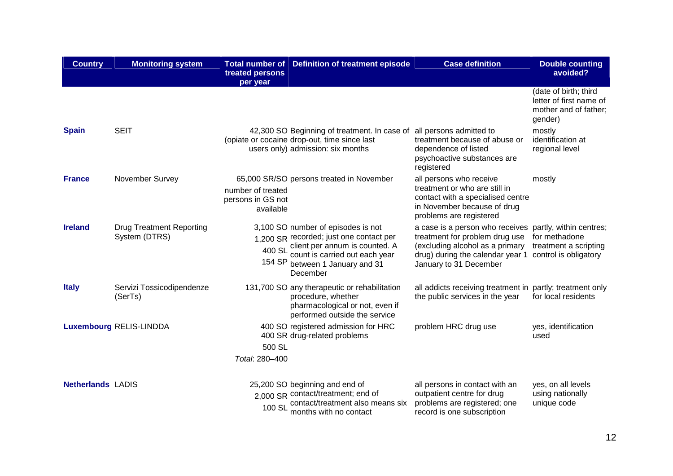| <b>Country</b>           | <b>Monitoring system</b>                         | treated persons<br>per year                         | Total number of Definition of treatment episode                                                                                                                                                                    | <b>Case definition</b>                                                                                                                                                                     | <b>Double counting</b><br>avoided?                                                   |
|--------------------------|--------------------------------------------------|-----------------------------------------------------|--------------------------------------------------------------------------------------------------------------------------------------------------------------------------------------------------------------------|--------------------------------------------------------------------------------------------------------------------------------------------------------------------------------------------|--------------------------------------------------------------------------------------|
|                          |                                                  |                                                     |                                                                                                                                                                                                                    |                                                                                                                                                                                            | (date of birth; third<br>letter of first name of<br>mother and of father;<br>gender) |
| <b>Spain</b>             | <b>SEIT</b>                                      |                                                     | 42,300 SO Beginning of treatment. In case of<br>(opiate or cocaine drop-out, time since last<br>users only) admission: six months                                                                                  | all persons admitted to<br>treatment because of abuse or<br>dependence of listed<br>psychoactive substances are<br>registered                                                              | mostly<br>identification at<br>regional level                                        |
| <b>France</b>            | November Survey                                  | number of treated<br>persons in GS not<br>available | 65,000 SR/SO persons treated in November                                                                                                                                                                           | all persons who receive<br>treatment or who are still in<br>contact with a specialised centre<br>in November because of drug<br>problems are registered                                    | mostly                                                                               |
| <b>Ireland</b>           | <b>Drug Treatment Reporting</b><br>System (DTRS) |                                                     | 3,100 SO number of episodes is not<br>1,200 SR recorded; just one contact per<br>$400$ SL client per annum is counted. A<br>$400$ SL count is carried out each year<br>154 SP between 1 January and 31<br>December | a case is a person who receives partly, within centres;<br>treatment for problem drug use<br>(excluding alcohol as a primary<br>drug) during the calendar year 1<br>January to 31 December | for methadone<br>treatment a scripting<br>control is obligatory                      |
| <b>Italy</b>             | Servizi Tossicodipendenze<br>(SerTs)             |                                                     | 131,700 SO any therapeutic or rehabilitation<br>procedure, whether<br>pharmacological or not, even if<br>performed outside the service                                                                             | all addicts receiving treatment in partly; treatment only<br>the public services in the year                                                                                               | for local residents                                                                  |
|                          | <b>Luxembourg RELIS-LINDDA</b>                   | 500 SL<br>Total: 280-400                            | 400 SO registered admission for HRC<br>400 SR drug-related problems                                                                                                                                                | problem HRC drug use                                                                                                                                                                       | yes, identification<br>used                                                          |
| <b>Netherlands LADIS</b> |                                                  |                                                     | 25,200 SO beginning and end of<br>2.000 SR contact/treatment; end of<br>100 SL contact/treatment also means six<br>months with no contact                                                                          | all persons in contact with an<br>outpatient centre for drug<br>problems are registered; one<br>record is one subscription                                                                 | yes, on all levels<br>using nationally<br>unique code                                |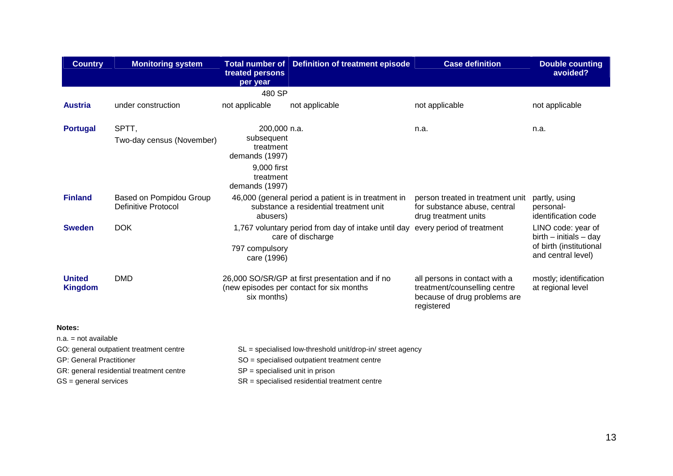| <b>Country</b>                                                                       | <b>Monitoring system</b>                                                            | treated persons<br>per year                                                                             | Total number of Definition of treatment episode                                                                                                               | <b>Case definition</b>                                                                                      | <b>Double counting</b><br>avoided?                                                              |
|--------------------------------------------------------------------------------------|-------------------------------------------------------------------------------------|---------------------------------------------------------------------------------------------------------|---------------------------------------------------------------------------------------------------------------------------------------------------------------|-------------------------------------------------------------------------------------------------------------|-------------------------------------------------------------------------------------------------|
|                                                                                      |                                                                                     | 480 SP                                                                                                  |                                                                                                                                                               |                                                                                                             |                                                                                                 |
| <b>Austria</b>                                                                       | under construction                                                                  | not applicable                                                                                          | not applicable                                                                                                                                                | not applicable                                                                                              | not applicable                                                                                  |
| <b>Portugal</b>                                                                      | SPTT,<br>Two-day census (November)                                                  | 200,000 n.a.<br>subsequent<br>treatment<br>demands (1997)<br>9,000 first<br>treatment<br>demands (1997) |                                                                                                                                                               | n.a.                                                                                                        | n.a.                                                                                            |
| <b>Finland</b>                                                                       | Based on Pompidou Group<br><b>Definitive Protocol</b>                               | abusers)                                                                                                | 46,000 (general period a patient is in treatment in<br>substance a residential treatment unit                                                                 | person treated in treatment unit<br>for substance abuse, central<br>drug treatment units                    | partly, using<br>personal-<br>identification code                                               |
| <b>Sweden</b>                                                                        | <b>DOK</b>                                                                          | 797 compulsory<br>care (1996)                                                                           | 1,767 voluntary period from day of intake until day every period of treatment<br>care of discharge                                                            |                                                                                                             | LINO code: year of<br>$birth - initials - day$<br>of birth (institutional<br>and central level) |
| <b>United</b><br><b>Kingdom</b>                                                      | <b>DMD</b>                                                                          | six months)                                                                                             | 26,000 SO/SR/GP at first presentation and if no<br>(new episodes per contact for six months                                                                   | all persons in contact with a<br>treatment/counselling centre<br>because of drug problems are<br>registered | mostly; identification<br>at regional level                                                     |
| Notes:                                                                               |                                                                                     |                                                                                                         |                                                                                                                                                               |                                                                                                             |                                                                                                 |
| $n.a. = not available$<br><b>GP: General Practitioner</b><br>$GS = general$ services | GO: general outpatient treatment centre<br>GR: general residential treatment centre | $SP =$ specialised unit in prison                                                                       | SL = specialised low-threshold unit/drop-in/ street agency<br>SO = specialised outpatient treatment centre<br>$SR =$ specialised residential treatment centre |                                                                                                             |                                                                                                 |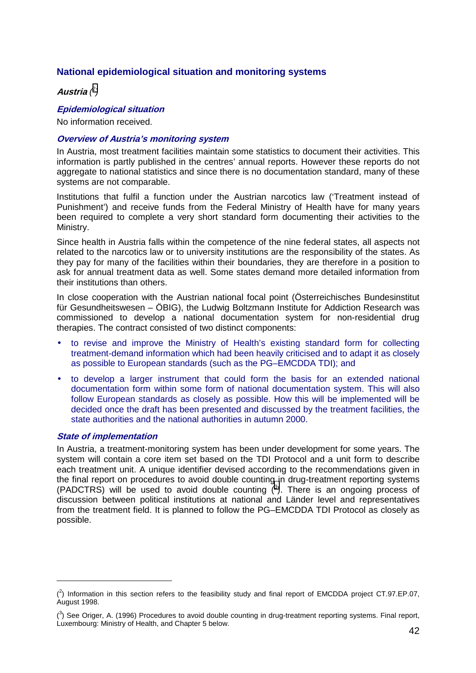# <span id="page-13-0"></span>**National epidemiological situation and monitoring systems**

**Austria** *( 2 )*

# **Epidemiological situation**

No information received.

#### **Overview of Austria's monitoring system**

In Austria, most treatment facilities maintain some statistics to document their activities. This information is partly published in the centres' annual reports. However these reports do not aggregate to national statistics and since there is no documentation standard, many of these systems are not comparable.

Institutions that fulfil a function under the Austrian narcotics law ('Treatment instead of Punishment') and receive funds from the Federal Ministry of Health have for many years been required to complete a very short standard form documenting their activities to the Ministry.

Since health in Austria falls within the competence of the nine federal states, all aspects not related to the narcotics law or to university institutions are the responsibility of the states. As they pay for many of the facilities within their boundaries, they are therefore in a position to ask for annual treatment data as well. Some states demand more detailed information from their institutions than others.

In close cooperation with the Austrian national focal point (Österreichisches Bundesinstitut für Gesundheitswesen – ÖBIG), the Ludwig Boltzmann Institute for Addiction Research was commissioned to develop a national documentation system for non-residential drug therapies. The contract consisted of two distinct components:

- to revise and improve the Ministry of Health's existing standard form for collecting treatment-demand information which had been heavily criticised and to adapt it as closely as possible to European standards (such as the PG–EMCDDA TDI); and
- to develop a larger instrument that could form the basis for an extended national documentation form within some form of national documentation system. This will also follow European standards as closely as possible. How this will be implemented will be decided once the draft has been presented and discussed by the treatment facilities, the state authorities and the national authorities in autumn 2000.

#### **State of implementation**

 $\overline{a}$ 

In Austria, a treatment-monitoring system has been under development for some years. The system will contain a core item set based on the TDI Protocol and a unit form to describe each treatment unit. A unique identifier devised according to the recommendations given in the final report on procedures to avoid double counting in drug-treatment reporting systems (PADCTRS) will be used to avoid double counting  $(3)$ . There is an ongoing process of discussion between political institutions at national and Länder level and representatives from the treatment field. It is planned to follow the PG–EMCDDA TDI Protocol as closely as possible.

 $(2)$  Information in this section refers to the feasibility study and final report of EMCDDA project CT.97.EP.07, August 1998.

 $(3)$  See Origer, A. (1996) Procedures to avoid double counting in drug-treatment reporting systems. Final report, Luxembourg: Ministry of Health, and Chapter 5 below.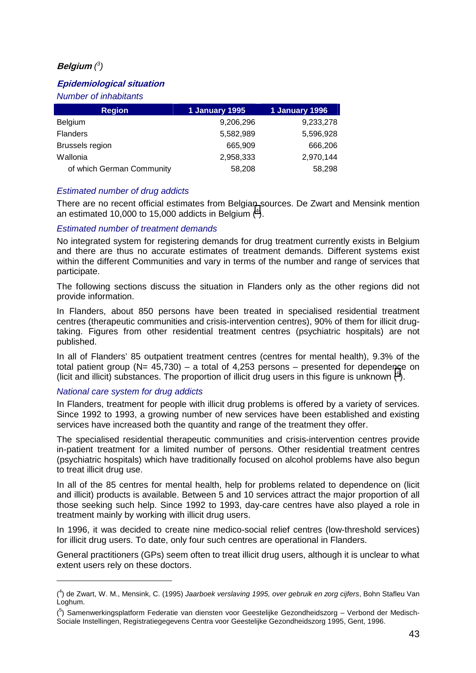# **Belgium** *( 3 )*

# **Epidemiological situation**

*Number of inhabitants* 

| <b>Region</b>             | 1 January 1995 | 1 January 1996 |
|---------------------------|----------------|----------------|
| <b>Belgium</b>            | 9,206,296      | 9,233,278      |
| <b>Flanders</b>           | 5,582,989      | 5,596,928      |
| <b>Brussels region</b>    | 665,909        | 666,206        |
| Wallonia                  | 2,958,333      | 2,970,144      |
| of which German Community | 58,208         | 58,298         |

# *Estimated number of drug addicts*

There are no recent official estimates from Belgian sources. De Zwart and Mensink mention an estimated 10,000 to 15,000 addicts in Belgium  $(4)$ .

#### *Estimated number of treatment demands*

No integrated system for registering demands for drug treatment currently exists in Belgium and there are thus no accurate estimates of treatment demands. Different systems exist within the different Communities and vary in terms of the number and range of services that participate.

The following sections discuss the situation in Flanders only as the other regions did not provide information.

In Flanders, about 850 persons have been treated in specialised residential treatment centres (therapeutic communities and crisis-intervention centres), 90% of them for illicit drugtaking. Figures from other residential treatment centres (psychiatric hospitals) are not published.

In all of Flanders' 85 outpatient treatment centres (centres for mental health), 9.3% of the total patient group ( $N= 45,730$ ) – a total of 4,253 persons – presented for dependence on (licit and illicit) substances. The proportion of illicit drug users in this figure is unknown  $(5)$ .

#### *National care system for drug addicts*

 $\overline{a}$ 

In Flanders, treatment for people with illicit drug problems is offered by a variety of services. Since 1992 to 1993, a growing number of new services have been established and existing services have increased both the quantity and range of the treatment they offer.

The specialised residential therapeutic communities and crisis-intervention centres provide in-patient treatment for a limited number of persons. Other residential treatment centres (psychiatric hospitals) which have traditionally focused on alcohol problems have also begun to treat illicit drug use.

In all of the 85 centres for mental health, help for problems related to dependence on (licit and illicit) products is available. Between 5 and 10 services attract the major proportion of all those seeking such help. Since 1992 to 1993, day-care centres have also played a role in treatment mainly by working with illicit drug users.

In 1996, it was decided to create nine medico-social relief centres (low-threshold services) for illicit drug users. To date, only four such centres are operational in Flanders.

General practitioners (GPs) seem often to treat illicit drug users, although it is unclear to what extent users rely on these doctors.

<sup>(</sup> 4 ) de Zwart, W. M., Mensink, C. (1995) *Jaarboek verslaving 1995, over gebruik en zorg cijfers*, Bohn Stafleu Van Loghum.

<sup>&</sup>lt;sup>(5</sup>) Samenwerkingsplatform Federatie van diensten voor Geestelijke Gezondheidszorg – Verbond der Medisch-Sociale Instellingen, Registratiegegevens Centra voor Geestelijke Gezondheidszorg 1995, Gent, 1996.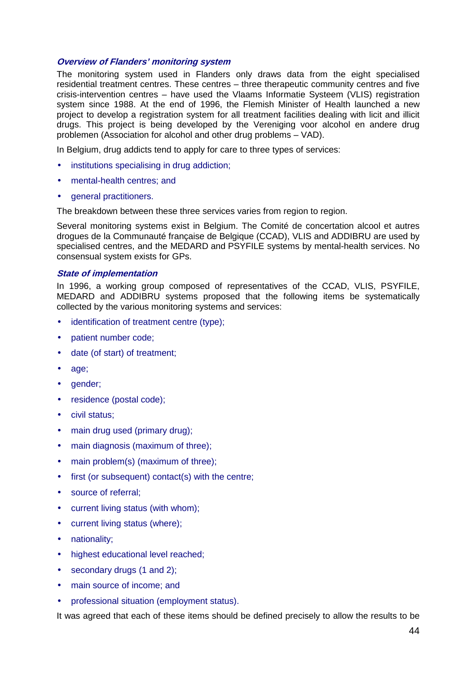#### **Overview of Flanders' monitoring system**

The monitoring system used in Flanders only draws data from the eight specialised residential treatment centres. These centres – three therapeutic community centres and five crisis-intervention centres – have used the Vlaams Informatie Systeem (VLIS) registration system since 1988. At the end of 1996, the Flemish Minister of Health launched a new project to develop a registration system for all treatment facilities dealing with licit and illicit drugs. This project is being developed by the Vereniging voor alcohol en andere drug problemen (Association for alcohol and other drug problems – VAD).

In Belgium, drug addicts tend to apply for care to three types of services:

- institutions specialising in drug addiction;
- mental-health centres; and
- general practitioners.

The breakdown between these three services varies from region to region.

Several monitoring systems exist in Belgium. The Comité de concertation alcool et autres drogues de la Communauté française de Belgique (CCAD), VLIS and ADDIBRU are used by specialised centres, and the MEDARD and PSYFILE systems by mental-health services. No consensual system exists for GPs.

#### **State of implementation**

In 1996, a working group composed of representatives of the CCAD, VLIS, PSYFILE, MEDARD and ADDIBRU systems proposed that the following items be systematically collected by the various monitoring systems and services:

- identification of treatment centre (type);
- patient number code;
- date (of start) of treatment;
- age;
- gender;
- residence (postal code);
- civil status;
- main drug used (primary drug);
- main diagnosis (maximum of three):
- main problem(s) (maximum of three);
- first (or subsequent) contact(s) with the centre;
- source of referral;
- current living status (with whom);
- current living status (where);
- nationality;
- highest educational level reached:
- secondary drugs (1 and 2);
- main source of income; and
- professional situation (employment status).

It was agreed that each of these items should be defined precisely to allow the results to be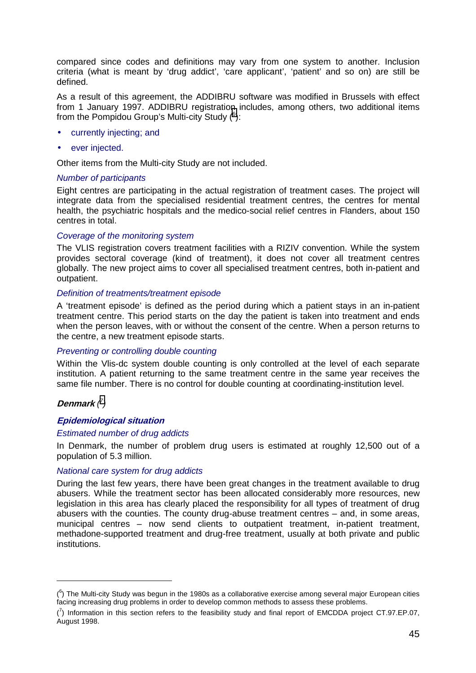compared since codes and definitions may vary from one system to another. Inclusion criteria (what is meant by 'drug addict', 'care applicant', 'patient' and so on) are still be defined.

As a result of this agreement, the ADDIBRU software was modified in Brussels with effect from 1 January 1997. ADDIBRU registration includes, among others, two additional items from the Pompidou Group's Multi-city Study  $(6)$ :

- currently injecting; and
- ever injected.

Other items from the Multi-city Study are not included.

#### *Number of participants*

Eight centres are participating in the actual registration of treatment cases. The project will integrate data from the specialised residential treatment centres, the centres for mental health, the psychiatric hospitals and the medico-social relief centres in Flanders, about 150 centres in total.

#### *Coverage of the monitoring system*

The VLIS registration covers treatment facilities with a RIZIV convention. While the system provides sectoral coverage (kind of treatment), it does not cover all treatment centres globally. The new project aims to cover all specialised treatment centres, both in-patient and outpatient.

#### *Definition of treatments/treatment episode*

A 'treatment episode' is defined as the period during which a patient stays in an in-patient treatment centre. This period starts on the day the patient is taken into treatment and ends when the person leaves, with or without the consent of the centre. When a person returns to the centre, a new treatment episode starts.

#### *Preventing or controlling double counting*

Within the Vlis-dc system double counting is only controlled at the level of each separate institution. A patient returning to the same treatment centre in the same year receives the same file number. There is no control for double counting at coordinating-institution level.

#### **Denmark** *( 7 )*

 $\overline{a}$ 

#### **Epidemiological situation**

#### *Estimated number of drug addicts*

In Denmark, the number of problem drug users is estimated at roughly 12,500 out of a population of 5.3 million.

#### *National care system for drug addicts*

During the last few years, there have been great changes in the treatment available to drug abusers. While the treatment sector has been allocated considerably more resources, new legislation in this area has clearly placed the responsibility for all types of treatment of drug abusers with the counties. The county drug-abuse treatment centres – and, in some areas, municipal centres – now send clients to outpatient treatment, in-patient treatment, methadone-supported treatment and drug-free treatment, usually at both private and public institutions.

 $(6)$  The Multi-city Study was begun in the 1980s as a collaborative exercise among several major European cities facing increasing drug problems in order to develop common methods to assess these problems.

 $\binom{7}{1}$  Information in this section refers to the feasibility study and final report of EMCDDA project CT.97.EP.07, August 1998.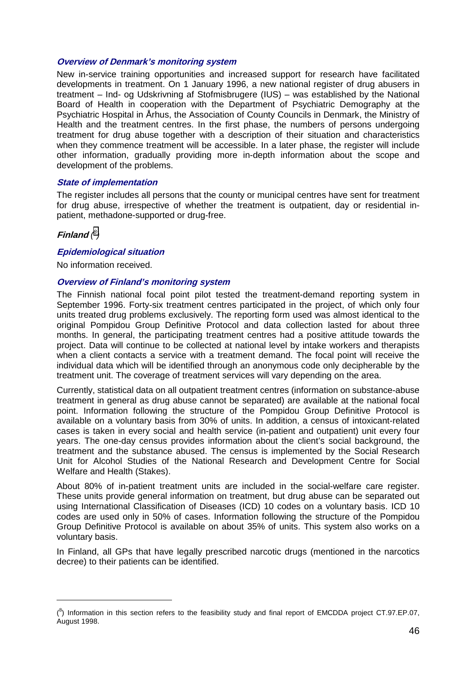#### **Overview of Denmark's monitoring system**

New in-service training opportunities and increased support for research have facilitated developments in treatment. On 1 January 1996, a new national register of drug abusers in treatment – Ind- og Udskrivning af Stofmisbrugere (IUS) – was established by the National Board of Health in cooperation with the Department of Psychiatric Demography at the Psychiatric Hospital in Århus, the Association of County Councils in Denmark, the Ministry of Health and the treatment centres. In the first phase, the numbers of persons undergoing treatment for drug abuse together with a description of their situation and characteristics when they commence treatment will be accessible. In a later phase, the register will include other information, gradually providing more in-depth information about the scope and development of the problems.

#### **State of implementation**

The register includes all persons that the county or municipal centres have sent for treatment for drug abuse, irrespective of whether the treatment is outpatient, day or residential inpatient, methadone-supported or drug-free.

**Finland** *( 8 )*

#### **Epidemiological situation**

No information received.

#### **Overview of Finland's monitoring system**

The Finnish national focal point pilot tested the treatment-demand reporting system in September 1996. Forty-six treatment centres participated in the project, of which only four units treated drug problems exclusively. The reporting form used was almost identical to the original Pompidou Group Definitive Protocol and data collection lasted for about three months. In general, the participating treatment centres had a positive attitude towards the project. Data will continue to be collected at national level by intake workers and therapists when a client contacts a service with a treatment demand. The focal point will receive the individual data which will be identified through an anonymous code only decipherable by the treatment unit. The coverage of treatment services will vary depending on the area.

Currently, statistical data on all outpatient treatment centres (information on substance-abuse treatment in general as drug abuse cannot be separated) are available at the national focal point. Information following the structure of the Pompidou Group Definitive Protocol is available on a voluntary basis from 30% of units. In addition, a census of intoxicant-related cases is taken in every social and health service (in-patient and outpatient) unit every four years. The one-day census provides information about the client's social background, the treatment and the substance abused. The census is implemented by the Social Research Unit for Alcohol Studies of the National Research and Development Centre for Social Welfare and Health (Stakes).

About 80% of in-patient treatment units are included in the social-welfare care register. These units provide general information on treatment, but drug abuse can be separated out using International Classification of Diseases (ICD) 10 codes on a voluntary basis. ICD 10 codes are used only in 50% of cases. Information following the structure of the Pompidou Group Definitive Protocol is available on about 35% of units. This system also works on a voluntary basis.

In Finland, all GPs that have legally prescribed narcotic drugs (mentioned in the narcotics decree) to their patients can be identified.

 $(8)$  Information in this section refers to the feasibility study and final report of EMCDDA project CT.97.EP.07, August 1998.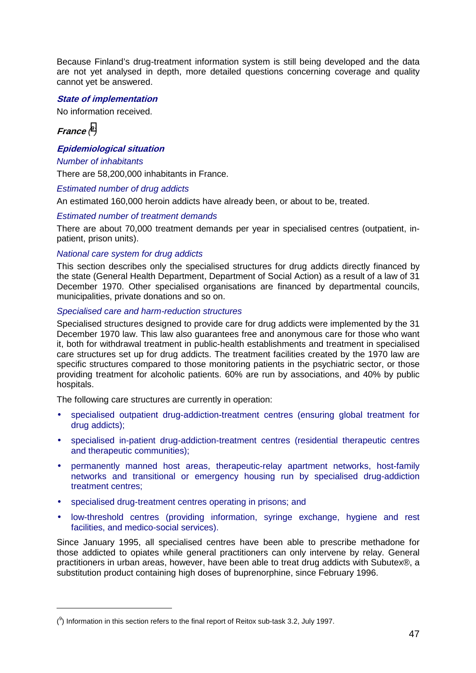Because Finland's drug-treatment information system is still being developed and the data are not yet analysed in depth, more detailed questions concerning coverage and quality cannot yet be answered.

#### **State of implementation**

No information received.

#### **France** *( 9 )*

 $\overline{a}$ 

### **Epidemiological situation**

#### *Number of inhabitants*

There are 58,200,000 inhabitants in France.

#### *Estimated number of drug addicts*

An estimated 160,000 heroin addicts have already been, or about to be, treated.

#### *Estimated number of treatment demands*

There are about 70,000 treatment demands per year in specialised centres (outpatient, inpatient, prison units).

#### *National care system for drug addicts*

This section describes only the specialised structures for drug addicts directly financed by the state (General Health Department, Department of Social Action) as a result of a law of 31 December 1970. Other specialised organisations are financed by departmental councils, municipalities, private donations and so on.

#### *Specialised care and harm-reduction structures*

Specialised structures designed to provide care for drug addicts were implemented by the 31 December 1970 law. This law also guarantees free and anonymous care for those who want it, both for withdrawal treatment in public-health establishments and treatment in specialised care structures set up for drug addicts. The treatment facilities created by the 1970 law are specific structures compared to those monitoring patients in the psychiatric sector, or those providing treatment for alcoholic patients. 60% are run by associations, and 40% by public hospitals.

The following care structures are currently in operation:

- specialised outpatient drug-addiction-treatment centres (ensuring global treatment for drug addicts);
- specialised in-patient drug-addiction-treatment centres (residential therapeutic centres and therapeutic communities);
- permanently manned host areas, therapeutic-relay apartment networks, host-family networks and transitional or emergency housing run by specialised drug-addiction treatment centres;
- specialised drug-treatment centres operating in prisons; and
- low-threshold centres (providing information, syringe exchange, hygiene and rest facilities, and medico-social services).

Since January 1995, all specialised centres have been able to prescribe methadone for those addicted to opiates while general practitioners can only intervene by relay. General practitioners in urban areas, however, have been able to treat drug addicts with Subutex®, a substitution product containing high doses of buprenorphine, since February 1996.

 $(3)$  Information in this section refers to the final report of Reitox sub-task 3.2, July 1997.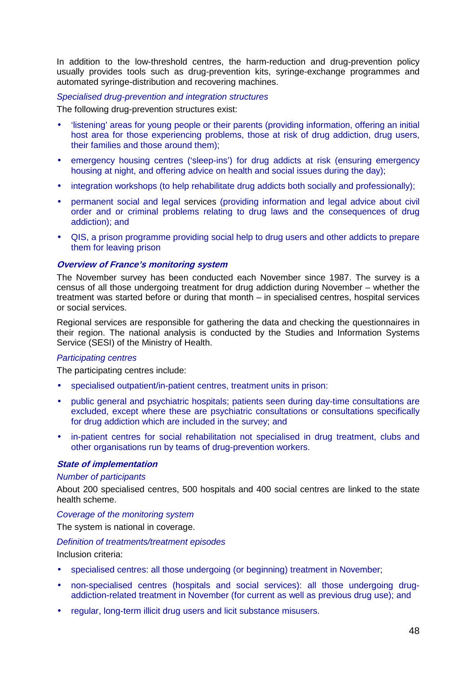In addition to the low-threshold centres, the harm-reduction and drug-prevention policy usually provides tools such as drug-prevention kits, syringe-exchange programmes and automated syringe-distribution and recovering machines.

#### *Specialised drug-prevention and integration structures*

The following drug-prevention structures exist:

- 'listening' areas for young people or their parents (providing information, offering an initial host area for those experiencing problems, those at risk of drug addiction, drug users, their families and those around them);
- emergency housing centres ('sleep-ins') for drug addicts at risk (ensuring emergency housing at night, and offering advice on health and social issues during the day);
- integration workshops (to help rehabilitate drug addicts both socially and professionally);
- permanent social and legal services (providing information and legal advice about civil order and or criminal problems relating to drug laws and the consequences of drug addiction); and
- QIS, a prison programme providing social help to drug users and other addicts to prepare them for leaving prison

#### **Overview of France's monitoring system**

The November survey has been conducted each November since 1987. The survey is a census of all those undergoing treatment for drug addiction during November – whether the treatment was started before or during that month – in specialised centres, hospital services or social services.

Regional services are responsible for gathering the data and checking the questionnaires in their region. The national analysis is conducted by the Studies and Information Systems Service (SESI) of the Ministry of Health.

#### *Participating centres*

The participating centres include:

- specialised outpatient/in-patient centres, treatment units in prison:
- public general and psychiatric hospitals; patients seen during day-time consultations are excluded, except where these are psychiatric consultations or consultations specifically for drug addiction which are included in the survey; and
- in-patient centres for social rehabilitation not specialised in drug treatment, clubs and other organisations run by teams of drug-prevention workers.

#### **State of implementation**

#### *Number of participants*

About 200 specialised centres, 500 hospitals and 400 social centres are linked to the state health scheme.

#### *Coverage of the monitoring system*

The system is national in coverage.

#### *Definition of treatments/treatment episodes*

Inclusion criteria:

- specialised centres: all those undergoing (or beginning) treatment in November;
- non-specialised centres (hospitals and social services): all those undergoing drugaddiction-related treatment in November (for current as well as previous drug use); and
- regular, long-term illicit drug users and licit substance misusers.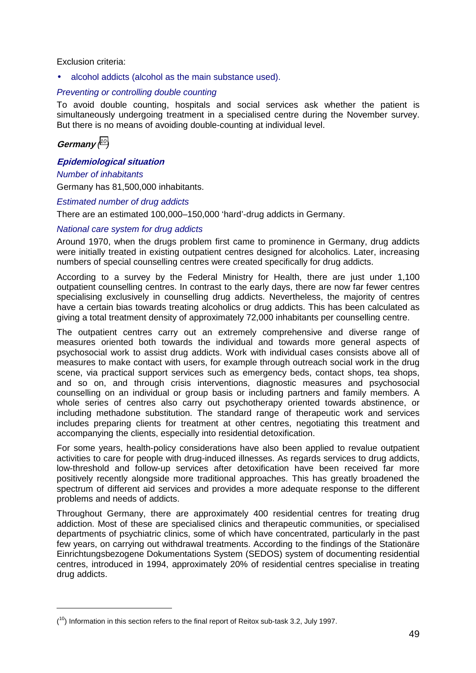#### Exclusion criteria:

• alcohol addicts (alcohol as the main substance used).

#### *Preventing or controlling double counting*

To avoid double counting, hospitals and social services ask whether the patient is simultaneously undergoing treatment in a specialised centre during the November survey. But there is no means of avoiding double-counting at individual level.

#### **Germany** *( 10)*

 $\overline{a}$ 

#### **Epidemiological situation**

#### *Number of inhabitants*

Germany has 81,500,000 inhabitants.

#### *Estimated number of drug addicts*

There are an estimated 100,000–150,000 'hard'-drug addicts in Germany.

#### *National care system for drug addicts*

Around 1970, when the drugs problem first came to prominence in Germany, drug addicts were initially treated in existing outpatient centres designed for alcoholics. Later, increasing numbers of special counselling centres were created specifically for drug addicts.

According to a survey by the Federal Ministry for Health, there are just under 1,100 outpatient counselling centres. In contrast to the early days, there are now far fewer centres specialising exclusively in counselling drug addicts. Nevertheless, the majority of centres have a certain bias towards treating alcoholics or drug addicts. This has been calculated as giving a total treatment density of approximately 72,000 inhabitants per counselling centre.

The outpatient centres carry out an extremely comprehensive and diverse range of measures oriented both towards the individual and towards more general aspects of psychosocial work to assist drug addicts. Work with individual cases consists above all of measures to make contact with users, for example through outreach social work in the drug scene, via practical support services such as emergency beds, contact shops, tea shops, and so on, and through crisis interventions, diagnostic measures and psychosocial counselling on an individual or group basis or including partners and family members. A whole series of centres also carry out psychotherapy oriented towards abstinence, or including methadone substitution. The standard range of therapeutic work and services includes preparing clients for treatment at other centres, negotiating this treatment and accompanying the clients, especially into residential detoxification.

For some years, health-policy considerations have also been applied to revalue outpatient activities to care for people with drug-induced illnesses. As regards services to drug addicts, low-threshold and follow-up services after detoxification have been received far more positively recently alongside more traditional approaches. This has greatly broadened the spectrum of different aid services and provides a more adequate response to the different problems and needs of addicts.

Throughout Germany, there are approximately 400 residential centres for treating drug addiction. Most of these are specialised clinics and therapeutic communities, or specialised departments of psychiatric clinics, some of which have concentrated, particularly in the past few years, on carrying out withdrawal treatments. According to the findings of the Stationäre Einrichtungsbezogene Dokumentations System (SEDOS) system of documenting residential centres, introduced in 1994, approximately 20% of residential centres specialise in treating drug addicts.

 $(10)$  Information in this section refers to the final report of Reitox sub-task 3.2, July 1997.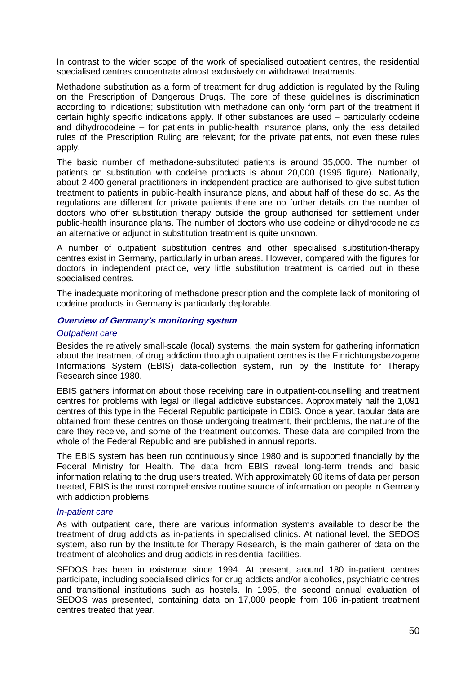In contrast to the wider scope of the work of specialised outpatient centres, the residential specialised centres concentrate almost exclusively on withdrawal treatments.

Methadone substitution as a form of treatment for drug addiction is regulated by the Ruling on the Prescription of Dangerous Drugs. The core of these guidelines is discrimination according to indications; substitution with methadone can only form part of the treatment if certain highly specific indications apply. If other substances are used – particularly codeine and dihydrocodeine – for patients in public-health insurance plans, only the less detailed rules of the Prescription Ruling are relevant; for the private patients, not even these rules apply.

The basic number of methadone-substituted patients is around 35,000. The number of patients on substitution with codeine products is about 20,000 (1995 figure). Nationally, about 2,400 general practitioners in independent practice are authorised to give substitution treatment to patients in public-health insurance plans, and about half of these do so. As the regulations are different for private patients there are no further details on the number of doctors who offer substitution therapy outside the group authorised for settlement under public-health insurance plans. The number of doctors who use codeine or dihydrocodeine as an alternative or adjunct in substitution treatment is quite unknown.

A number of outpatient substitution centres and other specialised substitution-therapy centres exist in Germany, particularly in urban areas. However, compared with the figures for doctors in independent practice, very little substitution treatment is carried out in these specialised centres.

The inadequate monitoring of methadone prescription and the complete lack of monitoring of codeine products in Germany is particularly deplorable.

#### **Overview of Germany's monitoring system**

#### *Outpatient care*

Besides the relatively small-scale (local) systems, the main system for gathering information about the treatment of drug addiction through outpatient centres is the Einrichtungsbezogene Informations System (EBIS) data-collection system, run by the Institute for Therapy Research since 1980.

EBIS gathers information about those receiving care in outpatient-counselling and treatment centres for problems with legal or illegal addictive substances. Approximately half the 1,091 centres of this type in the Federal Republic participate in EBIS. Once a year, tabular data are obtained from these centres on those undergoing treatment, their problems, the nature of the care they receive, and some of the treatment outcomes. These data are compiled from the whole of the Federal Republic and are published in annual reports.

The EBIS system has been run continuously since 1980 and is supported financially by the Federal Ministry for Health. The data from EBIS reveal long-term trends and basic information relating to the drug users treated. With approximately 60 items of data per person treated, EBIS is the most comprehensive routine source of information on people in Germany with addiction problems.

#### *In-patient care*

As with outpatient care, there are various information systems available to describe the treatment of drug addicts as in-patients in specialised clinics. At national level, the SEDOS system, also run by the Institute for Therapy Research, is the main gatherer of data on the treatment of alcoholics and drug addicts in residential facilities.

SEDOS has been in existence since 1994. At present, around 180 in-patient centres participate, including specialised clinics for drug addicts and/or alcoholics, psychiatric centres and transitional institutions such as hostels. In 1995, the second annual evaluation of SEDOS was presented, containing data on 17,000 people from 106 in-patient treatment centres treated that year.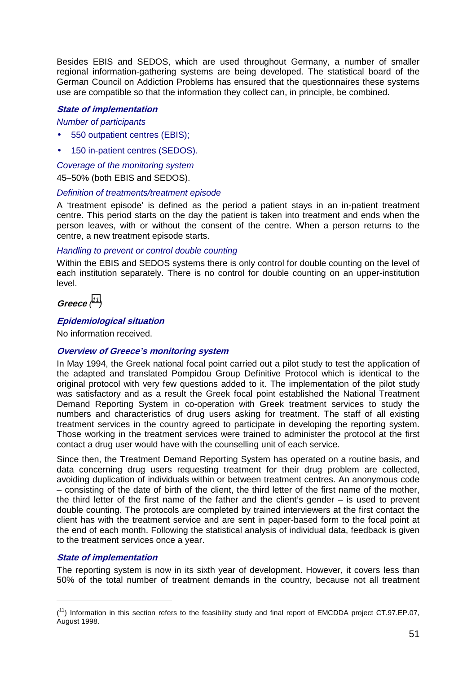Besides EBIS and SEDOS, which are used throughout Germany, a number of smaller regional information-gathering systems are being developed. The statistical board of the German Council on Addiction Problems has ensured that the questionnaires these systems use are compatible so that the information they collect can, in principle, be combined.

# **State of implementation**

*Number of participants* 

- 550 outpatient centres (EBIS);
- 150 in-patient centres (SEDOS).

*Coverage of the monitoring system* 

45–50% (both EBIS and SEDOS).

#### *Definition of treatments/treatment episode*

A 'treatment episode' is defined as the period a patient stays in an in-patient treatment centre. This period starts on the day the patient is taken into treatment and ends when the person leaves, with or without the consent of the centre. When a person returns to the centre, a new treatment episode starts.

#### *Handling to prevent or control double counting*

Within the EBIS and SEDOS systems there is only control for double counting on the level of each institution separately. There is no control for double counting on an upper-institution level.

**Greece** *( 11)*

#### **Epidemiological situation**

No information received.

#### **Overview of Greece's monitoring system**

In May 1994, the Greek national focal point carried out a pilot study to test the application of the adapted and translated Pompidou Group Definitive Protocol which is identical to the original protocol with very few questions added to it. The implementation of the pilot study was satisfactory and as a result the Greek focal point established the National Treatment Demand Reporting System in co-operation with Greek treatment services to study the numbers and characteristics of drug users asking for treatment. The staff of all existing treatment services in the country agreed to participate in developing the reporting system. Those working in the treatment services were trained to administer the protocol at the first contact a drug user would have with the counselling unit of each service.

Since then, the Treatment Demand Reporting System has operated on a routine basis, and data concerning drug users requesting treatment for their drug problem are collected, avoiding duplication of individuals within or between treatment centres. An anonymous code – consisting of the date of birth of the client, the third letter of the first name of the mother, the third letter of the first name of the father and the client's gender – is used to prevent double counting. The protocols are completed by trained interviewers at the first contact the client has with the treatment service and are sent in paper-based form to the focal point at the end of each month. Following the statistical analysis of individual data, feedback is given to the treatment services once a year.

#### **State of implementation**

The reporting system is now in its sixth year of development. However, it covers less than 50% of the total number of treatment demands in the country, because not all treatment

 $(1)$  Information in this section refers to the feasibility study and final report of EMCDDA project CT.97.EP.07, August 1998.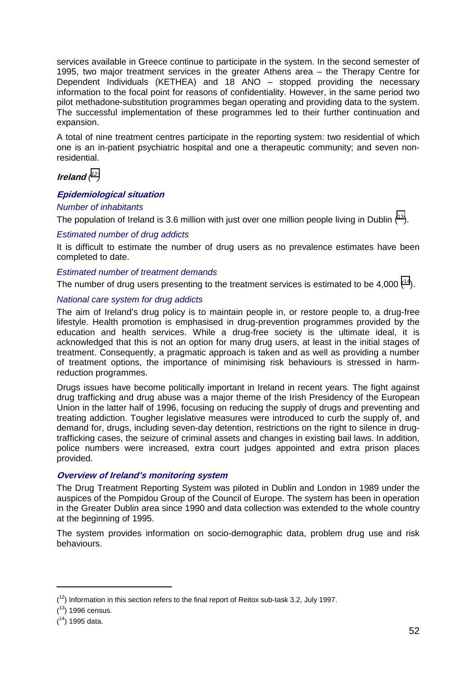services available in Greece continue to participate in the system. In the second semester of 1995, two major treatment services in the greater Athens area – the Therapy Centre for Dependent Individuals (KETHEA) and 18 ANO – stopped providing the necessary information to the focal point for reasons of confidentiality. However, in the same period two pilot methadone-substitution programmes began operating and providing data to the system. The successful implementation of these programmes led to their further continuation and expansion.

A total of nine treatment centres participate in the reporting system: two residential of which one is an in-patient psychiatric hospital and one a therapeutic community; and seven nonresidential.

# **Ireland** *( 12)*

# **Epidemiological situation**

#### *Number of inhabitants*

The population of Ireland is 3.6 million with just over one million people living in Dublin  $(^{13})$ .

# *Estimated number of drug addicts*

It is difficult to estimate the number of drug users as no prevalence estimates have been completed to date.

#### *Estimated number of treatment demands*

The number of drug users presenting to the treatment services is estimated to be 4,000  $(^{14})$ .

#### *National care system for drug addicts*

The aim of Ireland's drug policy is to maintain people in, or restore people to, a drug-free lifestyle. Health promotion is emphasised in drug-prevention programmes provided by the education and health services. While a drug-free society is the ultimate ideal, it is acknowledged that this is not an option for many drug users, at least in the initial stages of treatment. Consequently, a pragmatic approach is taken and as well as providing a number of treatment options, the importance of minimising risk behaviours is stressed in harmreduction programmes.

Drugs issues have become politically important in Ireland in recent years. The fight against drug trafficking and drug abuse was a major theme of the Irish Presidency of the European Union in the latter half of 1996, focusing on reducing the supply of drugs and preventing and treating addiction. Tougher legislative measures were introduced to curb the supply of, and demand for, drugs, including seven-day detention, restrictions on the right to silence in drugtrafficking cases, the seizure of criminal assets and changes in existing bail laws. In addition, police numbers were increased, extra court judges appointed and extra prison places provided.

#### **Overview of Ireland's monitoring system**

The Drug Treatment Reporting System was piloted in Dublin and London in 1989 under the auspices of the Pompidou Group of the Council of Europe. The system has been in operation in the Greater Dublin area since 1990 and data collection was extended to the whole country at the beginning of 1995.

The system provides information on socio-demographic data, problem drug use and risk behaviours.

 $(1<sup>2</sup>)$  Information in this section refers to the final report of Reitox sub-task 3.2, July 1997.

 $(13)$  1996 census.

 $(14)$  1995 data.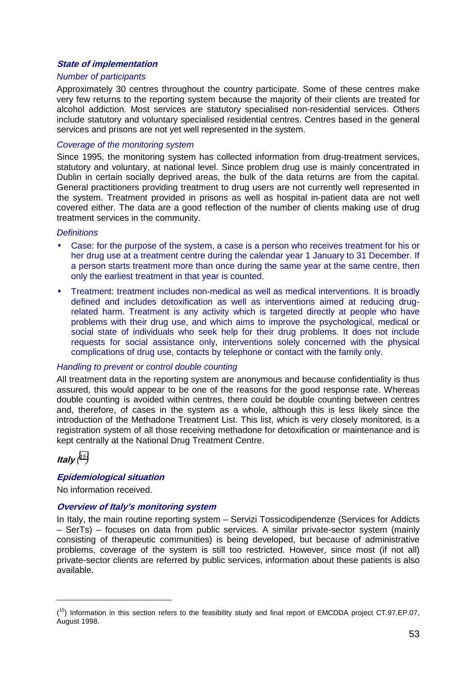#### **State of implementation**

#### *Number of participants*

Approximately 30 centres throughout the country participate. Some of these centres make very few returns to the reporting system because the majority of their clients are treated for alcohol addiction. Most services are statutory specialised non-residential services. Others include statutory and voluntary specialised residential centres. Centres based in the general services and prisons are not yet well represented in the system.

#### *Coverage of the monitoring system*

Since 1995, the monitoring system has collected information from drug-treatment services, statutory and voluntary, at national level. Since problem drug use is mainly concentrated in Dublin in certain socially deprived areas, the bulk of the data returns are from the capital. General practitioners providing treatment to drug users are not currently well represented in the system. Treatment provided in prisons as well as hospital in-patient data are not well covered either. The data are a good reflection of the number of clients making use of drug treatment services in the community.

#### *Definitions*

- Case: for the purpose of the system, a case is a person who receives treatment for his or her drug use at a treatment centre during the calendar year 1 January to 31 December. If a person starts treatment more than once during the same year at the same centre, then only the earliest treatment in that year is counted.
- Treatment: treatment includes non-medical as well as medical interventions. It is broadly defined and includes detoxification as well as interventions aimed at reducing drugrelated harm. Treatment is any activity which is targeted directly at people who have problems with their drug use, and which aims to improve the psychological, medical or social state of individuals who seek help for their drug problems. It does not include requests for social assistance only, interventions solely concerned with the physical complications of drug use, contacts by telephone or contact with the family only.

#### *Handling to prevent or control double counting*

All treatment data in the reporting system are anonymous and because confidentiality is thus assured, this would appear to be one of the reasons for the good response rate. Whereas double counting is avoided within centres, there could be double counting between centres and, therefore, of cases in the system as a whole, although this is less likely since the introduction of the Methadone Treatment List. This list, which is very closely monitored, is a registration system of all those receiving methadone for detoxification or maintenance and is kept centrally at the National Drug Treatment Centre.

**Italy** *( 15)*

#### **Epidemiological situation**

No information received.

#### **Overview of Italy's monitoring system**

In Italy, the main routine reporting system – Servizi Tossicodipendenze (Services for Addicts – SerTs) – focuses on data from public services. A similar private-sector system (mainly consisting of therapeutic communities) is being developed, but because of administrative problems, coverage of the system is still too restricted. However, since most (if not all) private-sector clients are referred by public services, information about these patients is also available.

 $(15)$  Information in this section refers to the feasibility study and final report of EMCDDA project CT.97.EP.07, August 1998.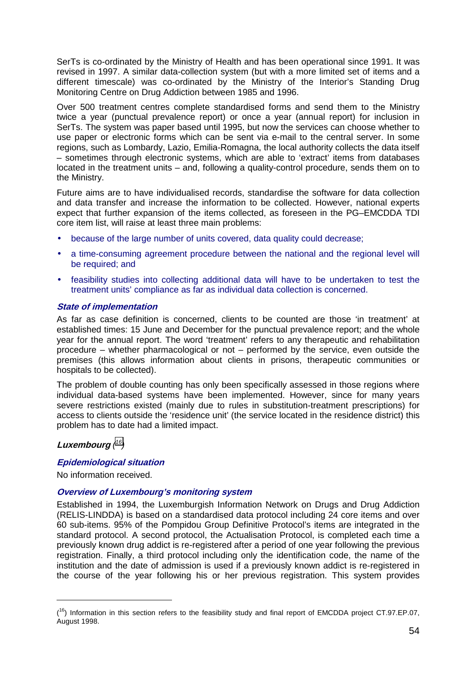SerTs is co-ordinated by the Ministry of Health and has been operational since 1991. It was revised in 1997. A similar data-collection system (but with a more limited set of items and a different timescale) was co-ordinated by the Ministry of the Interior's Standing Drug Monitoring Centre on Drug Addiction between 1985 and 1996.

Over 500 treatment centres complete standardised forms and send them to the Ministry twice a year (punctual prevalence report) or once a year (annual report) for inclusion in SerTs. The system was paper based until 1995, but now the services can choose whether to use paper or electronic forms which can be sent via e-mail to the central server. In some regions, such as Lombardy, Lazio, Emilia-Romagna, the local authority collects the data itself – sometimes through electronic systems, which are able to 'extract' items from databases located in the treatment units – and, following a quality-control procedure, sends them on to the Ministry.

Future aims are to have individualised records, standardise the software for data collection and data transfer and increase the information to be collected. However, national experts expect that further expansion of the items collected, as foreseen in the PG–EMCDDA TDI core item list, will raise at least three main problems:

- because of the large number of units covered, data quality could decrease;
- a time-consuming agreement procedure between the national and the regional level will be required; and
- feasibility studies into collecting additional data will have to be undertaken to test the treatment units' compliance as far as individual data collection is concerned.

#### **State of implementation**

As far as case definition is concerned, clients to be counted are those 'in treatment' at established times: 15 June and December for the punctual prevalence report; and the whole year for the annual report. The word 'treatment' refers to any therapeutic and rehabilitation procedure – whether pharmacological or not – performed by the service, even outside the premises (this allows information about clients in prisons, therapeutic communities or hospitals to be collected).

The problem of double counting has only been specifically assessed in those regions where individual data-based systems have been implemented. However, since for many years severe restrictions existed (mainly due to rules in substitution-treatment prescriptions) for access to clients outside the 'residence unit' (the service located in the residence district) this problem has to date had a limited impact.

# **Luxembourg** *( 16)*

#### **Epidemiological situation**

No information received.

#### **Overview of Luxembourg's monitoring system**

Established in 1994, the Luxemburgish Information Network on Drugs and Drug Addiction (RELIS-LINDDA) is based on a standardised data protocol including 24 core items and over 60 sub-items. 95% of the Pompidou Group Definitive Protocol's items are integrated in the standard protocol. A second protocol, the Actualisation Protocol, is completed each time a previously known drug addict is re-registered after a period of one year following the previous registration. Finally, a third protocol including only the identification code, the name of the institution and the date of admission is used if a previously known addict is re-registered in the course of the year following his or her previous registration. This system provides

 $(16)$  Information in this section refers to the feasibility study and final report of EMCDDA project CT.97.EP.07, August 1998.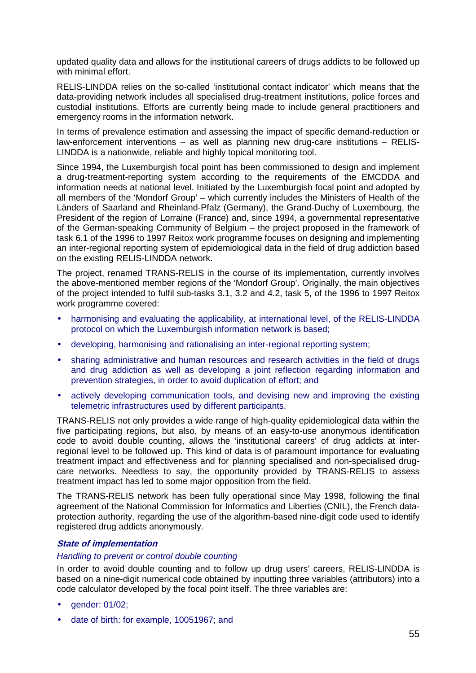updated quality data and allows for the institutional careers of drugs addicts to be followed up with minimal effort.

RELIS-LINDDA relies on the so-called 'institutional contact indicator' which means that the data-providing network includes all specialised drug-treatment institutions, police forces and custodial institutions. Efforts are currently being made to include general practitioners and emergency rooms in the information network.

In terms of prevalence estimation and assessing the impact of specific demand-reduction or law-enforcement interventions – as well as planning new drug-care institutions – RELIS-LINDDA is a nationwide, reliable and highly topical monitoring tool.

Since 1994, the Luxemburgish focal point has been commissioned to design and implement a drug-treatment-reporting system according to the requirements of the EMCDDA and information needs at national level. Initiated by the Luxemburgish focal point and adopted by all members of the 'Mondorf Group' – which currently includes the Ministers of Health of the Länders of Saarland and Rheinland-Pfalz (Germany), the Grand-Duchy of Luxembourg, the President of the region of Lorraine (France) and, since 1994, a governmental representative of the German-speaking Community of Belgium – the project proposed in the framework of task 6.1 of the 1996 to 1997 Reitox work programme focuses on designing and implementing an inter-regional reporting system of epidemiological data in the field of drug addiction based on the existing RELIS-LINDDA network.

The project, renamed TRANS-RELIS in the course of its implementation, currently involves the above-mentioned member regions of the 'Mondorf Group'. Originally, the main objectives of the project intended to fulfil sub-tasks 3.1, 3.2 and 4.2, task 5, of the 1996 to 1997 Reitox work programme covered:

- harmonising and evaluating the applicability, at international level, of the RELIS-LINDDA protocol on which the Luxemburgish information network is based;
- developing, harmonising and rationalising an inter-regional reporting system;
- sharing administrative and human resources and research activities in the field of drugs and drug addiction as well as developing a joint reflection regarding information and prevention strategies, in order to avoid duplication of effort; and
- actively developing communication tools, and devising new and improving the existing telemetric infrastructures used by different participants.

TRANS-RELIS not only provides a wide range of high-quality epidemiological data within the five participating regions, but also, by means of an easy-to-use anonymous identification code to avoid double counting, allows the 'institutional careers' of drug addicts at interregional level to be followed up. This kind of data is of paramount importance for evaluating treatment impact and effectiveness and for planning specialised and non-specialised drugcare networks. Needless to say, the opportunity provided by TRANS-RELIS to assess treatment impact has led to some major opposition from the field.

The TRANS-RELIS network has been fully operational since May 1998, following the final agreement of the National Commission for Informatics and Liberties (CNIL), the French dataprotection authority, regarding the use of the algorithm-based nine-digit code used to identify registered drug addicts anonymously.

#### **State of implementation**

#### *Handling to prevent or control double counting*

In order to avoid double counting and to follow up drug users' careers, RELIS-LINDDA is based on a nine-digit numerical code obtained by inputting three variables (attributors) into a code calculator developed by the focal point itself. The three variables are:

- gender: 01/02;
- date of birth: for example, 10051967; and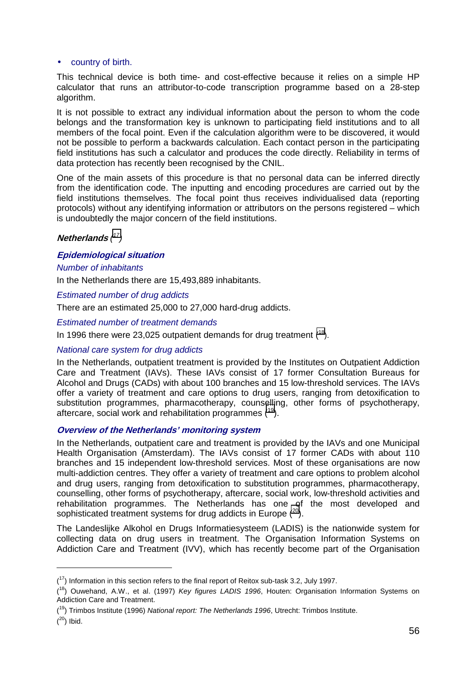#### • country of birth.

This technical device is both time- and cost-effective because it relies on a simple HP calculator that runs an attributor-to-code transcription programme based on a 28-step algorithm.

It is not possible to extract any individual information about the person to whom the code belongs and the transformation key is unknown to participating field institutions and to all members of the focal point. Even if the calculation algorithm were to be discovered, it would not be possible to perform a backwards calculation. Each contact person in the participating field institutions has such a calculator and produces the code directly. Reliability in terms of data protection has recently been recognised by the CNIL.

One of the main assets of this procedure is that no personal data can be inferred directly from the identification code. The inputting and encoding procedures are carried out by the field institutions themselves. The focal point thus receives individualised data (reporting protocols) without any identifying information or attributors on the persons registered – which is undoubtedly the major concern of the field institutions.

#### **Netherlands** *( 17)*

#### **Epidemiological situation**

#### *Number of inhabitants*

In the Netherlands there are 15,493,889 inhabitants.

#### *Estimated number of drug addicts*

There are an estimated 25,000 to 27,000 hard-drug addicts.

#### *Estimated number of treatment demands*

In 1996 there were 23,025 outpatient demands for drug treatment  $(^{18})$ .

#### *National care system for drug addicts*

In the Netherlands, outpatient treatment is provided by the Institutes on Outpatient Addiction Care and Treatment (IAVs). These IAVs consist of 17 former Consultation Bureaus for Alcohol and Drugs (CADs) with about 100 branches and 15 low-threshold services. The IAVs offer a variety of treatment and care options to drug users, ranging from detoxification to substitution programmes, pharmacotherapy, counselling, other forms of psychotherapy, aftercare, social work and rehabilitation programmes  $(^{19})$ .

#### **Overview of the Netherlands' monitoring system**

In the Netherlands, outpatient care and treatment is provided by the IAVs and one Municipal Health Organisation (Amsterdam). The IAVs consist of 17 former CADs with about 110 branches and 15 independent low-threshold services. Most of these organisations are now multi-addiction centres. They offer a variety of treatment and care options to problem alcohol and drug users, ranging from detoxification to substitution programmes, pharmacotherapy, counselling, other forms of psychotherapy, aftercare, social work, low-threshold activities and rehabilitation programmes. The Netherlands has one of the most developed and sophisticated treatment systems for drug addicts in Europe  $(^{20})$ .

The Landeslijke Alkohol en Drugs Informatiesysteem (LADIS) is the nationwide system for collecting data on drug users in treatment. The Organisation Information Systems on Addiction Care and Treatment (IVV), which has recently become part of the Organisation

 $(17)$  Information in this section refers to the final report of Reitox sub-task 3.2, July 1997.

<sup>(</sup> 18) Ouwehand, A.W., et al. (1997) *Key figures LADIS 1996*, Houten: Organisation Information Systems on Addiction Care and Treatment.

<sup>(</sup> 19) Trimbos Institute (1996) *National report: The Netherlands 1996*, Utrecht: Trimbos Institute.

 $(20)$  Ibid.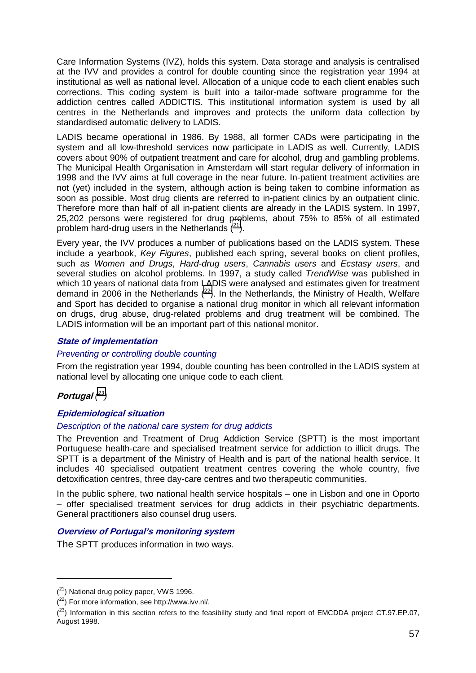Care Information Systems (IVZ), holds this system. Data storage and analysis is centralised at the IVV and provides a control for double counting since the registration year 1994 at institutional as well as national level. Allocation of a unique code to each client enables such corrections. This coding system is built into a tailor-made software programme for the addiction centres called ADDICTIS. This institutional information system is used by all centres in the Netherlands and improves and protects the uniform data collection by standardised automatic delivery to LADIS.

LADIS became operational in 1986. By 1988, all former CADs were participating in the system and all low-threshold services now participate in LADIS as well. Currently, LADIS covers about 90% of outpatient treatment and care for alcohol, drug and gambling problems. The Municipal Health Organisation in Amsterdam will start regular delivery of information in 1998 and the IVV aims at full coverage in the near future. In-patient treatment activities are not (yet) included in the system, although action is being taken to combine information as soon as possible. Most drug clients are referred to in-patient clinics by an outpatient clinic. Therefore more than half of all in-patient clients are already in the LADIS system. In 1997, 25,202 persons were registered for drug problems, about 75% to 85% of all estimated problem hard-drug users in the Netherlands  $(^{21})$ .

Every year, the IVV produces a number of publications based on the LADIS system. These include a yearbook, *Key Figures*, published each spring, several books on client profiles, such as *Women and Drugs*, *Hard-drug users*, *Cannabis users* and *Ecstasy users*, and several studies on alcohol problems. In 1997, a study called *TrendWise* was published in which 10 years of national data from LADIS were analysed and estimates given for treatment demand in 2006 in the Netherlands  $(^{22})$ . In the Netherlands, the Ministry of Health, Welfare and Sport has decided to organise a national drug monitor in which all relevant information on drugs, drug abuse, drug-related problems and drug treatment will be combined. The LADIS information will be an important part of this national monitor.

# **State of implementation**

#### *Preventing or controlling double counting*

From the registration year 1994, double counting has been controlled in the LADIS system at national level by allocating one unique code to each client.

# **Portugal** *( 23)*

 $\overline{a}$ 

#### **Epidemiological situation**

#### *Description of the national care system for drug addicts*

The Prevention and Treatment of Drug Addiction Service (SPTT) is the most important Portuguese health-care and specialised treatment service for addiction to illicit drugs. The SPTT is a department of the Ministry of Health and is part of the national health service. It includes 40 specialised outpatient treatment centres covering the whole country, five detoxification centres, three day-care centres and two therapeutic communities.

In the public sphere, two national health service hospitals – one in Lisbon and one in Oporto – offer specialised treatment services for drug addicts in their psychiatric departments. General practitioners also counsel drug users.

# **Overview of Portugal's monitoring system**

The SPTT produces information in two ways.

 $(2<sup>1</sup>)$  National drug policy paper, VWS 1996.

 $(2^2)$  For more information, see http://www.ivv.nl/.

 $(2^3)$  Information in this section refers to the feasibility study and final report of EMCDDA project CT.97.EP.07, August 1998.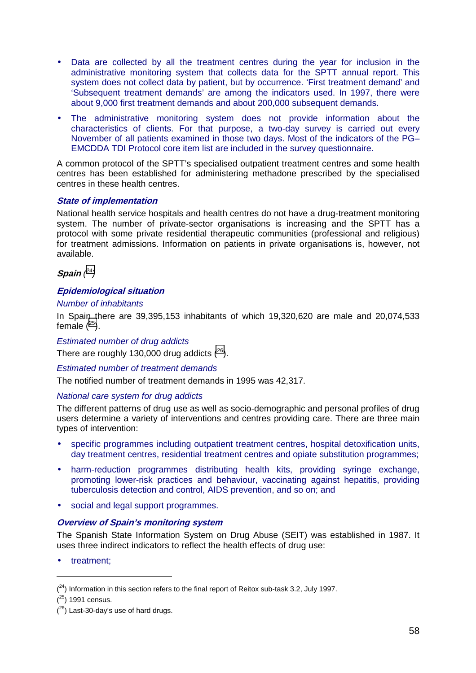- Data are collected by all the treatment centres during the year for inclusion in the administrative monitoring system that collects data for the SPTT annual report. This system does not collect data by patient, but by occurrence. 'First treatment demand' and 'Subsequent treatment demands' are among the indicators used. In 1997, there were about 9,000 first treatment demands and about 200,000 subsequent demands.
- The administrative monitoring system does not provide information about the characteristics of clients. For that purpose, a two-day survey is carried out every November of all patients examined in those two days. Most of the indicators of the PG– EMCDDA TDI Protocol core item list are included in the survey questionnaire.

A common protocol of the SPTT's specialised outpatient treatment centres and some health centres has been established for administering methadone prescribed by the specialised centres in these health centres.

#### **State of implementation**

National health service hospitals and health centres do not have a drug-treatment monitoring system. The number of private-sector organisations is increasing and the SPTT has a protocol with some private residential therapeutic communities (professional and religious) for treatment admissions. Information on patients in private organisations is, however, not available.

# **Spain** *( 24)*

#### **Epidemiological situation**

#### *Number of inhabitants*

In Spain there are 39,395,153 inhabitants of which 19,320,620 are male and 20,074,533 female  $(^{25})$ .

#### *Estimated number of drug addicts*

There are roughly 130,000 drug addicts  $(^{26})$ .

#### *Estimated number of treatment demands*

The notified number of treatment demands in 1995 was 42,317.

#### *National care system for drug addicts*

The different patterns of drug use as well as socio-demographic and personal profiles of drug users determine a variety of interventions and centres providing care. There are three main types of intervention:

- specific programmes including outpatient treatment centres, hospital detoxification units, day treatment centres, residential treatment centres and opiate substitution programmes;
- harm-reduction programmes distributing health kits, providing syringe exchange, promoting lower-risk practices and behaviour, vaccinating against hepatitis, providing tuberculosis detection and control, AIDS prevention, and so on; and
- social and legal support programmes.

#### **Overview of Spain's monitoring system**

The Spanish State Information System on Drug Abuse (SEIT) was established in 1987. It uses three indirect indicators to reflect the health effects of drug use:

• treatment;

 $\overline{a}$ 

 $(24)$  Information in this section refers to the final report of Reitox sub-task 3.2, July 1997.

 $(25)$  1991 census.

 $(26)$  Last-30-day's use of hard drugs.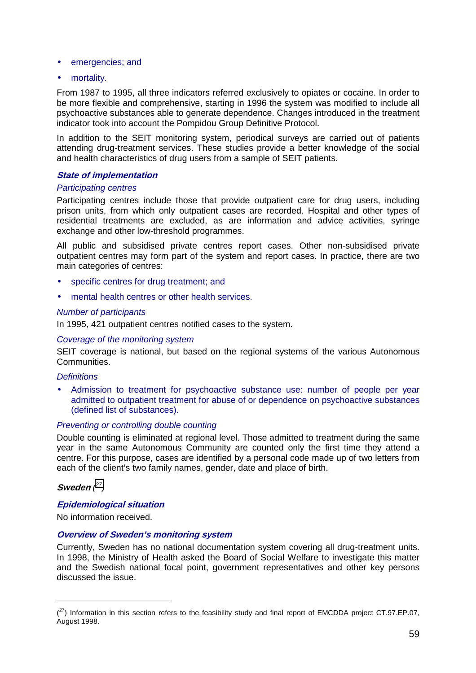- emergencies; and
- mortality.

From 1987 to 1995, all three indicators referred exclusively to opiates or cocaine. In order to be more flexible and comprehensive, starting in 1996 the system was modified to include all psychoactive substances able to generate dependence. Changes introduced in the treatment indicator took into account the Pompidou Group Definitive Protocol.

In addition to the SEIT monitoring system, periodical surveys are carried out of patients attending drug-treatment services. These studies provide a better knowledge of the social and health characteristics of drug users from a sample of SEIT patients.

#### **State of implementation**

#### *Participating centres*

Participating centres include those that provide outpatient care for drug users, including prison units, from which only outpatient cases are recorded. Hospital and other types of residential treatments are excluded, as are information and advice activities, syringe exchange and other low-threshold programmes.

All public and subsidised private centres report cases. Other non-subsidised private outpatient centres may form part of the system and report cases. In practice, there are two main categories of centres:

- specific centres for drug treatment; and
- mental health centres or other health services.

#### *Number of participants*

In 1995, 421 outpatient centres notified cases to the system.

#### *Coverage of the monitoring system*

SEIT coverage is national, but based on the regional systems of the various Autonomous Communities.

#### *Definitions*

• Admission to treatment for psychoactive substance use: number of people per year admitted to outpatient treatment for abuse of or dependence on psychoactive substances (defined list of substances).

#### *Preventing or controlling double counting*

Double counting is eliminated at regional level. Those admitted to treatment during the same year in the same Autonomous Community are counted only the first time they attend a centre. For this purpose, cases are identified by a personal code made up of two letters from each of the client's two family names, gender, date and place of birth.

**Sweden** *( 27)* 

#### **Epidemiological situation**

No information received.

#### **Overview of Sweden's monitoring system**

Currently, Sweden has no national documentation system covering all drug-treatment units. In 1998, the Ministry of Health asked the Board of Social Welfare to investigate this matter and the Swedish national focal point, government representatives and other key persons discussed the issue.

 $(27)$  Information in this section refers to the feasibility study and final report of EMCDDA project CT.97.EP.07, August 1998.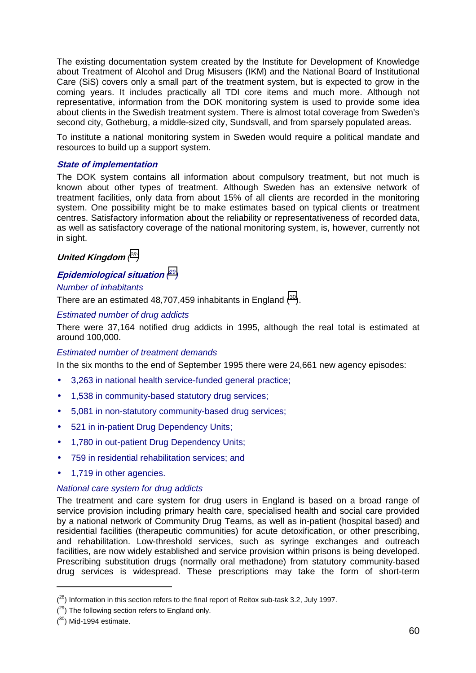The existing documentation system created by the Institute for Development of Knowledge about Treatment of Alcohol and Drug Misusers (IKM) and the National Board of Institutional Care (SiS) covers only a small part of the treatment system, but is expected to grow in the coming years. It includes practically all TDI core items and much more. Although not representative, information from the DOK monitoring system is used to provide some idea about clients in the Swedish treatment system. There is almost total coverage from Sweden's second city, Gotheburg, a middle-sized city, Sundsvall, and from sparsely populated areas.

To institute a national monitoring system in Sweden would require a political mandate and resources to build up a support system.

#### **State of implementation**

The DOK system contains all information about compulsory treatment, but not much is known about other types of treatment. Although Sweden has an extensive network of treatment facilities, only data from about 15% of all clients are recorded in the monitoring system. One possibility might be to make estimates based on typical clients or treatment centres. Satisfactory information about the reliability or representativeness of recorded data, as well as satisfactory coverage of the national monitoring system, is, however, currently not in sight.

# **United Kingdom** *( 28)*

# **Epidemiological situation** *( 29)*

# *Number of inhabitants*

There are an estimated 48,707,459 inhabitants in England  $(30)$ .

#### *Estimated number of drug addicts*

There were 37,164 notified drug addicts in 1995, although the real total is estimated at around 100,000.

#### *Estimated number of treatment demands*

In the six months to the end of September 1995 there were 24,661 new agency episodes:

- 3,263 in national health service-funded general practice;
- 1,538 in community-based statutory drug services;
- 5,081 in non-statutory community-based drug services;
- 521 in in-patient Drug Dependency Units:
- 1,780 in out-patient Drug Dependency Units:
- 759 in residential rehabilitation services; and
- 1,719 in other agencies.

#### *National care system for drug addicts*

The treatment and care system for drug users in England is based on a broad range of service provision including primary health care, specialised health and social care provided by a national network of Community Drug Teams, as well as in-patient (hospital based) and residential facilities (therapeutic communities) for acute detoxification, or other prescribing, and rehabilitation. Low-threshold services, such as syringe exchanges and outreach facilities, are now widely established and service provision within prisons is being developed. Prescribing substitution drugs (normally oral methadone) from statutory community-based drug services is widespread. These prescriptions may take the form of short-term

 $(28)$  Information in this section refers to the final report of Reitox sub-task 3.2, July 1997.

 $(29)$  The following section refers to England only.

 $(30)$  Mid-1994 estimate.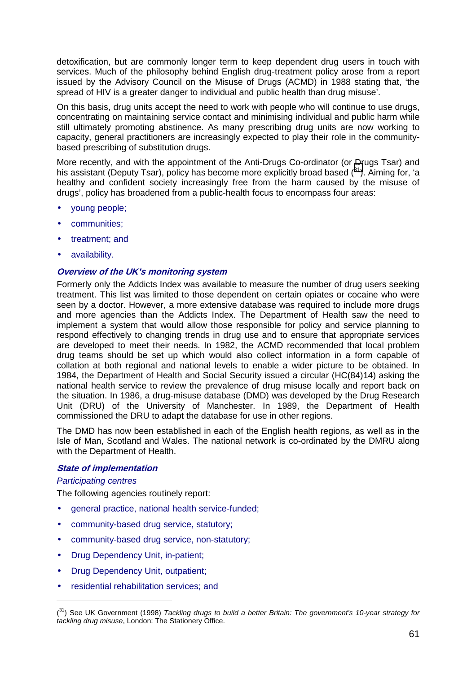detoxification, but are commonly longer term to keep dependent drug users in touch with services. Much of the philosophy behind English drug-treatment policy arose from a report issued by the Advisory Council on the Misuse of Drugs (ACMD) in 1988 stating that, 'the spread of HIV is a greater danger to individual and public health than drug misuse'.

On this basis, drug units accept the need to work with people who will continue to use drugs, concentrating on maintaining service contact and minimising individual and public harm while still ultimately promoting abstinence. As many prescribing drug units are now working to capacity, general practitioners are increasingly expected to play their role in the communitybased prescribing of substitution drugs.

More recently, and with the appointment of the Anti-Drugs Co-ordinator (or Drugs Tsar) and his assistant (Deputy Tsar), policy has become more explicitly broad based  $(^{31})$ . Aiming for, 'a healthy and confident society increasingly free from the harm caused by the misuse of drugs', policy has broadened from a public-health focus to encompass four areas:

- young people;
- communities;
- treatment; and
- availability.

#### **Overview of the UK's monitoring system**

Formerly only the Addicts Index was available to measure the number of drug users seeking treatment. This list was limited to those dependent on certain opiates or cocaine who were seen by a doctor. However, a more extensive database was required to include more drugs and more agencies than the Addicts Index. The Department of Health saw the need to implement a system that would allow those responsible for policy and service planning to respond effectively to changing trends in drug use and to ensure that appropriate services are developed to meet their needs. In 1982, the ACMD recommended that local problem drug teams should be set up which would also collect information in a form capable of collation at both regional and national levels to enable a wider picture to be obtained. In 1984, the Department of Health and Social Security issued a circular (HC(84)14) asking the national health service to review the prevalence of drug misuse locally and report back on the situation. In 1986, a drug-misuse database (DMD) was developed by the Drug Research Unit (DRU) of the University of Manchester. In 1989, the Department of Health commissioned the DRU to adapt the database for use in other regions.

The DMD has now been established in each of the English health regions, as well as in the Isle of Man, Scotland and Wales. The national network is co-ordinated by the DMRU along with the Department of Health.

#### **State of implementation**

#### *Participating centres*

The following agencies routinely report:

- general practice, national health service-funded;
- community-based drug service, statutory;
- community-based drug service, non-statutory;
- Drug Dependency Unit, in-patient;
- Drug Dependency Unit, outpatient;
- residential rehabilitation services; and

<sup>(</sup> 31) See UK Government (1998) *Tackling drugs to build a better Britain: The government's 10-year strategy for tackling drug misuse*, London: The Stationery Office.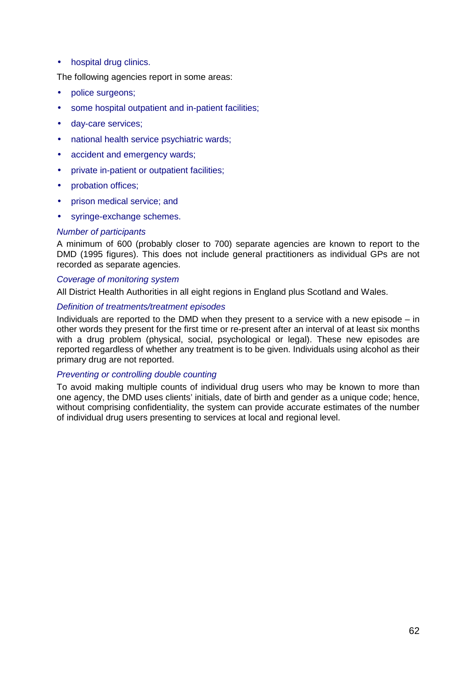• hospital drug clinics.

The following agencies report in some areas:

- police surgeons;
- some hospital outpatient and in-patient facilities;
- day-care services;
- national health service psychiatric wards;
- accident and emergency wards;
- private in-patient or outpatient facilities;
- probation offices;
- prison medical service; and
- syringe-exchange schemes.

#### *Number of participants*

A minimum of 600 (probably closer to 700) separate agencies are known to report to the DMD (1995 figures). This does not include general practitioners as individual GPs are not recorded as separate agencies.

#### *Coverage of monitoring system*

All District Health Authorities in all eight regions in England plus Scotland and Wales.

#### *Definition of treatments/treatment episodes*

Individuals are reported to the DMD when they present to a service with a new episode – in other words they present for the first time or re-present after an interval of at least six months with a drug problem (physical, social, psychological or legal). These new episodes are reported regardless of whether any treatment is to be given. Individuals using alcohol as their primary drug are not reported.

#### *Preventing or controlling double counting*

To avoid making multiple counts of individual drug users who may be known to more than one agency, the DMD uses clients' initials, date of birth and gender as a unique code; hence, without comprising confidentiality, the system can provide accurate estimates of the number of individual drug users presenting to services at local and regional level.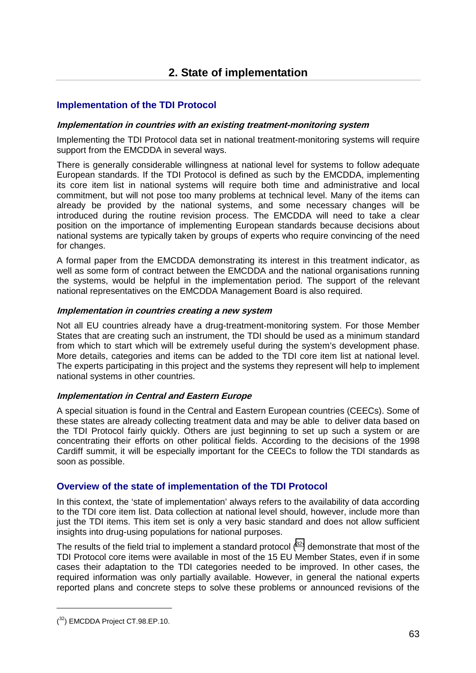# <span id="page-34-0"></span>**Implementation of the TDI Protocol**

#### **Implementation in countries with an existing treatment-monitoring system**

Implementing the TDI Protocol data set in national treatment-monitoring systems will require support from the EMCDDA in several ways.

There is generally considerable willingness at national level for systems to follow adequate European standards. If the TDI Protocol is defined as such by the EMCDDA, implementing its core item list in national systems will require both time and administrative and local commitment, but will not pose too many problems at technical level. Many of the items can already be provided by the national systems, and some necessary changes will be introduced during the routine revision process. The EMCDDA will need to take a clear position on the importance of implementing European standards because decisions about national systems are typically taken by groups of experts who require convincing of the need for changes.

A formal paper from the EMCDDA demonstrating its interest in this treatment indicator, as well as some form of contract between the EMCDDA and the national organisations running the systems, would be helpful in the implementation period. The support of the relevant national representatives on the EMCDDA Management Board is also required.

#### **Implementation in countries creating a new system**

Not all EU countries already have a drug-treatment-monitoring system. For those Member States that are creating such an instrument, the TDI should be used as a minimum standard from which to start which will be extremely useful during the system's development phase. More details, categories and items can be added to the TDI core item list at national level. The experts participating in this project and the systems they represent will help to implement national systems in other countries.

#### **Implementation in Central and Eastern Europe**

A special situation is found in the Central and Eastern European countries (CEECs). Some of these states are already collecting treatment data and may be able to deliver data based on the TDI Protocol fairly quickly. Others are just beginning to set up such a system or are concentrating their efforts on other political fields. According to the decisions of the 1998 Cardiff summit, it will be especially important for the CEECs to follow the TDI standards as soon as possible.

# **Overview of the state of implementation of the TDI Protocol**

In this context, the 'state of implementation' always refers to the availability of data according to the TDI core item list. Data collection at national level should, however, include more than just the TDI items. This item set is only a very basic standard and does not allow sufficient insights into drug-using populations for national purposes.

The results of the field trial to implement a standard protocol  $(32)$  demonstrate that most of the TDI Protocol core items were available in most of the 15 EU Member States, even if in some cases their adaptation to the TDI categories needed to be improved. In other cases, the required information was only partially available. However, in general the national experts reported plans and concrete steps to solve these problems or announced revisions of the

 $\overline{a}$ 

 $(32)$  EMCDDA Project CT.98.EP.10.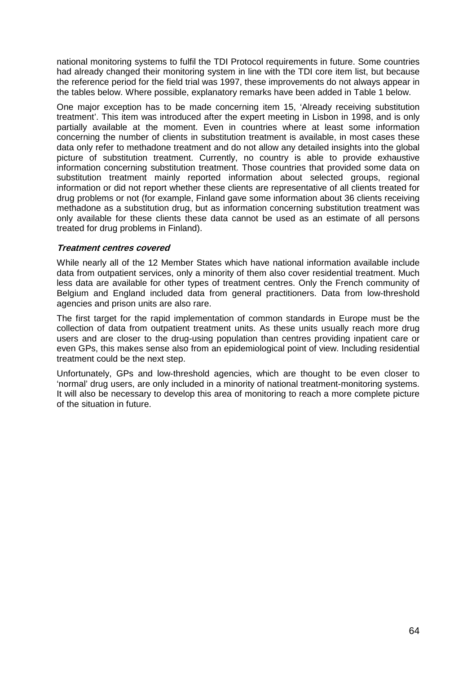national monitoring systems to fulfil the TDI Protocol requirements in future. Some countries had already changed their monitoring system in line with the TDI core item list, but because the reference period for the field trial was 1997, these improvements do not always appear in the tables below. Where possible, explanatory remarks have been added in Table 1 below.

One major exception has to be made concerning item 15, 'Already receiving substitution treatment'. This item was introduced after the expert meeting in Lisbon in 1998, and is only partially available at the moment. Even in countries where at least some information concerning the number of clients in substitution treatment is available, in most cases these data only refer to methadone treatment and do not allow any detailed insights into the global picture of substitution treatment. Currently, no country is able to provide exhaustive information concerning substitution treatment. Those countries that provided some data on substitution treatment mainly reported information about selected groups, regional information or did not report whether these clients are representative of all clients treated for drug problems or not (for example, Finland gave some information about 36 clients receiving methadone as a substitution drug, but as information concerning substitution treatment was only available for these clients these data cannot be used as an estimate of all persons treated for drug problems in Finland).

#### **Treatment centres covered**

While nearly all of the 12 Member States which have national information available include data from outpatient services, only a minority of them also cover residential treatment. Much less data are available for other types of treatment centres. Only the French community of Belgium and England included data from general practitioners. Data from low-threshold agencies and prison units are also rare.

The first target for the rapid implementation of common standards in Europe must be the collection of data from outpatient treatment units. As these units usually reach more drug users and are closer to the drug-using population than centres providing inpatient care or even GPs, this makes sense also from an epidemiological point of view. Including residential treatment could be the next step.

Unfortunately, GPs and low-threshold agencies, which are thought to be even closer to 'normal' drug users, are only included in a minority of national treatment-monitoring systems. It will also be necessary to develop this area of monitoring to reach a more complete picture of the situation in future.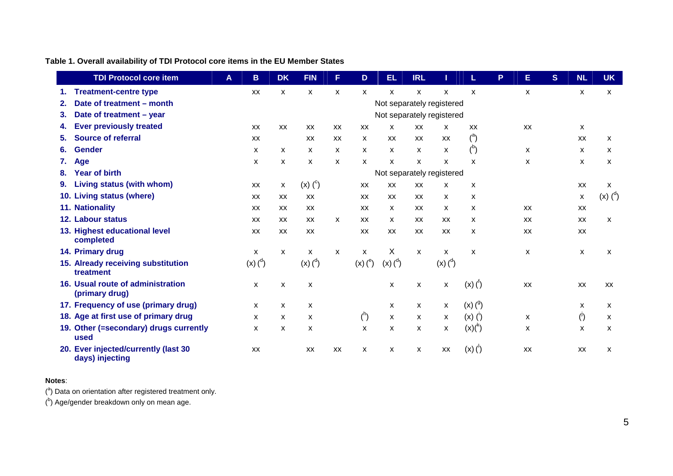# **Table 1. Overall availability of TDI Protocol core items in the EU Member States**

|    | <b>TDI Protocol core item</b>                           | A | B                    | <b>DK</b> | <b>FIN</b>                | F            | D             | EL                        | <b>IRL</b>   |                      |                           | P | Е         | S | <b>NL</b>                 | <b>UK</b>            |
|----|---------------------------------------------------------|---|----------------------|-----------|---------------------------|--------------|---------------|---------------------------|--------------|----------------------|---------------------------|---|-----------|---|---------------------------|----------------------|
| 1. | <b>Treatment-centre type</b>                            |   | XX                   | x         | X                         | X            | X             | X                         | X            | x                    | $\boldsymbol{\mathsf{x}}$ |   | x         |   | X                         | X                    |
| 2. | Date of treatment - month                               |   |                      |           |                           |              |               | Not separately registered |              |                      |                           |   |           |   |                           |                      |
| 3. | Date of treatment - year                                |   |                      |           |                           |              |               | Not separately registered |              |                      |                           |   |           |   |                           |                      |
| 4. | <b>Ever previously treated</b>                          |   | XX                   | XX        | XX                        | XX           | XX            | X                         | XX           | X                    | XX                        |   | XX        |   | X                         |                      |
| 5. | <b>Source of referral</b>                               |   | XX                   |           | XX                        | XX           | x             | XX                        | XX           | XX                   | $\binom{a}{b}$            |   |           |   | XX                        | X.                   |
| 6. | <b>Gender</b>                                           |   | x                    | x         | X                         | X            | X             | X                         | X            | X                    | $\binom{b}{b}$            |   | x         |   | X                         | x                    |
| 7. | Age                                                     |   | X                    | X         | X                         | $\mathsf{x}$ | X.            | X                         | X            | X                    | X                         |   | X         |   | X                         | X                    |
| 8. | <b>Year of birth</b>                                    |   |                      |           |                           |              |               | Not separately registered |              |                      |                           |   |           |   |                           |                      |
| 9. | Living status (with whom)                               |   | XX                   | X         | $(x)$ $(^c)$              |              | XX            | XX                        | XX           | X                    | X                         |   |           |   | XX                        | X                    |
|    | 10. Living status (where)                               |   | XX                   | XX        | XX                        |              | XX            | XX                        | XX           | $\mathsf{x}$         | $\boldsymbol{\mathsf{x}}$ |   |           |   | $\boldsymbol{\mathsf{x}}$ | $(x)$ $\binom{d}{x}$ |
|    | 11. Nationality                                         |   | XX                   | XX        | XX                        |              | <b>XX</b>     | X                         | XX           | $\mathsf{x}$         | X                         |   | XX        |   | <b>XX</b>                 |                      |
|    | 12. Labour status                                       |   | XX                   | XX        | XX                        | X            | XX            | X                         | XX           | XX                   | X                         |   | <b>XX</b> |   | <b>XX</b>                 | X                    |
|    | 13. Highest educational level<br>completed              |   | XX                   | XX        | XX                        |              | XX            | XX                        | XX           | XX                   | X                         |   | XX        |   | XX                        |                      |
|    | 14. Primary drug                                        |   | X                    | X         | X                         | $\mathsf{x}$ | X             | X                         | $\mathsf{x}$ | x                    | $\boldsymbol{\mathsf{x}}$ |   | X         |   | X                         | X                    |
|    | 15. Already receiving substitution<br>treatment         |   | $(x)$ $\binom{d}{x}$ |           | $(x)$ $\binom{d}{x}$      |              | $(x)$ ( $e$ ) | $(x)$ $\binom{d}{x}$      |              | $(x)$ $\binom{d}{x}$ |                           |   |           |   |                           |                      |
|    | 16. Usual route of administration<br>(primary drug)     |   | X                    | X         | X                         |              |               | X                         | X            | X                    | $(x)$ $\binom{1}{1}$      |   | XX        |   | XX                        | <b>XX</b>            |
|    | 17. Frequency of use (primary drug)                     |   | X                    | X         | X                         |              |               | X                         | X            | X                    | (x) (9)                   |   |           |   | x                         | x                    |
|    | 18. Age at first use of primary drug                    |   | X                    | X         | $\boldsymbol{\mathsf{x}}$ |              | $^h$          | X                         | X            | x                    | $(x)$ $(')$               |   | X         |   | $\binom{1}{2}$            | X                    |
|    | 19. Other (=secondary) drugs currently<br>used          |   | X                    | X         | X                         |              | $\mathsf{x}$  | X                         | x            | X                    | (x)( <sup>k</sup> )       |   | X         |   | X                         | X                    |
|    | 20. Ever injected/currently (last 30<br>days) injecting |   | XX                   |           | XX                        | XX           | x             | X                         | X            | XX                   | $(x)$ $(')$               |   | XX        |   | XX                        | X                    |

#### **Notes**:

 $(3)$  Data on orientation after registered treatment only.

 $($ <sup>b</sup>) Age/gender breakdown only on mean age.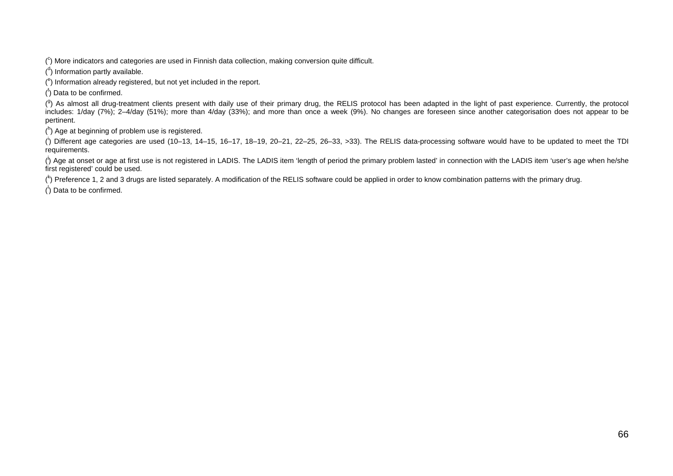$(^\circ)$  More indicators and categories are used in Finnish data collection, making conversion quite difficult.

 $($ <sup>d</sup>) Information partly available.

 $(^\text{e})$  Information already registered, but not yet included in the report.

 $($ <sup>f</sup>) Data to be confirmed.

(<sup>9</sup>) As almost all drug-treatment clients present with daily use of their primary drug, the RELIS protocol has been adapted in the light of past experience. Currently, the protocol includes: 1/day (7%); 2–4/day (51%); more than 4/day (33%); and more than once a week (9%). No changes are foreseen since another categorisation does not appear to be pertinent.

 $(n)$  Age at beginning of problem use is registered.

 $($ <sup>i</sup>) Different age categories are used (10–13, 14–15, 16–17, 18–19, 20–21, 22–25, 26–33, >33). The RELIS data-processing software would have to be updated to meet the TDI requirements.

 $\langle \cdot \rangle$  Age at onset or age at first use is not registered in LADIS. The LADIS item 'length of period the primary problem lasted' in connection with the LADIS item 'user's age when he/she first registered' could be used.

 $\binom{k}{2}$  Preference 1, 2 and 3 drugs are listed separately. A modification of the RELIS software could be applied in order to know combination patterns with the primary drug.

 $($ <sup> $\vert$ </sup>) Data to be confirmed.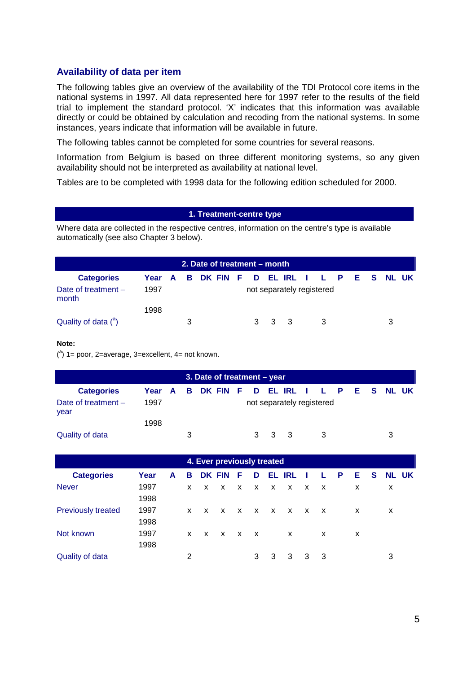# **Availability of data per item**

The following tables give an overview of the availability of the TDI Protocol core items in the national systems in 1997. All data represented here for 1997 refer to the results of the field trial to implement the standard protocol. 'X' indicates that this information was available directly or could be obtained by calculation and recoding from the national systems. In some instances, years indicate that information will be available in future.

The following tables cannot be completed for some countries for several reasons.

Information from Belgium is based on three different monitoring systems, so any given availability should not be interpreted as availability at national level.

Tables are to be completed with 1998 data for the following edition scheduled for 2000.

### **1. Treatment-centre type**

Where data are collected in the respective centres, information on the centre's type is available automatically (see also Chapter 3 below).

|                                |      |              |   | 2. Date of treatment – month |  |       |                           |  |  |                                   |
|--------------------------------|------|--------------|---|------------------------------|--|-------|---------------------------|--|--|-----------------------------------|
| <b>Categories</b>              | Year | $\mathbf{A}$ |   |                              |  |       |                           |  |  | B DK FIN F D ELIRL I L P E S NLUK |
| Date of treatment $-$<br>month | 1997 |              |   |                              |  |       | not separately registered |  |  |                                   |
|                                | 1998 |              |   |                              |  |       |                           |  |  |                                   |
| Quality of data $(^a)$         |      |              | 3 |                              |  | 3 3 3 |                           |  |  | 3                                 |

#### **Note:**

 $(3)$  1 = poor, 2 = average, 3 = excellent, 4 = not known.

|                               |                                            |   | 3. Date of treatment – year |  |       |                           |  |  |  |  |
|-------------------------------|--------------------------------------------|---|-----------------------------|--|-------|---------------------------|--|--|--|--|
| <b>Categories</b>             | Year A B DK FIN F D EL IRL I L P E S NL UK |   |                             |  |       |                           |  |  |  |  |
| Date of treatment $-$<br>year | 1997                                       |   |                             |  |       | not separately registered |  |  |  |  |
|                               | 1998                                       |   |                             |  |       |                           |  |  |  |  |
| Quality of data               |                                            | 3 |                             |  | 3 3 3 |                           |  |  |  |  |

|                           | 4. Ever previously treated |   |    |              |              |              |                |   |                            |      |              |     |    |    |              |
|---------------------------|----------------------------|---|----|--------------|--------------|--------------|----------------|---|----------------------------|------|--------------|-----|----|----|--------------|
| <b>Categories</b>         | Year                       | A | в  |              | DK FIN       | F            | D              |   | EL IRL                     | - 11 | L.           | - P | Е. | S. | <b>NL UK</b> |
| <b>Never</b>              | 1997                       |   | X. | X            | $\mathbf{x}$ | $\mathsf{X}$ | $X$ X          |   | $X$ X                      |      | $\mathsf{X}$ |     | X  |    | X            |
|                           | 1998                       |   |    |              |              |              |                |   |                            |      |              |     |    |    |              |
| <b>Previously treated</b> | 1997                       |   | X. | X            | $\mathbf{x}$ | $\mathbf{x}$ | $X$ X          |   | $\times$ $\times$ $\times$ |      |              |     | X  |    | x            |
|                           | 1998                       |   |    |              |              |              |                |   |                            |      |              |     |    |    |              |
| Not known                 | 1997                       |   | X. | $\mathsf{X}$ | $X$ X        |              | $\mathsf{X}$   |   | $\mathsf{X}$               |      | X            |     | x  |    |              |
|                           | 1998                       |   |    |              |              |              |                |   |                            |      |              |     |    |    |              |
| Quality of data           |                            |   | 2  |              |              |              | 3 <sup>7</sup> | 3 | 3 3                        |      | - 3          |     |    |    | 3            |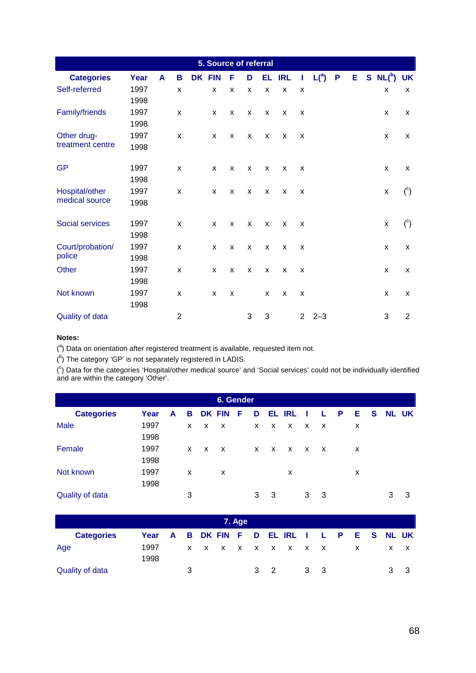| 5. Source of referral  |      |   |                |        |   |   |   |   |        |              |             |  |    |             |                |
|------------------------|------|---|----------------|--------|---|---|---|---|--------|--------------|-------------|--|----|-------------|----------------|
| <b>Categories</b>      | Year | A | В              | DK FIN |   | F | D |   | EL IRL | T            | $L(^{a})$ P |  | E. | $S N L(^b)$ | <b>UK</b>      |
| Self-referred          | 1997 |   | X              |        | X | X | X | X | X      | X            |             |  |    | X           | X              |
|                        | 1998 |   |                |        |   |   |   |   |        |              |             |  |    |             |                |
| Family/friends         | 1997 |   | x              |        | X | X | X | X | X      | X            |             |  |    | X           | X              |
|                        | 1998 |   |                |        |   |   |   |   |        |              |             |  |    |             |                |
| Other drug-            | 1997 |   | x              |        | X | X | X | X | X      | X            |             |  |    | X           | X              |
| treatment centre       | 1998 |   |                |        |   |   |   |   |        |              |             |  |    |             |                |
| <b>GP</b>              | 1997 |   | X              |        | X | X | X | X | X      | X            |             |  |    | X           | X              |
|                        | 1998 |   |                |        |   |   |   |   |        |              |             |  |    |             |                |
| Hospital/other         | 1997 |   | X              |        | X | X | X | X | X      | X            |             |  |    | X           | $\binom{c}{ }$ |
| medical source         | 1998 |   |                |        |   |   |   |   |        |              |             |  |    |             |                |
| <b>Social services</b> | 1997 |   | X              |        | X | X | X | X | X      | X            |             |  |    | X           | $\binom{c}{ }$ |
|                        | 1998 |   |                |        |   |   |   |   |        |              |             |  |    |             |                |
| Court/probation/       | 1997 |   | x              |        | X | X | X | X | X      | X            |             |  |    | X           | X              |
| police                 | 1998 |   |                |        |   |   |   |   |        |              |             |  |    |             |                |
| Other                  | 1997 |   | x              |        | X | X | X | X | X      | X            |             |  |    | X           | X              |
|                        | 1998 |   |                |        |   |   |   |   |        |              |             |  |    |             |                |
| Not known              | 1997 |   | X              |        | X | X |   | X | X      | X            |             |  |    | X           | X              |
|                        | 1998 |   |                |        |   |   |   |   |        |              |             |  |    |             |                |
| Quality of data        |      |   | $\overline{2}$ |        |   |   | 3 | 3 |        | $\mathbf{2}$ | $2 - 3$     |  |    | 3           | $\overline{2}$ |

 $(3)$  Data on orientation after registered treatment is available, requested item not.

 $($ <sup>b</sup>) The category 'GP' is not separately registered in LADIS.

1998

 $($ <sup>c</sup>) Data for the categories 'Hospital/other medical source' and 'Social services' could not be individually identified and are within the category 'Other'.

|                        | 6. Gender |   |   |    |                           |        |   |    |              |              |                           |   |   |   |              |    |
|------------------------|-----------|---|---|----|---------------------------|--------|---|----|--------------|--------------|---------------------------|---|---|---|--------------|----|
| <b>Categories</b>      | Year      | A | В |    | <b>DK FIN</b>             | F      | D | EL | <b>IRL</b>   |              |                           | P | Е | S | <b>NL UK</b> |    |
| <b>Male</b>            | 1997      |   | X | X  | $\boldsymbol{\mathsf{x}}$ |        | X | X  | $\mathsf{x}$ | $\mathsf{x}$ | $\boldsymbol{\mathsf{x}}$ |   | X |   |              |    |
|                        | 1998      |   |   |    |                           |        |   |    |              |              |                           |   |   |   |              |    |
| Female                 | 1997      |   | X | X  | $\boldsymbol{\mathsf{x}}$ |        | X | X  | X            | $\mathsf{x}$ | $\mathbf{x}$              |   | х |   |              |    |
|                        | 1998      |   |   |    |                           |        |   |    |              |              |                           |   |   |   |              |    |
| Not known              | 1997      |   | X |    | X                         |        |   |    | X            |              |                           |   | X |   |              |    |
|                        | 1998      |   |   |    |                           |        |   |    |              |              |                           |   |   |   |              |    |
| <b>Quality of data</b> |           |   | 3 |    |                           |        | 3 | 3  |              | 3            | 3                         |   |   |   | 3            | 3  |
|                        |           |   |   |    |                           |        |   |    |              |              |                           |   |   |   |              |    |
|                        |           |   |   |    |                           | 7. Age |   |    |              |              |                           |   |   |   |              |    |
| <b>Categories</b>      | Year      | A | в | DK | <b>FIN</b>                | F      | D | н  | IRI          |              |                           | P | Е | S | <b>NL</b>    | UK |

Age 1997 x x x x x x x x x x x x x

Quality of data 3 3 2 3 3 3 3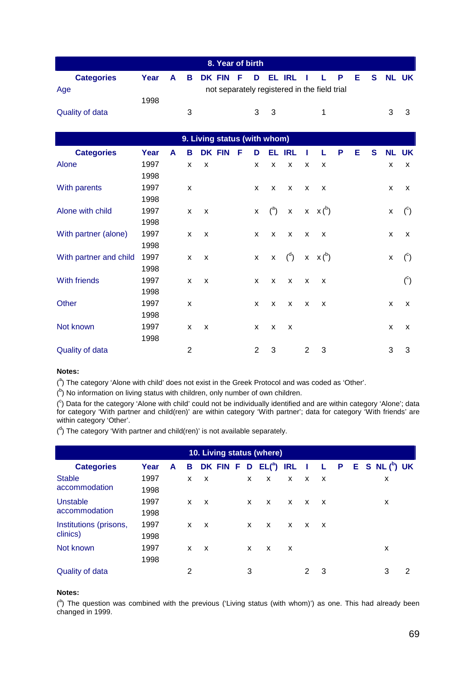|                                                     |      |  |   | 8. Year of birth                           |  |     |  |  |  |  |  |  |               |  |
|-----------------------------------------------------|------|--|---|--------------------------------------------|--|-----|--|--|--|--|--|--|---------------|--|
| <b>Categories</b>                                   |      |  |   | Year A B DK FIN F D EL IRL I L P E S NL UK |  |     |  |  |  |  |  |  |               |  |
| not separately registered in the field trial<br>Age |      |  |   |                                            |  |     |  |  |  |  |  |  |               |  |
|                                                     | 1998 |  |   |                                            |  |     |  |  |  |  |  |  |               |  |
| Quality of data                                     |      |  | 3 |                                            |  | 3 3 |  |  |  |  |  |  | $\mathcal{B}$ |  |

| 9. Living status (with whom) |      |   |                |   |               |   |              |                |                         |                           |                           |   |   |              |              |                           |
|------------------------------|------|---|----------------|---|---------------|---|--------------|----------------|-------------------------|---------------------------|---------------------------|---|---|--------------|--------------|---------------------------|
| <b>Categories</b>            | Year | A | В              |   | <b>DK FIN</b> | F | D            | EL             | <b>IRL</b>              |                           | L                         | P | Е | $\mathbf{s}$ | <b>NL UK</b> |                           |
| Alone                        | 1997 |   | X              | X |               |   | X            | X              | X                       | X                         | X                         |   |   |              | X            | X                         |
|                              | 1998 |   |                |   |               |   |              |                |                         |                           |                           |   |   |              |              |                           |
| With parents                 | 1997 |   | X              |   |               |   | X            | X              | $\mathsf{x}$            | X                         | $\boldsymbol{\mathsf{x}}$ |   |   |              | X            | $\boldsymbol{\mathsf{x}}$ |
|                              | 1998 |   |                |   |               |   |              |                |                         |                           |                           |   |   |              |              |                           |
| Alone with child             | 1997 |   | x              | X |               |   | X            |                | ${^{a}}$ x x $x {^{b}}$ |                           |                           |   |   |              | X            | $\binom{c}{ }$            |
|                              | 1998 |   |                |   |               |   |              |                |                         |                           |                           |   |   |              |              |                           |
| With partner (alone)         | 1997 |   | X              | X |               |   | X            | X              | $\mathsf{x}$            | $\boldsymbol{\mathsf{x}}$ | $\boldsymbol{\mathsf{x}}$ |   |   |              | X            | х                         |
|                              | 1998 |   |                |   |               |   |              |                |                         |                           |                           |   |   |              |              |                           |
| With partner and child       | 1997 |   | X              | X |               |   | $\mathsf{x}$ | $\mathsf{X}^-$ | $\binom{d}{ }$          |                           | $x \times (^b)$           |   |   |              | X            | $\binom{c}{ }$            |
|                              | 1998 |   |                |   |               |   |              |                |                         |                           |                           |   |   |              |              |                           |
| With friends                 | 1997 |   | X              | X |               |   | X            | X              | X                       | X                         | X                         |   |   |              |              | $\binom{c}{ }$            |
|                              | 1998 |   |                |   |               |   |              |                |                         |                           |                           |   |   |              |              |                           |
| Other                        | 1997 |   | X              |   |               |   | X            | X              | X                       | X                         | $\boldsymbol{\mathsf{x}}$ |   |   |              | X            | $\boldsymbol{\mathsf{x}}$ |
|                              | 1998 |   |                |   |               |   |              |                |                         |                           |                           |   |   |              |              |                           |
| Not known                    | 1997 |   | X              | X |               |   | X            | X              | X                       |                           |                           |   |   |              | X            | X                         |
|                              | 1998 |   |                |   |               |   |              |                |                         |                           |                           |   |   |              |              |                           |
| <b>Quality of data</b>       |      |   | $\overline{2}$ |   |               |   | 2            | 3              |                         | 2                         | 3                         |   |   |              | 3            | 3                         |

(<sup>a</sup>) The category 'Alone with child' does not exist in the Greek Protocol and was coded as 'Other'.

 $($ <sup>b</sup>) No information on living status with children, only number of own children.

(<sup>c</sup>) Data for the category 'Alone with child' could not be individually identified and are within category 'Alone'; data for category 'With partner and child(ren)' are within category 'With partner'; data for category 'With friends' are within category 'Other'.

 $($ <sup>d</sup>) The category 'With partner and child(ren)' is not available separately.

|                        | 10. Living status (where) |   |   |   |          |  |   |              |              |              |              |  |  |  |                          |   |
|------------------------|---------------------------|---|---|---|----------|--|---|--------------|--------------|--------------|--------------|--|--|--|--------------------------|---|
| <b>Categories</b>      | Year                      | A | в |   | DK FIN F |  | D | $EL(^{a})$   | <b>IRL</b> I |              |              |  |  |  | $L$ P E S NL $(^{b})$ UK |   |
| <b>Stable</b>          | 1997                      |   | X | X |          |  | x | X            | X            | X            | $\mathsf{X}$ |  |  |  | х                        |   |
| accommodation          | 1998                      |   |   |   |          |  |   |              |              |              |              |  |  |  |                          |   |
| Unstable               | 1997                      |   | X | X |          |  | X | X            | X            | X            | $\mathsf{X}$ |  |  |  | x                        |   |
| accommodation          | 1998                      |   |   |   |          |  |   |              |              |              |              |  |  |  |                          |   |
| Institutions (prisons, | 1997                      |   | X | X |          |  | X | $\mathsf{x}$ | X            | $\mathsf{x}$ | $\mathsf{X}$ |  |  |  |                          |   |
| clinics)               | 1998                      |   |   |   |          |  |   |              |              |              |              |  |  |  |                          |   |
| Not known              | 1997                      |   | X | X |          |  | X | X            | X            |              |              |  |  |  | X                        |   |
|                        | 1998                      |   |   |   |          |  |   |              |              |              |              |  |  |  |                          |   |
| <b>Quality of data</b> |                           |   | 2 |   |          |  | 3 |              |              | 2            | 3            |  |  |  | 3                        | 2 |

### **Notes:**

 $(3)$  The question was combined with the previous ('Living status (with whom)') as one. This had already been changed in 1999.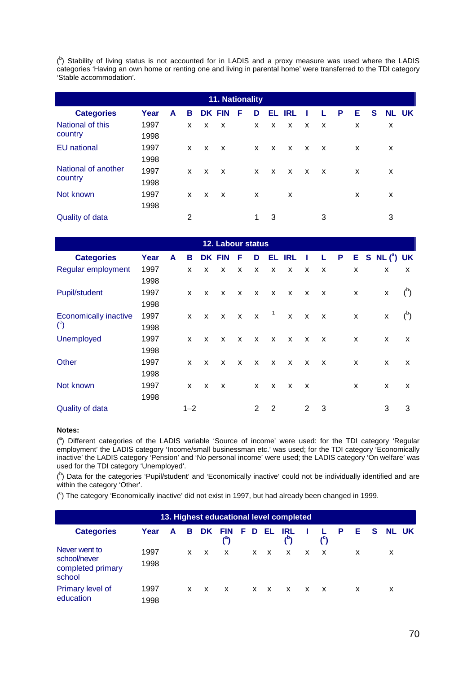$(5)$  Stability of living status is not accounted for in LADIS and a proxy measure was used where the LADIS categories 'Having an own home or renting one and living in parental home' were transferred to the TDI category 'Stable accommodation'.

| 11. Nationality        |      |   |              |   |               |   |                           |   |              |              |                           |   |   |   |              |
|------------------------|------|---|--------------|---|---------------|---|---------------------------|---|--------------|--------------|---------------------------|---|---|---|--------------|
| <b>Categories</b>      | Year | A | в            |   | <b>DK FIN</b> | F | D                         |   | EL IRL       |              |                           | P | Е | S | <b>NL UK</b> |
| National of this       | 1997 |   | X            | X | $\mathsf{x}$  |   | X                         | X | $\mathsf{X}$ | $\mathsf{x}$ | $\boldsymbol{\mathsf{x}}$ |   | X |   | X            |
| country                | 1998 |   |              |   |               |   |                           |   |              |              |                           |   |   |   |              |
| <b>EU</b> national     | 1997 |   | X            | X | $\mathsf{X}$  |   | X                         | X | $\mathsf{X}$ | $\mathsf{X}$ | $\mathsf{X}$              |   | X |   | X            |
|                        | 1998 |   |              |   |               |   |                           |   |              |              |                           |   |   |   |              |
| National of another    | 1997 |   | $\mathsf{x}$ | X | $\mathsf{X}$  |   | X                         | X | $\mathsf{X}$ | $\mathsf{x}$ | $\mathsf{X}$              |   | X |   | x            |
| country                | 1998 |   |              |   |               |   |                           |   |              |              |                           |   |   |   |              |
| Not known              | 1997 |   | X            | X | X.            |   | $\boldsymbol{\mathsf{x}}$ |   | X            |              |                           |   | X |   | X            |
|                        | 1998 |   |              |   |               |   |                           |   |              |              |                           |   |   |   |              |
| <b>Quality of data</b> |      |   | 2            |   |               |   | 1                         | 3 |              |              | 3                         |   |   |   | 3            |

| 12. Labour status            |      |   |              |              |               |              |                           |              |              |              |              |              |   |  |                      |                |
|------------------------------|------|---|--------------|--------------|---------------|--------------|---------------------------|--------------|--------------|--------------|--------------|--------------|---|--|----------------------|----------------|
| <b>Categories</b>            | Year | A | В            |              | <b>DK FIN</b> | F            | D                         |              | EL IRL       | - 1          | L            | $\mathsf{P}$ |   |  | $E$ S NL $(^{a})$ UK |                |
| Regular employment           | 1997 |   | X            | X            | X             | X            | X                         | $\mathsf{x}$ | X            | $\mathsf{x}$ | X            |              | X |  | X                    | x              |
|                              | 1998 |   |              |              |               |              |                           |              |              |              |              |              |   |  |                      |                |
| <b>Pupil/student</b>         | 1997 |   | X            | X            | X             | $\mathsf{x}$ | $\boldsymbol{\mathsf{x}}$ | $\mathsf{x}$ | $\mathbf{x}$ | $\mathsf{X}$ | $\mathsf{X}$ |              | X |  | X                    | $\binom{b}{b}$ |
|                              | 1998 |   |              |              |               |              |                           |              |              |              |              |              |   |  |                      |                |
| <b>Economically inactive</b> | 1997 |   | $\mathsf{x}$ | $\mathsf{x}$ | $\mathsf{X}$  | $\mathbf{x}$ | $\mathbf{x}$              | $\mathbf{1}$ | $\mathsf{X}$ | $\mathbf{x}$ | $\mathsf{X}$ |              | X |  | X                    | (5)            |
| $\binom{c}{ }$               | 1998 |   |              |              |               |              |                           |              |              |              |              |              |   |  |                      |                |
| <b>Unemployed</b>            | 1997 |   | X            | X            | $\mathsf{x}$  | $\mathsf{x}$ | $\mathsf{x}$              | $\mathsf{x}$ | $\mathsf{x}$ | X            | X            |              | X |  | X                    | x              |
|                              | 1998 |   |              |              |               |              |                           |              |              |              |              |              |   |  |                      |                |
| Other                        | 1997 |   | X            | X            | X             | $\mathsf{x}$ | $\mathsf{x}$              | $\mathsf{x}$ | $\mathsf{x}$ | $\mathsf{X}$ | $\mathsf{x}$ |              | X |  | X                    | X              |
|                              | 1998 |   |              |              |               |              |                           |              |              |              |              |              |   |  |                      |                |
| Not known                    | 1997 |   | X            | X            | X             |              | X                         | $\mathsf{x}$ | $\mathbf{x}$ | $\mathsf{X}$ |              |              | X |  | X                    | X              |
|                              | 1998 |   |              |              |               |              |                           |              |              |              |              |              |   |  |                      |                |
| <b>Quality of data</b>       |      |   | $1 - 2$      |              |               |              | 2                         | 2            |              | 2            | 3            |              |   |  | 3                    | 3              |

#### **Notes:**

(<sup>a</sup>) Different categories of the LADIS variable 'Source of income' were used: for the TDI category 'Regular employment' the LADIS category 'Income/small businessman etc.' was used; for the TDI category 'Economically inactive' the LADIS category 'Pension' and 'No personal income' were used; the LADIS category 'On welfare' was used for the TDI category 'Unemployed'.

 $($ <sup>b</sup>) Data for the categories 'Pupil/student' and 'Economically inactive' could not be individually identified and are within the category 'Other'.

( c ) The category 'Economically inactive' did not exist in 1997, but had already been changed in 1999.

|                                                              |              |   |    |     |            |    |   |              | 13. Highest educational level completed |       |     |   |    |    |       |  |
|--------------------------------------------------------------|--------------|---|----|-----|------------|----|---|--------------|-----------------------------------------|-------|-----|---|----|----|-------|--|
| <b>Categories</b>                                            | Year         | A | в  | DK. | <b>FIN</b> | F. | D | EL           | IRL                                     |       | (°) | P | E. | S. | NL UK |  |
| Never went to<br>school/never<br>completed primary<br>school | 1997<br>1998 |   | x  | x   | x          |    | x | X            | X                                       | x     | X   |   | x  |    | x     |  |
| Primary level of<br>education                                | 1997<br>1998 |   | x. | X   | X          |    | X | $\mathsf{x}$ | $\mathsf{X}$                            | $X$ X |     |   | x  |    | x     |  |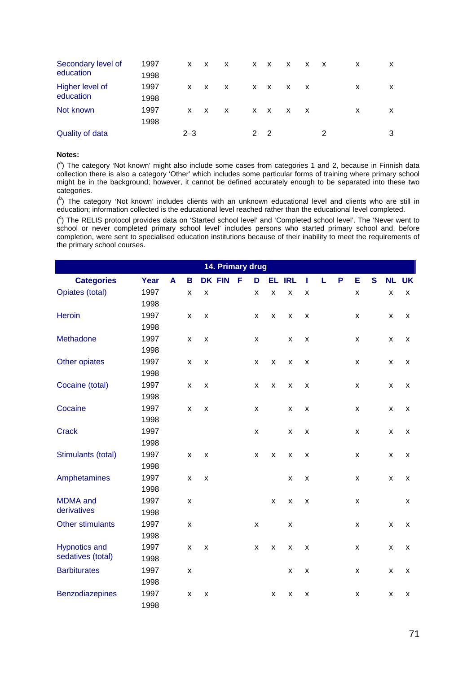| Secondary level of     | 1997 | X.         | $\mathsf{X}$ | X            |   | $X$ X      | $\mathsf{X}$ | $\mathsf{X}$ | $\mathsf{X}$ | x | X |
|------------------------|------|------------|--------------|--------------|---|------------|--------------|--------------|--------------|---|---|
| education              | 1998 |            |              |              |   |            |              |              |              |   |   |
| Higher level of        | 1997 | X.         | $\mathsf{X}$ | $\mathsf{X}$ |   | x x        | $\times$ X   |              |              | x | X |
| education              | 1998 |            |              |              |   |            |              |              |              |   |   |
| Not known              | 1997 | $x \times$ |              | $\mathsf{X}$ |   | $x \times$ | $\mathsf{X}$ | $\mathsf{X}$ |              | x | X |
|                        | 1998 |            |              |              |   |            |              |              |              |   |   |
| <b>Quality of data</b> |      | $2 - 3$    |              |              | 2 | - 2        |              |              |              |   |   |

(<sup>a</sup>) The category 'Not known' might also include some cases from categories 1 and 2, because in Finnish data collection there is also a category 'Other' which includes some particular forms of training where primary school might be in the background; however, it cannot be defined accurately enough to be separated into these two categories.

 $($ <sup>b</sup>) The category 'Not known' includes clients with an unknown educational level and clients who are still in education; information collected is the educational level reached rather than the educational level completed.

( c ) The RELIS protocol provides data on 'Started school level' and 'Completed school level'. The 'Never went to school or never completed primary school level' includes persons who started primary school and, before completion, were sent to specialised education institutions because of their inability to meet the requirements of the primary school courses.

|                      |      |   |                    |                    | 14. Primary drug |   |                    |                    |                    |                    |   |   |                    |   |                    |                    |
|----------------------|------|---|--------------------|--------------------|------------------|---|--------------------|--------------------|--------------------|--------------------|---|---|--------------------|---|--------------------|--------------------|
| <b>Categories</b>    | Year | A | B                  | <b>DK FIN</b>      |                  | F | D                  | EL.                | <b>IRL</b>         | ı                  | L | P | Ε                  | S | <b>NL</b>          | <b>UK</b>          |
| Opiates (total)      | 1997 |   | X                  | X                  |                  |   | X                  | X                  | X                  | X                  |   |   | X                  |   | X                  | X                  |
|                      | 1998 |   |                    |                    |                  |   |                    |                    |                    |                    |   |   |                    |   |                    |                    |
| <b>Heroin</b>        | 1997 |   | X                  | X                  |                  |   | x                  | X                  | X                  | $\pmb{\mathsf{x}}$ |   |   | $\pmb{\times}$     |   | $\pmb{\times}$     | X                  |
|                      | 1998 |   |                    |                    |                  |   |                    |                    |                    |                    |   |   |                    |   |                    |                    |
| Methadone            | 1997 |   | x                  | X                  |                  |   | X                  |                    | X                  | $\pmb{\mathsf{X}}$ |   |   | X                  |   | X                  | X                  |
|                      | 1998 |   |                    |                    |                  |   |                    |                    |                    |                    |   |   |                    |   |                    |                    |
| Other opiates        | 1997 |   | X                  | X                  |                  |   | X                  | X                  | X                  | $\pmb{\times}$     |   |   | X                  |   | X                  | X                  |
|                      | 1998 |   |                    |                    |                  |   |                    |                    |                    |                    |   |   |                    |   |                    |                    |
| Cocaine (total)      | 1997 |   | X                  | X                  |                  |   | X                  | X                  | $\pmb{\mathsf{x}}$ | X                  |   |   | X                  |   | X                  | X                  |
|                      | 1998 |   |                    |                    |                  |   |                    |                    |                    |                    |   |   |                    |   |                    |                    |
| Cocaine              | 1997 |   | $\pmb{\times}$     | $\pmb{\mathsf{X}}$ |                  |   | X                  |                    | $\pmb{\mathsf{x}}$ | $\pmb{\mathsf{x}}$ |   |   | $\pmb{\mathsf{x}}$ |   | $\pmb{\mathsf{X}}$ | X                  |
|                      | 1998 |   |                    |                    |                  |   |                    |                    |                    |                    |   |   |                    |   |                    |                    |
| <b>Crack</b>         | 1997 |   |                    |                    |                  |   | $\pmb{\mathsf{x}}$ |                    | $\pmb{\mathsf{X}}$ | $\pmb{\mathsf{x}}$ |   |   | X                  |   | $\pmb{\mathsf{x}}$ | $\pmb{\mathsf{x}}$ |
|                      | 1998 |   |                    |                    |                  |   |                    |                    |                    |                    |   |   |                    |   |                    |                    |
| Stimulants (total)   | 1997 |   | $\pmb{\times}$     | X                  |                  |   | X                  | X                  | X                  | X                  |   |   | X                  |   | $\pmb{\mathsf{x}}$ | X                  |
|                      | 1998 |   |                    |                    |                  |   |                    |                    |                    |                    |   |   |                    |   |                    |                    |
| Amphetamines         | 1997 |   | X                  | X                  |                  |   |                    |                    | X                  | X                  |   |   | X                  |   | X                  | X                  |
|                      | 1998 |   |                    |                    |                  |   |                    |                    |                    |                    |   |   |                    |   |                    |                    |
| <b>MDMA</b> and      | 1997 |   | X                  |                    |                  |   |                    | $\pmb{\mathsf{X}}$ | $\pmb{\mathsf{x}}$ | $\pmb{\mathsf{x}}$ |   |   | $\pmb{\mathsf{x}}$ |   |                    | $\pmb{\mathsf{x}}$ |
| derivatives          | 1998 |   |                    |                    |                  |   |                    |                    |                    |                    |   |   |                    |   |                    |                    |
| Other stimulants     | 1997 |   | X                  |                    |                  |   | X                  |                    | X                  |                    |   |   | X                  |   | $\pmb{\mathsf{x}}$ | X                  |
|                      | 1998 |   |                    |                    |                  |   |                    |                    |                    |                    |   |   |                    |   |                    |                    |
| <b>Hypnotics and</b> | 1997 |   | X                  | X                  |                  |   | X                  | X                  | X                  | X                  |   |   | X                  |   | X                  | X                  |
| sedatives (total)    | 1998 |   |                    |                    |                  |   |                    |                    |                    |                    |   |   |                    |   |                    |                    |
| <b>Barbiturates</b>  | 1997 |   | X                  |                    |                  |   |                    |                    | x                  | X                  |   |   | X                  |   | X                  | X                  |
|                      | 1998 |   |                    |                    |                  |   |                    |                    |                    |                    |   |   |                    |   |                    |                    |
| Benzodiazepines      | 1997 |   | $\pmb{\mathsf{X}}$ | $\pmb{\mathsf{X}}$ |                  |   |                    | X                  | X                  | X                  |   |   | X                  |   | $\pmb{\mathsf{x}}$ | X                  |
|                      | 1998 |   |                    |                    |                  |   |                    |                    |                    |                    |   |   |                    |   |                    |                    |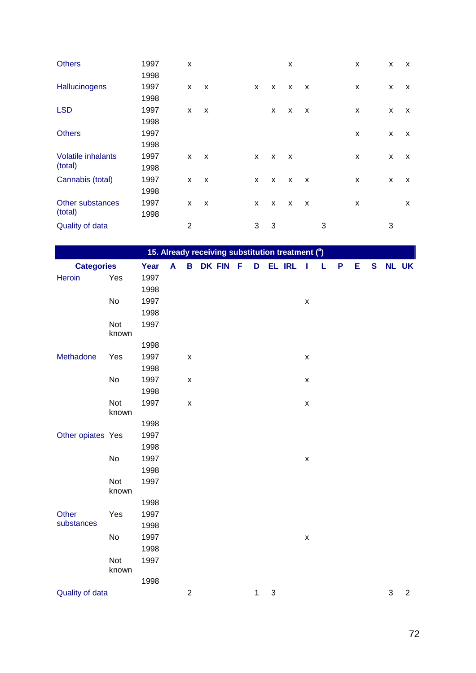| <b>Others</b>             | 1997 | X              |                           |   |   | X                         |                           |   | X | X | X |
|---------------------------|------|----------------|---------------------------|---|---|---------------------------|---------------------------|---|---|---|---|
|                           | 1998 |                |                           |   |   |                           |                           |   |   |   |   |
| Hallucinogens             | 1997 | X              | X                         | X | X | X                         | $\mathsf{x}$              |   | X | X | X |
|                           | 1998 |                |                           |   |   |                           |                           |   |   |   |   |
| <b>LSD</b>                | 1997 | X              | X                         |   | X | X                         | $\boldsymbol{\mathsf{x}}$ |   | X | X | X |
|                           | 1998 |                |                           |   |   |                           |                           |   |   |   |   |
| <b>Others</b>             | 1997 |                |                           |   |   |                           |                           |   | X | X | X |
|                           | 1998 |                |                           |   |   |                           |                           |   |   |   |   |
| <b>Volatile inhalants</b> | 1997 | X              | $\boldsymbol{\mathsf{x}}$ | X | X | $\boldsymbol{\mathsf{x}}$ |                           |   | X | X | X |
| (total)                   | 1998 |                |                           |   |   |                           |                           |   |   |   |   |
| Cannabis (total)          | 1997 | X              | X                         | X | X | X                         | X                         |   | X | X | X |
|                           | 1998 |                |                           |   |   |                           |                           |   |   |   |   |
| Other substances          | 1997 | X              | X                         | X | X | X                         | X                         |   | X |   | X |
| (total)                   | 1998 |                |                           |   |   |                           |                           |   |   |   |   |
| Quality of data           |      | $\overline{2}$ |                           | 3 | 3 |                           |                           | 3 |   | 3 |   |

|                   |                     |      |   |                    |          |   |                           | 15. Already receiving substitution treatment ( <sup>a</sup> ) |                    |   |   |   |             |            |                |
|-------------------|---------------------|------|---|--------------------|----------|---|---------------------------|---------------------------------------------------------------|--------------------|---|---|---|-------------|------------|----------------|
| <b>Categories</b> |                     | Year | A | B                  | DK FIN F | D |                           | <b>EL IRL</b>                                                 | $\blacksquare$     | L | P | Е | $\mathbf s$ |            | <b>NL UK</b>   |
| Heroin            | Yes                 | 1997 |   |                    |          |   |                           |                                                               |                    |   |   |   |             |            |                |
|                   |                     | 1998 |   |                    |          |   |                           |                                                               |                    |   |   |   |             |            |                |
|                   | No                  | 1997 |   |                    |          |   |                           |                                                               | $\pmb{\mathsf{X}}$ |   |   |   |             |            |                |
|                   |                     | 1998 |   |                    |          |   |                           |                                                               |                    |   |   |   |             |            |                |
|                   | <b>Not</b><br>known | 1997 |   |                    |          |   |                           |                                                               |                    |   |   |   |             |            |                |
|                   |                     | 1998 |   |                    |          |   |                           |                                                               |                    |   |   |   |             |            |                |
| Methadone         | Yes                 | 1997 |   | $\pmb{\mathsf{x}}$ |          |   |                           |                                                               | $\pmb{\mathsf{X}}$ |   |   |   |             |            |                |
|                   |                     | 1998 |   |                    |          |   |                           |                                                               |                    |   |   |   |             |            |                |
|                   | No                  | 1997 |   | $\pmb{\mathsf{x}}$ |          |   |                           |                                                               | X                  |   |   |   |             |            |                |
|                   |                     | 1998 |   |                    |          |   |                           |                                                               |                    |   |   |   |             |            |                |
|                   | <b>Not</b><br>known | 1997 |   | $\pmb{\mathsf{X}}$ |          |   |                           |                                                               | $\pmb{\mathsf{X}}$ |   |   |   |             |            |                |
|                   |                     | 1998 |   |                    |          |   |                           |                                                               |                    |   |   |   |             |            |                |
| Other opiates Yes |                     | 1997 |   |                    |          |   |                           |                                                               |                    |   |   |   |             |            |                |
|                   |                     | 1998 |   |                    |          |   |                           |                                                               |                    |   |   |   |             |            |                |
|                   | No                  | 1997 |   |                    |          |   |                           |                                                               | $\pmb{\mathsf{X}}$ |   |   |   |             |            |                |
|                   |                     | 1998 |   |                    |          |   |                           |                                                               |                    |   |   |   |             |            |                |
|                   | <b>Not</b><br>known | 1997 |   |                    |          |   |                           |                                                               |                    |   |   |   |             |            |                |
|                   |                     | 1998 |   |                    |          |   |                           |                                                               |                    |   |   |   |             |            |                |
| Other             | Yes                 | 1997 |   |                    |          |   |                           |                                                               |                    |   |   |   |             |            |                |
| substances        |                     | 1998 |   |                    |          |   |                           |                                                               |                    |   |   |   |             |            |                |
|                   | No                  | 1997 |   |                    |          |   |                           |                                                               | $\pmb{\mathsf{X}}$ |   |   |   |             |            |                |
|                   |                     | 1998 |   |                    |          |   |                           |                                                               |                    |   |   |   |             |            |                |
|                   | Not<br>known        | 1997 |   |                    |          |   |                           |                                                               |                    |   |   |   |             |            |                |
|                   |                     | 1998 |   |                    |          |   |                           |                                                               |                    |   |   |   |             |            |                |
| Quality of data   |                     |      |   | $\overline{c}$     |          | 1 | $\ensuremath{\mathsf{3}}$ |                                                               |                    |   |   |   |             | $\sqrt{3}$ | $\overline{2}$ |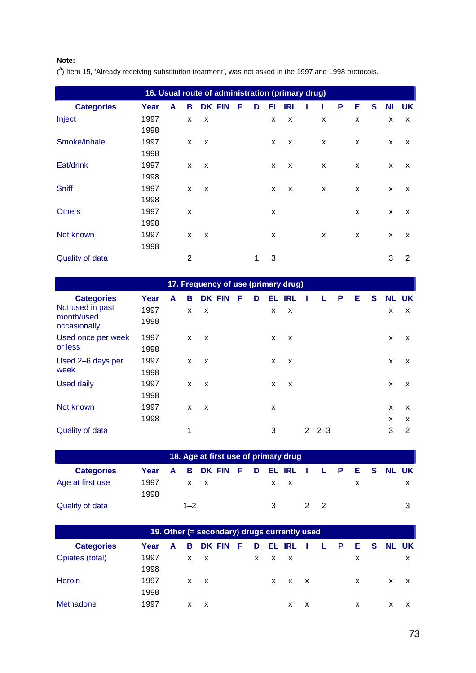(<sup>a</sup>) Item 15, 'Already receiving substitution treatment', was not asked in the 1997 and 1998 protocols.

|                        | 16. Usual route of administration (primary drug) |   |   |   |               |   |   |    |                           |   |   |   |   |   |                           |
|------------------------|--------------------------------------------------|---|---|---|---------------|---|---|----|---------------------------|---|---|---|---|---|---------------------------|
| <b>Categories</b>      | Year                                             | A | в |   | <b>DK FIN</b> | F | D | EL | <b>IRL</b>                |   | P | Е | S |   | <b>NL UK</b>              |
| Inject                 | 1997                                             |   | X | X |               |   |   | X  | X                         | X |   | X |   | x | x                         |
|                        | 1998                                             |   |   |   |               |   |   |    |                           |   |   |   |   |   |                           |
| Smoke/inhale           | 1997                                             |   | X | X |               |   |   | X  | $\boldsymbol{\mathsf{x}}$ | X |   | X |   | X | $\boldsymbol{\mathsf{x}}$ |
|                        | 1998                                             |   |   |   |               |   |   |    |                           |   |   |   |   |   |                           |
| Eat/drink              | 1997                                             |   | X | X |               |   |   | X  | $\boldsymbol{\mathsf{x}}$ | X |   | X |   | X | $\boldsymbol{\mathsf{x}}$ |
|                        | 1998                                             |   |   |   |               |   |   |    |                           |   |   |   |   |   |                           |
| <b>Sniff</b>           | 1997                                             |   | X | X |               |   |   | X  | $\boldsymbol{\mathsf{x}}$ | X |   | X |   | X | X                         |
|                        | 1998                                             |   |   |   |               |   |   |    |                           |   |   |   |   |   |                           |
| <b>Others</b>          | 1997                                             |   | X |   |               |   |   | X  |                           |   |   | X |   | X | X                         |
|                        | 1998                                             |   |   |   |               |   |   |    |                           |   |   |   |   |   |                           |
| Not known              | 1997                                             |   | X | X |               |   |   | X  |                           | X |   | X |   | X | x                         |
|                        | 1998                                             |   |   |   |               |   |   |    |                           |   |   |   |   |   |                           |
| <b>Quality of data</b> |                                                  |   | 2 |   |               |   | 1 | 3  |                           |   |   |   |   | 3 | 2                         |

| 17. Frequency of use (primary drug)            |              |   |   |                           |  |   |   |    |                           |             |   |   |   |              |        |
|------------------------------------------------|--------------|---|---|---------------------------|--|---|---|----|---------------------------|-------------|---|---|---|--------------|--------|
| <b>Categories</b>                              | Year         | A | в | <b>DK FIN</b>             |  | F | D | EL | <b>IRL</b>                |             | P | Е | S | <b>NL UK</b> |        |
| Not used in past<br>month/used<br>occasionally | 1997<br>1998 |   | X | $\boldsymbol{\mathsf{x}}$ |  |   |   | X  | $\boldsymbol{\mathsf{x}}$ |             |   |   |   | X            | x      |
| Used once per week<br>or less                  | 1997<br>1998 |   | X | X                         |  |   |   | X  | $\mathsf{x}$              |             |   |   |   | x            | x      |
| Used 2-6 days per<br>week                      | 1997<br>1998 |   | X | X                         |  |   |   | X  | $\boldsymbol{\mathsf{x}}$ |             |   |   |   | X            | x      |
| <b>Used daily</b>                              | 1997<br>1998 |   | X | X                         |  |   |   | X  | X                         |             |   |   |   | X            | X      |
| Not known                                      | 1997<br>1998 |   | X | X                         |  |   |   | X  |                           |             |   |   |   | X<br>X       | x<br>x |
| Quality of data                                |              |   | 1 |                           |  |   |   | 3  |                           | $2 - 2 - 3$ |   |   |   | 3            | 2      |

|                   | 18. Age at first use of primary drug<br>A B DK FIN F D EL IRL I L P E S NL UK |  |         |            |  |  |  |  |            |    |  |  |  |
|-------------------|-------------------------------------------------------------------------------|--|---------|------------|--|--|--|--|------------|----|--|--|--|
| <b>Categories</b> | Year                                                                          |  |         |            |  |  |  |  |            |    |  |  |  |
| Age at first use  | 1997                                                                          |  |         | $x \times$ |  |  |  |  | $x \times$ |    |  |  |  |
|                   | 1998                                                                          |  |         |            |  |  |  |  |            |    |  |  |  |
| Quality of data   |                                                                               |  | $1 - 2$ |            |  |  |  |  |            | 22 |  |  |  |

|                   |      |   |   | 19. Other (= secondary) drugs currently used |   |   |            |              |              |    |              |       |          |              |   |
|-------------------|------|---|---|----------------------------------------------|---|---|------------|--------------|--------------|----|--------------|-------|----------|--------------|---|
| <b>Categories</b> | Year | A | в | DK FIN                                       | F | D | EL         | <b>IRL</b>   |              | L. | $\mathsf{P}$ | - E - | <b>S</b> | <b>NL UK</b> |   |
| Opiates (total)   | 1997 |   |   | $x \times$                                   |   |   | $x \times$ | $\mathsf{X}$ |              |    |              | х     |          |              |   |
|                   | 1998 |   |   |                                              |   |   |            |              |              |    |              |       |          |              |   |
| Heroin            | 1997 |   |   | $x \times$                                   |   |   | X.         | $\mathsf{X}$ | $\mathsf{X}$ |    |              | X     |          | X.           | X |
|                   | 1998 |   |   |                                              |   |   |            |              |              |    |              |       |          |              |   |
| Methadone         | 1997 |   | x | x                                            |   |   |            | X            | X            |    |              | X     |          | X            | x |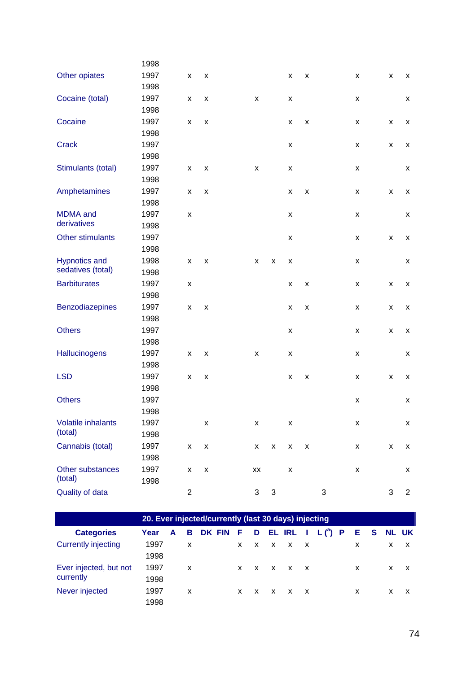| 1997 | X                  | X                  |      |    |                           | X | X                  |   | X                  | X                  | x                  |
|------|--------------------|--------------------|------|----|---------------------------|---|--------------------|---|--------------------|--------------------|--------------------|
| 1998 |                    |                    |      |    |                           |   |                    |   |                    |                    |                    |
| 1997 | X                  | $\pmb{\mathsf{x}}$ |      | X  |                           | x |                    |   | $\pmb{\mathsf{x}}$ |                    | X                  |
| 1998 |                    |                    |      |    |                           |   |                    |   |                    |                    |                    |
| 1997 | X                  | X                  |      |    |                           | X | X                  |   | X                  | X                  | X                  |
| 1998 |                    |                    |      |    |                           |   |                    |   |                    |                    |                    |
| 1997 |                    |                    |      |    |                           | X |                    |   | $\pmb{\mathsf{x}}$ | $\pmb{\mathsf{x}}$ | X                  |
| 1998 |                    |                    |      |    |                           |   |                    |   |                    |                    |                    |
| 1997 | X                  | X                  |      | X  |                           | x |                    |   | x                  |                    | X                  |
| 1998 |                    |                    |      |    |                           |   |                    |   |                    |                    |                    |
| 1997 | X                  | X                  |      |    |                           | X | $\pmb{\mathsf{x}}$ |   | X                  | X                  | X                  |
| 1998 |                    |                    |      |    |                           |   |                    |   |                    |                    |                    |
| 1997 | X                  |                    |      |    |                           | X |                    |   | $\pmb{\mathsf{x}}$ |                    | X                  |
| 1998 |                    |                    |      |    |                           |   |                    |   |                    |                    |                    |
| 1997 |                    |                    |      |    |                           | X |                    |   | X                  | X                  | X                  |
| 1998 |                    |                    |      |    |                           |   |                    |   |                    |                    |                    |
| 1998 | $\pmb{\mathsf{x}}$ | $\pmb{\mathsf{X}}$ |      | x  | X                         | X |                    |   | $\pmb{\mathsf{x}}$ |                    | X                  |
| 1998 |                    |                    |      |    |                           |   |                    |   |                    |                    |                    |
| 1997 | X                  |                    |      |    |                           | X | X                  |   | X                  | X                  | X                  |
| 1998 |                    |                    |      |    |                           |   |                    |   |                    |                    |                    |
| 1997 | $\pmb{\mathsf{x}}$ | X                  |      |    |                           | X | X                  |   | x                  | X                  | X                  |
| 1998 |                    |                    |      |    |                           |   |                    |   |                    |                    |                    |
| 1997 |                    |                    |      |    |                           | X |                    |   | X                  | X                  | X                  |
| 1998 |                    |                    |      |    |                           |   |                    |   |                    |                    |                    |
| 1997 | X                  | X                  |      | x  |                           | x |                    |   | X                  |                    | X                  |
| 1998 |                    |                    |      |    |                           |   |                    |   |                    |                    |                    |
| 1997 | X                  | $\pmb{\mathsf{X}}$ |      |    |                           | X | $\pmb{\mathsf{X}}$ |   | X                  | X                  | X                  |
| 1998 |                    |                    |      |    |                           |   |                    |   |                    |                    |                    |
| 1997 |                    |                    |      |    |                           |   |                    |   | X                  |                    | X                  |
| 1998 |                    |                    |      |    |                           |   |                    |   |                    |                    |                    |
| 1997 |                    | x                  |      | x  |                           | X |                    |   | x                  |                    | X                  |
| 1998 |                    |                    |      |    |                           |   |                    |   |                    |                    |                    |
| 1997 | x                  | $\pmb{\mathsf{X}}$ |      | X  | $\boldsymbol{\mathsf{X}}$ | X | $\pmb{\mathsf{x}}$ |   | X                  | $\pmb{\mathsf{X}}$ | $\pmb{\mathsf{X}}$ |
| 1998 |                    |                    |      |    |                           |   |                    |   |                    |                    |                    |
| 1997 | X                  | $\pmb{\mathsf{X}}$ |      | XX |                           | x |                    |   | x                  |                    | X                  |
| 1998 |                    |                    |      |    |                           |   |                    |   |                    |                    |                    |
|      | $\overline{c}$     |                    |      | 3  | $\mathfrak{S}$            |   |                    | 3 |                    | 3                  | $\overline{c}$     |
|      |                    |                    | 1998 |    |                           |   |                    |   |                    |                    |                    |

|                            |      |   |    | 20. Ever injected/currently (last 30 days) injecting |   |  |                     |                      |    |   |              |   |
|----------------------------|------|---|----|------------------------------------------------------|---|--|---------------------|----------------------|----|---|--------------|---|
| <b>Categories</b>          | Year | A | в  | DK FIN F                                             |   |  |                     | D EL IRL I $L(^a)$ P | Е. | S | <b>NL UK</b> |   |
| <b>Currently injecting</b> | 1997 |   | x  |                                                      |   |  | $X$ $X$ $X$ $X$ $X$ |                      | x  |   | X.           | X |
|                            | 1998 |   |    |                                                      |   |  |                     |                      |    |   |              |   |
| Ever injected, but not     | 1997 |   | X. |                                                      |   |  | $X$ $X$ $X$ $X$ $X$ |                      | X  |   | X.           |   |
| currently                  | 1998 |   |    |                                                      |   |  |                     |                      |    |   |              |   |
| Never injected             | 1997 |   | X. |                                                      | x |  | $X$ $X$ $X$ $X$     |                      | X  |   | x.           |   |
|                            | 1998 |   |    |                                                      |   |  |                     |                      |    |   |              |   |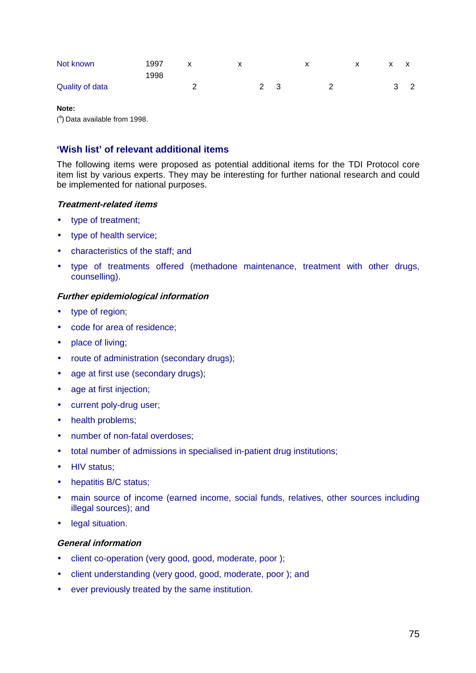| Not known       | 1997 | х |  |  |  |         |
|-----------------|------|---|--|--|--|---------|
|                 | 1998 |   |  |  |  |         |
| Quality of data |      |   |  |  |  | ົດ<br>∠ |

 $(3)$  Data available from 1998.

# **'Wish list' of relevant additional items**

The following items were proposed as potential additional items for the TDI Protocol core item list by various experts. They may be interesting for further national research and could be implemented for national purposes.

### **Treatment-related items**

- type of treatment;
- type of health service;
- characteristics of the staff; and
- type of treatments offered (methadone maintenance, treatment with other drugs, counselling).

### **Further epidemiological information**

- type of region;
- code for area of residence;
- place of living;
- route of administration (secondary drugs);
- age at first use (secondary drugs);
- age at first injection;
- current poly-drug user;
- health problems:
- number of non-fatal overdoses:
- total number of admissions in specialised in-patient drug institutions;
- HIV status;
- hepatitis B/C status;
- main source of income (earned income, social funds, relatives, other sources including illegal sources); and
- legal situation.

### **General information**

- client co-operation (very good, good, moderate, poor );
- client understanding (very good, good, moderate, poor ); and
- ever previously treated by the same institution.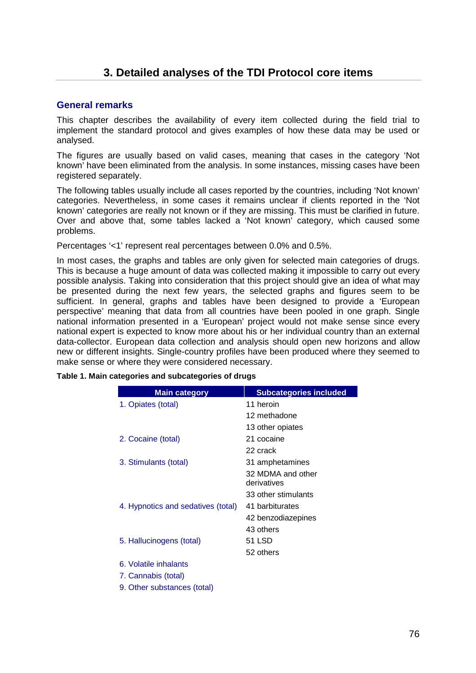# <span id="page-47-0"></span>**General remarks**

This chapter describes the availability of every item collected during the field trial to implement the standard protocol and gives examples of how these data may be used or analysed.

The figures are usually based on valid cases, meaning that cases in the category 'Not known' have been eliminated from the analysis. In some instances, missing cases have been registered separately.

The following tables usually include all cases reported by the countries, including 'Not known' categories. Nevertheless, in some cases it remains unclear if clients reported in the 'Not known' categories are really not known or if they are missing. This must be clarified in future. Over and above that, some tables lacked a 'Not known' category, which caused some problems.

Percentages '<1' represent real percentages between 0.0% and 0.5%.

In most cases, the graphs and tables are only given for selected main categories of drugs. This is because a huge amount of data was collected making it impossible to carry out every possible analysis. Taking into consideration that this project should give an idea of what may be presented during the next few years, the selected graphs and figures seem to be sufficient. In general, graphs and tables have been designed to provide a 'European perspective' meaning that data from all countries have been pooled in one graph. Single national information presented in a 'European' project would not make sense since every national expert is expected to know more about his or her individual country than an external data-collector. European data collection and analysis should open new horizons and allow new or different insights. Single-country profiles have been produced where they seemed to make sense or where they were considered necessary.

| <b>Main category</b>               | <b>Subcategories included</b> |
|------------------------------------|-------------------------------|
| 1. Opiates (total)                 | 11 heroin                     |
|                                    | 12 methadone                  |
|                                    | 13 other opiates              |
| 2. Cocaine (total)                 | 21 cocaine                    |
|                                    | 22 crack                      |
| 3. Stimulants (total)              | 31 amphetamines               |
|                                    | 32 MDMA and other             |
|                                    | derivatives                   |
|                                    | 33 other stimulants           |
| 4. Hypnotics and sedatives (total) | 41 barbiturates               |
|                                    | 42 benzodiazepines            |
|                                    | 43 others                     |
| 5. Hallucinogens (total)           | 51 LSD                        |
|                                    | 52 others                     |
| 6. Volatile inhalants              |                               |
| 7. Cannabis (total)                |                               |
| 9. Other substances (total)        |                               |

**Table 1. Main categories and subcategories of drugs**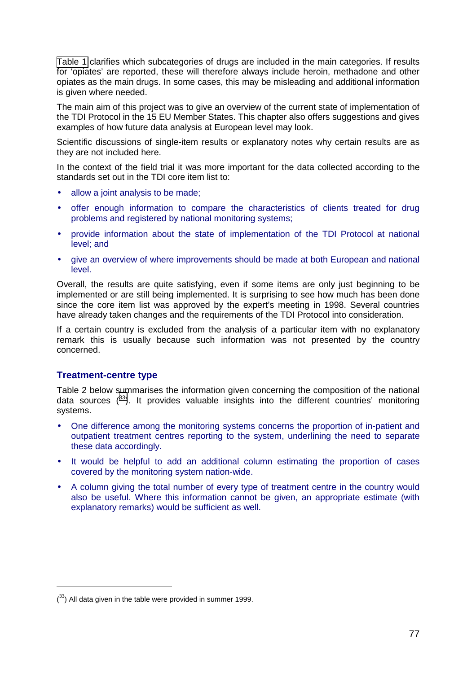[Table 1](#page-47-0) clarifies which subcategories of drugs are included in the main categories. If results for 'opiates' are reported, these will therefore always include heroin, methadone and other opiates as the main drugs. In some cases, this may be misleading and additional information is given where needed.

The main aim of this project was to give an overview of the current state of implementation of the TDI Protocol in the 15 EU Member States. This chapter also offers suggestions and gives examples of how future data analysis at European level may look.

Scientific discussions of single-item results or explanatory notes why certain results are as they are not included here.

In the context of the field trial it was more important for the data collected according to the standards set out in the TDI core item list to:

- allow a joint analysis to be made:
- offer enough information to compare the characteristics of clients treated for drug problems and registered by national monitoring systems;
- provide information about the state of implementation of the TDI Protocol at national level; and
- give an overview of where improvements should be made at both European and national level.

Overall, the results are quite satisfying, even if some items are only just beginning to be implemented or are still being implemented. It is surprising to see how much has been done since the core item list was approved by the expert's meeting in 1998. Several countries have already taken changes and the requirements of the TDI Protocol into consideration.

If a certain country is excluded from the analysis of a particular item with no explanatory remark this is usually because such information was not presented by the country concerned.

# **Treatment-centre type**

Table 2 below summarises the information given concerning the composition of the national data sources  $(33)$ . It provides valuable insights into the different countries' monitoring systems.

- One difference among the monitoring systems concerns the proportion of in-patient and outpatient treatment centres reporting to the system, underlining the need to separate these data accordingly.
- It would be helpful to add an additional column estimating the proportion of cases covered by the monitoring system nation-wide.
- A column giving the total number of every type of treatment centre in the country would also be useful. Where this information cannot be given, an appropriate estimate (with explanatory remarks) would be sufficient as well.

 $(33)$  All data given in the table were provided in summer 1999.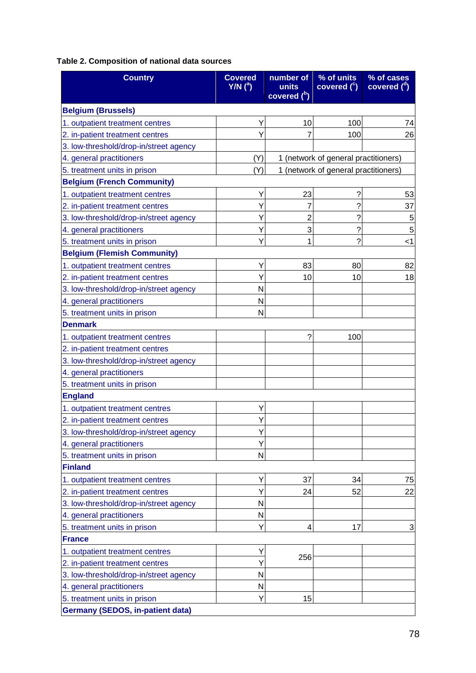# **Table 2. Composition of national data sources**

| <b>Country</b>                          | <b>Covered</b><br>$Y/N$ ( <sup>a</sup> ) | number of<br>units<br>covered (b) | % of units<br>covered $(^\circ)$     | % of cases<br>covered $(^a)$ |
|-----------------------------------------|------------------------------------------|-----------------------------------|--------------------------------------|------------------------------|
| <b>Belgium (Brussels)</b>               |                                          |                                   |                                      |                              |
| 1. outpatient treatment centres         | Υ                                        | 10                                | 100                                  | 74                           |
| 2. in-patient treatment centres         | Υ                                        | 7                                 | 100                                  | 26                           |
| 3. low-threshold/drop-in/street agency  |                                          |                                   |                                      |                              |
| 4. general practitioners                | (Y)                                      |                                   | 1 (network of general practitioners) |                              |
| 5. treatment units in prison            | (Y)                                      |                                   | 1 (network of general practitioners) |                              |
| <b>Belgium (French Community)</b>       |                                          |                                   |                                      |                              |
| 1. outpatient treatment centres         | Υ                                        | 23                                | ?                                    | 53                           |
| 2. in-patient treatment centres         | Y                                        | 7                                 | $\overline{\mathcal{C}}$             | 37                           |
| 3. low-threshold/drop-in/street agency  | Y                                        | $\overline{c}$                    | ?                                    | 5                            |
| 4. general practitioners                | Y                                        | 3                                 | $\overline{\mathcal{C}}$             | 5                            |
| 5. treatment units in prison            | Y                                        | 1                                 | ?                                    | <1                           |
| <b>Belgium (Flemish Community)</b>      |                                          |                                   |                                      |                              |
| 1. outpatient treatment centres         | Υ                                        | 83                                | 80                                   | 82                           |
| 2. in-patient treatment centres         | Y                                        | 10                                | 10                                   | 18                           |
| 3. low-threshold/drop-in/street agency  | N                                        |                                   |                                      |                              |
| 4. general practitioners                | N                                        |                                   |                                      |                              |
| 5. treatment units in prison            | N                                        |                                   |                                      |                              |
| <b>Denmark</b>                          |                                          |                                   |                                      |                              |
| 1. outpatient treatment centres         |                                          | ?                                 | 100                                  |                              |
| 2. in-patient treatment centres         |                                          |                                   |                                      |                              |
| 3. low-threshold/drop-in/street agency  |                                          |                                   |                                      |                              |
| 4. general practitioners                |                                          |                                   |                                      |                              |
| 5. treatment units in prison            |                                          |                                   |                                      |                              |
| <b>England</b>                          |                                          |                                   |                                      |                              |
| 1. outpatient treatment centres         | Y                                        |                                   |                                      |                              |
| 2. in-patient treatment centres         | Y                                        |                                   |                                      |                              |
| 3. low-threshold/drop-in/street agency  | Y                                        |                                   |                                      |                              |
| 4. general practitioners                | Υ                                        |                                   |                                      |                              |
| 5. treatment units in prison            | N                                        |                                   |                                      |                              |
| <b>Finland</b>                          |                                          |                                   |                                      |                              |
| 1. outpatient treatment centres         | Y                                        | 37                                | 34                                   | 75                           |
| 2. in-patient treatment centres         | Υ                                        | 24                                | 52                                   | 22                           |
| 3. low-threshold/drop-in/street agency  | N                                        |                                   |                                      |                              |
| 4. general practitioners                | N                                        |                                   |                                      |                              |
| 5. treatment units in prison            | Y                                        | 4                                 | 17                                   | 3                            |
| <b>France</b>                           |                                          |                                   |                                      |                              |
| 1. outpatient treatment centres         | Υ                                        | 256                               |                                      |                              |
| 2. in-patient treatment centres         | Υ                                        |                                   |                                      |                              |
| 3. low-threshold/drop-in/street agency  | N                                        |                                   |                                      |                              |
| 4. general practitioners                | N                                        |                                   |                                      |                              |
| 5. treatment units in prison            | Y                                        | 15                                |                                      |                              |
| <b>Germany (SEDOS, in-patient data)</b> |                                          |                                   |                                      |                              |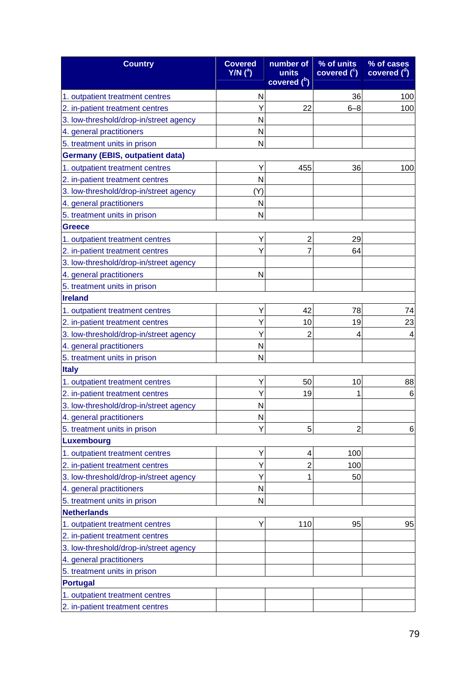| <b>Country</b>                         | <b>Covered</b><br>$Y/N$ ( <sup>a</sup> ) | number of<br>units<br>covered (b) | % of units<br>covered $(^\circ)$ | % of cases<br>covered $(^\alpha)$ |
|----------------------------------------|------------------------------------------|-----------------------------------|----------------------------------|-----------------------------------|
| 1. outpatient treatment centres        | N                                        |                                   | 36                               | 100                               |
| 2. in-patient treatment centres        | Y                                        | 22                                | $6 - 8$                          | 100                               |
| 3. low-threshold/drop-in/street agency | N                                        |                                   |                                  |                                   |
| 4. general practitioners               | N                                        |                                   |                                  |                                   |
| 5. treatment units in prison           | N                                        |                                   |                                  |                                   |
| <b>Germany (EBIS, outpatient data)</b> |                                          |                                   |                                  |                                   |
| 1. outpatient treatment centres        | Y                                        | 455                               | 36                               | 100                               |
| 2. in-patient treatment centres        | N                                        |                                   |                                  |                                   |
| 3. low-threshold/drop-in/street agency | (Y)                                      |                                   |                                  |                                   |
| 4. general practitioners               | N                                        |                                   |                                  |                                   |
| 5. treatment units in prison           | N                                        |                                   |                                  |                                   |
| <b>Greece</b>                          |                                          |                                   |                                  |                                   |
| 1. outpatient treatment centres        | Υ                                        | $\overline{2}$                    | 29                               |                                   |
| 2. in-patient treatment centres        | Y                                        | 7                                 | 64                               |                                   |
| 3. low-threshold/drop-in/street agency |                                          |                                   |                                  |                                   |
| 4. general practitioners               | N                                        |                                   |                                  |                                   |
| 5. treatment units in prison           |                                          |                                   |                                  |                                   |
| <b>Ireland</b>                         |                                          |                                   |                                  |                                   |
| 1. outpatient treatment centres        | Y                                        | 42                                | 78                               | 74                                |
| 2. in-patient treatment centres        | Y                                        | 10                                | 19                               | 23                                |
| 3. low-threshold/drop-in/street agency | Y                                        | $\overline{2}$                    | 4                                | 4                                 |
| 4. general practitioners               | N                                        |                                   |                                  |                                   |
| 5. treatment units in prison           | N                                        |                                   |                                  |                                   |
| <b>Italy</b>                           |                                          |                                   |                                  |                                   |
| 1. outpatient treatment centres        | Y                                        | 50                                | 10                               | 88                                |
| 2. in-patient treatment centres        | Y                                        | 19                                |                                  | 6                                 |
| 3. low-threshold/drop-in/street agency | N                                        |                                   |                                  |                                   |
| 4. general practitioners               | N                                        |                                   |                                  |                                   |
| 5. treatment units in prison           | Y                                        | 5                                 | 2                                | 6                                 |
| Luxembourg                             |                                          |                                   |                                  |                                   |
| 1. outpatient treatment centres        | Y                                        | 4                                 | 100                              |                                   |
| 2. in-patient treatment centres        | Y                                        | $\overline{2}$                    | 100                              |                                   |
| 3. low-threshold/drop-in/street agency | Y                                        | 1                                 | 50                               |                                   |
| 4. general practitioners               | N                                        |                                   |                                  |                                   |
| 5. treatment units in prison           | N                                        |                                   |                                  |                                   |
| <b>Netherlands</b>                     |                                          |                                   |                                  |                                   |
| 1. outpatient treatment centres        | Υ                                        | 110                               | 95                               | 95                                |
| 2. in-patient treatment centres        |                                          |                                   |                                  |                                   |
| 3. low-threshold/drop-in/street agency |                                          |                                   |                                  |                                   |
| 4. general practitioners               |                                          |                                   |                                  |                                   |
| 5. treatment units in prison           |                                          |                                   |                                  |                                   |
| <b>Portugal</b>                        |                                          |                                   |                                  |                                   |
| 1. outpatient treatment centres        |                                          |                                   |                                  |                                   |
| 2. in-patient treatment centres        |                                          |                                   |                                  |                                   |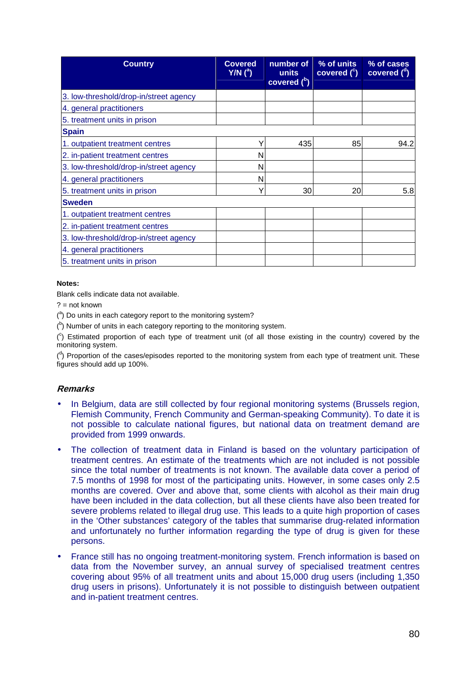| <b>Country</b>                         | <b>Covered</b><br>$Y/N$ $(^a)$ | number of<br>units<br>covered $(^{b})$ | % of units<br>covered $(^\circ)$ | % of cases<br>covered $(^d)$ |
|----------------------------------------|--------------------------------|----------------------------------------|----------------------------------|------------------------------|
| 3. low-threshold/drop-in/street agency |                                |                                        |                                  |                              |
| 4. general practitioners               |                                |                                        |                                  |                              |
| 5. treatment units in prison           |                                |                                        |                                  |                              |
| <b>Spain</b>                           |                                |                                        |                                  |                              |
| 1. outpatient treatment centres        | Y                              | 435                                    | 85                               | 94.2                         |
| 2. in-patient treatment centres        | N                              |                                        |                                  |                              |
| 3. low-threshold/drop-in/street agency | N                              |                                        |                                  |                              |
| 4. general practitioners               | N                              |                                        |                                  |                              |
| 5. treatment units in prison           | Υ                              | 30                                     | 20                               | 5.8                          |
| <b>Sweden</b>                          |                                |                                        |                                  |                              |
| 1. outpatient treatment centres        |                                |                                        |                                  |                              |
| 2. in-patient treatment centres        |                                |                                        |                                  |                              |
| 3. low-threshold/drop-in/street agency |                                |                                        |                                  |                              |
| 4. general practitioners               |                                |                                        |                                  |                              |
| 5. treatment units in prison           |                                |                                        |                                  |                              |

Blank cells indicate data not available.

 $? = not known$ 

 $(3)$  Do units in each category report to the monitoring system?

 $($ <sup>b</sup>) Number of units in each category reporting to the monitoring system.

 $(°)$  Estimated proportion of each type of treatment unit (of all those existing in the country) covered by the monitoring system.

 $($ <sup>d</sup>) Proportion of the cases/episodes reported to the monitoring system from each type of treatment unit. These figures should add up 100%.

# **Remarks**

- In Belgium, data are still collected by four regional monitoring systems (Brussels region, Flemish Community, French Community and German-speaking Community). To date it is not possible to calculate national figures, but national data on treatment demand are provided from 1999 onwards.
- The collection of treatment data in Finland is based on the voluntary participation of treatment centres. An estimate of the treatments which are not included is not possible since the total number of treatments is not known. The available data cover a period of 7.5 months of 1998 for most of the participating units. However, in some cases only 2.5 months are covered. Over and above that, some clients with alcohol as their main drug have been included in the data collection, but all these clients have also been treated for severe problems related to illegal drug use. This leads to a quite high proportion of cases in the 'Other substances' category of the tables that summarise drug-related information and unfortunately no further information regarding the type of drug is given for these persons.
- France still has no ongoing treatment-monitoring system. French information is based on data from the November survey, an annual survey of specialised treatment centres covering about 95% of all treatment units and about 15,000 drug users (including 1,350 drug users in prisons). Unfortunately it is not possible to distinguish between outpatient and in-patient treatment centres.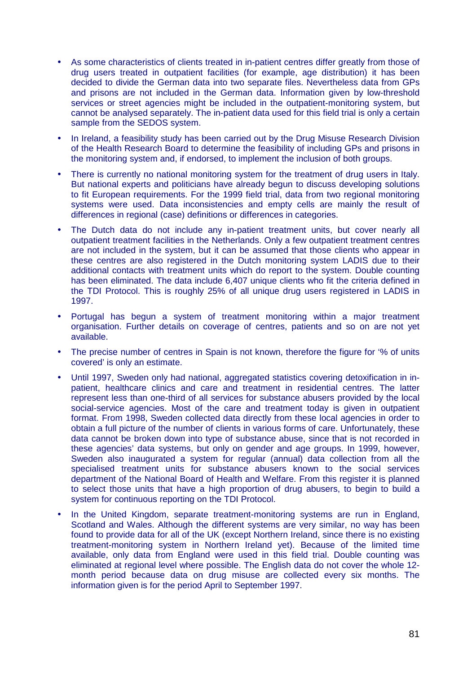- As some characteristics of clients treated in in-patient centres differ greatly from those of drug users treated in outpatient facilities (for example, age distribution) it has been decided to divide the German data into two separate files. Nevertheless data from GPs and prisons are not included in the German data. Information given by low-threshold services or street agencies might be included in the outpatient-monitoring system, but cannot be analysed separately. The in-patient data used for this field trial is only a certain sample from the SEDOS system.
- In Ireland, a feasibility study has been carried out by the Drug Misuse Research Division of the Health Research Board to determine the feasibility of including GPs and prisons in the monitoring system and, if endorsed, to implement the inclusion of both groups.
- There is currently no national monitoring system for the treatment of drug users in Italy. But national experts and politicians have already begun to discuss developing solutions to fit European requirements. For the 1999 field trial, data from two regional monitoring systems were used. Data inconsistencies and empty cells are mainly the result of differences in regional (case) definitions or differences in categories.
- The Dutch data do not include any in-patient treatment units, but cover nearly all outpatient treatment facilities in the Netherlands. Only a few outpatient treatment centres are not included in the system, but it can be assumed that those clients who appear in these centres are also registered in the Dutch monitoring system LADIS due to their additional contacts with treatment units which do report to the system. Double counting has been eliminated. The data include 6,407 unique clients who fit the criteria defined in the TDI Protocol. This is roughly 25% of all unique drug users registered in LADIS in 1997.
- Portugal has begun a system of treatment monitoring within a major treatment organisation. Further details on coverage of centres, patients and so on are not yet available.
- The precise number of centres in Spain is not known, therefore the figure for '% of units covered' is only an estimate.
- Until 1997, Sweden only had national, aggregated statistics covering detoxification in inpatient, healthcare clinics and care and treatment in residential centres. The latter represent less than one-third of all services for substance abusers provided by the local social-service agencies. Most of the care and treatment today is given in outpatient format. From 1998, Sweden collected data directly from these local agencies in order to obtain a full picture of the number of clients in various forms of care. Unfortunately, these data cannot be broken down into type of substance abuse, since that is not recorded in these agencies' data systems, but only on gender and age groups. In 1999, however, Sweden also inaugurated a system for regular (annual) data collection from all the specialised treatment units for substance abusers known to the social services department of the National Board of Health and Welfare. From this register it is planned to select those units that have a high proportion of drug abusers, to begin to build a system for continuous reporting on the TDI Protocol.
- In the United Kingdom, separate treatment-monitoring systems are run in England, Scotland and Wales. Although the different systems are very similar, no way has been found to provide data for all of the UK (except Northern Ireland, since there is no existing treatment-monitoring system in Northern Ireland yet). Because of the limited time available, only data from England were used in this field trial. Double counting was eliminated at regional level where possible. The English data do not cover the whole 12 month period because data on drug misuse are collected every six months. The information given is for the period April to September 1997.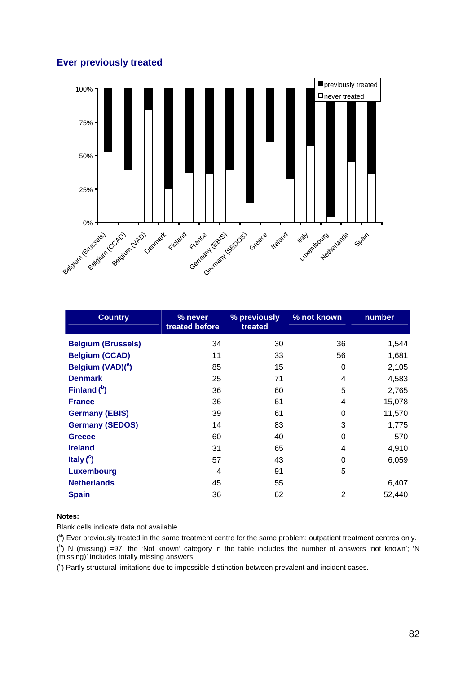# **Ever previously treated**



| <b>Country</b>                | % never<br>treated before | % previously<br>treated | % not known | number |
|-------------------------------|---------------------------|-------------------------|-------------|--------|
| <b>Belgium (Brussels)</b>     | 34                        | 30                      | 36          | 1,544  |
| <b>Belgium (CCAD)</b>         | 11                        | 33                      | 56          | 1,681  |
| Belgium (VAD)( <sup>a</sup> ) | 85                        | 15                      | 0           | 2,105  |
| <b>Denmark</b>                | 25                        | 71                      | 4           | 4,583  |
| Finland $(^{b})$              | 36                        | 60                      | 5           | 2,765  |
| <b>France</b>                 | 36                        | 61                      | 4           | 15,078 |
| <b>Germany (EBIS)</b>         | 39                        | 61                      | 0           | 11,570 |
| <b>Germany (SEDOS)</b>        | 14                        | 83                      | 3           | 1,775  |
| <b>Greece</b>                 | 60                        | 40                      | 0           | 570    |
| <b>Ireland</b>                | 31                        | 65                      | 4           | 4,910  |
| Italy $(^\circ)$              | 57                        | 43                      | 0           | 6,059  |
| <b>Luxembourg</b>             | 4                         | 91                      | 5           |        |
| <b>Netherlands</b>            | 45                        | 55                      |             | 6,407  |
| <b>Spain</b>                  | 36                        | 62                      | 2           | 52,440 |

### **Notes:**

Blank cells indicate data not available.

 $(3)$  Ever previously treated in the same treatment centre for the same problem; outpatient treatment centres only.  $({}^{b})$  N (missing) =97; the 'Not known' category in the table includes the number of answers 'not known'; 'N (missing)' includes totally missing answers.

 $(°)$  Partly structural limitations due to impossible distinction between prevalent and incident cases.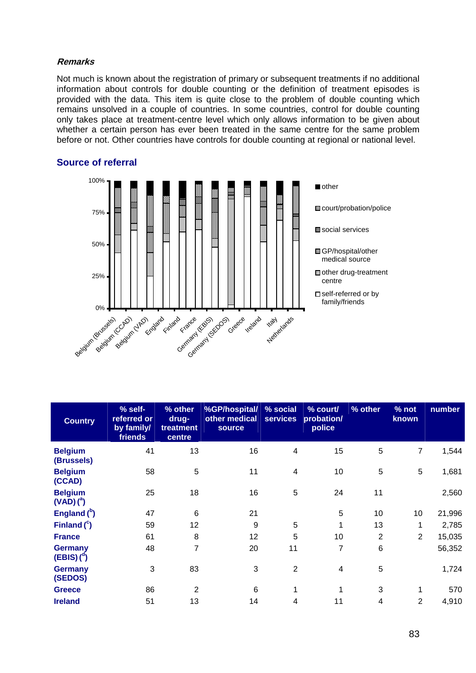### **Remarks**

Not much is known about the registration of primary or subsequent treatments if no additional information about controls for double counting or the definition of treatment episodes is provided with the data. This item is quite close to the problem of double counting which remains unsolved in a couple of countries. In some countries, control for double counting only takes place at treatment-centre level which only allows information to be given about whether a certain person has ever been treated in the same centre for the same problem before or not. Other countries have controls for double counting at regional or national level.



| <b>Country</b>                           | % self-<br>referred or<br>by family/<br>friends | % other<br>drug-<br>treatment<br>centre | %GP/hospital/<br>other medical<br><b>source</b> | % social<br><b>services</b> | $%$ court/<br>probation/<br>police | % other        | % not<br>known | number |
|------------------------------------------|-------------------------------------------------|-----------------------------------------|-------------------------------------------------|-----------------------------|------------------------------------|----------------|----------------|--------|
| <b>Belgium</b><br>(Brussels)             | 41                                              | 13                                      | 16                                              | $\overline{4}$              | 15                                 | 5              | $\overline{7}$ | 1,544  |
| <b>Belgium</b><br>(CCAD)                 | 58                                              | 5                                       | 11                                              | 4                           | 10                                 | 5              | 5              | 1,681  |
| <b>Belgium</b><br>$(VAD)$ <sup>a</sup> ) | 25                                              | 18                                      | 16                                              | 5                           | 24                                 | 11             |                | 2,560  |
| England $(^{b})$                         | 47                                              | $6\phantom{1}6$                         | 21                                              |                             | 5                                  | 10             | 10             | 21,996 |
| Finland $(^c)$                           | 59                                              | 12                                      | 9                                               | 5                           | 1                                  | 13             |                | 2,785  |
| <b>France</b>                            | 61                                              | 8                                       | 12                                              | 5                           | 10                                 | $\overline{2}$ | $\overline{2}$ | 15,035 |
| Germany<br>$(EBIS)$ ( <sup>d</sup> )     | 48                                              | 7                                       | 20                                              | 11                          | 7                                  | $\,6$          |                | 56,352 |
| Germany<br>(SEDOS)                       | 3                                               | 83                                      | 3                                               | $\overline{2}$              | 4                                  | 5              |                | 1,724  |
| <b>Greece</b>                            | 86                                              | 2                                       | 6                                               | 1                           | 1                                  | 3              | 1              | 570    |
| <b>Ireland</b>                           | 51                                              | 13                                      | 14                                              | 4                           | 11                                 | 4              | $\overline{2}$ | 4,910  |

# **Source of referral**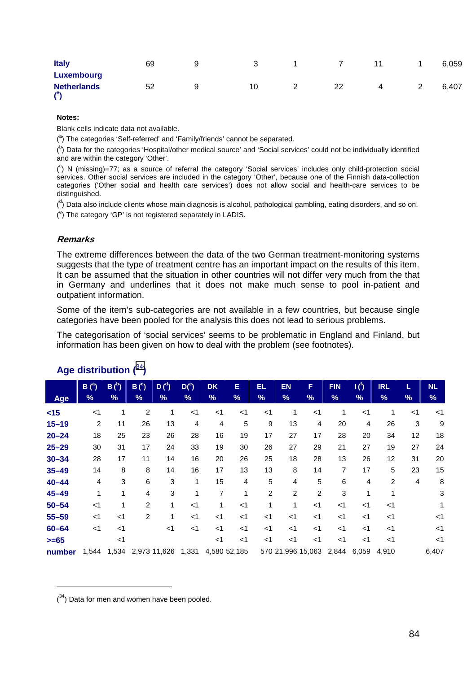| <b>Italy</b>                                                | 69 | 9 |    |   |    | 11 |   | 6,059 |
|-------------------------------------------------------------|----|---|----|---|----|----|---|-------|
| <b>Luxembourg</b><br><b>Netherlands</b><br>$($ <sup>e</sup> | 52 | a | 10 | - | 22 | 4  | ∼ | 6,407 |

Blank cells indicate data not available.

(<sup>a</sup>) The categories 'Self-referred' and 'Family/friends' cannot be separated.

 $($ <sup>b</sup>) Data for the categories 'Hospital/other medical source' and 'Social services' could not be individually identified and are within the category 'Other'.

( c ) N (missing)=77; as a source of referral the category 'Social services' includes only child-protection social services. Other social services are included in the category 'Other', because one of the Finnish data-collection categories ('Other social and health care services') does not allow social and health-care services to be distinguished.

(<sup>d</sup>) Data also include clients whose main diagnosis is alcohol, pathological gambling, eating disorders, and so on.

 $($ <sup>e</sup>) The category 'GP' is not registered separately in LADIS.

### **Remarks**

The extreme differences between the data of the two German treatment-monitoring systems suggests that the type of treatment centre has an important impact on the results of this item. It can be assumed that the situation in other countries will not differ very much from the that in Germany and underlines that it does not make much sense to pool in-patient and outpatient information.

Some of the item's sub-categories are not available in a few countries, but because single categories have been pooled for the analysis this does not lead to serious problems.

The categorisation of 'social services' seems to be problematic in England and Finland, but information has been given on how to deal with the problem (see footnotes).

|           | $B(^{a})$ | $B(^{b})$ | B <sup>c</sup> | D <sup>d</sup> | $D(^e)$ | <b>DK</b>      | Е              | EL             | <b>EN</b>         | F              | <b>FIN</b>     | $\mathbf{I}(\mathfrak{h})$ | <b>IRL</b>     | L              | <b>NL</b> |
|-----------|-----------|-----------|----------------|----------------|---------|----------------|----------------|----------------|-------------------|----------------|----------------|----------------------------|----------------|----------------|-----------|
| Age       | %         | %         | $\frac{9}{6}$  | %              | %       | %              | %              | %              | $\%$              | %              | %              | $\frac{9}{6}$              | %              | %              | %         |
| $<$ 15    | $<$ 1     | 1         | $\overline{c}$ | 1              | $<$ 1   | $<$ 1          | $<$ 1          | $<$ 1          | 1                 | $<$ 1          | 1              | $<$ 1                      |                | $<$ 1          | $<$ 1     |
| $15 - 19$ | 2         | 11        | 26             | 13             | 4       | $\overline{4}$ | 5              | 9              | 13                | $\overline{4}$ | 20             | 4                          | 26             | 3              | 9         |
| $20 - 24$ | 18        | 25        | 23             | 26             | 28      | 16             | 19             | 17             | 27                | 17             | 28             | 20                         | 34             | 12             | 18        |
| $25 - 29$ | 30        | 31        | 17             | 24             | 33      | 19             | 30             | 26             | 27                | 29             | 21             | 27                         | 19             | 27             | 24        |
| $30 - 34$ | 28        | 17        | 11             | 14             | 16      | 20             | 26             | 25             | 18                | 28             | 13             | 26                         | 12             | 31             | 20        |
| $35 - 49$ | 14        | 8         | 8              | 14             | 16      | 17             | 13             | 13             | 8                 | 14             | $\overline{7}$ | 17                         | 5              | 23             | 15        |
| $40 - 44$ | 4         | 3         | 6              | 3              | 1       | 15             | $\overline{4}$ | 5              | $\overline{4}$    | 5              | 6              | 4                          | $\overline{2}$ | $\overline{4}$ | 8         |
| $45 - 49$ | 1         | 1         | 4              | 3              | 1       | $\overline{7}$ | 1              | $\overline{c}$ | 2                 | $\overline{2}$ | 3              | 1                          | 1              |                | 3         |
| $50 - 54$ | $<$ 1     | 1         | $\overline{2}$ | 1              | $<$ 1   | 1              | $<$ 1          | 1              | 1                 | $<$ 1          | $<$ 1          | $<$ 1                      | $<$ 1          |                | 1         |
| $55 - 59$ | $<$ 1     | $<$ 1     | $\overline{2}$ | 1              | $<$ 1   | $<$ 1          | $<$ 1          | $<$ 1          | $<$ 1             | $<$ 1          | $<$ 1          | $<$ 1                      | $<$ 1          |                | $<$ 1     |
| $60 - 64$ | $<$ 1     | $<$ 1     |                | $<$ 1          | $<$ 1   | $<$ 1          | $<$ 1          | $<$ 1          | $<$ 1             | $<$ 1          | $<$ 1          | $<$ 1                      | $<$ 1          |                | $<$ 1     |
| $>= 65$   |           | $<$ 1     |                |                |         | $<$ 1          | $<$ 1          | $<$ 1          | $<$ 1             | $<$ 1          | $<$ 1          | $<$ 1                      | $<$ 1          |                | $<$ 1     |
| number    | 1,544     | 1,534     |                | 2,973 11,626   | 1,331   | 4,580 52,185   |                |                | 570 21,996 15,063 |                | 2,844          | 6,059                      | 4,910          |                | 6,407     |

# **Age distribution (**<sup>34</sup>**)**

 $(34)$  Data for men and women have been pooled.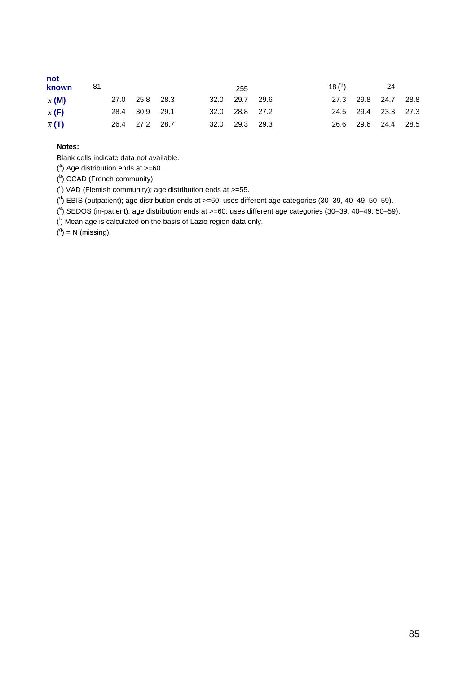| not<br>known  | -81 |                |  | 255            | 18 $(9)$ |                     | 24 |  |
|---------------|-----|----------------|--|----------------|----------|---------------------|----|--|
| $\bar{x}$ (M) |     | 27.0 25.8 28.3 |  | 32.0 29.7 29.6 |          | 27.3 29.8 24.7 28.8 |    |  |
| $\bar{x}$ (F) |     | 28.4 30.9 29.1 |  | 32.0 28.8 27.2 |          | 24.5 29.4 23.3 27.3 |    |  |
| $\bar{x}$ (T) |     | 26.4 27.2 28.7 |  | 32.0 29.3 29.3 |          | 26.6 29.6 24.4 28.5 |    |  |

Blank cells indicate data not available.

 $(3)$  Age distribution ends at  $>=$ 60.

(b) CCAD (French community).

 $(^{\circ})$  VAD (Flemish community); age distribution ends at  $>=$  55.

 $\binom{d}{1}$  EBIS (outpatient); age distribution ends at >=60; uses different age categories (30–39, 40–49, 50–59).

( e ) SEDOS (in-patient); age distribution ends at >=60; uses different age categories (30–39, 40–49, 50–59).

 $($ <sup>f</sup>) Mean age is calculated on the basis of Lazio region data only.

 $(9) = N$  (missing).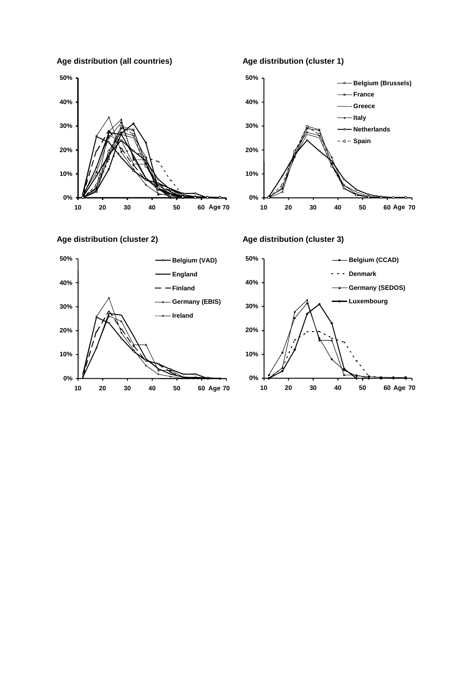**Age distribution (all countries)** 



**Age distribution (cluster 2)** 



### **Age distribution (cluster 1)**



### **Age distribution (cluster 3)**

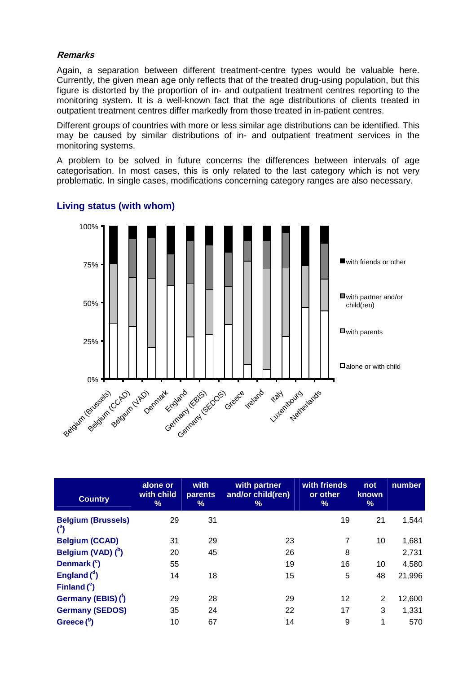### **Remarks**

Again, a separation between different treatment-centre types would be valuable here. Currently, the given mean age only reflects that of the treated drug-using population, but this figure is distorted by the proportion of in- and outpatient treatment centres reporting to the monitoring system. It is a well-known fact that the age distributions of clients treated in outpatient treatment centres differ markedly from those treated in in-patient centres.

Different groups of countries with more or less similar age distributions can be identified. This may be caused by similar distributions of in- and outpatient treatment services in the monitoring systems.

A problem to be solved in future concerns the differences between intervals of age categorisation. In most cases, this is only related to the last category which is not very problematic. In single cases, modifications concerning category ranges are also necessary.



# **Living status (with whom)**

| <b>Country</b>                                    | alone or<br>with child<br>% | with<br><b>parents</b><br>% | with partner<br>and/or child(ren)<br>% | with friends<br>or other<br>$\frac{9}{6}$ | not<br><b>known</b><br>% | number |
|---------------------------------------------------|-----------------------------|-----------------------------|----------------------------------------|-------------------------------------------|--------------------------|--------|
| <b>Belgium (Brussels)</b><br>$($ <sup>a</sup> $)$ | 29                          | 31                          |                                        | 19                                        | 21                       | 1,544  |
| <b>Belgium (CCAD)</b>                             | 31                          | 29                          | 23                                     |                                           | 10                       | 1,681  |
| Belgium (VAD) (b)                                 | 20                          | 45                          | 26                                     | 8                                         |                          | 2,731  |
| Denmark $(^c)$                                    | 55                          |                             | 19                                     | 16                                        | 10                       | 4,580  |
| England $d$                                       | 14                          | 18                          | 15                                     | 5                                         | 48                       | 21,996 |
| Finland $(^\circ)$                                |                             |                             |                                        |                                           |                          |        |
| Germany (EBIS) (1)                                | 29                          | 28                          | 29                                     | 12                                        | 2                        | 12,600 |
| <b>Germany (SEDOS)</b>                            | 35                          | 24                          | 22                                     | 17                                        | 3                        | 1,331  |
| Greece $(^9)$                                     | 10                          | 67                          | 14                                     | 9                                         | 1                        | 570    |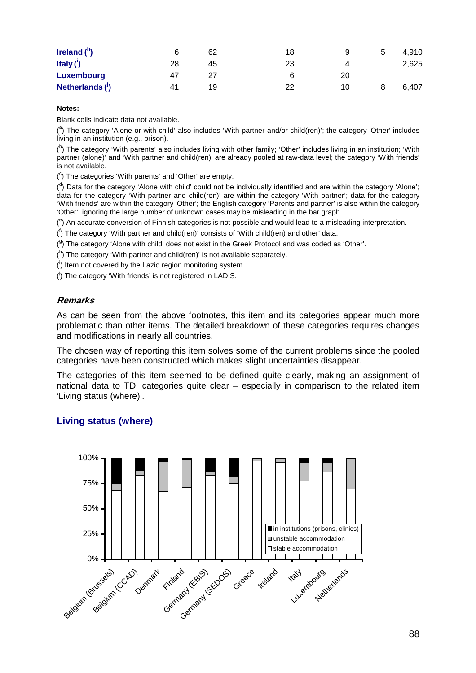| Ireland $(^{h})$         |    | 62 | 18 | 9  | ა | 4.910 |
|--------------------------|----|----|----|----|---|-------|
| Italy $($ <sup>i</sup> ) | 28 | 45 | 23 |    |   | 2,625 |
| Luxembourg               | 47 | 27 | ี  | 20 |   |       |
| Netherlands $(')$        | 41 | 19 | 22 | 10 |   | 6.407 |

Blank cells indicate data not available.

(<sup>a</sup>) The category 'Alone or with child' also includes 'With partner and/or child(ren)'; the category 'Other' includes living in an institution (e.g., prison).

<sup>(b</sup>) The category 'With parents' also includes living with other family; 'Other' includes living in an institution; 'With partner (alone)' and 'With partner and child(ren)' are already pooled at raw-data level; the category 'With friends' is not available.

 $(^\circ)$  The categories 'With parents' and 'Other' are empty.

 $($ <sup>d</sup>) Data for the category 'Alone with child' could not be individually identified and are within the category 'Alone'; data for the category 'With partner and child(ren)' are within the category 'With partner'; data for the category 'With friends' are within the category 'Other'; the English category 'Parents and partner' is also within the category 'Other'; ignoring the large number of unknown cases may be misleading in the bar graph.

 $(°)$  An accurate conversion of Finnish categories is not possible and would lead to a misleading interpretation.

( f ) The category 'With partner and child(ren)' consists of 'With child(ren) and other' data.

 $(9)$  The category 'Alone with child' does not exist in the Greek Protocol and was coded as 'Other'.

 $($ <sup>h</sup>) The category 'With partner and child(ren)' is not available separately.

 $($ <sup>i</sup>) Item not covered by the Lazio region monitoring system.

(<sup>i</sup>) The category 'With friends' is not registered in LADIS.

# **Remarks**

As can be seen from the above footnotes, this item and its categories appear much more problematic than other items. The detailed breakdown of these categories requires changes and modifications in nearly all countries.

The chosen way of reporting this item solves some of the current problems since the pooled categories have been constructed which makes slight uncertainties disappear.

The categories of this item seemed to be defined quite clearly, making an assignment of national data to TDI categories quite clear – especially in comparison to the related item 'Living status (where)'.

# **Living status (where)**

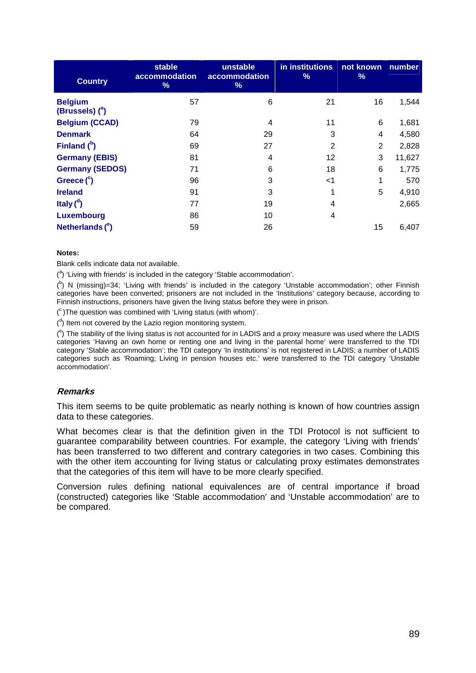| <b>Country</b>                      | stable<br>accommodation<br>% | unstable<br>accommodation<br>% | in institutions<br>% | not known<br>% | number |
|-------------------------------------|------------------------------|--------------------------------|----------------------|----------------|--------|
| <b>Belgium</b><br>(Brussels) $(^a)$ | 57                           | 6                              | 21                   | 16             | 1,544  |
| <b>Belgium (CCAD)</b>               | 79                           | 4                              | 11                   | 6              | 1,681  |
| <b>Denmark</b>                      | 64                           | 29                             | 3                    | 4              | 4,580  |
| Finland $(^{b})$                    | 69                           | 27                             | $\overline{2}$       | $\overline{2}$ | 2,828  |
| <b>Germany (EBIS)</b>               | 81                           | 4                              | 12                   | 3              | 11,627 |
| <b>Germany (SEDOS)</b>              | 71                           | 6                              | 18                   | 6              | 1,775  |
| Greece $(^c)$                       | 96                           | 3                              | $<$ 1                | 1              | 570    |
| <b>Ireland</b>                      | 91                           | 3                              | 1                    | 5              | 4,910  |
| Italy $\binom{d}{b}$                | 77                           | 19                             | 4                    |                | 2,665  |
| <b>Luxembourg</b>                   | 86                           | 10                             | 4                    |                |        |
| Netherlands $(^e)$                  | 59                           | 26                             |                      | 15             | 6,407  |

Blank cells indicate data not available.

(<sup>a</sup>) 'Living with friends' is included in the category 'Stable accommodation'.

 $(2)$  N (missing)=34; 'Living with friends' is included in the category 'Unstable accommodation'; other Finnish categories have been converted; prisoners are not included in the 'Institutions' category because, according to Finnish instructions, prisoners have given the living status before they were in prison.

 $(°)$ The question was combined with 'Living status (with whom)'.

 $\binom{d}{k}$  Item not covered by the Lazio region monitoring system.

 $(°)$  The stability of the living status is not accounted for in LADIS and a proxy measure was used where the LADIS categories 'Having an own home or renting one and living in the parental home' were transferred to the TDI category 'Stable accommodation'; the TDI category 'In institutions' is not registered in LADIS; a number of LADIS categories such as 'Roaming; Living in pension houses etc.' were transferred to the TDI category 'Unstable accommodation'.

# **Remarks**

This item seems to be quite problematic as nearly nothing is known of how countries assign data to these categories.

What becomes clear is that the definition given in the TDI Protocol is not sufficient to guarantee comparability between countries. For example, the category 'Living with friends' has been transferred to two different and contrary categories in two cases. Combining this with the other item accounting for living status or calculating proxy estimates demonstrates that the categories of this item will have to be more clearly specified.

Conversion rules defining national equivalences are of central importance if broad (constructed) categories like 'Stable accommodation' and 'Unstable accommodation' are to be compared.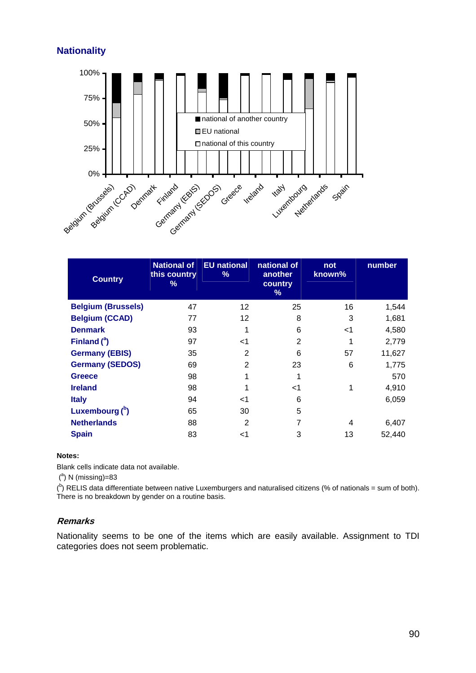# **Nationality**



| <b>Country</b>            | <b>National of</b><br>this country<br>% | <b>EU national</b><br>% | national of<br>another<br>country<br>% | not<br>known% | number |
|---------------------------|-----------------------------------------|-------------------------|----------------------------------------|---------------|--------|
| <b>Belgium (Brussels)</b> | 47                                      | 12                      | 25                                     | 16            | 1,544  |
| <b>Belgium (CCAD)</b>     | 77                                      | 12                      | 8                                      | 3             | 1,681  |
| <b>Denmark</b>            | 93                                      |                         | 6                                      | $<$ 1         | 4,580  |
| Finland $(^a)$            | 97                                      | -1                      | $\overline{2}$                         | 1             | 2,779  |
| <b>Germany (EBIS)</b>     | 35                                      | 2                       | 6                                      | 57            | 11,627 |
| <b>Germany (SEDOS)</b>    | 69                                      | 2                       | 23                                     | 6             | 1,775  |
| <b>Greece</b>             | 98                                      |                         | 1                                      |               | 570    |
| <b>Ireland</b>            | 98                                      |                         | <1                                     | 1             | 4,910  |
| <b>Italy</b>              | 94                                      | ا>                      | 6                                      |               | 6,059  |
| Luxembourg $(^{b})$       | 65                                      | 30                      | 5                                      |               |        |
| <b>Netherlands</b>        | 88                                      | 2                       | 7                                      | 4             | 6,407  |
| <b>Spain</b>              | 83                                      | <1                      | 3                                      | 13            | 52,440 |

### **Notes:**

Blank cells indicate data not available.

 $(^\text{a})$  N (missing)=83

 $\binom{b}{k}$  RELIS data differentiate between native Luxemburgers and naturalised citizens (% of nationals = sum of both). There is no breakdown by gender on a routine basis.

## **Remarks**

Nationality seems to be one of the items which are easily available. Assignment to TDI categories does not seem problematic.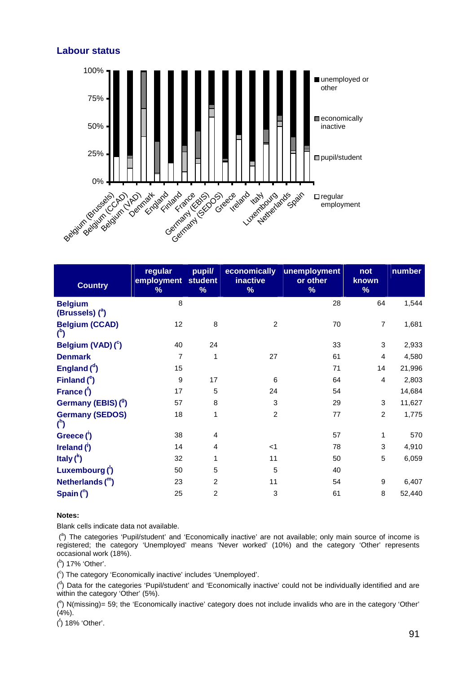# **Labour status**



| <b>Country</b>                          | regular<br>employment<br>% | pupil/<br><b>student</b><br>% | economically<br>inactive<br>% | unemployment<br>or other<br>% | not<br>known<br>% | number |
|-----------------------------------------|----------------------------|-------------------------------|-------------------------------|-------------------------------|-------------------|--------|
| <b>Belgium</b><br>(Brussels) $(^a)$     | 8                          |                               |                               | 28                            | 64                | 1,544  |
| <b>Belgium (CCAD)</b><br>$\binom{b}{b}$ | 12                         | 8                             | $\overline{2}$                | 70                            | $\overline{7}$    | 1,681  |
| Belgium (VAD) (°)                       | 40                         | 24                            |                               | 33                            | 3                 | 2,933  |
| <b>Denmark</b>                          | 7                          | 1                             | 27                            | 61                            | $\overline{4}$    | 4,580  |
| England $(^d)$                          | 15                         |                               |                               | 71                            | 14                | 21,996 |
| Finland $(^e)$                          | 9                          | 17                            | 6                             | 64                            | 4                 | 2,803  |
| France $(^{f})$                         | 17                         | 5                             | 24                            | 54                            |                   | 14,684 |
| Germany (EBIS) (9)                      | 57                         | 8                             | 3                             | 29                            | 3                 | 11,627 |
| <b>Germany (SEDOS)</b><br>$^{\circ}$    | 18                         | 1                             | $\overline{c}$                | 77                            | $\overline{2}$    | 1,775  |
| Greece (1)                              | 38                         | $\overline{4}$                |                               | 57                            | $\mathbf{1}$      | 570    |
| Ireland $(')$                           | 14                         | $\overline{4}$                | $<$ 1                         | 78                            | 3                 | 4,910  |
| Italy $\binom{k}{k}$                    | 32                         | 1                             | 11                            | 50                            | 5                 | 6,059  |
| Luxembourg $()$                         | 50                         | 5                             | $\sqrt{5}$                    | 40                            |                   |        |
| Netherlands $(^{m})$                    | 23                         | $\overline{2}$                | 11                            | 54                            | 9                 | 6,407  |
| Spain $($ <sup>n</sup> )                | 25                         | 2                             | 3                             | 61                            | 8                 | 52,440 |

#### **Notes:**

Blank cells indicate data not available.

(<sup>a</sup>) The categories 'Pupil/student' and 'Economically inactive' are not available; only main source of income is registered; the category 'Unemployed' means 'Never worked' (10%) and the category 'Other' represents occasional work (18%).

(b) 17% 'Other'.

(<sup>c</sup>) The category 'Economically inactive' includes 'Unemployed'.

<sup>(d</sup>) Data for the categories 'Pupil/student' and 'Economically inactive' could not be individually identified and are within the category 'Other' (5%).

 $(°)$  N(missing)= 59; the 'Economically inactive' category does not include invalids who are in the category 'Other'  $(4%).$ 

( f ) 18% 'Other'.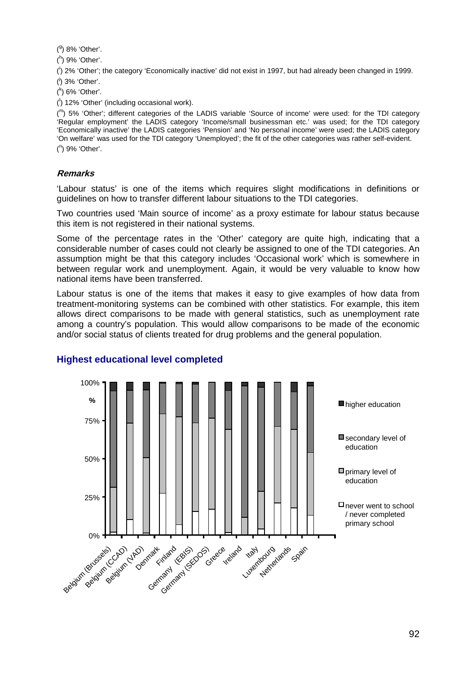$(9)$  8% 'Other'.

( h ) 9% 'Other'.

( i ) 2% 'Other'; the category 'Economically inactive' did not exist in 1997, but had already been changed in 1999. (<sup>j</sup>) 3% 'Other'.

( k ) 6% 'Other'.

( l ) 12% 'Other' (including occasional work).

(m) 5% 'Other'; different categories of the LADIS variable 'Source of income' were used: for the TDI category 'Regular employment' the LADIS category 'Income/small businessman etc.' was used; for the TDI category 'Economically inactive' the LADIS categories 'Pension' and 'No personal income' were used; the LADIS category 'On welfare' was used for the TDI category 'Unemployed'; the fit of the other categories was rather self-evident. ( n ) 9% 'Other'.

# **Remarks**

'Labour status' is one of the items which requires slight modifications in definitions or guidelines on how to transfer different labour situations to the TDI categories.

Two countries used 'Main source of income' as a proxy estimate for labour status because this item is not registered in their national systems.

Some of the percentage rates in the 'Other' category are quite high, indicating that a considerable number of cases could not clearly be assigned to one of the TDI categories. An assumption might be that this category includes 'Occasional work' which is somewhere in between regular work and unemployment. Again, it would be very valuable to know how national items have been transferred.

Labour status is one of the items that makes it easy to give examples of how data from treatment-monitoring systems can be combined with other statistics. For example, this item allows direct comparisons to be made with general statistics, such as unemployment rate among a country's population. This would allow comparisons to be made of the economic and/or social status of clients treated for drug problems and the general population.



# **Highest educational level completed**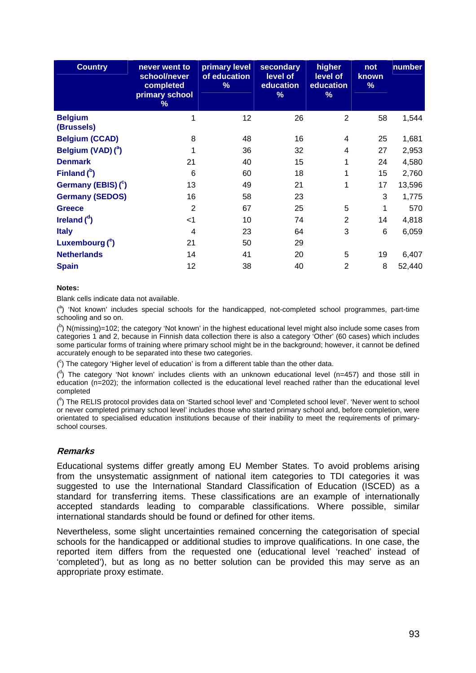| <b>Country</b>                 | never went to<br>school/never<br>completed<br>primary school<br>% | primary level<br>of education<br>% | secondary<br>level of<br>education<br>℅ | higher<br>level of<br>education<br>% | not<br>known<br>% | number |
|--------------------------------|-------------------------------------------------------------------|------------------------------------|-----------------------------------------|--------------------------------------|-------------------|--------|
| <b>Belgium</b><br>(Brussels)   | 1                                                                 | 12                                 | 26                                      | $\overline{2}$                       | 58                | 1,544  |
| <b>Belgium (CCAD)</b>          | 8                                                                 | 48                                 | 16                                      | 4                                    | 25                | 1,681  |
| Belgium (VAD) ( <sup>a</sup> ) |                                                                   | 36                                 | 32                                      | 4                                    | 27                | 2,953  |
| <b>Denmark</b>                 | 21                                                                | 40                                 | 15                                      |                                      | 24                | 4,580  |
| Finland $(^{b})$               | 6                                                                 | 60                                 | 18                                      |                                      | 15                | 2,760  |
| Germany (EBIS) (°)             | 13                                                                | 49                                 | 21                                      | 1                                    | 17                | 13,596 |
| <b>Germany (SEDOS)</b>         | 16                                                                | 58                                 | 23                                      |                                      | 3                 | 1,775  |
| <b>Greece</b>                  | $\overline{2}$                                                    | 67                                 | 25                                      | 5                                    | 1                 | 570    |
| Ireland $\binom{d}{k}$         | $<$ 1                                                             | 10                                 | 74                                      | $\overline{2}$                       | 14                | 4,818  |
| <b>Italy</b>                   | 4                                                                 | 23                                 | 64                                      | 3                                    | 6                 | 6,059  |
| Luxembourg $(^\mathrm{e})$     | 21                                                                | 50                                 | 29                                      |                                      |                   |        |
| <b>Netherlands</b>             | 14                                                                | 41                                 | 20                                      | 5                                    | 19                | 6,407  |
| <b>Spain</b>                   | 12                                                                | 38                                 | 40                                      | $\overline{2}$                       | 8                 | 52,440 |

Blank cells indicate data not available.

(<sup>a</sup>) 'Not known' includes special schools for the handicapped, not-completed school programmes, part-time schooling and so on.

 $($ <sup>b</sup>) N(missing)=102; the category 'Not known' in the highest educational level might also include some cases from categories 1 and 2, because in Finnish data collection there is also a category 'Other' (60 cases) which includes some particular forms of training where primary school might be in the background; however, it cannot be defined accurately enough to be separated into these two categories.

 $(°)$  The category 'Higher level of education' is from a different table than the other data.

 $($ <sup>d</sup>) The category 'Not known' includes clients with an unknown educational level (n=457) and those still in education (n=202); the information collected is the educational level reached rather than the educational level completed

(<sup>e</sup>) The RELIS protocol provides data on 'Started school level' and 'Completed school level'. 'Never went to school or never completed primary school level' includes those who started primary school and, before completion, were orientated to specialised education institutions because of their inability to meet the requirements of primaryschool courses.

### **Remarks**

Educational systems differ greatly among EU Member States. To avoid problems arising from the unsystematic assignment of national item categories to TDI categories it was suggested to use the International Standard Classification of Education (ISCED) as a standard for transferring items. These classifications are an example of internationally accepted standards leading to comparable classifications. Where possible, similar international standards should be found or defined for other items.

Nevertheless, some slight uncertainties remained concerning the categorisation of special schools for the handicapped or additional studies to improve qualifications. In one case, the reported item differs from the requested one (educational level 'reached' instead of 'completed'), but as long as no better solution can be provided this may serve as an appropriate proxy estimate.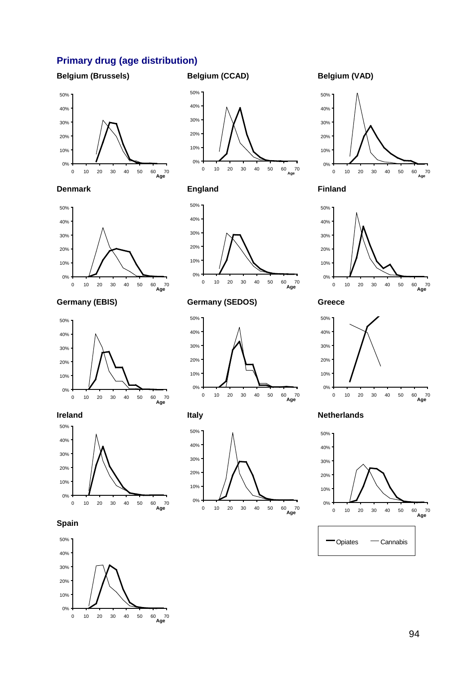# **Primary drug (age distribution)**

### **Belgium (Brussels)**

# **Belgium (CCAD)**







# **Germany (EBIS)**



### **Ireland**



# **Spain**





# **England**



# **Germany (SEDOS)**



## **Italy**



# **Belgium (VAD)**



### **Finland**



### **Greece**



### **Netherlands**

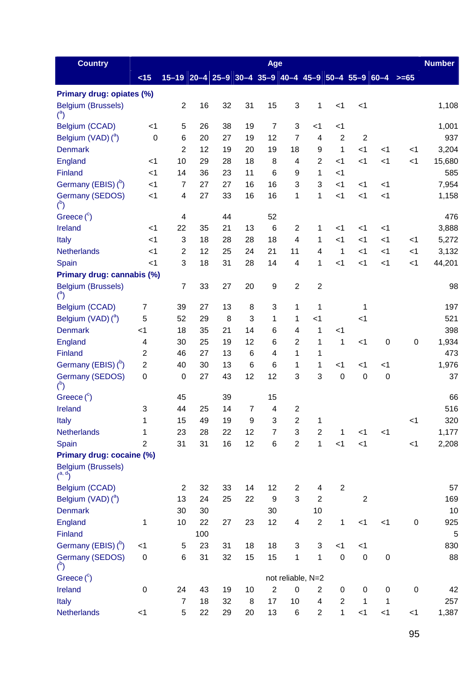| <b>Country</b>                              |                  |                                                      |     |    |                 | Age                      |                |                   |                |                  |                  |                      | <b>Number</b> |
|---------------------------------------------|------------------|------------------------------------------------------|-----|----|-----------------|--------------------------|----------------|-------------------|----------------|------------------|------------------|----------------------|---------------|
|                                             | < 15             | $15-19$ 20-4 25-9 30-4 35-9 40-4 45-9 50-4 55-9 60-4 |     |    |                 |                          |                |                   |                |                  |                  | $\ge$ $\ge$ $\ge$ 65 |               |
| Primary drug: opiates (%)                   |                  |                                                      |     |    |                 |                          |                |                   |                |                  |                  |                      |               |
| <b>Belgium (Brussels)</b><br>$\binom{a}{b}$ |                  | $\overline{2}$                                       | 16  | 32 | 31              | 15                       | 3              | 1                 | $<$ 1          | $<$ 1            |                  |                      | 1,108         |
| Belgium (CCAD)                              | $<$ 1            | 5                                                    | 26  | 38 | 19              | $\overline{7}$           | 3              | $<$ 1             | $<$ 1          |                  |                  |                      | 1,001         |
| Belgium (VAD) ( <sup>a</sup> )              | $\boldsymbol{0}$ | 6                                                    | 20  | 27 | 19              | 12                       | $\overline{7}$ | 4                 | 2              | $\boldsymbol{2}$ |                  |                      | 937           |
| <b>Denmark</b>                              |                  | $\overline{2}$                                       | 12  | 19 | 20              | 19                       | 18             | 9                 | 1              | $<$ 1            | $<$ 1            | $<$ 1                | 3,204         |
| England                                     | $<$ 1            | 10                                                   | 29  | 28 | 18              | 8                        | 4              | $\overline{2}$    | $<$ 1          | $<$ 1            | $<$ 1            | $<$ 1                | 15,680        |
| Finland                                     | $<$ 1            | 14                                                   | 36  | 23 | 11              | 6                        | 9              | 1                 | $<$ 1          |                  |                  |                      | 585           |
| Germany (EBIS) (b)                          | $<$ 1            | $\overline{7}$                                       | 27  | 27 | 16              | 16                       | 3              | 3                 | $<$ 1          | $<$ 1            | $<$ 1            |                      | 7,954         |
| Germany (SEDOS)<br>$\binom{b}{b}$           | $<$ 1            | $\overline{\mathbf{4}}$                              | 27  | 33 | 16              | 16                       | 1              | 1                 | $<$ 1          | $<$ 1            | $<$ 1            |                      | 1,158         |
| Greece $(^c)$                               |                  | 4                                                    |     | 44 |                 | 52                       |                |                   |                |                  |                  |                      | 476           |
| Ireland                                     | $<$ 1            | 22                                                   | 35  | 21 | 13              | 6                        | $\overline{2}$ | 1                 | $<$ 1          | $<$ 1            | $<$ 1            |                      | 3,888         |
| Italy                                       | $<$ 1            | 3                                                    | 18  | 28 | 28              | 18                       | $\overline{4}$ | 1                 | < 1            | $<$ 1            | $<$ 1            | $<$ 1                | 5,272         |
| <b>Netherlands</b>                          | $<$ 1            | $\overline{2}$                                       | 12  | 25 | 24              | 21                       | 11             | 4                 | 1              | $<$ 1            | $<$ 1            | $<$ 1                | 3,132         |
| Spain                                       | $<$ 1            | 3                                                    | 18  | 31 | 28              | 14                       | 4              | 1                 | < 1            | $<$ 1            | $<$ 1            | $\leq$ 1             | 44,201        |
| Primary drug: cannabis (%)                  |                  |                                                      |     |    |                 |                          |                |                   |                |                  |                  |                      |               |
| <b>Belgium (Brussels)</b>                   |                  | $\overline{7}$                                       | 33  | 27 | 20              | 9                        | $\overline{2}$ | $\overline{c}$    |                |                  |                  |                      | 98            |
| Belgium (CCAD)                              | $\overline{7}$   | 39                                                   | 27  | 13 | 8               | 3                        | 1              | 1                 |                | 1                |                  |                      | 197           |
| Belgium (VAD) ( <sup>a</sup> )              | 5                | 52                                                   | 29  | 8  | 3               | 1                        | 1              | $<$ 1             |                | $<$ 1            |                  |                      | 521           |
| <b>Denmark</b>                              | $<$ 1            | 18                                                   | 35  | 21 | 14              | 6                        | 4              | 1                 | $<$ 1          |                  |                  |                      | 398           |
| England                                     | 4                | 30                                                   | 25  | 19 | 12              | 6                        | $\overline{2}$ | 1                 | 1              | $<$ 1            | $\mathbf 0$      | $\mathbf 0$          | 1,934         |
| Finland                                     | $\overline{c}$   | 46                                                   | 27  | 13 | $6\phantom{1}6$ | 4                        | 1              | 1                 |                |                  |                  |                      | 473           |
| Germany (EBIS) (b)                          | $\overline{2}$   | 40                                                   | 30  | 13 | 6               | 6                        | 1              | 1                 | $<$ 1          | $<$ 1            | $<$ 1            |                      | 1,976         |
| Germany (SEDOS)<br>$\binom{b}{b}$           | $\boldsymbol{0}$ | $\boldsymbol{0}$                                     | 27  | 43 | 12              | 12                       | 3              | 3                 | 0              | 0                | $\boldsymbol{0}$ |                      | 37            |
| Greece $(^\circ)$                           |                  | 45                                                   |     | 39 |                 | 15                       |                |                   |                |                  |                  |                      | 66            |
| Ireland                                     | 3                | 44                                                   | 25  | 14 | 7               | $\overline{\mathcal{A}}$ | $\overline{c}$ |                   |                |                  |                  |                      | 516           |
| Italy                                       | 1                | 15                                                   | 49  | 19 | 9               | 3                        | $\mathbf{2}$   | 1                 |                |                  |                  | $<$ 1                | 320           |
| Netherlands                                 | 1                | 23                                                   | 28  | 22 | 12              | $\overline{7}$           | $\mathfrak{S}$ | $\overline{2}$    | $\mathbf{1}$   | $<$ 1            | $<$ 1            |                      | 1,177         |
| Spain                                       | $\overline{2}$   | 31                                                   | 31  | 16 | 12              | 6                        | $\overline{2}$ | $\mathbf{1}$      | < 1            | < 1              |                  | $<$ 1                | 2,208         |
| Primary drug: cocaine (%)                   |                  |                                                      |     |    |                 |                          |                |                   |                |                  |                  |                      |               |
| <b>Belgium (Brussels)</b>                   |                  |                                                      |     |    |                 |                          |                |                   |                |                  |                  |                      |               |
| Belgium (CCAD)                              |                  | $\overline{2}$                                       | 32  | 33 | 14              | 12                       | 2              | 4                 | $\overline{2}$ |                  |                  |                      | 57            |
| Belgium (VAD) ( <sup>a</sup> )              |                  | 13                                                   | 24  | 25 | 22              | 9                        | 3              | $\overline{2}$    |                | $\overline{2}$   |                  |                      | 169           |
| <b>Denmark</b>                              |                  | 30                                                   | 30  |    |                 | 30                       |                | 10                |                |                  |                  |                      | 10            |
| England                                     | 1                | 10                                                   | 22  | 27 | 23              | 12                       | 4              | $\overline{2}$    | 1              | $<$ 1            | $<$ 1            | $\pmb{0}$            | 925           |
| Finland                                     |                  |                                                      | 100 |    |                 |                          |                |                   |                |                  |                  |                      | $\sqrt{5}$    |
| Germany (EBIS) (b)                          | $<$ 1            | 5                                                    | 23  | 31 | 18              | 18                       | $\sqrt{3}$     | 3                 | $<$ 1          | $<$ 1            |                  |                      | 830           |
| Germany (SEDOS)<br>$\binom{b}{b}$           | $\boldsymbol{0}$ | $\,6$                                                | 31  | 32 | 15              | 15                       | 1              | 1                 | $\mathbf 0$    | $\pmb{0}$        | $\pmb{0}$        |                      | 88            |
| Greece $(^c)$                               |                  |                                                      |     |    |                 |                          |                | not reliable, N=2 |                |                  |                  |                      |               |
| Ireland                                     | $\mathbf 0$      | 24                                                   | 43  | 19 | 10              | $\overline{2}$           | $\mathbf 0$    | 2                 | 0              | $\pmb{0}$        | $\pmb{0}$        | $\boldsymbol{0}$     | 42            |
| Italy                                       |                  | $\overline{7}$                                       | 18  | 32 | 8               | 17                       | 10             | 4                 | $\overline{2}$ | $\mathbf{1}$     | 1                |                      | 257           |
| Netherlands                                 | $<$ 1            | 5                                                    | 22  | 29 | 20              | 13                       | 6              | $\overline{2}$    | $\mathbf{1}$   | $<$ 1            | $<$ 1            | $<$ 1                | 1,387         |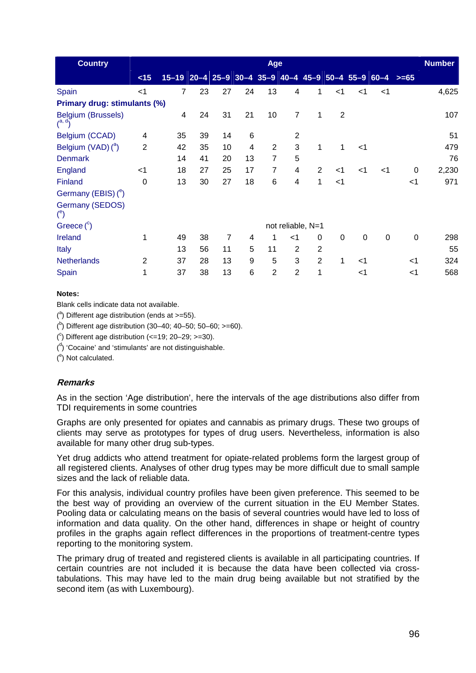| <b>Country</b>                             |                |                                                           |    |                |                | Age            |                   |                |                |             |          |          | <b>Number</b> |
|--------------------------------------------|----------------|-----------------------------------------------------------|----|----------------|----------------|----------------|-------------------|----------------|----------------|-------------|----------|----------|---------------|
|                                            | < 15           | $15-19$ 20-4 25-9 30-4 35-9 40-4 45-9 50-4 55-9 60-4 >=65 |    |                |                |                |                   |                |                |             |          |          |               |
| Spain                                      | $<$ 1          | 7                                                         | 23 | 27             | 24             | 13             | 4                 | 1              | $<$ 1          | $<$ 1       | $<$ 1    |          | 4,625         |
| Primary drug: stimulants (%)               |                |                                                           |    |                |                |                |                   |                |                |             |          |          |               |
| Belgium (Brussels)<br>$\mathcal{L}^{a, d}$ |                | 4                                                         | 24 | 31             | 21             | 10             | $\overline{7}$    | 1              | $\overline{2}$ |             |          |          | 107           |
| Belgium (CCAD)                             | $\overline{4}$ | 35                                                        | 39 | 14             | 6              |                | 2                 |                |                |             |          |          | 51            |
| Belgium (VAD) ( <sup>a</sup> )             | $\overline{2}$ | 42                                                        | 35 | 10             | $\overline{4}$ | 2              | 3                 | 1              | 1              | $<$ 1       |          |          | 479           |
| <b>Denmark</b>                             |                | 14                                                        | 41 | 20             | 13             | $\overline{7}$ | 5                 |                |                |             |          |          | 76            |
| <b>England</b>                             | $<$ 1          | 18                                                        | 27 | 25             | 17             | 7              | 4                 | 2              | $<$ 1          | <1          | $<$ 1    | $\Omega$ | 2,230         |
| Finland                                    | 0              | 13                                                        | 30 | 27             | 18             | 6              | 4                 | 1              | $<$ 1          |             |          | $<$ 1    | 971           |
| Germany (EBIS) $(^e)$                      |                |                                                           |    |                |                |                |                   |                |                |             |          |          |               |
| <b>Germany (SEDOS)</b><br>$^{\circ}$       |                |                                                           |    |                |                |                |                   |                |                |             |          |          |               |
| Greece $(^\circ)$                          |                |                                                           |    |                |                |                | not reliable, N=1 |                |                |             |          |          |               |
| Ireland                                    | 1              | 49                                                        | 38 | $\overline{7}$ | 4              | 1              | $<$ 1             | $\Omega$       | $\mathbf 0$    | $\mathbf 0$ | $\Omega$ | $\Omega$ | 298           |
| <b>Italy</b>                               |                | 13                                                        | 56 | 11             | 5              | 11             | $\overline{2}$    | $\overline{2}$ |                |             |          |          | 55            |
| <b>Netherlands</b>                         | 2              | 37                                                        | 28 | 13             | 9              | 5              | 3                 | 2              | 1              | <1          |          | $<$ 1    | 324           |
| Spain                                      | 1              | 37                                                        | 38 | 13             | 6              | $\overline{2}$ | $\overline{2}$    | 1              |                | ا>          |          | $<$ 1    | 568           |

Blank cells indicate data not available.

 $($ <sup>a</sup>) Different age distribution (ends at >=55).

 $($ <sup>b</sup>) Different age distribution (30–40; 40–50; 50–60; >=60).

 $(^{\circ})$  Different age distribution (<=19; 20-29; >=30).

 $\binom{d}{k}$  'Cocaine' and 'stimulants' are not distinguishable.

 $(°)$  Not calculated.

# **Remarks**

As in the section 'Age distribution', here the intervals of the age distributions also differ from TDI requirements in some countries

Graphs are only presented for opiates and cannabis as primary drugs. These two groups of clients may serve as prototypes for types of drug users. Nevertheless, information is also available for many other drug sub-types.

Yet drug addicts who attend treatment for opiate-related problems form the largest group of all registered clients. Analyses of other drug types may be more difficult due to small sample sizes and the lack of reliable data.

For this analysis, individual country profiles have been given preference. This seemed to be the best way of providing an overview of the current situation in the EU Member States. Pooling data or calculating means on the basis of several countries would have led to loss of information and data quality. On the other hand, differences in shape or height of country profiles in the graphs again reflect differences in the proportions of treatment-centre types reporting to the monitoring system.

The primary drug of treated and registered clients is available in all participating countries. If certain countries are not included it is because the data have been collected via crosstabulations. This may have led to the main drug being available but not stratified by the second item (as with Luxembourg).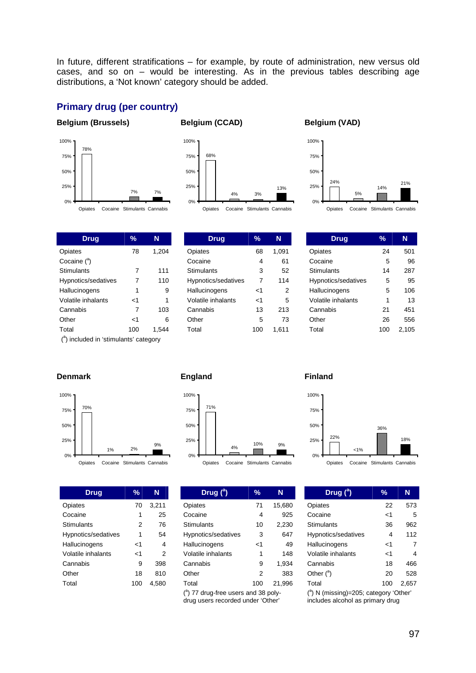In future, different stratifications – for example, by route of administration, new versus old cases, and so on – would be interesting. As in the previous tables describing age distributions, a 'Not known' category should be added.

# **Primary drug (per country)**

### **Belgium (Brussels)**



### **Belgium (CCAD)**



### **Belgium (VAD)**



**Drug 7% N** Opiates 78 1,204 Cocaine (<sup>a</sup>) Stimulants 7 111 Hypnotics/sedatives 7 110 Hallucinogens 1 9 Volatile inhalants  $\leq 1$  1 Cannabis 7 103 Other <1 6 Total 100 1,544

| Drug                | %        | N     |
|---------------------|----------|-------|
| Opiates             | 68       | 1,091 |
| Cocaine             | 4        | 61    |
| <b>Stimulants</b>   | 3        | 52    |
| Hypnotics/sedatives | 7        | 114   |
| Hallucinogens       | ہ ۔      | 2     |
| Volatile inhalants  | $\leq$ 1 | 5     |
| Cannabis            | 13       | 213   |
| Other               | 5        | 73    |
| Total               | 100      | 1.611 |

| Drug                | %   | N     |
|---------------------|-----|-------|
| Opiates             | 24  | 501   |
| Cocaine             | 5   | 96    |
| Stimulants          | 14  | 287   |
| Hypnotics/sedatives | 5   | 95    |
| Hallucinogens       | 5   | 106   |
| Volatile inhalants  | 1   | 13    |
| Cannabis            | 21  | 451   |
| Other               | 26  | 556   |
| Total               | 100 | 2.105 |

(<sup>a</sup>) included in 'stimulants' category

#### **Denmark**



**Drug % N**  Opiates 70 3,211 Cocaine 1 25 Stimulants 2 76

| Hypnotics/sedatives | 1   | 54    |
|---------------------|-----|-------|
| Hallucinogens       | ا>  | 4     |
| Volatile inhalants  | ا>  | 2     |
| Cannabis            | g   | 398   |
| Other               | 18  | 810   |
| Total               | 100 | 4,580 |

#### **England**



| Drug $(^a)$                                     | %   | N      |  |  |  |  |
|-------------------------------------------------|-----|--------|--|--|--|--|
| Opiates                                         | 71  | 15,680 |  |  |  |  |
| Cocaine                                         | 4   | 925    |  |  |  |  |
| Stimulants                                      | 10  | 2.230  |  |  |  |  |
| Hypnotics/sedatives                             | 3   | 647    |  |  |  |  |
| Hallucinogens                                   | ا>  | 49     |  |  |  |  |
| Volatile inhalants                              | 1   | 148    |  |  |  |  |
| Cannabis                                        | 9   | 1.934  |  |  |  |  |
| Other                                           | 2   | 383    |  |  |  |  |
| Total                                           | 100 | 21.996 |  |  |  |  |
| $^{\text{a}}$ ) 77 drug-free users and 38 poly- |     |        |  |  |  |  |

drug users recorded under 'Other'

### **Finland**



|  | Opiates Cocaine Stimulants Cannabis |  |
|--|-------------------------------------|--|
|  |                                     |  |

| Drug ( <sup>a</sup> )      | ℀   | N     |
|----------------------------|-----|-------|
| Opiates                    | 22  | 573   |
| Cocaine                    | ا>  | 5     |
| Stimulants                 | 36  | 962   |
| Hypnotics/sedatives        | 4   | 112   |
| Hallucinogens              | -1  | 7     |
| Volatile inhalants         | ا>  | 4     |
| Cannabis                   | 18  | 466   |
| Other $($ <sup>a</sup> $)$ | 20  | 528   |
| Total                      | 100 | 2.657 |

( a ) N (missing)=205; category 'Other' includes alcohol as primary drug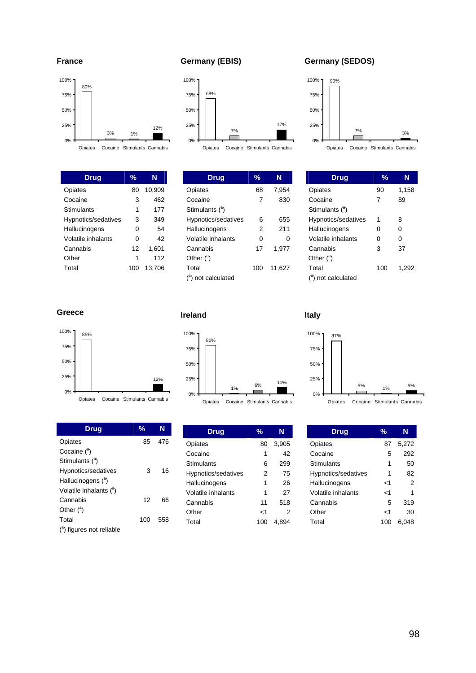

| Drua                | $\frac{0}{2}$ | N      |
|---------------------|---------------|--------|
| Opiates             | 80            | 10,909 |
| Cocaine             | 3             | 462    |
| Stimulants          | 1             | 177    |
| Hypnotics/sedatives | 3             | 349    |
| Hallucinogens       | 0             | 54     |
| Volatile inhalants  | 0             | 42     |
| Cannabis            | 12            | 1,601  |
| Other               | 1             | 112    |
| Total               | 100           | 13.706 |
|                     |               |        |

# **Germany (EBIS)**



Opiates Cocaine Stimulants Cannabis

| Drug                        | %   | N      |
|-----------------------------|-----|--------|
| Opiates                     | 68  | 7.954  |
| Cocaine                     | 7   | 830    |
| Stimulants ( <sup>a</sup> ) |     |        |
| Hypnotics/sedatives         | 6   | 655    |
| Hallucinogens               | 2   | 211    |
| Volatile inhalants          | 0   | 0      |
| Cannabis                    | 17  | 1.977  |
| Other $($ <sup>a</sup> $)$  |     |        |
| Total                       | 100 | 11.627 |
| not calculated              |     |        |

# **Germany (SEDOS)**



Opiates Cocaine Stimulants Cannabis

| Drug                            | %   | N     |
|---------------------------------|-----|-------|
| Opiates                         | 90  | 1,158 |
| Cocaine                         | 7   | 89    |
| Stimulants ( <sup>a</sup> )     |     |       |
| Hypnotics/sedatives             | 1   | 8     |
| Hallucinogens                   | 0   | 0     |
| Volatile inhalants              | 0   | 0     |
| Cannabis                        | 3   | 37    |
| Other $($ <sup>a</sup> $)$      |     |       |
| Total                           | 100 | 1,292 |
| ( <sup>a</sup> ) not calculated |     |       |

### **Greece**



| Drua                                  | %   | N   |
|---------------------------------------|-----|-----|
| Opiates                               | 85  | 476 |
| Cocaine ( <sup>a</sup> )              |     |     |
| Stimulants ( <sup>a</sup> )           |     |     |
| Hypnotics/sedatives                   | з   | 16  |
| Hallucinogens ( <sup>a</sup> )        |     |     |
| Volatile inhalants ( <sup>a</sup> )   |     |     |
| Cannabis                              | 12  | 66  |
| Other $($ <sup>a</sup> $)$            |     |     |
| Total                                 | 100 | 558 |
| ( <sup>a</sup> ) figures not reliable |     |     |

# **Ireland**



| Drug                | $\frac{9}{6}$ | Ν     |  |
|---------------------|---------------|-------|--|
| Opiates             | 80            | 3,905 |  |
| Cocaine             | 1             | 42    |  |
| <b>Stimulants</b>   | 6             | 299   |  |
| Hypnotics/sedatives | 2             | 75    |  |
| Hallucinogens       | 1             | 26    |  |
| Volatile inhalants  | 1             | 27    |  |
| Cannabis            | 11            | 518   |  |
| Other               | 1 -           | 2     |  |
| Total               |               | 4.8   |  |

**Italy** 



Opiates Cocaine Stimulants Cannabis

| Drug                | ℆   | N     |
|---------------------|-----|-------|
| Opiates             | 87  | 5,272 |
| Cocaine             | 5   | 292   |
| Stimulants          | 1   | 50    |
| Hypnotics/sedatives | 1   | 82    |
| Hallucinogens       | ا>  | 2     |
| Volatile inhalants  | -1  | 1     |
| Cannabis            | 5   | 319   |
| Other               | 1ح  | 30    |
| Total               | 100 | 6.048 |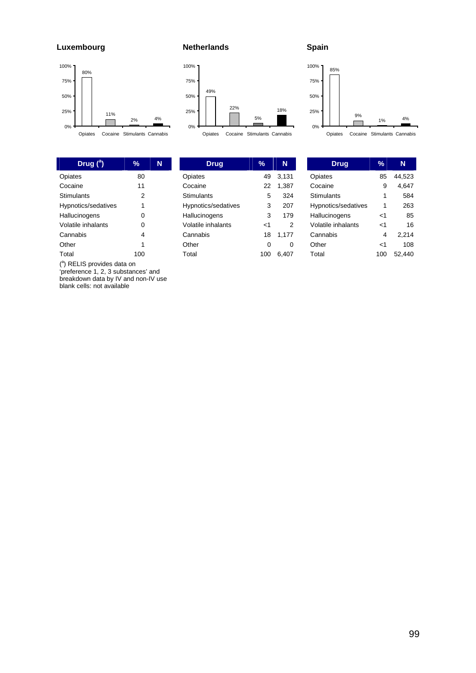**Luxembourg** 





( a ) RELIS provides data on

'preference 1, 2, 3 substances' and breakdown data by IV and non-IV use blank cells: not available

#### **Netherlands**



| Drua                | %   | N     |
|---------------------|-----|-------|
| Opiates             | 49  | 3,131 |
| Cocaine             | 22  | 1,387 |
| Stimulants          | 5   | 324   |
| Hypnotics/sedatives | 3   | 207   |
| Hallucinogens       | 3   | 179   |
| Volatile inhalants  | ا>  | 2     |
| Cannabis            | 18  | 1,177 |
| Other               | 0   | 0     |
| Total               | 100 | 6,407 |



Opiates Cocaine Stimulants Cannabis

| Drug                | %   | N      |
|---------------------|-----|--------|
| Opiates             | 85  | 44.523 |
| Cocaine             | 9   | 4.647  |
| Stimulants          | 1   | 584    |
| Hypnotics/sedatives | 1   | 263    |
| Hallucinogens       | -1  | 85     |
| Volatile inhalants  | -1  | 16     |
| Cannabis            | 4   | 2.214  |
| Other               | -1  | 108    |
| Total               | 100 | 52,440 |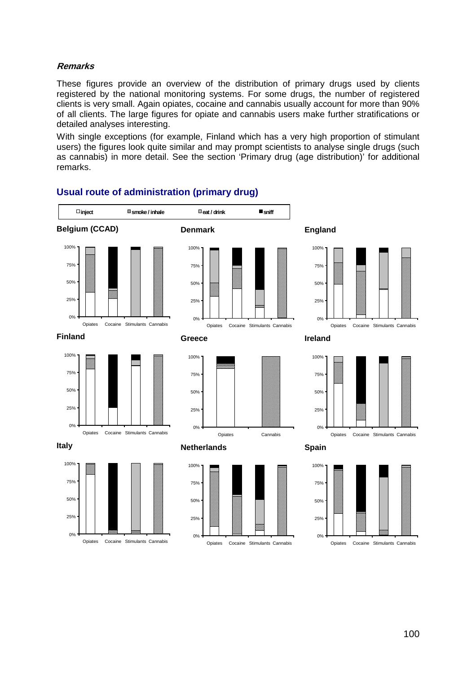## **Remarks**

These figures provide an overview of the distribution of primary drugs used by clients registered by the national monitoring systems. For some drugs, the number of registered clients is very small. Again opiates, cocaine and cannabis usually account for more than 90% of all clients. The large figures for opiate and cannabis users make further stratifications or detailed analyses interesting.

With single exceptions (for example, Finland which has a very high proportion of stimulant users) the figures look quite similar and may prompt scientists to analyse single drugs (such as cannabis) in more detail. See the section 'Primary drug (age distribution)' for additional remarks.



# **Usual route of administration (primary drug)**

Opiates Cocaine Stimulants Cannabis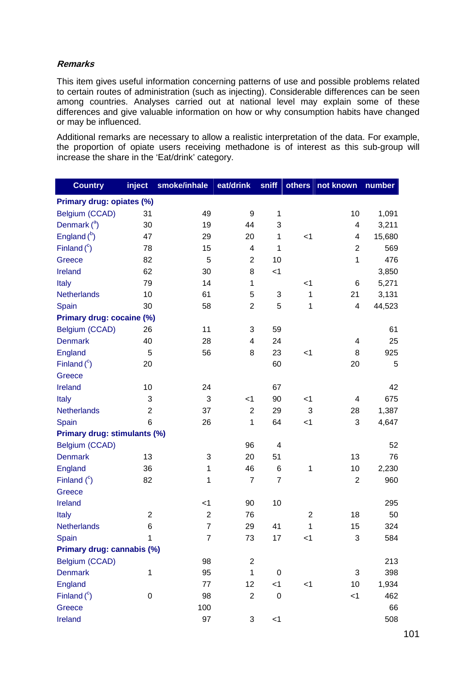### **Remarks**

This item gives useful information concerning patterns of use and possible problems related to certain routes of administration (such as injecting). Considerable differences can be seen among countries. Analyses carried out at national level may explain some of these differences and give valuable information on how or why consumption habits have changed or may be influenced.

Additional remarks are necessary to allow a realistic interpretation of the data. For example, the proportion of opiate users receiving methadone is of interest as this sub-group will increase the share in the 'Eat/drink' category.

| <b>Country</b>               | inject           | smoke/inhale   | eat/drink      | sniff          | others         | not known                 | number |
|------------------------------|------------------|----------------|----------------|----------------|----------------|---------------------------|--------|
| Primary drug: opiates (%)    |                  |                |                |                |                |                           |        |
| Belgium (CCAD)               | 31               | 49             | 9              | 1              |                | 10                        | 1,091  |
| Denmark $(^a)$               | 30               | 19             | 44             | 3              |                | 4                         | 3,211  |
| England $(^{b})$             | 47               | 29             | 20             | 1              | < 1            | 4                         | 15,680 |
| Finland $(^\circ)$           | 78               | 15             | 4              | 1              |                | $\overline{2}$            | 569    |
| Greece                       | 82               | 5              | $\overline{2}$ | 10             |                | 1                         | 476    |
| Ireland                      | 62               | 30             | 8              | $<$ 1          |                |                           | 3,850  |
| Italy                        | 79               | 14             | 1              |                | $<$ 1          | 6                         | 5,271  |
| Netherlands                  | 10               | 61             | 5              | 3              | 1              | 21                        | 3,131  |
| Spain                        | 30               | 58             | $\overline{2}$ | 5              | 1              | 4                         | 44,523 |
| Primary drug: cocaine (%)    |                  |                |                |                |                |                           |        |
| Belgium (CCAD)               | 26               | 11             | 3              | 59             |                |                           | 61     |
| <b>Denmark</b>               | 40               | 28             | 4              | 24             |                | 4                         | 25     |
| <b>England</b>               | 5                | 56             | 8              | 23             | < 1            | 8                         | 925    |
| Finland $(^c)$               | 20               |                |                | 60             |                | 20                        | 5      |
| Greece                       |                  |                |                |                |                |                           |        |
| Ireland                      | 10               | 24             |                | 67             |                |                           | 42     |
| Italy                        | 3                | 3              | $<$ 1          | 90             | $<$ 1          | 4                         | 675    |
| <b>Netherlands</b>           | $\overline{2}$   | 37             | $\overline{2}$ | 29             | 3              | 28                        | 1,387  |
| Spain                        | 6                | 26             | 1              | 64             | $<$ 1          | 3                         | 4,647  |
| Primary drug: stimulants (%) |                  |                |                |                |                |                           |        |
| Belgium (CCAD)               |                  |                | 96             | 4              |                |                           | 52     |
| <b>Denmark</b>               | 13               | 3              | 20             | 51             |                | 13                        | 76     |
| <b>England</b>               | 36               | 1              | 46             | $\,6$          | 1              | 10                        | 2,230  |
| Finland $(^c)$               | 82               | 1              | $\overline{7}$ | $\overline{7}$ |                | $\overline{2}$            | 960    |
| Greece                       |                  |                |                |                |                |                           |        |
| Ireland                      |                  | $<$ 1          | 90             | 10             |                |                           | 295    |
| Italy                        | $\overline{2}$   | $\overline{2}$ | 76             |                | $\overline{2}$ | 18                        | 50     |
| <b>Netherlands</b>           | 6                | $\overline{7}$ | 29             | 41             | 1              | 15                        | 324    |
| Spain                        | 1                | $\overline{7}$ | 73             | 17             | $<$ 1          | $\ensuremath{\mathsf{3}}$ | 584    |
| Primary drug: cannabis (%)   |                  |                |                |                |                |                           |        |
| Belgium (CCAD)               |                  | 98             | $\overline{2}$ |                |                |                           | 213    |
| <b>Denmark</b>               | 1                | 95             | 1              | $\mathbf 0$    |                | 3                         | 398    |
| England                      |                  | 77             | 12             | $<$ 1          | $<$ 1          | 10                        | 1,934  |
| Finland $(^c)$               | $\boldsymbol{0}$ | 98             | $\sqrt{2}$     | $\pmb{0}$      |                | < 1                       | 462    |
| Greece                       |                  | 100            |                |                |                |                           | 66     |
| Ireland                      |                  | 97             | 3              | $<$ 1          |                |                           | 508    |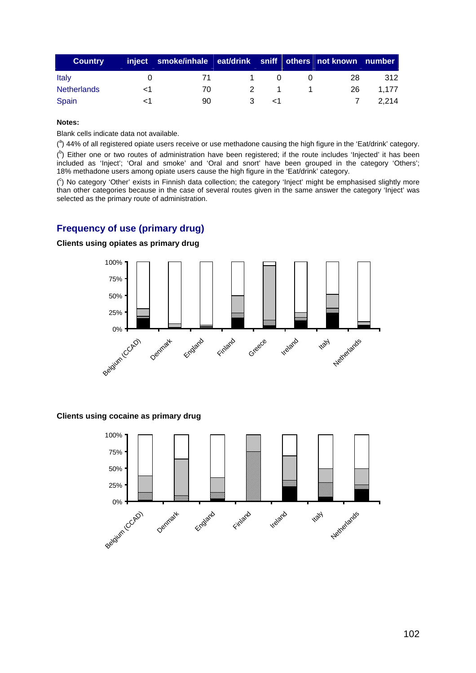| <b>Country</b>     | inject   smoke/inhale   eat/drink   sniff   others   not known   number |               |  |     |       |
|--------------------|-------------------------------------------------------------------------|---------------|--|-----|-------|
| <b>Italy</b>       | $\sqrt{1}$                                                              |               |  | 28  | 312   |
| <b>Netherlands</b> | 70.                                                                     | $\mathcal{P}$ |  | 26. | 1.177 |
| Spain              | 90.                                                                     |               |  |     | 2.214 |

### **Notes:**

Blank cells indicate data not available.

 $(3)$  44% of all registered opiate users receive or use methadone causing the high figure in the 'Eat/drink' category.  $($ <sup>b</sup>) Either one or two routes of administration have been registered; if the route includes 'Injected' it has been included as 'Inject'; 'Oral and smoke' and 'Oral and snort' have been grouped in the category 'Others'; 18% methadone users among opiate users cause the high figure in the 'Eat/drink' category.

( c ) No category 'Other' exists in Finnish data collection; the category 'Inject' might be emphasised slightly more than other categories because in the case of several routes given in the same answer the category 'Inject' was selected as the primary route of administration.

# **Frequency of use (primary drug)**

### **Clients using opiates as primary drug**



### **Clients using cocaine as primary drug**

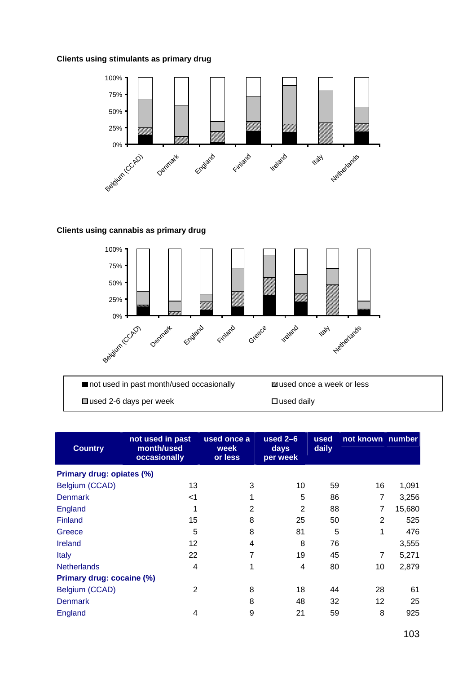### **Clients using stimulants as primary drug**



## **Clients using cannabis as primary drug**



F...

 $\square$  used 2-6 days per week

 $\square$  used daily

| <b>Country</b>            | not used in past<br>month/used<br>occasionally | used once a<br>week<br>or less | used $2-6$<br><b>days</b><br>per week | used<br>daily | not known number |        |
|---------------------------|------------------------------------------------|--------------------------------|---------------------------------------|---------------|------------------|--------|
| Primary drug: opiates (%) |                                                |                                |                                       |               |                  |        |
| Belgium (CCAD)            | 13                                             | 3                              | 10                                    | 59            | 16               | 1,091  |
| <b>Denmark</b>            | $<$ 1                                          |                                | 5                                     | 86            | 7                | 3,256  |
| <b>England</b>            | 1                                              | $\overline{2}$                 | $\overline{2}$                        | 88            | 7                | 15,680 |
| Finland                   | 15                                             | 8                              | 25                                    | 50            | $\overline{2}$   | 525    |
| Greece                    | 5                                              | 8                              | 81                                    | 5             | 1                | 476    |
| <b>Ireland</b>            | 12                                             | 4                              | 8                                     | 76            |                  | 3,555  |
| <b>Italy</b>              | 22                                             | 7                              | 19                                    | 45            | $\overline{7}$   | 5,271  |
| <b>Netherlands</b>        | 4                                              |                                | 4                                     | 80            | 10               | 2,879  |
| Primary drug: cocaine (%) |                                                |                                |                                       |               |                  |        |
| Belgium (CCAD)            | 2                                              | 8                              | 18                                    | 44            | 28               | 61     |
| <b>Denmark</b>            |                                                | 8                              | 48                                    | 32            | 12               | 25     |
| England                   | 4                                              | 9                              | 21                                    | 59            | 8                | 925    |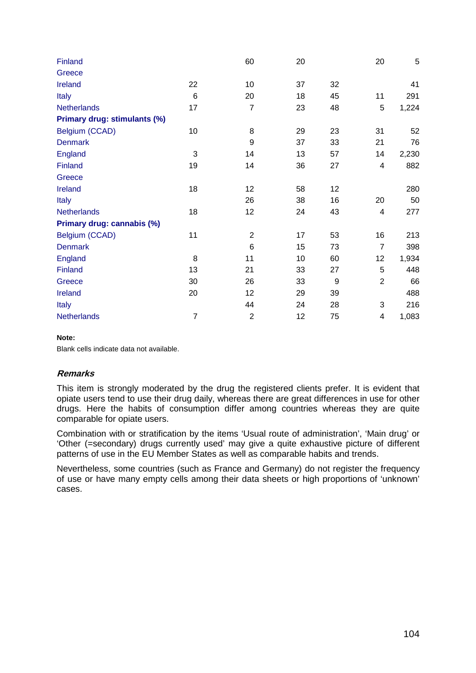| Finland                      |                | 60               | 20 |    | 20             | $\overline{5}$ |
|------------------------------|----------------|------------------|----|----|----------------|----------------|
| Greece                       |                |                  |    |    |                |                |
| Ireland                      | 22             | 10               | 37 | 32 |                | 41             |
| <b>Italy</b>                 | $6\phantom{1}$ | 20               | 18 | 45 | 11             | 291            |
| <b>Netherlands</b>           | 17             | $\overline{7}$   | 23 | 48 | 5              | 1,224          |
| Primary drug: stimulants (%) |                |                  |    |    |                |                |
| Belgium (CCAD)               | 10             | 8                | 29 | 23 | 31             | 52             |
| <b>Denmark</b>               |                | $\boldsymbol{9}$ | 37 | 33 | 21             | 76             |
| England                      | 3              | 14               | 13 | 57 | 14             | 2,230          |
| Finland                      | 19             | 14               | 36 | 27 | 4              | 882            |
| Greece                       |                |                  |    |    |                |                |
| <b>Ireland</b>               | 18             | 12               | 58 | 12 |                | 280            |
| Italy                        |                | 26               | 38 | 16 | 20             | 50             |
| <b>Netherlands</b>           | 18             | 12               | 24 | 43 | 4              | 277            |
| Primary drug: cannabis (%)   |                |                  |    |    |                |                |
| Belgium (CCAD)               | 11             | $\overline{2}$   | 17 | 53 | 16             | 213            |
| <b>Denmark</b>               |                | $\,6$            | 15 | 73 | $\overline{7}$ | 398            |
| <b>England</b>               | 8              | 11               | 10 | 60 | 12             | 1,934          |
| Finland                      | 13             | 21               | 33 | 27 | 5              | 448            |
| Greece                       | 30             | 26               | 33 | 9  | $\overline{2}$ | 66             |
| Ireland                      | 20             | 12               | 29 | 39 |                | 488            |
| <b>Italy</b>                 |                | 44               | 24 | 28 | 3              | 216            |
| <b>Netherlands</b>           | $\overline{7}$ | $\overline{c}$   | 12 | 75 | 4              | 1,083          |

### **Note:**

Blank cells indicate data not available.

### **Remarks**

This item is strongly moderated by the drug the registered clients prefer. It is evident that opiate users tend to use their drug daily, whereas there are great differences in use for other drugs. Here the habits of consumption differ among countries whereas they are quite comparable for opiate users.

Combination with or stratification by the items 'Usual route of administration', 'Main drug' or 'Other (=secondary) drugs currently used' may give a quite exhaustive picture of different patterns of use in the EU Member States as well as comparable habits and trends.

Nevertheless, some countries (such as France and Germany) do not register the frequency of use or have many empty cells among their data sheets or high proportions of 'unknown' cases.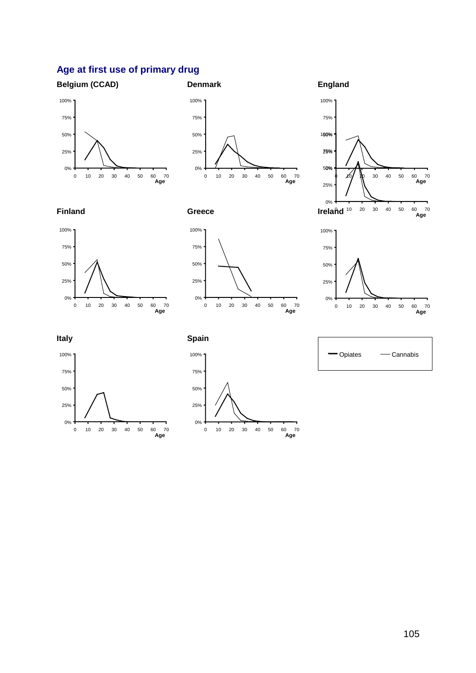# **Age at first use of primary drug**

# **Belgium (CCAD)**



# **Denmark**

**England** 

0%















**Finland** 

50%

75%

100%









0 10 20 30 40 50 60 70 **Age**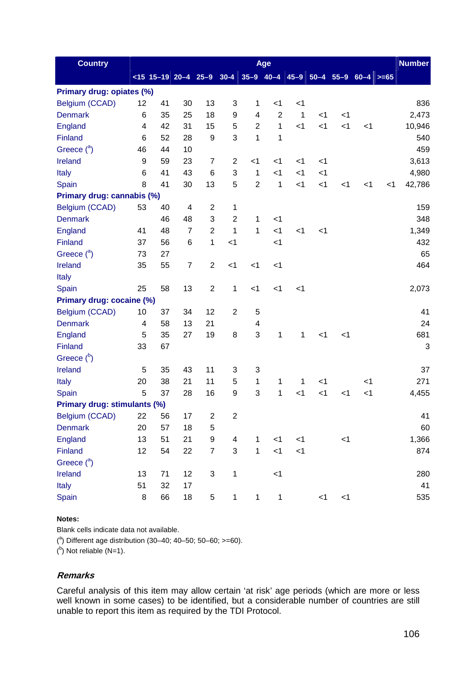| <b>Country</b>               |                           |    |                |                           |                |                | Age                                  |              |       |       |       |       | <b>Number</b> |
|------------------------------|---------------------------|----|----------------|---------------------------|----------------|----------------|--------------------------------------|--------------|-------|-------|-------|-------|---------------|
|                              | $ 15 - 19 $ 20 - 4 25 - 9 |    |                |                           | $30 - 4$       |                | $ 35-9 40-4 45-9 50-4 55-9 60-4 >55$ |              |       |       |       |       |               |
| Primary drug: opiates (%)    |                           |    |                |                           |                |                |                                      |              |       |       |       |       |               |
| Belgium (CCAD)               | 12                        | 41 | 30             | 13                        | 3              | 1              | $<$ 1                                | $<$ 1        |       |       |       |       | 836           |
| <b>Denmark</b>               | 6                         | 35 | 25             | 18                        | 9              | 4              | $\overline{2}$                       | $\mathbf{1}$ | < 1   | $<$ 1 |       |       | 2,473         |
| England                      | $\overline{4}$            | 42 | 31             | 15                        | 5              | $\overline{2}$ | 1                                    | < 1          | $<$ 1 | $<$ 1 | $<$ 1 |       | 10,946        |
| Finland                      | 6                         | 52 | 28             | 9                         | 3              | 1              | 1                                    |              |       |       |       |       | 540           |
| Greece $(^a)$                | 46                        | 44 | 10             |                           |                |                |                                      |              |       |       |       |       | 459           |
| <b>Ireland</b>               | 9                         | 59 | 23             | $\overline{7}$            | $\overline{2}$ | $<$ 1          | $<$ 1                                | $<$ 1        | $<$ 1 |       |       |       | 3,613         |
| Italy                        | $6\phantom{1}$            | 41 | 43             | $6\phantom{1}6$           | 3              | 1              | < 1                                  | $<$ 1        | $<$ 1 |       |       |       | 4,980         |
| Spain                        | 8                         | 41 | 30             | 13                        | 5              | $\overline{2}$ | 1                                    | < 1          | < 1   | $<$ 1 | $<$ 1 | $<$ 1 | 42,786        |
| Primary drug: cannabis (%)   |                           |    |                |                           |                |                |                                      |              |       |       |       |       |               |
| Belgium (CCAD)               | 53                        | 40 | 4              | $\overline{2}$            | 1              |                |                                      |              |       |       |       |       | 159           |
| <b>Denmark</b>               |                           | 46 | 48             | 3                         | $\overline{2}$ | 1              | $<$ 1                                |              |       |       |       |       | 348           |
| England                      | 41                        | 48 | $\overline{7}$ | $\overline{2}$            | $\mathbf 1$    | 1              | $<$ 1                                | $<$ 1        | $<$ 1 |       |       |       | 1,349         |
| Finland                      | 37                        | 56 | 6              | $\mathbf{1}$              | $<$ 1          |                | $<$ 1                                |              |       |       |       |       | 432           |
| Greece $(^a)$                | 73                        | 27 |                |                           |                |                |                                      |              |       |       |       |       | 65            |
| Ireland                      | 35                        | 55 | $\overline{7}$ | $\overline{2}$            | $<$ 1          | < 1            | $<$ 1                                |              |       |       |       |       | 464           |
| Italy                        |                           |    |                |                           |                |                |                                      |              |       |       |       |       |               |
| Spain                        | 25                        | 58 | 13             | $\overline{2}$            | 1              | < 1            | $<$ 1                                | < 1          |       |       |       |       | 2,073         |
| Primary drug: cocaine (%)    |                           |    |                |                           |                |                |                                      |              |       |       |       |       |               |
| Belgium (CCAD)               | 10                        | 37 | 34             | 12                        | $\overline{2}$ | 5              |                                      |              |       |       |       |       | 41            |
| <b>Denmark</b>               | 4                         | 58 | 13             | 21                        |                | 4              |                                      |              |       |       |       |       | 24            |
| England                      | 5                         | 35 | 27             | 19                        | 8              | 3              | 1                                    | 1            | < 1   | $<$ 1 |       |       | 681           |
| Finland                      | 33                        | 67 |                |                           |                |                |                                      |              |       |       |       |       | 3             |
| Greece $(^{b})$              |                           |    |                |                           |                |                |                                      |              |       |       |       |       |               |
| <b>Ireland</b>               | 5                         | 35 | 43             | 11                        | 3              | 3              |                                      |              |       |       |       |       | 37            |
| Italy                        | 20                        | 38 | 21             | 11                        | 5              | 1              | 1                                    | 1            | $<$ 1 |       | $<$ 1 |       | 271           |
| Spain                        | 5                         | 37 | 28             | 16                        | 9              | 3              | 1                                    | $<$ 1        | $<$ 1 | $<$ 1 | $<$ 1 |       | 4,455         |
| Primary drug: stimulants (%) |                           |    |                |                           |                |                |                                      |              |       |       |       |       |               |
| Belgium (CCAD)               | 22                        | 56 | 17             | $\boldsymbol{2}$          | $\overline{c}$ |                |                                      |              |       |       |       |       | 41            |
| <b>Denmark</b>               | 20                        | 57 | 18             | 5                         |                |                |                                      |              |       |       |       |       | 60            |
| <b>England</b>               | 13                        | 51 | 21             | 9                         | 4              | 1              | < 1                                  | < 1          |       | < 1   |       |       | 1,366         |
| Finland                      | 12                        | 54 | 22             | $\overline{7}$            | 3              | $\mathbf{1}$   | < 1                                  | < 1          |       |       |       |       | 874           |
| Greece $(^a)$                |                           |    |                |                           |                |                |                                      |              |       |       |       |       |               |
| <b>Ireland</b>               | 13                        | 71 | 12             | $\ensuremath{\mathsf{3}}$ | 1              |                | < 1                                  |              |       |       |       |       | 280           |
| Italy                        | 51                        | 32 | 17             |                           |                |                |                                      |              |       |       |       |       | 41            |
| Spain                        | 8                         | 66 | $18$           | 5                         | $\mathbf{1}$   | $\mathbf{1}$   | $\mathbf 1$                          |              | $<$ 1 | $<$ 1 |       |       | 535           |

### **Notes:**

Blank cells indicate data not available.

 $(^{a})$  Different age distribution (30-40; 40-50; 50-60; >=60).

 $($ <sup>b</sup>) Not reliable (N=1).

### **Remarks**

Careful analysis of this item may allow certain 'at risk' age periods (which are more or less well known in some cases) to be identified, but a considerable number of countries are still unable to report this item as required by the TDI Protocol.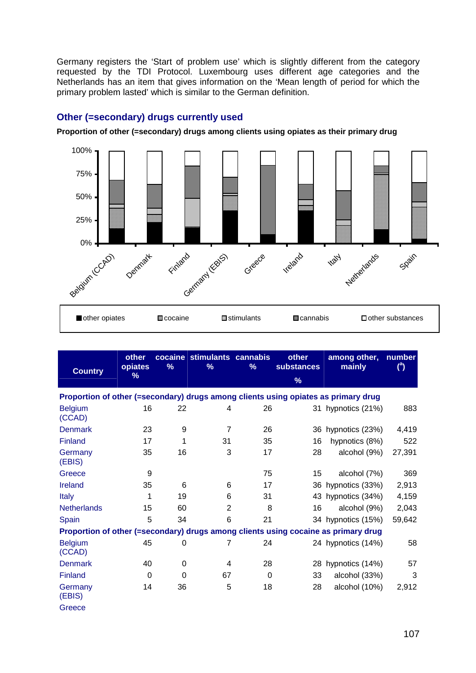Germany registers the 'Start of problem use' which is slightly different from the category requested by the TDI Protocol. Luxembourg uses different age categories and the Netherlands has an item that gives information on the 'Mean length of period for which the primary problem lasted' which is similar to the German definition.

### **Other (=secondary) drugs currently used**

**Proportion of other (=secondary) drugs among clients using opiates as their primary drug** 



| <b>Country</b>                                                                     | other<br>opiates<br>% | %        | cocaine stimulants cannabis<br>% | %        | other<br>substances<br>$\%$ | among other,<br>mainly                                                             | number<br>$^{\circ}$ |
|------------------------------------------------------------------------------------|-----------------------|----------|----------------------------------|----------|-----------------------------|------------------------------------------------------------------------------------|----------------------|
| Proportion of other (=secondary) drugs among clients using opiates as primary drug |                       |          |                                  |          |                             |                                                                                    |                      |
| <b>Belgium</b><br>(CCAD)                                                           | 16                    | 22       | 4                                | 26       |                             | 31 hypnotics (21%)                                                                 | 883                  |
| <b>Denmark</b>                                                                     | 23                    | 9        | $\overline{7}$                   | 26       |                             | 36 hypnotics (23%)                                                                 | 4,419                |
| <b>Finland</b>                                                                     | 17                    | 1        | 31                               | 35       | 16                          | hypnotics (8%)                                                                     | 522                  |
| Germany<br>(EBIS)                                                                  | 35                    | 16       | 3                                | 17       | 28                          | alcohol (9%)                                                                       | 27,391               |
| Greece                                                                             | 9                     |          |                                  | 75       | 15                          | alcohol (7%)                                                                       | 369                  |
| Ireland                                                                            | 35                    | 6        | 6                                | 17       |                             | 36 hypnotics (33%)                                                                 | 2,913                |
| <b>Italy</b>                                                                       | 1                     | 19       | 6                                | 31       |                             | 43 hypnotics (34%)                                                                 | 4,159                |
| <b>Netherlands</b>                                                                 | 15                    | 60       | $\overline{2}$                   | 8        | 16                          | alcohol (9%)                                                                       | 2,043                |
| Spain                                                                              | 5                     | 34       | 6                                | 21       |                             | 34 hypnotics (15%)                                                                 | 59,642               |
|                                                                                    |                       |          |                                  |          |                             | Proportion of other (=secondary) drugs among clients using cocaine as primary drug |                      |
| <b>Belgium</b><br>(CCAD)                                                           | 45                    | 0        | 7                                | 24       |                             | 24 hypnotics (14%)                                                                 | 58                   |
| <b>Denmark</b>                                                                     | 40                    | 0        | 4                                | 28       | 28                          | hypnotics (14%)                                                                    | 57                   |
| Finland                                                                            | $\Omega$              | $\Omega$ | 67                               | $\Omega$ | 33                          | alcohol (33%)                                                                      | 3                    |
| Germany<br>(EBIS)                                                                  | 14                    | 36       | 5                                | 18       | 28                          | alcohol (10%)                                                                      | 2,912                |

**Greece**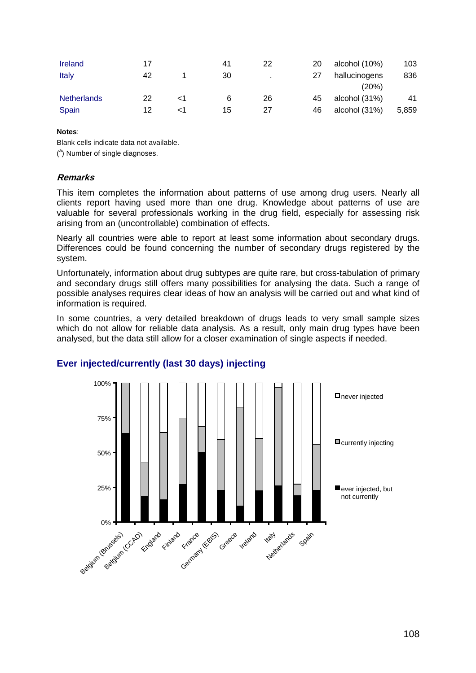| <b>Ireland</b>     | 17 |    | 41 | 22 | 20 | alcohol (10%) | 103   |
|--------------------|----|----|----|----|----|---------------|-------|
| Italy              | 42 |    | 30 |    |    | hallucinogens | 836   |
|                    |    |    |    |    |    | (20%)         |       |
| <b>Netherlands</b> | 22 | ا> | 6  | 26 | 45 | alcohol (31%) | 41    |
| Spain              | 12 | ا> | 15 | 27 | 46 | alcohol (31%) | 5,859 |

### **Notes**:

Blank cells indicate data not available.

(<sup>a</sup>) Number of single diagnoses.

### **Remarks**

This item completes the information about patterns of use among drug users. Nearly all clients report having used more than one drug. Knowledge about patterns of use are valuable for several professionals working in the drug field, especially for assessing risk arising from an (uncontrollable) combination of effects.

Nearly all countries were able to report at least some information about secondary drugs. Differences could be found concerning the number of secondary drugs registered by the system.

Unfortunately, information about drug subtypes are quite rare, but cross-tabulation of primary and secondary drugs still offers many possibilities for analysing the data. Such a range of possible analyses requires clear ideas of how an analysis will be carried out and what kind of information is required.

In some countries, a very detailed breakdown of drugs leads to very small sample sizes which do not allow for reliable data analysis. As a result, only main drug types have been analysed, but the data still allow for a closer examination of single aspects if needed.



### **Ever injected/currently (last 30 days) injecting**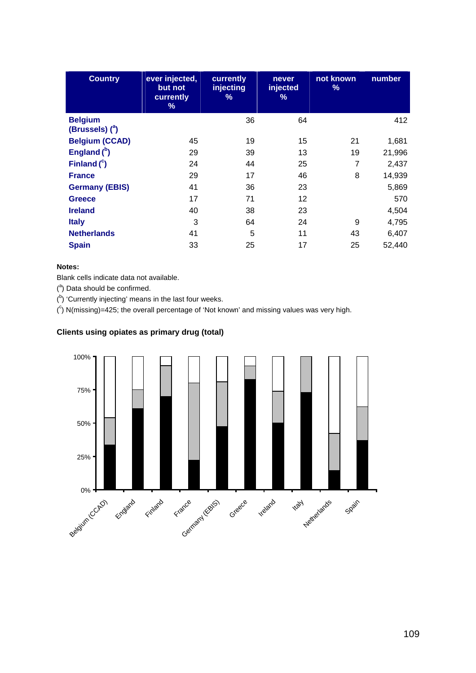| <b>Country</b>                      | ever injected,<br>but not<br>currently<br>% | currently<br>injecting<br>% | never<br>injected<br>% | not known<br>$\%$ | number |
|-------------------------------------|---------------------------------------------|-----------------------------|------------------------|-------------------|--------|
| <b>Belgium</b><br>(Brussels) $(^a)$ |                                             | 36                          | 64                     |                   | 412    |
| <b>Belgium (CCAD)</b>               | 45                                          | 19                          | 15                     | 21                | 1,681  |
| England $(^{b})$                    | 29                                          | 39                          | 13                     | 19                | 21,996 |
| Finland $(^c)$                      | 24                                          | 44                          | 25                     | 7                 | 2,437  |
| <b>France</b>                       | 29                                          | 17                          | 46                     | 8                 | 14,939 |
| <b>Germany (EBIS)</b>               | 41                                          | 36                          | 23                     |                   | 5,869  |
| <b>Greece</b>                       | 17                                          | 71                          | 12                     |                   | 570    |
| <b>Ireland</b>                      | 40                                          | 38                          | 23                     |                   | 4,504  |
| <b>Italy</b>                        | 3                                           | 64                          | 24                     | 9                 | 4,795  |
| <b>Netherlands</b>                  | 41                                          | 5                           | 11                     | 43                | 6,407  |
| <b>Spain</b>                        | 33                                          | 25                          | 17                     | 25                | 52,440 |

### **Notes:**

Blank cells indicate data not available.

 $($ <sup>a</sup>) Data should be confirmed.

 $($ <sup>b</sup>) 'Currently injecting' means in the last four weeks.

 $(°)$  N(missing)=425; the overall percentage of 'Not known' and missing values was very high.

### **Clients using opiates as primary drug (total)**

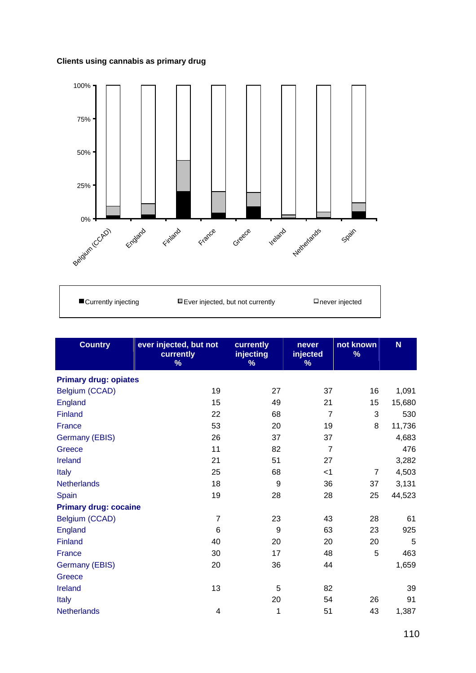## **Clients using cannabis as primary drug**



| $\blacksquare$ Currently injecting | $\blacksquare$ Ever injected, but not currently | $\Box$ never injected |
|------------------------------------|-------------------------------------------------|-----------------------|
|                                    |                                                 |                       |

| <b>Country</b>               | ever injected, but not<br>currently<br>$\frac{9}{6}$ | currently<br>injecting<br>% | never<br>injected<br>% | not known<br>% | N      |
|------------------------------|------------------------------------------------------|-----------------------------|------------------------|----------------|--------|
| <b>Primary drug: opiates</b> |                                                      |                             |                        |                |        |
| Belgium (CCAD)               | 19                                                   | 27                          | 37                     | 16             | 1,091  |
| England                      | 15                                                   | 49                          | 21                     | 15             | 15,680 |
| <b>Finland</b>               | 22                                                   | 68                          | $\overline{7}$         | 3              | 530    |
| France                       | 53                                                   | 20                          | 19                     | 8              | 11,736 |
| Germany (EBIS)               | 26                                                   | 37                          | 37                     |                | 4,683  |
| Greece                       | 11                                                   | 82                          | $\overline{7}$         |                | 476    |
| <b>Ireland</b>               | 21                                                   | 51                          | 27                     |                | 3,282  |
| Italy                        | 25                                                   | 68                          | $<$ 1                  | $\overline{7}$ | 4,503  |
| <b>Netherlands</b>           | 18                                                   | 9                           | 36                     | 37             | 3,131  |
| Spain                        | 19                                                   | 28                          | 28                     | 25             | 44,523 |
| <b>Primary drug: cocaine</b> |                                                      |                             |                        |                |        |
| Belgium (CCAD)               | $\overline{7}$                                       | 23                          | 43                     | 28             | 61     |
| England                      | 6                                                    | 9                           | 63                     | 23             | 925    |
| Finland                      | 40                                                   | 20                          | 20                     | 20             | 5      |
| France                       | 30                                                   | 17                          | 48                     | 5              | 463    |
| <b>Germany (EBIS)</b>        | 20                                                   | 36                          | 44                     |                | 1,659  |
| Greece                       |                                                      |                             |                        |                |        |
| <b>Ireland</b>               | 13                                                   | 5                           | 82                     |                | 39     |
| <b>Italy</b>                 |                                                      | 20                          | 54                     | 26             | 91     |
| <b>Netherlands</b>           | 4                                                    | 1                           | 51                     | 43             | 1,387  |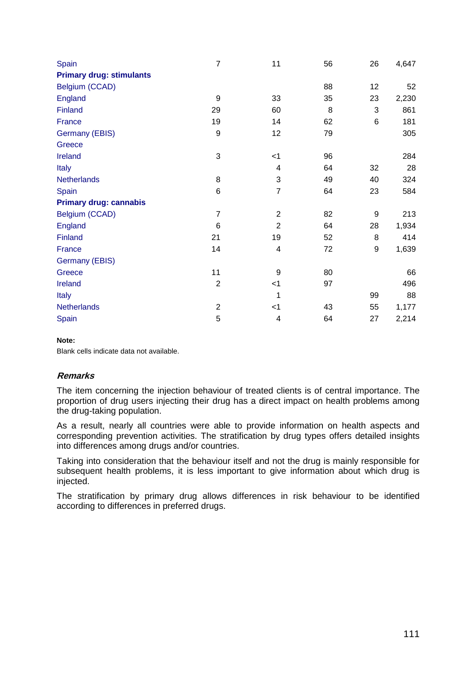| Spain                           | $\overline{7}$ | 11                        | 56 | 26 | 4,647 |
|---------------------------------|----------------|---------------------------|----|----|-------|
| <b>Primary drug: stimulants</b> |                |                           |    |    |       |
| Belgium (CCAD)                  |                |                           | 88 | 12 | 52    |
| England                         | 9              | 33                        | 35 | 23 | 2,230 |
| Finland                         | 29             | 60                        | 8  | 3  | 861   |
| France                          | 19             | 14                        | 62 | 6  | 181   |
| Germany (EBIS)                  | 9              | 12                        | 79 |    | 305   |
| Greece                          |                |                           |    |    |       |
| <b>Ireland</b>                  | 3              | $<$ 1                     | 96 |    | 284   |
| <b>Italy</b>                    |                | 4                         | 64 | 32 | 28    |
| <b>Netherlands</b>              | 8              | $\ensuremath{\mathsf{3}}$ | 49 | 40 | 324   |
| Spain                           | 6              | $\overline{7}$            | 64 | 23 | 584   |
| <b>Primary drug: cannabis</b>   |                |                           |    |    |       |
| Belgium (CCAD)                  | $\overline{7}$ | $\overline{2}$            | 82 | 9  | 213   |
| <b>England</b>                  | 6              | $\overline{2}$            | 64 | 28 | 1,934 |
| Finland                         | 21             | 19                        | 52 | 8  | 414   |
| France                          | 14             | 4                         | 72 | 9  | 1,639 |
| Germany (EBIS)                  |                |                           |    |    |       |
| Greece                          | 11             | 9                         | 80 |    | 66    |
| <b>Ireland</b>                  | $\overline{2}$ | $<$ 1                     | 97 |    | 496   |
| <b>Italy</b>                    |                | 1                         |    | 99 | 88    |
| <b>Netherlands</b>              | $\overline{c}$ | $<$ 1                     | 43 | 55 | 1,177 |
| Spain                           | 5              | 4                         | 64 | 27 | 2,214 |

### **Note:**

Blank cells indicate data not available.

### **Remarks**

The item concerning the injection behaviour of treated clients is of central importance. The proportion of drug users injecting their drug has a direct impact on health problems among the drug-taking population.

As a result, nearly all countries were able to provide information on health aspects and corresponding prevention activities. The stratification by drug types offers detailed insights into differences among drugs and/or countries.

Taking into consideration that the behaviour itself and not the drug is mainly responsible for subsequent health problems, it is less important to give information about which drug is injected.

The stratification by primary drug allows differences in risk behaviour to be identified according to differences in preferred drugs.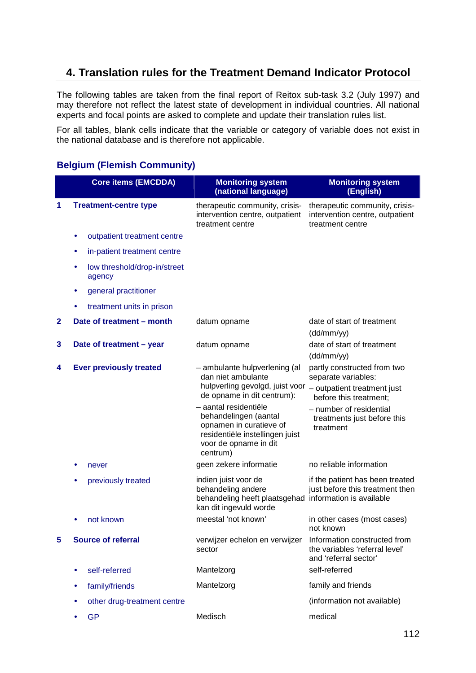# **4. Translation rules for the Treatment Demand Indicator Protocol**

The following tables are taken from the final report of Reitox sub-task 3.2 (July 1997) and may therefore not reflect the latest state of development in individual countries. All national experts and focal points are asked to complete and update their translation rules list.

For all tables, blank cells indicate that the variable or category of variable does not exist in the national database and is therefore not applicable.

## **Belgium (Flemish Community)**

|              | <b>Core items (EMCDDA)</b>                  | <b>Monitoring system</b><br>(national language)                                                                                                   | <b>Monitoring system</b><br>(English)                                                   |
|--------------|---------------------------------------------|---------------------------------------------------------------------------------------------------------------------------------------------------|-----------------------------------------------------------------------------------------|
| 1            | <b>Treatment-centre type</b>                | therapeutic community, crisis-<br>intervention centre, outpatient<br>treatment centre                                                             | therapeutic community, crisis-<br>intervention centre, outpatient<br>treatment centre   |
|              | outpatient treatment centre<br>٠            |                                                                                                                                                   |                                                                                         |
|              | in-patient treatment centre<br>٠            |                                                                                                                                                   |                                                                                         |
|              | low threshold/drop-in/street<br>٠<br>agency |                                                                                                                                                   |                                                                                         |
|              | general practitioner<br>٠                   |                                                                                                                                                   |                                                                                         |
|              | treatment units in prison                   |                                                                                                                                                   |                                                                                         |
| $\mathbf{2}$ | Date of treatment - month                   | datum opname                                                                                                                                      | date of start of treatment<br>(dd/mm/yy)                                                |
| 3            | Date of treatment - year                    | datum opname                                                                                                                                      | date of start of treatment<br>(dd/mm/yy)                                                |
| 4            | <b>Ever previously treated</b>              | - ambulante hulpverlening (al<br>dan niet ambulante<br>hulpverling gevolgd, juist voor - outpatient treatment just                                |                                                                                         |
|              |                                             | de opname in dit centrum):                                                                                                                        | before this treatment:                                                                  |
|              |                                             | - aantal residentiële<br>behandelingen (aantal<br>opnamen in curatieve of<br>residentiële instellingen juist<br>voor de opname in dit<br>centrum) | - number of residential<br>treatments just before this<br>treatment                     |
|              | never                                       | geen zekere informatie                                                                                                                            | no reliable information                                                                 |
|              | previously treated                          | indien juist voor de<br>behandeling andere<br>behandeling heeft plaatsgehad information is available<br>kan dit ingevuld worde                    | if the patient has been treated<br>just before this treatment then                      |
|              | not known                                   | meestal 'not known'                                                                                                                               | in other cases (most cases)<br>not known                                                |
| 5            | <b>Source of referral</b>                   | verwijzer echelon en verwijzer<br>sector                                                                                                          | Information constructed from<br>the variables 'referral level'<br>and 'referral sector' |
|              | self-referred<br>٠                          | Mantelzorg                                                                                                                                        | self-referred                                                                           |
|              | family/friends<br>٠                         | Mantelzorg                                                                                                                                        | family and friends                                                                      |
|              | other drug-treatment centre<br>٠            |                                                                                                                                                   | (information not available)                                                             |
|              | <b>GP</b><br>٠                              | Medisch                                                                                                                                           | medical                                                                                 |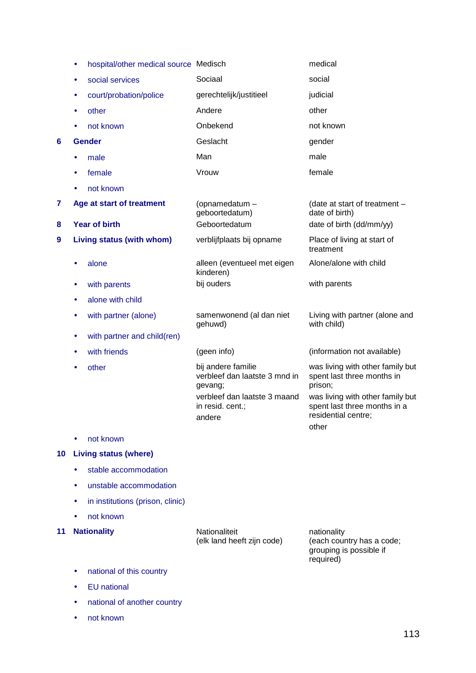- hospital/other medical source Medisch medical medical
- social services Sociaal social
- court/probation/police gerechtelijk/justitieel judicial
- other **Andere Andere Other**
- not known **Onbekend** and known **Onbekend** and known
- **6 Gender Geslacht Geslacht** gender
	- male **Man** Man male
	- female **Vrouw** Vrouw female
	- not known
- **7 Age at start of treatment** (opnamedatum –
- 
- **9 Living status (with whom)** verblijfplaats bij opname Place of living at start of
	- alone alleen (eventueel met eigen
	- with parents **bij ouders** bij ouders with parents
	- alone with child
	- with partner (alone) samenwonend (al dan niet
	- with partner and child(ren)
	-
	-

gehuwd)

kinderen)

geboortedatum)

other bij andere familie verbleef dan laatste 3 mnd in gevang; verbleef dan laatste 3 maand in resid. cent.; andere

(date at start of treatment – date of birth) **8 Year of birth Ceboortedatum date of birth (dd/mm/yy)** 

treatment

Alone/alone with child

Living with partner (alone and with child)

• with friends (geen info) (information not available)

was living with other family but spent last three months in prison;

was living with other family but spent last three months in a residential centre; other

• not known

### **10 Living status (where)**

- stable accommodation
- unstable accommodation
- in institutions (prison, clinic)
- not known

**11 Nationality Nationality Nationaliteit** 

(elk land heeft zijn code)

nationality (each country has a code; grouping is possible if required)

- national of this country
- **EU** national
- national of another country
- not known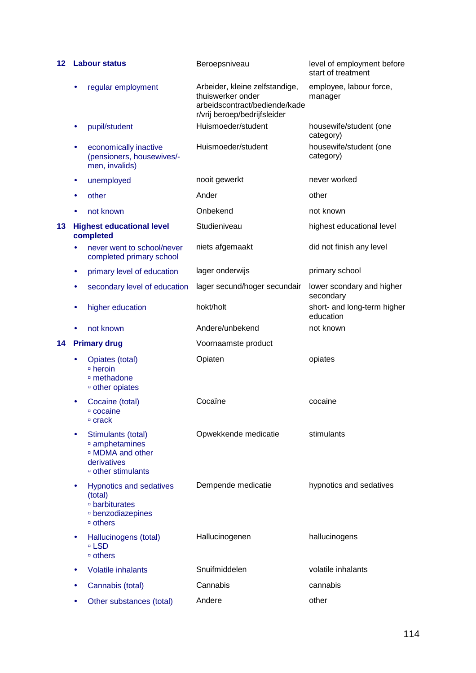| 12 |           | <b>Labour status</b>                                                                                                         | Beroepsniveau                                                                                                        | level of employment before<br>start of treatment |
|----|-----------|------------------------------------------------------------------------------------------------------------------------------|----------------------------------------------------------------------------------------------------------------------|--------------------------------------------------|
|    | ٠         | regular employment                                                                                                           | Arbeider, kleine zelfstandige,<br>thuiswerker onder<br>arbeidscontract/bediende/kade<br>r/vrij beroep/bedrijfsleider | employee, labour force,<br>manager               |
|    | ۰         | pupil/student                                                                                                                | Huismoeder/student                                                                                                   | housewife/student (one<br>category)              |
|    | ٠         | economically inactive<br>(pensioners, housewives/-<br>men, invalids)                                                         | Huismoeder/student                                                                                                   | housewife/student (one<br>category)              |
|    | $\bullet$ | unemployed                                                                                                                   | nooit gewerkt                                                                                                        | never worked                                     |
|    | $\bullet$ | other                                                                                                                        | Ander                                                                                                                | other                                            |
|    | ٠         | not known                                                                                                                    | Onbekend                                                                                                             | not known                                        |
| 13 |           | <b>Highest educational level</b><br>completed                                                                                | Studieniveau                                                                                                         | highest educational level                        |
|    |           | never went to school/never<br>completed primary school                                                                       | niets afgemaakt                                                                                                      | did not finish any level                         |
|    | $\bullet$ | primary level of education                                                                                                   | lager onderwijs                                                                                                      | primary school                                   |
|    | ٠         | secondary level of education                                                                                                 | lager secund/hoger secundair                                                                                         | lower scondary and higher<br>secondary           |
|    | $\bullet$ | higher education                                                                                                             | hokt/holt                                                                                                            | short- and long-term higher<br>education         |
|    |           | not known                                                                                                                    | Andere/unbekend                                                                                                      | not known                                        |
|    |           |                                                                                                                              |                                                                                                                      |                                                  |
| 14 |           | <b>Primary drug</b>                                                                                                          | Voornaamste product                                                                                                  |                                                  |
|    | $\bullet$ | Opiates (total)<br>□ heroin<br>□ methadone<br><sup>o</sup> other opiates                                                     | Opiaten                                                                                                              | opiates                                          |
|    |           | Cocaine (total)<br>□ cocaine<br>□ crack                                                                                      | Cocaïne                                                                                                              | cocaine                                          |
|    |           | Stimulants (total)<br>amphetamines<br><sup>□</sup> MDMA and other<br>derivatives<br><sup>□</sup> other stimulants            | Opwekkende medicatie                                                                                                 | stimulants                                       |
|    | $\bullet$ | <b>Hypnotics and sedatives</b><br>(total)<br>□ barbiturates<br><b><i><b>Denzodiazepines</b></i></b><br>$\overline{ }$ others | Dempende medicatie                                                                                                   | hypnotics and sedatives                          |
|    |           | Hallucinogens (total)<br>□ LSD<br>□ others                                                                                   | Hallucinogenen                                                                                                       | hallucinogens                                    |
|    | ٠         | <b>Volatile inhalants</b>                                                                                                    | Snuifmiddelen                                                                                                        | volatile inhalants                               |
|    |           | Cannabis (total)                                                                                                             | Cannabis                                                                                                             | cannabis                                         |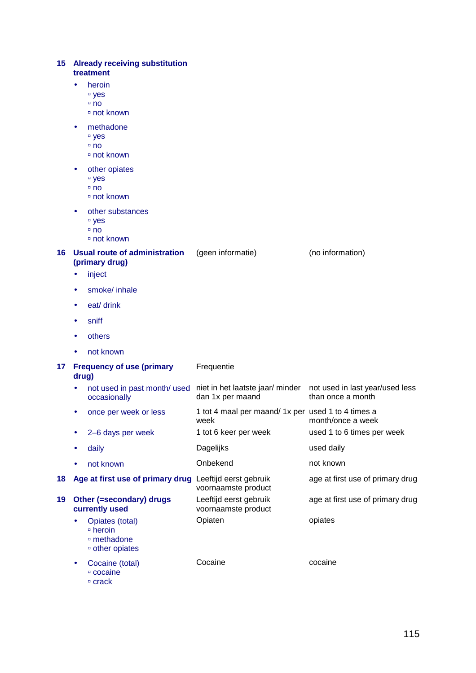| 15 Already receiving substitution |  |
|-----------------------------------|--|
| treatment                         |  |

- heroin
	- <sup>□</sup> yes
	- $n$ no
	- not known
- methadone
	- <sup>□</sup> yes
	- □ no
	- not known
- other opiates
	- <sup>□</sup> yes
	- □ no
	- not known
- other substances
	- □ yes
	- no
	- not known

### **16 Usual route of administration**  (geen informatie) (no information)

• inject

**(primary drug)** 

- smoke/ inhale
- eat/ drink
- sniff
- **others**
- not known

### **17 Frequency of use (primary drug)**

### • not used in past month/ used occasionally niet in het laatste jaar/ minder not used in last year/used less dan 1x per maand than once a month • once per week or less 1 tot 4 maal per maand/ 1x per used 1 to 4 times a week month/once a week • 2–6 days per week 1 tot 6 keer per week used 1 to 6 times per week daily **by a contract of the Dagelijks** and the used daily not known **Onbekend** not known **18 Age at first use of primary drug** Leeftijd eerst gebruik voornaamste product age at first use of primary drug **19 Other (=secondary) drugs**  Leeftijd eerst gebruik age at first use of primary drug

Frequentie

- **currently used** 
	- Opiates (total)  $\overline{P}$  heroin methadone other opiates
		- Cocaine (total) cocaine  $C$ rack Cocaine **cocaine**

voornaamste product

Opiaten opiates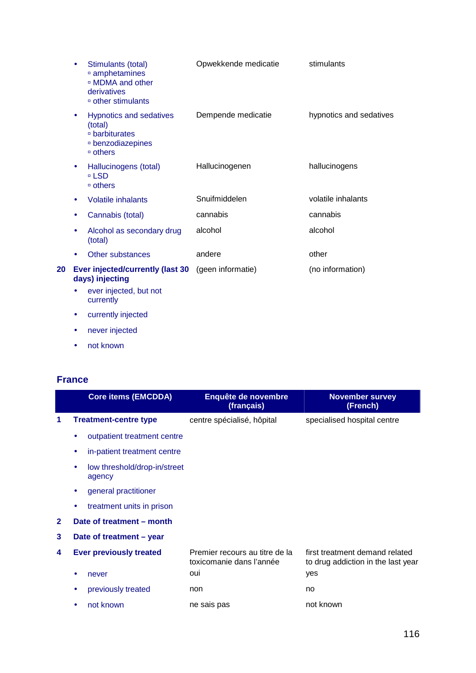|    |           | Stimulants (total)<br>amphetamines<br>□ MDMA and other<br>derivatives<br><sup>□</sup> other stimulants | Opwekkende medicatie | stimulants              |
|----|-----------|--------------------------------------------------------------------------------------------------------|----------------------|-------------------------|
|    | ۰         | <b>Hypnotics and sedatives</b><br>(total)<br>□ barbiturates<br>□ benzodiazepines<br>□ others           | Dempende medicatie   | hypnotics and sedatives |
|    | ٠         | Hallucinogens (total)<br>□ LSD<br>□ others                                                             | Hallucinogenen       | hallucinogens           |
|    | ٠         | <b>Volatile inhalants</b>                                                                              | Snuifmiddelen        | volatile inhalants      |
|    |           | Cannabis (total)                                                                                       | cannabis             | cannabis                |
|    | ٠         | Alcohol as secondary drug<br>(total)                                                                   | alcohol              | alcohol                 |
|    | $\bullet$ | Other substances                                                                                       | andere               | other                   |
| 20 |           | Ever injected/currently (last 30<br>days) injecting                                                    | (geen informatie)    | (no information)        |
|    | ٠         | ever injected, but not<br>currently                                                                    |                      |                         |
|    | ٠         | currently injected                                                                                     |                      |                         |

- never injected
- not known

# **France**

|              | <b>Core items (EMCDDA)</b>                  | Enquête de novembre<br>(français)                          | <b>November survey</b><br>(French)                                   |
|--------------|---------------------------------------------|------------------------------------------------------------|----------------------------------------------------------------------|
|              | <b>Treatment-centre type</b>                | centre spécialisé, hôpital                                 | specialised hospital centre                                          |
|              | outpatient treatment centre<br>۰            |                                                            |                                                                      |
|              | in-patient treatment centre<br>٠            |                                                            |                                                                      |
|              | low threshold/drop-in/street<br>٠<br>agency |                                                            |                                                                      |
|              | general practitioner<br>$\bullet$           |                                                            |                                                                      |
|              | treatment units in prison<br>٠              |                                                            |                                                                      |
| $\mathbf{2}$ | Date of treatment - month                   |                                                            |                                                                      |
| 3            | Date of treatment - year                    |                                                            |                                                                      |
| 4            | <b>Ever previously treated</b>              | Premier recours au titre de la<br>toxicomanie dans l'année | first treatment demand related<br>to drug addiction in the last year |
|              | never<br>٠                                  | oui                                                        | yes                                                                  |
|              | previously treated                          | non                                                        | no                                                                   |
|              | not known<br>٠                              | ne sais pas                                                | not known                                                            |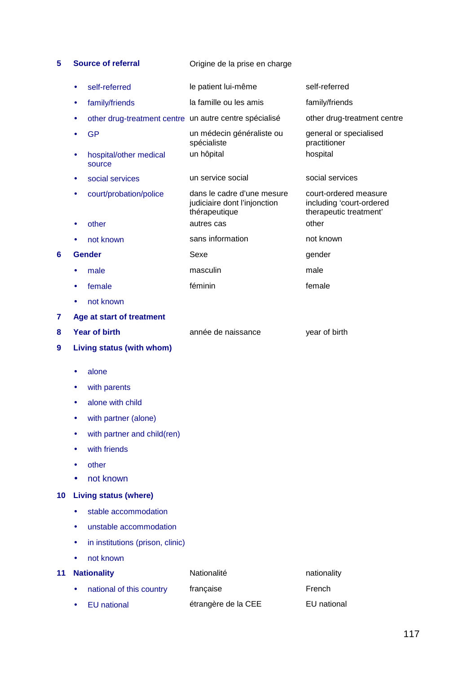**5 Source of referral Origine de la prise en charge** 

|    |           | self-referred                                          | le patient lui-même                                                         | self-referred                                                               |
|----|-----------|--------------------------------------------------------|-----------------------------------------------------------------------------|-----------------------------------------------------------------------------|
|    | ٠         | family/friends                                         | la famille ou les amis                                                      | family/friends                                                              |
|    |           | other drug-treatment centre un autre centre spécialisé |                                                                             | other drug-treatment centre                                                 |
|    |           | <b>GP</b>                                              | un médecin généraliste ou<br>spécialiste                                    | general or specialised<br>practitioner                                      |
|    |           | hospital/other medical<br>source                       | un hôpital                                                                  | hospital                                                                    |
|    |           | social services                                        | un service social                                                           | social services                                                             |
|    |           | court/probation/police                                 | dans le cadre d'une mesure<br>judiciaire dont l'injonction<br>thérapeutique | court-ordered measure<br>including 'court-ordered<br>therapeutic treatment' |
|    |           | other                                                  | autres cas                                                                  | other                                                                       |
|    |           | not known                                              | sans information                                                            | not known                                                                   |
| 6  |           | <b>Gender</b>                                          | Sexe                                                                        | gender                                                                      |
|    |           | male                                                   | masculin                                                                    | male                                                                        |
|    |           | female                                                 | féminin                                                                     | female                                                                      |
|    |           | not known                                              |                                                                             |                                                                             |
| 7  |           | Age at start of treatment                              |                                                                             |                                                                             |
| 8  |           | <b>Year of birth</b>                                   | année de naissance                                                          | year of birth                                                               |
| 9  |           | Living status (with whom)                              |                                                                             |                                                                             |
|    |           | alone                                                  |                                                                             |                                                                             |
|    |           | with parents                                           |                                                                             |                                                                             |
|    |           | alone with child                                       |                                                                             |                                                                             |
|    |           | with partner (alone)                                   |                                                                             |                                                                             |
|    |           | with partner and child(ren)                            |                                                                             |                                                                             |
|    |           | with friends                                           |                                                                             |                                                                             |
|    |           | other                                                  |                                                                             |                                                                             |
|    |           | not known                                              |                                                                             |                                                                             |
| 10 |           | <b>Living status (where)</b>                           |                                                                             |                                                                             |
|    |           | stable accommodation                                   |                                                                             |                                                                             |
|    | $\bullet$ | unstable accommodation                                 |                                                                             |                                                                             |
|    |           | in institutions (prison, clinic)                       |                                                                             |                                                                             |
|    |           | not known                                              |                                                                             |                                                                             |
| 11 |           | <b>Nationality</b>                                     | Nationalité                                                                 | nationality                                                                 |
|    | $\bullet$ | national of this country                               | française                                                                   | French                                                                      |
|    |           |                                                        |                                                                             |                                                                             |

• EU national **etrangère de la CEE** EU national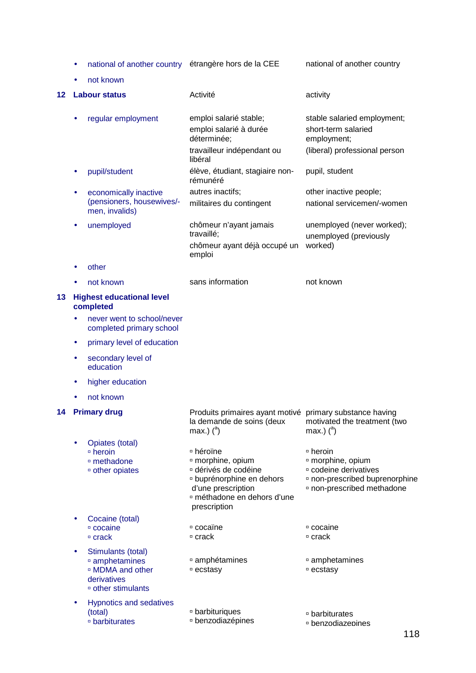• national of another country étrangère hors de la CEE national of another country

• not known

| 12 |   | <b>Labour status</b>                                                                                              | Activité                                                                                                                                                                                  | activity                                                                                                                                                           |
|----|---|-------------------------------------------------------------------------------------------------------------------|-------------------------------------------------------------------------------------------------------------------------------------------------------------------------------------------|--------------------------------------------------------------------------------------------------------------------------------------------------------------------|
|    |   | regular employment                                                                                                | emploi salarié stable;<br>emploi salarié à durée<br>déterminée;<br>travailleur indépendant ou<br>libéral                                                                                  | stable salaried employment;<br>short-term salaried<br>employment;<br>(liberal) professional person                                                                 |
|    |   | pupil/student                                                                                                     | élève, étudiant, stagiaire non-<br>rémunéré                                                                                                                                               | pupil, student                                                                                                                                                     |
|    |   | economically inactive<br>(pensioners, housewives/-<br>men, invalids)                                              | autres inactifs;<br>militaires du contingent                                                                                                                                              | other inactive people;<br>national servicemen/-women                                                                                                               |
|    |   | unemployed                                                                                                        | chômeur n'ayant jamais<br>travaillé;<br>chômeur ayant déjà occupé un<br>emploi                                                                                                            | unemployed (never worked);<br>unemployed (previously<br>worked)                                                                                                    |
|    |   | other                                                                                                             |                                                                                                                                                                                           |                                                                                                                                                                    |
|    |   | not known                                                                                                         | sans information                                                                                                                                                                          | not known                                                                                                                                                          |
| 13 |   | <b>Highest educational level</b><br>completed                                                                     |                                                                                                                                                                                           |                                                                                                                                                                    |
|    |   | never went to school/never<br>completed primary school                                                            |                                                                                                                                                                                           |                                                                                                                                                                    |
|    | ٠ | primary level of education                                                                                        |                                                                                                                                                                                           |                                                                                                                                                                    |
|    |   | secondary level of<br>education                                                                                   |                                                                                                                                                                                           |                                                                                                                                                                    |
|    |   | higher education                                                                                                  |                                                                                                                                                                                           |                                                                                                                                                                    |
|    |   | not known                                                                                                         |                                                                                                                                                                                           |                                                                                                                                                                    |
| 14 |   | <b>Primary drug</b>                                                                                               | Produits primaires ayant motivé<br>la demande de soins (deux<br>max.) $(^a)$                                                                                                              | primary substance having<br>motivated the treatment (two<br>max.) $(^a)$                                                                                           |
|    |   | Opiates (total)<br>□ heroin<br>□ methadone<br><sup>o</sup> other opiates                                          | □ héroïne<br><sup>□</sup> morphine, opium<br>¤ dérivés de codéine<br><sup>¤</sup> buprénorphine en dehors<br>d'une prescription<br><sup>¤</sup> méthadone en dehors d'une<br>prescription | □ heroin<br><sup>o</sup> morphine, opium<br><sup>□</sup> codeine derivatives<br><sup>□</sup> non-prescribed buprenorphine<br><sup>□</sup> non-prescribed methadone |
|    |   | Cocaine (total)<br>□ cocaine<br>$\overline{P}$ crack                                                              | <sup>□</sup> cocaïne<br>□ crack                                                                                                                                                           | □ cocaine<br>□ crack                                                                                                                                               |
|    |   | Stimulants (total)<br>amphetamines<br><sup>o</sup> MDMA and other<br>derivatives<br><sup>□</sup> other stimulants | ¤ amphétamines<br>□ ecstasy                                                                                                                                                               | □ amphetamines<br>□ ecstasy                                                                                                                                        |
|    |   | <b>Hypnotics and sedatives</b><br>(total)<br>□ barbiturates                                                       | □ barbituriques<br>□ benzodiazépines                                                                                                                                                      | □ barbiturates<br><b>benzodiazepines</b>                                                                                                                           |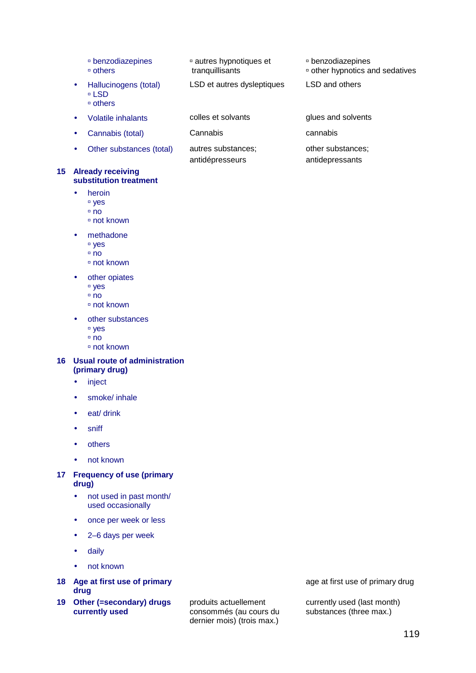- benzodiazepines others
- Hallucinogens (total) □ LSD others
- 
- Cannabis (total) Cannabis cannabis
- Other substances (total) autres substances;

### **15 Already receiving substitution treatment**

- heroin
	- <sup>□</sup> yes
	- $n$ no
	- not known
- methadone
	- <sup>□</sup> yes
	- no
	- not known
- other opiates <sup>□</sup> yes
	- no
	- not known
- other substances
	- <sup>□</sup> yes
	- $n \nabla$
	- not known
- **16 Usual route of administration (primary drug)** 
	- inject
	- smoke/ inhale
	- eat/ drink
	- sniff
	- others
	- not known
- **17 Frequency of use (primary drug)** 
	- not used in past month/ used occasionally
	- once per week or less
	- 2–6 days per week
	- daily
	- not known
- **18 Age at first use of primary drug**
- **19 Other (=secondary) drugs currently used**

produits actuellement consommés (au cours du dernier mois) (trois max.)

age at first use of primary drug

currently used (last month) substances (three max.)

### benzodiazepines

- other hypnotics and sedatives
- LSD et autres dysleptiques LSD and others

autres hypnotiques et

tranquillisants

antidépresseurs

• Volatile inhalants colles et solvants glues and solvents other substances; antidepressants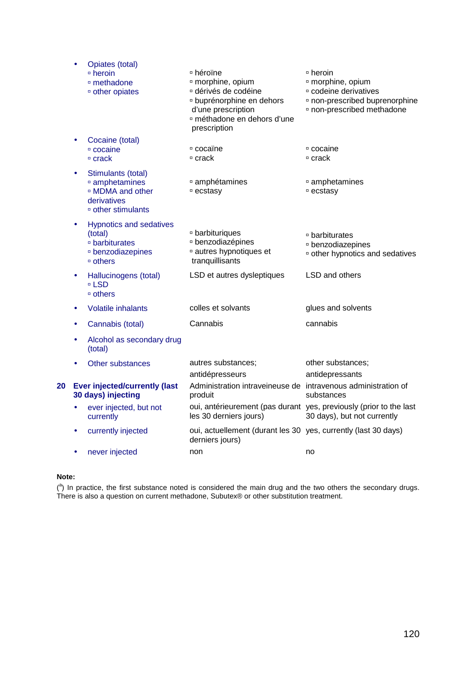|    |           | Opiates (total)<br>$\overline{P}$ heroin<br><sup>o</sup> methadone<br><sup>o</sup> other opiates                               | □ héroïne<br><sup>¤</sup> morphine, opium<br>dérivés de codéine<br><sup>¤</sup> buprénorphine en dehors<br>d'une prescription<br><sup>□</sup> méthadone en dehors d'une<br>prescription | □ heroin<br><sup>¤</sup> morphine, opium<br><sup>□</sup> codeine derivatives<br><sup>¤</sup> non-prescribed buprenorphine<br><sup>□</sup> non-prescribed methadone |
|----|-----------|--------------------------------------------------------------------------------------------------------------------------------|-----------------------------------------------------------------------------------------------------------------------------------------------------------------------------------------|--------------------------------------------------------------------------------------------------------------------------------------------------------------------|
|    |           | Cocaine (total)<br>□ cocaine<br>$□$ crack                                                                                      | □ cocaïne<br>□ crack                                                                                                                                                                    | □ cocaine<br>□ crack                                                                                                                                               |
|    | $\bullet$ | Stimulants (total)<br><sup>□</sup> amphetamines<br><sup>□</sup> MDMA and other<br>derivatives<br><sup>□</sup> other stimulants | ¤ amphétamines<br><sup>□</sup> ecstasy                                                                                                                                                  | amphetamines<br><sup>□</sup> ecstasy                                                                                                                               |
|    | $\bullet$ | <b>Hypnotics and sedatives</b><br>(total)<br>□ barbiturates<br><sup>□</sup> benzodiazepines<br>□ others                        | □ barbituriques<br>□ benzodiazépines<br>autres hypnotiques et<br>tranquillisants                                                                                                        | □ barbiturates<br><b>benzodiazepines</b><br><sup>□</sup> other hypnotics and sedatives                                                                             |
|    | $\bullet$ | Hallucinogens (total)<br>□ LSD<br>□ others                                                                                     | LSD et autres dysleptiques                                                                                                                                                              | LSD and others                                                                                                                                                     |
|    | ٠         | <b>Volatile inhalants</b>                                                                                                      | colles et solvants                                                                                                                                                                      | glues and solvents                                                                                                                                                 |
|    | ٠         | Cannabis (total)                                                                                                               | Cannabis                                                                                                                                                                                | cannabis                                                                                                                                                           |
|    |           | Alcohol as secondary drug<br>(total)                                                                                           |                                                                                                                                                                                         |                                                                                                                                                                    |
|    |           | Other substances                                                                                                               | autres substances;<br>antidépresseurs                                                                                                                                                   | other substances;<br>antidepressants                                                                                                                               |
| 20 |           | <b>Ever injected/currently (last</b><br>30 days) injecting                                                                     | Administration intraveineuse de intravenous administration of<br>produit                                                                                                                | substances                                                                                                                                                         |
|    |           | ever injected, but not<br>currently                                                                                            | les 30 derniers jours)                                                                                                                                                                  | oui, antérieurement (pas durant yes, previously (prior to the last<br>30 days), but not currently                                                                  |
|    | $\bullet$ | currently injected                                                                                                             | oui, actuellement (durant les 30 yes, currently (last 30 days)<br>derniers jours)                                                                                                       |                                                                                                                                                                    |
|    | $\bullet$ | never injected                                                                                                                 | non                                                                                                                                                                                     | no                                                                                                                                                                 |

### **Note:**

 $(3)$  In practice, the first substance noted is considered the main drug and the two others the secondary drugs. There is also a question on current methadone, Subutex® or other substitution treatment.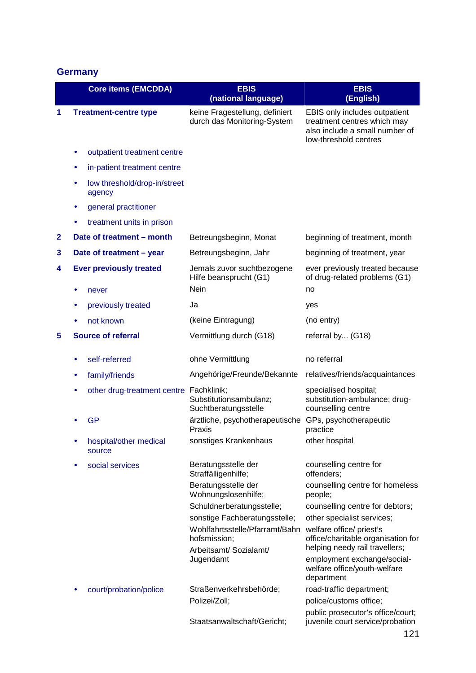# **Germany**

|              |           | <b>Core items (EMCDDA)</b>              | <b>EBIS</b><br>(national language)                                                       | <b>EBIS</b><br>(English)                                                                                                |
|--------------|-----------|-----------------------------------------|------------------------------------------------------------------------------------------|-------------------------------------------------------------------------------------------------------------------------|
| 1            |           | <b>Treatment-centre type</b>            | keine Fragestellung, definiert<br>durch das Monitoring-System                            | EBIS only includes outpatient<br>treatment centres which may<br>also include a small number of<br>low-threshold centres |
|              | ٠         | outpatient treatment centre             |                                                                                          |                                                                                                                         |
|              | ٠         | in-patient treatment centre             |                                                                                          |                                                                                                                         |
|              | ٠         | low threshold/drop-in/street<br>agency  |                                                                                          |                                                                                                                         |
|              | ٠         | general practitioner                    |                                                                                          |                                                                                                                         |
|              |           | treatment units in prison               |                                                                                          |                                                                                                                         |
| $\mathbf{2}$ |           | Date of treatment - month               | Betreungsbeginn, Monat                                                                   | beginning of treatment, month                                                                                           |
| 3            |           | Date of treatment - year                | Betreungsbeginn, Jahr                                                                    | beginning of treatment, year                                                                                            |
| 4            |           | <b>Ever previously treated</b><br>never | Jemals zuvor suchtbezogene<br>Hilfe beansprucht (G1)<br>Nein                             | ever previously treated because<br>of drug-related problems (G1)<br>no                                                  |
|              | ٠         | previously treated                      | Ja                                                                                       | yes                                                                                                                     |
|              | $\bullet$ | not known                               | (keine Eintragung)                                                                       | (no entry)                                                                                                              |
| 5            |           | <b>Source of referral</b>               | Vermittlung durch (G18)                                                                  | referral by (G18)                                                                                                       |
|              | ٠         | self-referred                           | ohne Vermittlung                                                                         | no referral                                                                                                             |
|              | ٠         | family/friends                          | Angehörige/Freunde/Bekannte                                                              | relatives/friends/acquaintances                                                                                         |
|              | ٠         | other drug-treatment centre Fachklinik; | Substitutionsambulanz;<br>Suchtberatungsstelle                                           | specialised hospital;<br>substitution-ambulance; drug-<br>counselling centre                                            |
|              |           | <b>GP</b>                               | ärztliche, psychotherapeutische<br>Praxis                                                | GPs, psychotherapeutic<br>practice                                                                                      |
|              | ٠         | hospital/other medical<br>source        | sonstiges Krankenhaus                                                                    | other hospital                                                                                                          |
|              |           | social services                         | Beratungsstelle der<br>Straffälligenhilfe;                                               | counselling centre for<br>offenders:                                                                                    |
|              |           |                                         | Beratungsstelle der<br>Wohnungslosenhilfe;                                               | counselling centre for homeless<br>people;                                                                              |
|              |           |                                         | Schuldnerberatungsstelle;                                                                | counselling centre for debtors;                                                                                         |
|              |           |                                         | sonstige Fachberatungsstelle;<br>Wohlfahrtsstelle/Pfarramt/Bahn welfare office/ priest's | other specialist services;                                                                                              |
|              |           |                                         | hofsmission;<br>Arbeitsamt/ Sozialamt/                                                   | office/charitable organisation for<br>helping needy rail travellers;                                                    |
|              |           |                                         | Jugendamt                                                                                | employment exchange/social-<br>welfare office/youth-welfare<br>department                                               |
|              |           | court/probation/police                  | Straßenverkehrsbehörde;                                                                  | road-traffic department;                                                                                                |
|              |           |                                         | Polizei/Zoll;                                                                            | police/customs office;                                                                                                  |
|              |           |                                         | Staatsanwaltschaft/Gericht;                                                              | public prosecutor's office/court;<br>juvenile court service/probation                                                   |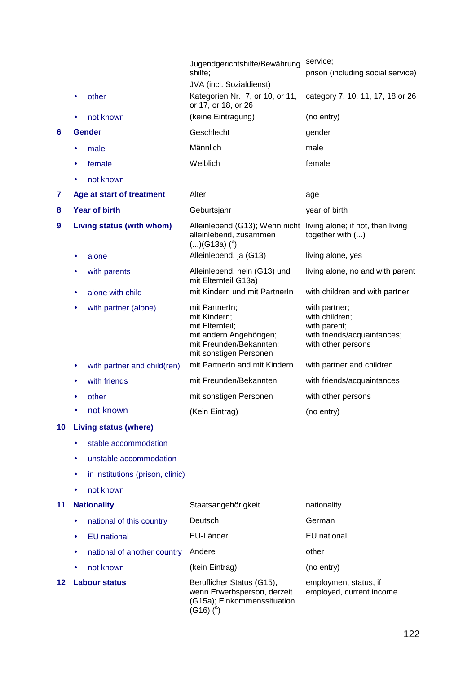|                 |           |                                  | Jugendgerichtshilfe/Bewährung<br>shilfe;                                                                                          | service;<br>prison (including social service)                                                        |
|-----------------|-----------|----------------------------------|-----------------------------------------------------------------------------------------------------------------------------------|------------------------------------------------------------------------------------------------------|
|                 |           |                                  | JVA (incl. Sozialdienst)                                                                                                          |                                                                                                      |
|                 | $\bullet$ | other                            | Kategorien Nr.: 7, or 10, or 11,<br>or 17, or 18, or 26                                                                           | category 7, 10, 11, 17, 18 or 26                                                                     |
|                 |           | not known                        | (keine Eintragung)                                                                                                                | (no entry)                                                                                           |
| 6               |           | <b>Gender</b>                    | Geschlecht                                                                                                                        | gender                                                                                               |
|                 | ٠         | male                             | Männlich                                                                                                                          | male                                                                                                 |
|                 | ٠         | female                           | Weiblich                                                                                                                          | female                                                                                               |
|                 |           | not known                        |                                                                                                                                   |                                                                                                      |
| 7               |           | Age at start of treatment        | Alter                                                                                                                             | age                                                                                                  |
| 8               |           | <b>Year of birth</b>             | Geburtsjahr                                                                                                                       | year of birth                                                                                        |
| 9               |           | Living status (with whom)        | Alleinlebend (G13); Wenn nicht<br>alleinlebend, zusammen<br>$()(G13a)$ ( $^{a}$ )                                                 | living alone; if not, then living<br>together with ()                                                |
|                 | ٠         | alone                            | Alleinlebend, ja (G13)                                                                                                            | living alone, yes                                                                                    |
|                 | ٠         | with parents                     | Alleinlebend, nein (G13) und<br>mit Elternteil G13a)                                                                              | living alone, no and with parent                                                                     |
|                 | ٠         | alone with child                 | mit Kindern und mit PartnerIn                                                                                                     | with children and with partner                                                                       |
|                 | $\bullet$ | with partner (alone)             | mit Partnerln;<br>mit Kindern;<br>mit Elternteil;<br>mit andern Angehörigen;<br>mit Freunden/Bekannten;<br>mit sonstigen Personen | with partner;<br>with children;<br>with parent;<br>with friends/acquaintances;<br>with other persons |
|                 | ٠         | with partner and child(ren)      | mit PartnerIn and mit Kindern                                                                                                     | with partner and children                                                                            |
|                 | ٠         | with friends                     | mit Freunden/Bekannten                                                                                                            | with friends/acquaintances                                                                           |
|                 |           | other                            | mit sonstigen Personen                                                                                                            | with other persons                                                                                   |
|                 |           | not known                        | (Kein Eintrag)                                                                                                                    | (no entry)                                                                                           |
| 10 <sub>1</sub> |           | <b>Living status (where)</b>     |                                                                                                                                   |                                                                                                      |
|                 | ٠         | stable accommodation             |                                                                                                                                   |                                                                                                      |
|                 | ٠         | unstable accommodation           |                                                                                                                                   |                                                                                                      |
|                 | ٠         | in institutions (prison, clinic) |                                                                                                                                   |                                                                                                      |
|                 |           | not known                        |                                                                                                                                   |                                                                                                      |
| 11              |           | <b>Nationality</b>               | Staatsangehörigkeit                                                                                                               | nationality                                                                                          |
|                 | ٠         | national of this country         | Deutsch                                                                                                                           | German                                                                                               |
|                 | ٠         | <b>EU</b> national               | EU-Länder                                                                                                                         | EU national                                                                                          |
|                 | ٠         | national of another country      | Andere                                                                                                                            | other                                                                                                |
|                 |           | not known                        | (kein Eintrag)                                                                                                                    | (no entry)                                                                                           |
| 12              |           | <b>Labour status</b>             | Beruflicher Status (G15),<br>wenn Erwerbsperson, derzeit<br>(G15a); Einkommenssituation<br>$(0.40)$ $(3)$                         | employment status, if<br>employed, current income                                                    |

 $(G16)(a)$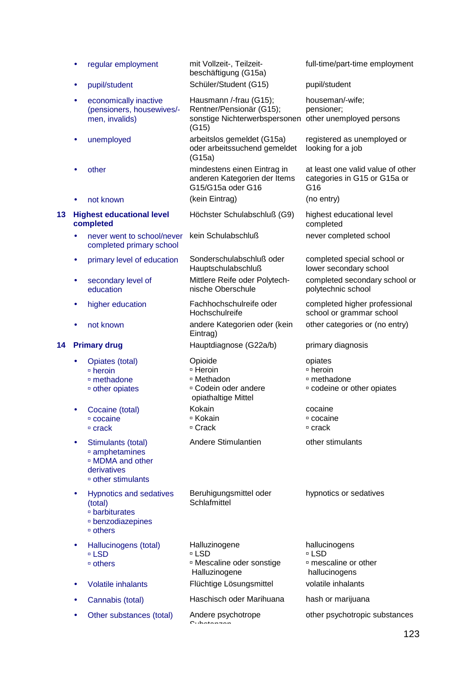|    |           | regular employment                                                                                                | mit Vollzeit-, Teilzeit-<br>beschäftigung (G15a)                                                                      | full-time/part-time employment                                                       |
|----|-----------|-------------------------------------------------------------------------------------------------------------------|-----------------------------------------------------------------------------------------------------------------------|--------------------------------------------------------------------------------------|
|    |           | pupil/student                                                                                                     | Schüler/Student (G15)                                                                                                 | pupil/student                                                                        |
|    | ٠         | economically inactive<br>(pensioners, housewives/-<br>men, invalids)                                              | Hausmann /-frau (G15);<br>Rentner/Pensionär (G15);<br>sonstige Nichterwerbspersonen other unemployed persons<br>(G15) | houseman/-wife;<br>pensioner;                                                        |
|    | ٠         | unemployed                                                                                                        | arbeitslos gemeldet (G15a)<br>oder arbeitssuchend gemeldet<br>(G15a)                                                  | registered as unemployed or<br>looking for a job                                     |
|    |           | other                                                                                                             | mindestens einen Eintrag in<br>anderen Kategorien der Items<br>G15/G15a oder G16                                      | at least one valid value of other<br>categories in G15 or G15a or<br>G <sub>16</sub> |
|    |           | not known                                                                                                         | (kein Eintrag)                                                                                                        | (no entry)                                                                           |
| 13 |           | <b>Highest educational level</b><br>completed                                                                     | Höchster Schulabschluß (G9)                                                                                           | highest educational level<br>completed                                               |
|    |           | never went to school/never<br>completed primary school                                                            | kein Schulabschluß                                                                                                    | never completed school                                                               |
|    | ٠         | primary level of education                                                                                        | Sonderschulabschluß oder<br>Hauptschulabschluß                                                                        | completed special school or<br>lower secondary school                                |
|    | ٠         | secondary level of<br>education                                                                                   | Mittlere Reife oder Polytech-<br>nische Oberschule                                                                    | completed secondary school or<br>polytechnic school                                  |
|    | $\bullet$ | higher education                                                                                                  | Fachhochschulreife oder<br>Hochschulreife                                                                             | completed higher professional<br>school or grammar school                            |
|    |           | not known                                                                                                         | andere Kategorien oder (kein<br>Eintrag)                                                                              | other categories or (no entry)                                                       |
|    |           |                                                                                                                   |                                                                                                                       |                                                                                      |
| 14 |           | <b>Primary drug</b>                                                                                               | Hauptdiagnose (G22a/b)                                                                                                | primary diagnosis                                                                    |
|    |           | Opiates (total)<br>□ heroin<br>□ methadone<br><sup>o</sup> other opiates                                          | Opioide<br>□ Heroin<br><sup>□</sup> Methadon<br><sup>□</sup> Codein oder andere                                       | opiates<br>□ heroin<br>□ methadone<br>¤ codeine or other opiates                     |
|    |           | Cocaine (total)<br>□ cocaine<br>□ crack                                                                           | opiathaltige Mittel<br>Kokain<br>□ Kokain<br>□ Crack                                                                  | cocaine<br>□ cocaine<br>□ crack                                                      |
|    | ٠         | Stimulants (total)<br>amphetamines<br><sup>□</sup> MDMA and other<br>derivatives<br><sup>□</sup> other stimulants | Andere Stimulantien                                                                                                   | other stimulants                                                                     |
|    | ٠         | <b>Hypnotics and sedatives</b><br>(total)<br>□ barbiturates<br>□ benzodiazepines<br>□ others                      | Beruhigungsmittel oder<br>Schlafmittel                                                                                | hypnotics or sedatives                                                               |
|    | ٠         | Hallucinogens (total)<br>□ LSD                                                                                    | Halluzinogene<br>□ LSD                                                                                                | hallucinogens<br>□ LSD                                                               |
|    |           | □ others                                                                                                          | <sup>□</sup> Mescaline oder sonstige<br>Halluzinogene                                                                 | <sup>□</sup> mescaline or other<br>hallucinogens                                     |
|    | ٠         | <b>Volatile inhalants</b>                                                                                         | Flüchtige Lösungsmittel                                                                                               | volatile inhalants                                                                   |
|    |           | Cannabis (total)<br>Other substances (total)                                                                      | Haschisch oder Marihuana<br>Andere psychotrope                                                                        | hash or marijuana<br>other psychotropic substances                                   |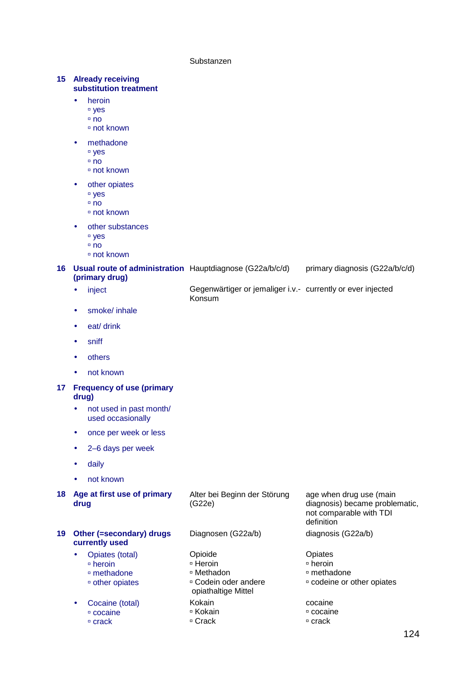Substanzen

### **15 Already receiving substitution treatment**

- heroin
	- □ yes
	- no
	- not known
- methadone
	- yes
	- no
	- not known
- other opiates
	- <sup>□</sup> yes
	- no
	- not known
- other substances
	- □ yes
	- $\overline{p}$  no
	- not known

### **16 Usual route of administration** Hauptdiagnose (G22a/b/c/d) **(primary drug)**  primary diagnosis (G22a/b/c/d)

- inject **Gegenwärtiger or jemaliger i.v.** currently or ever injected Konsum
- smoke/ inhale
- eat/ drink
- sniff
- others
- not known

### **17 Frequency of use (primary drug)**

- not used in past month/ used occasionally
- once per week or less
- 2–6 days per week
- daily
- not known

# **18 Age at first use of primary drug**

Alter bei Beginn der Störung

**19 Other (=secondary) drugs currently used**  • Opiates (total)

- methadone
- other opiates
- 
- Cocaine (total) cocaine
	- □ crack

heroin

- 
- Kokain

(G22e)

□ Crack

age when drug use (main diagnosis) became problematic, not comparable with TDI definition

- **Opiates**
- heroin
- methadone
- codeine or other opiates
- cocaine
- cocaine
- □ crack

Diagnosen (G22a/b) diagnosis (G22a/b) Opioide □ Heroin Methadon Codein oder andere opiathaltige Mittel Kokain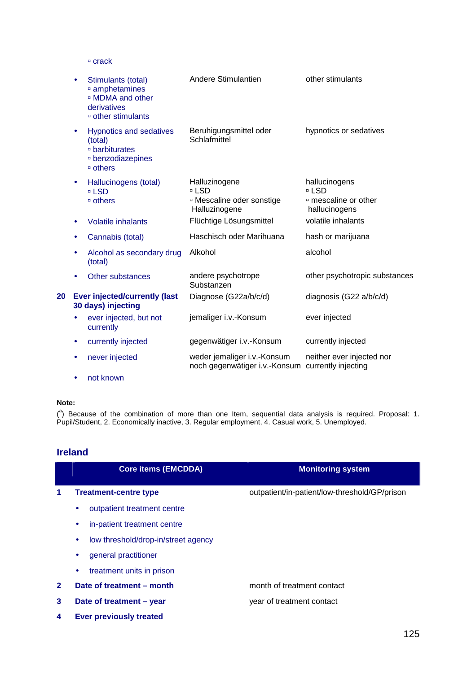$C$  crack

|    |           | Stimulants (total)<br>amphetamines<br><sup>□</sup> MDMA and other<br>derivatives<br><sup>o</sup> other stimulants | Andere Stimulantien                                                             | other stimulants                                                           |
|----|-----------|-------------------------------------------------------------------------------------------------------------------|---------------------------------------------------------------------------------|----------------------------------------------------------------------------|
|    | $\bullet$ | <b>Hypnotics and sedatives</b><br>(total)<br>□ barbiturates<br>□ benzodiazepines<br>$\overline{ }$ others         | Beruhigungsmittel oder<br>Schlafmittel                                          | hypnotics or sedatives                                                     |
|    | ٠         | Hallucinogens (total)<br>□ LSD<br>□ others                                                                        | Halluzinogene<br>□ LSD<br><sup>o</sup> Mescaline oder sonstige<br>Halluzinogene | hallucinogens<br>□ LSD<br><sup>□</sup> mescaline or other<br>hallucinogens |
|    | ٠         | <b>Volatile inhalants</b>                                                                                         | Flüchtige Lösungsmittel                                                         | volatile inhalants                                                         |
|    |           | Cannabis (total)                                                                                                  | Haschisch oder Marihuana                                                        | hash or marijuana                                                          |
|    |           | Alcohol as secondary drug<br>(total)                                                                              | Alkohol                                                                         | alcohol                                                                    |
|    |           | <b>Other substances</b>                                                                                           | andere psychotrope<br>Substanzen                                                | other psychotropic substances                                              |
| 20 |           | <b>Ever injected/currently (last</b><br>30 days) injecting                                                        | Diagnose (G22a/b/c/d)                                                           | diagnosis (G22 a/b/c/d)                                                    |
|    |           | ever injected, but not<br>currently                                                                               | jemaliger i.v.-Konsum                                                           | ever injected                                                              |
|    | ٠         | currently injected                                                                                                | gegenwätiger i.v.-Konsum                                                        | currently injected                                                         |
|    |           | never injected                                                                                                    | weder jemaliger i.v.-Konsum<br>noch gegenwätiger i.v.-Konsum                    | neither ever injected nor<br>currently injecting                           |

• not known

### **Note:**

 $(3)$  Because of the combination of more than one Item, sequential data analysis is required. Proposal: 1. Pupil/Student, 2. Economically inactive, 3. Regular employment, 4. Casual work, 5. Unemployed.

## **Ireland**

|              | <b>Core items (EMCDDA)</b>               | <b>Monitoring system</b>                      |
|--------------|------------------------------------------|-----------------------------------------------|
| 1            | <b>Treatment-centre type</b>             | outpatient/in-patient/low-threshold/GP/prison |
|              | outpatient treatment centre<br>۰         |                                               |
|              | in-patient treatment centre<br>۰         |                                               |
|              | low threshold/drop-in/street agency<br>٠ |                                               |
|              | general practitioner<br>٠                |                                               |
|              | treatment units in prison<br>٠           |                                               |
| $\mathbf{2}$ | Date of treatment – month                | month of treatment contact                    |
| 3            | Date of treatment - year                 | year of treatment contact                     |
| 4            | <b>Ever previously treated</b>           |                                               |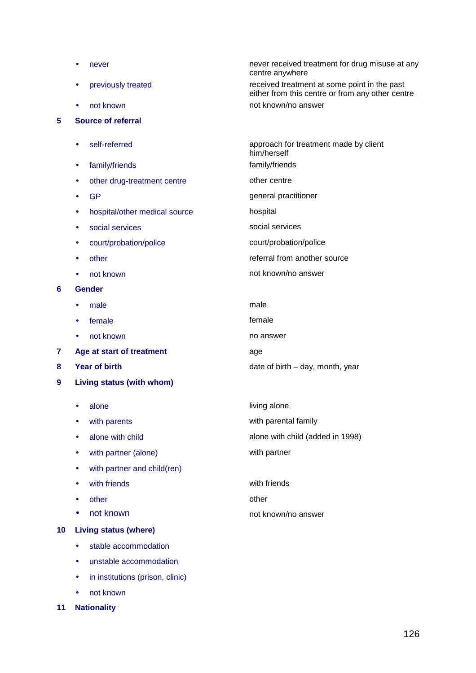|    |           | never                         | never received treatment for drug misuse at any<br>centre anywhere                               |
|----|-----------|-------------------------------|--------------------------------------------------------------------------------------------------|
|    | $\bullet$ | previously treated            | received treatment at some point in the past<br>either from this centre or from any other centre |
|    | $\bullet$ | not known                     | not known/no answer                                                                              |
| 5  |           | <b>Source of referral</b>     |                                                                                                  |
|    |           |                               |                                                                                                  |
|    | $\bullet$ | self-referred                 | approach for treatment made by client<br>him/herself                                             |
|    | ٠         | family/friends                | family/friends                                                                                   |
|    | ٠         | other drug-treatment centre   | other centre                                                                                     |
|    | ٠         | <b>GP</b>                     | general practitioner                                                                             |
|    | ٠         | hospital/other medical source | hospital                                                                                         |
|    | $\bullet$ | social services               | social services                                                                                  |
|    |           | court/probation/police        | court/probation/police                                                                           |
|    | ٠         | other                         | referral from another source                                                                     |
|    | $\bullet$ | not known                     | not known/no answer                                                                              |
| 6  |           | <b>Gender</b>                 |                                                                                                  |
|    | $\bullet$ | male                          | male                                                                                             |
|    | $\bullet$ | female                        | female                                                                                           |
|    |           | not known                     | no answer                                                                                        |
| 7  |           | Age at start of treatment     | age                                                                                              |
| 8  |           | <b>Year of birth</b>          | date of birth $-$ day, month, year                                                               |
| 9  |           | Living status (with whom)     |                                                                                                  |
|    | $\bullet$ | alone                         | living alone                                                                                     |
|    | ٠         | with parents                  | with parental family                                                                             |
|    | $\bullet$ | alone with child              | alone with child (added in 1998)                                                                 |
|    | ٠         | with partner (alone)          | with partner                                                                                     |
|    | ٠         | with partner and child(ren)   |                                                                                                  |
|    | $\bullet$ | with friends                  | with friends                                                                                     |
|    |           | other                         | other                                                                                            |
|    |           | not known                     | not known/no answer                                                                              |
| 10 |           | <b>Living status (where)</b>  |                                                                                                  |
|    | $\bullet$ | stable accommodation          |                                                                                                  |
|    | ٠         | unstable accommodation        |                                                                                                  |

- in institutions (prison, clinic)
- not known
- **11 Nationality**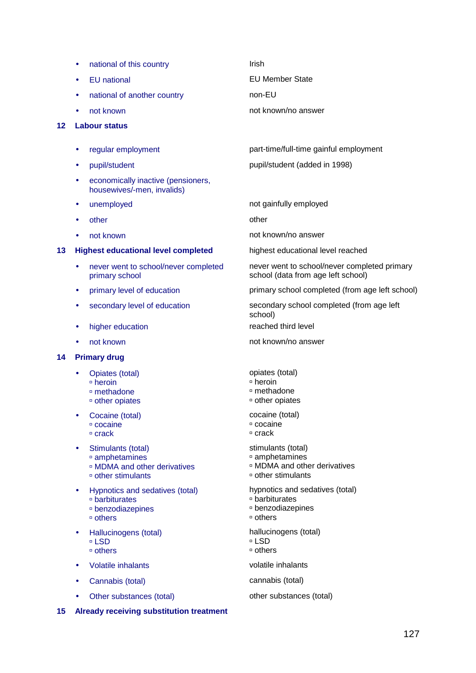- national of this country **Irish**
- 
- national of another country mon-EU
- 

### **12 Labour status**

- 
- 
- economically inactive (pensioners, housewives/-men, invalids)
- 
- other other other other other other other other other other other other other other other other other other other other other other other other other other other other other other other other other other other other othe
- 

### **13 Highest educational level completed** highest educational level reached

- never went to school/never completed primary school
- 
- 
- higher education **reached third level**
- 

### **14 Primary drug**

- Opiates (total)  $\overline{P}$  heroin methadone
	- other opiates
- Cocaine (total)
	- cocaine
	- $\overline{c}$  crack
- Stimulants (total) amphetamines
	- MDMA and other derivatives
	- other stimulants
- Hypnotics and sedatives (total) barbiturates benzodiazepines
	- others
- Hallucinogens (total) LSD
	- others
- Volatile inhalants volatile inhalants
- Cannabis (total) cannabis (total)
- Other substances (total) other substances (total)

**15 Already receiving substitution treatment** 

• EU national EU Member State

not known not known/no answer

• regular employment part-time/full-time gainful employment

• pupil/student pupil/student pupil/student (added in 1998)

unemployed and the material of the method of gainfully employed

not known not known not known not known not known not known not known not known not known not known not known not known not known not known not known not known not known not known not known not known not known not known no

never went to school/never completed primary school (data from age left school)

• primary level of education primary school completed (from age left school)

• secondary level of education secondary school completed (from age left school)

not known not known not known not known not known not known not known not known not known not known not known not known not known not known not known not known not known not known not known not known  $\mu$  and  $\mu$  and  $\mu$ 

opiates (total)

- $\overline{p}$  heroin
- methadone
- other opiates

cocaine (total)

- cocaine
- crack
- stimulants (total)
- amphetamines
- MDMA and other derivatives
- other stimulants

hypnotics and sedatives (total)

- barbiturates
- benzodiazepines
- others
- hallucinogens (total)
- LSD others
- 
-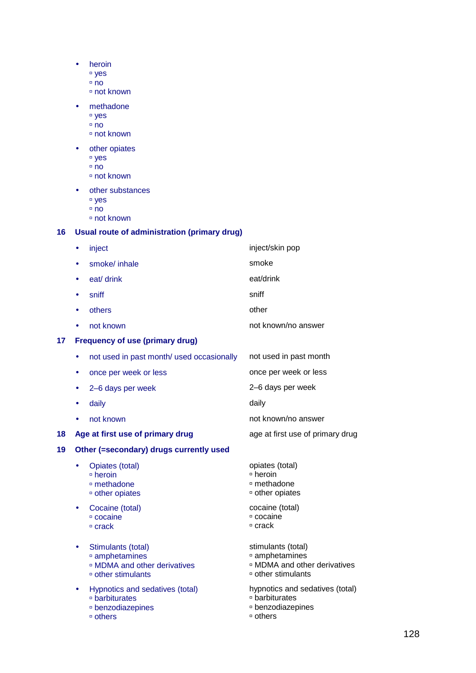- heroin
	- yes
		- □ no
		- not known
- methadone
	- yes
	- no
	- not known
- other opiates
	- yes
	- no
	- not known
- other substances
	- yes
	- $n$ 
		- not known

### **16 Usual route of administration (primary drug)**

• inject inject inject/skin pop • smoke/inhale smoke smoke • eat/ drink eat/drink eat/drink • sniff sniff sniff sniff sniff sniff sniff sniff sniff sniff sniff sniff sniff sniff sniff sniff sniff snift snift snift snift snift snift snift snift snift snift snift snift snift snift snift snift snift snift snift snif • others other • not known **example 20** and known/no answer **17 Frequency of use (primary drug)**  • not used in past month/ used occasionally not used in past month • once per week or less once per week or less • 2–6 days per week 2–6 days per week • daily **daily and a structure of the daily** daily • not known not known/no answer **18 Age at first use of primary drug <b>ack** age at first use of primary drug **19 Other (=secondary) drugs currently used**  • Opiates (total) heroin methadone other opiates opiates (total) heroin methadone other opiates • Cocaine (total) cocaine □ crack cocaine (total) cocaine crack • Stimulants (total) amphetamines MDMA and other derivatives other stimulants stimulants (total) amphetamines MDMA and other derivatives other stimulants • Hypnotics and sedatives (total) barbiturates benzodiazepines others hypnotics and sedatives (total) barbiturates benzodiazepines others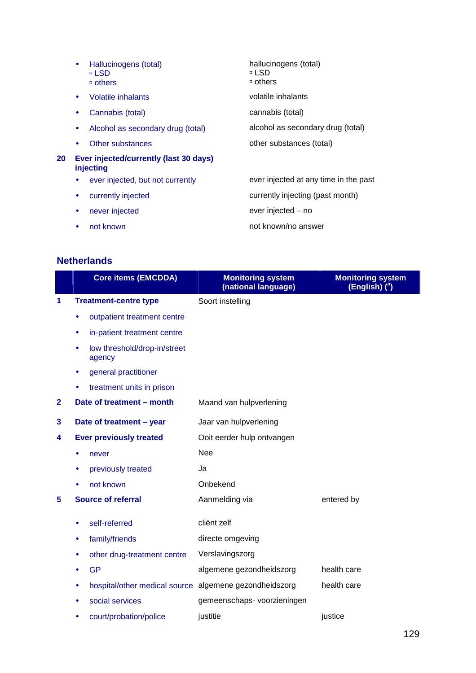|    | $\bullet$ | Hallucinogens (total)<br>□ LSD<br>□ others          | hallucinogens (total)<br>≖ LSD<br>□ others |
|----|-----------|-----------------------------------------------------|--------------------------------------------|
|    | $\bullet$ | Volatile inhalants                                  | volatile inhalants                         |
|    | $\bullet$ | Cannabis (total)                                    | cannabis (total)                           |
|    | $\bullet$ | Alcohol as secondary drug (total)                   | alcohol as secondary drug (total)          |
|    | $\bullet$ | Other substances                                    | other substances (total)                   |
| 20 |           | Ever injected/currently (last 30 days)<br>injecting |                                            |
|    | $\bullet$ | ever injected, but not currently                    | ever injected at any time in the past      |
|    | $\bullet$ | currently injected                                  | currently injecting (past month)           |
|    | $\bullet$ | never injected                                      | ever injected – no                         |
|    |           | not known                                           | not known/no answer                        |

# **Netherlands**

|              |           | <b>Core items (EMCDDA)</b>             | <b>Monitoring system</b><br>(national language) | <b>Monitoring system</b><br>(English) ( <sup>a</sup> ) |
|--------------|-----------|----------------------------------------|-------------------------------------------------|--------------------------------------------------------|
| 1            |           | <b>Treatment-centre type</b>           | Soort instelling                                |                                                        |
|              | $\bullet$ | outpatient treatment centre            |                                                 |                                                        |
|              | ٠         | in-patient treatment centre            |                                                 |                                                        |
|              |           | low threshold/drop-in/street<br>agency |                                                 |                                                        |
|              |           | general practitioner                   |                                                 |                                                        |
|              |           | treatment units in prison              |                                                 |                                                        |
| $\mathbf{2}$ |           | Date of treatment - month              | Maand van hulpverlening                         |                                                        |
| 3            |           | Date of treatment - year               | Jaar van hulpverlening                          |                                                        |
| 4            |           | <b>Ever previously treated</b>         | Ooit eerder hulp ontvangen                      |                                                        |
|              |           | never                                  | <b>Nee</b>                                      |                                                        |
|              |           | previously treated                     | Ja                                              |                                                        |
|              |           | not known                              | Onbekend                                        |                                                        |
| 5            |           | <b>Source of referral</b>              | Aanmelding via                                  | entered by                                             |
|              |           | self-referred                          | cliënt zelf                                     |                                                        |
|              | ٠         | family/friends                         | directe omgeving                                |                                                        |
|              |           | other drug-treatment centre            | Verslavingszorg                                 |                                                        |
|              |           | <b>GP</b>                              | algemene gezondheidszorg                        | health care                                            |
|              | ٠         | hospital/other medical source          | algemene gezondheidszorg                        | health care                                            |
|              |           | social services                        | gemeenschaps- voorzieningen                     |                                                        |
|              |           | court/probation/police                 | justitie                                        | justice                                                |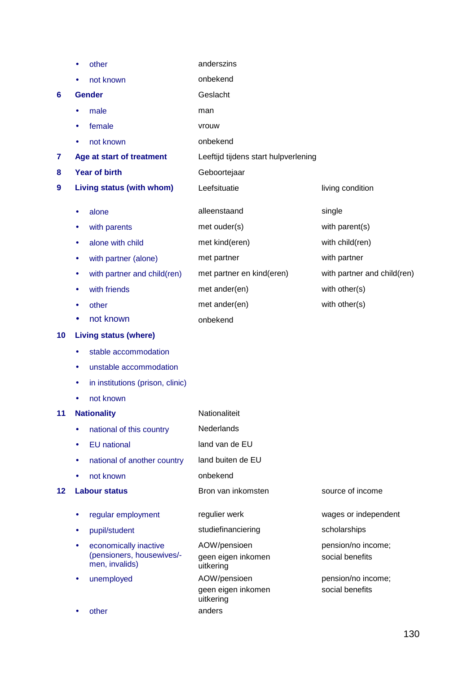|    |   | other                                       | anderszins                           |                             |
|----|---|---------------------------------------------|--------------------------------------|-----------------------------|
|    |   | not known                                   | onbekend                             |                             |
| 6  |   | <b>Gender</b>                               | Geslacht                             |                             |
|    | ٠ | male                                        | man                                  |                             |
|    | ٠ | female                                      | vrouw                                |                             |
|    | ٠ | not known                                   | onbekend                             |                             |
| 7  |   | Age at start of treatment                   | Leeftijd tijdens start hulpverlening |                             |
| 8  |   | <b>Year of birth</b>                        | Geboortejaar                         |                             |
| 9  |   | Living status (with whom)                   | Leefsituatie                         | living condition            |
|    | ٠ | alone                                       | alleenstaand                         | single                      |
|    | ٠ | with parents                                | met ouder(s)                         | with parent(s)              |
|    | ٠ | alone with child                            | met kind(eren)                       | with child(ren)             |
|    | ٠ | with partner (alone)                        | met partner                          | with partner                |
|    | ٠ | with partner and child(ren)                 | met partner en kind(eren)            | with partner and child(ren) |
|    |   | with friends                                | met ander(en)                        | with other(s)               |
|    |   | other                                       | met ander(en)                        | with other(s)               |
|    |   | not known                                   | onbekend                             |                             |
| 10 |   | <b>Living status (where)</b>                |                                      |                             |
|    | ٠ | stable accommodation                        |                                      |                             |
|    | ۰ | unstable accommodation                      |                                      |                             |
|    | ٠ | in institutions (prison, clinic)            |                                      |                             |
|    |   | not known                                   |                                      |                             |
| 11 |   | <b>Nationality</b>                          | Nationaliteit                        |                             |
|    | ٠ | national of this country                    | Nederlands                           |                             |
|    | ٠ | <b>EU</b> national                          | land van de EU                       |                             |
|    |   | national of another country                 | land buiten de EU                    |                             |
|    |   | not known                                   | onbekend                             |                             |
| 12 |   | <b>Labour status</b>                        | Bron van inkomsten                   | source of income            |
|    | ٠ | regular employment                          | regulier werk                        | wages or independent        |
|    | ٠ | pupil/student                               | studiefinanciering                   | scholarships                |
|    | ٠ | economically inactive                       | AOW/pensioen                         | pension/no income;          |
|    |   | (pensioners, housewives/-<br>men, invalids) | geen eigen inkomen<br>uitkering      | social benefits             |
|    | ۰ | unemployed                                  | AOW/pensioen                         | pension/no income;          |
|    |   |                                             | geen eigen inkomen<br>uitkering      | social benefits             |
|    |   | other                                       | anders                               |                             |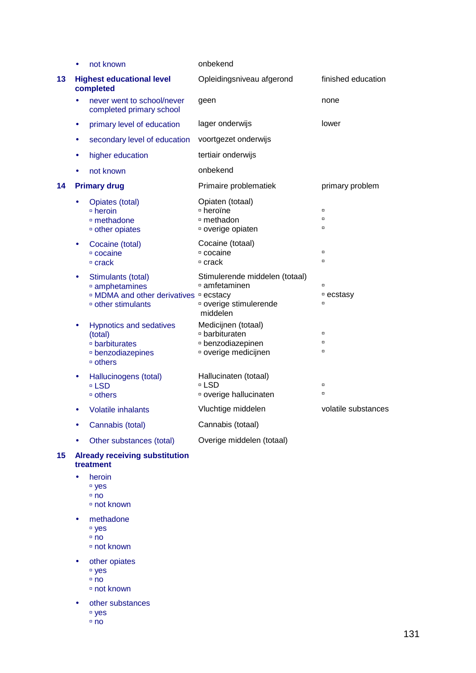|    | $\bullet$ | not known                                                                                                          | onbekend                                                                                         |                               |
|----|-----------|--------------------------------------------------------------------------------------------------------------------|--------------------------------------------------------------------------------------------------|-------------------------------|
| 13 |           | <b>Highest educational level</b><br>completed                                                                      | Opleidingsniveau afgerond                                                                        | finished education            |
|    |           | never went to school/never<br>completed primary school                                                             | geen                                                                                             | none                          |
|    | ٠         | primary level of education                                                                                         | lager onderwijs                                                                                  | lower                         |
|    |           | secondary level of education                                                                                       | voortgezet onderwijs                                                                             |                               |
|    | $\bullet$ | higher education                                                                                                   | tertiair onderwijs                                                                               |                               |
|    |           | not known                                                                                                          | onbekend                                                                                         |                               |
| 14 |           | <b>Primary drug</b>                                                                                                | Primaire problematiek                                                                            | primary problem               |
|    |           | Opiates (total)<br>□ heroin<br><sup>o</sup> methadone<br><sup>o</sup> other opiates                                | Opiaten (totaal)<br>□ heroïne<br>□ methadon<br>overige opiaten                                   | $\Box$<br>$\Box$<br>$\Box$    |
|    | $\bullet$ | Cocaine (total)<br>□ cocaine<br>$□$ crack                                                                          | Cocaine (totaal)<br>□ cocaine<br>□ crack                                                         | $\Box$<br>$\Box$              |
|    | $\bullet$ | Stimulants (total)<br>amphetamines<br>□ MDMA and other derivatives □ ecstacy<br><sup>o</sup> other stimulants      | Stimulerende middelen (totaal)<br>□ amfetaminen<br><sup>¤</sup> overige stimulerende<br>middelen | $\Box$<br>□ ecstasy<br>$\Box$ |
|    | $\bullet$ | <b>Hypnotics and sedatives</b><br>(total)<br><sup>o</sup> barbiturates<br><sup>□</sup> benzodiazepines<br>□ others | Medicijnen (totaal)<br>□ barbituraten<br><sup>□</sup> benzodiazepinen<br>¤ overige medicijnen    | $\Box$<br>$\Box$<br>$\Box$    |
|    |           | Hallucinogens (total)<br>□ LSD<br>□ others                                                                         | Hallucinaten (totaal)<br>□ LSD<br>¤ overige hallucinaten                                         | $\Box$<br>$\Box$              |
|    | $\bullet$ | <b>Volatile inhalants</b>                                                                                          | Vluchtige middelen                                                                               | volatile substances           |
|    | $\bullet$ | Cannabis (total)                                                                                                   | Cannabis (totaal)                                                                                |                               |
|    |           | Other substances (total)                                                                                           | Overige middelen (totaal)                                                                        |                               |

### **15 Already receiving substitution treatment**

- heroin
	- yes
		- $n = \frac{1}{2}$
		- not known
- methadone
	- yes
	- $n$  no
	- not known
- other opiates
	- yes
	- $n$  no
	- not known
- other substances
	- yes
		- $n$  no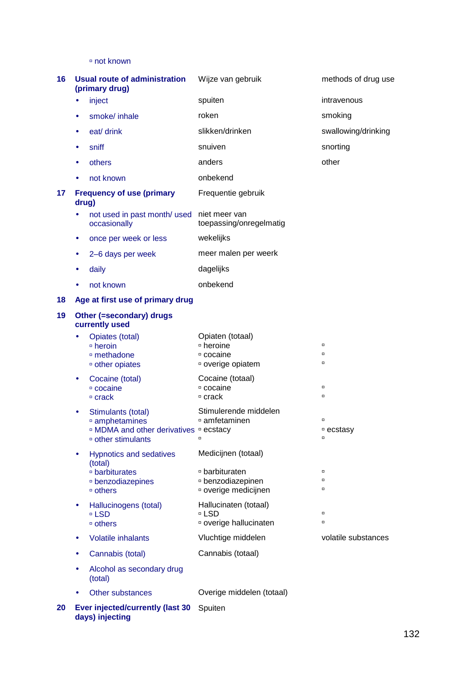not known

| 16 |           | <b>Usual route of administration</b><br>(primary drug)                                                                              | Wijze van gebruik                                                                  | methods of drug use           |
|----|-----------|-------------------------------------------------------------------------------------------------------------------------------------|------------------------------------------------------------------------------------|-------------------------------|
|    | $\bullet$ | inject                                                                                                                              | spuiten                                                                            | intravenous                   |
|    | $\bullet$ | smoke/ inhale                                                                                                                       | roken                                                                              | smoking                       |
|    |           | eat/ drink                                                                                                                          | slikken/drinken                                                                    | swallowing/drinking           |
|    | ٠         | sniff                                                                                                                               | snuiven                                                                            | snorting                      |
|    | $\bullet$ | others                                                                                                                              | anders                                                                             | other                         |
|    |           | not known                                                                                                                           | onbekend                                                                           |                               |
| 17 | drug)     | <b>Frequency of use (primary</b>                                                                                                    | Frequentie gebruik                                                                 |                               |
|    |           | not used in past month/ used<br>occasionally                                                                                        | niet meer van<br>toepassing/onregelmatig                                           |                               |
|    | ٠         | once per week or less                                                                                                               | wekelijks                                                                          |                               |
|    | $\bullet$ | 2-6 days per week                                                                                                                   | meer malen per weerk                                                               |                               |
|    | $\bullet$ | daily                                                                                                                               | dagelijks                                                                          |                               |
|    | ٠         | not known                                                                                                                           | onbekend                                                                           |                               |
| 18 |           | Age at first use of primary drug                                                                                                    |                                                                                    |                               |
| 19 |           | Other (=secondary) drugs<br>currently used                                                                                          |                                                                                    |                               |
|    | $\bullet$ | Opiates (total)<br>□ heroin<br>□ methadone<br><sup>o</sup> other opiates                                                            | Opiaten (totaal)<br>□ heroine<br>□ cocaine<br>□ overige opiatem                    | $\Box$<br>$\Box$<br>$\Box$    |
|    | $\bullet$ | Cocaine (total)<br>□ cocaine<br>□ crack                                                                                             | Cocaine (totaal)<br>□ cocaine<br>□ crack                                           | $\Box$<br>$\Box$              |
|    |           | Stimulants (total)<br>amphetamines<br><sup>o</sup> MDMA and other derivatives <sup>o</sup> ecstacy<br><sup>o</sup> other stimulants | Stimulerende middelen<br>□ amfetaminen                                             | $\Box$<br>□ ecstasy<br>$\Box$ |
|    | $\bullet$ | <b>Hypnotics and sedatives</b><br>(total)<br>□ barbiturates<br>□ benzodiazepines<br>□ others                                        | Medicijnen (totaal)<br>□ barbituraten<br>□ benzodiazepinen<br>¤ overige medicijnen | $\Box$<br>$\Box$<br>$\Box$    |
|    | $\bullet$ | Hallucinogens (total)<br>□ LSD<br>□ others                                                                                          | Hallucinaten (totaal)<br>□ LSD<br>¤ overige hallucinaten                           | $\Box$<br>$\Box$              |
|    |           | <b>Volatile inhalants</b>                                                                                                           | Vluchtige middelen                                                                 | volatile substances           |
|    |           | Cannabis (total)                                                                                                                    | Cannabis (totaal)                                                                  |                               |
|    | $\bullet$ | Alcohol as secondary drug<br>(total)                                                                                                |                                                                                    |                               |
|    | $\bullet$ | Other substances                                                                                                                    | Overige middelen (totaal)                                                          |                               |
| 20 |           | <b>Ever injected/currently (last 30</b>                                                                                             | Spuiten                                                                            |                               |

**days) injecting**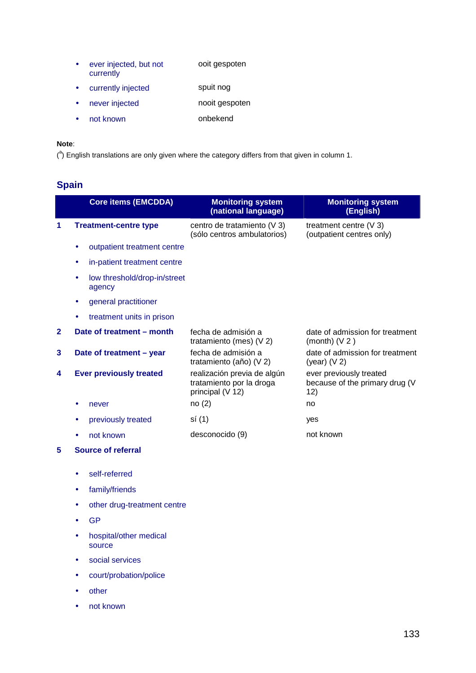- ever injected, but not currently ooit gespoten
- currently injected spuit nog
- never injected nooit gespoten
- not known onbekend

### **Note**:

 $(3)$  English translations are only given where the category differs from that given in column 1.

# **Spain**

|              | <b>Core items (EMCDDA)</b>             | <b>Monitoring system</b><br>(national language)                             | <b>Monitoring system</b><br>(English)                            |
|--------------|----------------------------------------|-----------------------------------------------------------------------------|------------------------------------------------------------------|
| 1            | <b>Treatment-centre type</b>           | centro de tratamiento (V 3)<br>(sólo centros ambulatorios)                  | treatment centre $(V 3)$<br>(outpatient centres only)            |
|              | outpatient treatment centre            |                                                                             |                                                                  |
|              | in-patient treatment centre            |                                                                             |                                                                  |
|              | low threshold/drop-in/street<br>agency |                                                                             |                                                                  |
|              | general practitioner<br>٠              |                                                                             |                                                                  |
|              | treatment units in prison              |                                                                             |                                                                  |
| $\mathbf{2}$ | Date of treatment - month              | fecha de admisión a<br>tratamiento (mes) (V 2)                              | date of admission for treatment<br>(month) $(V 2)$               |
| 3            | Date of treatment - year               | fecha de admisión a<br>tratamiento (año) (V 2)                              | date of admission for treatment<br>(year) $(V 2)$                |
| 4            | <b>Ever previously treated</b>         | realización previa de algún<br>tratamiento por la droga<br>principal (V 12) | ever previously treated<br>because of the primary drug (V<br>12) |
|              | never                                  | no(2)                                                                       | no                                                               |
|              | previously treated                     | sí (1)                                                                      | yes                                                              |
|              | not known                              | desconocido (9)                                                             | not known                                                        |
| 5            | Source of referral                     |                                                                             |                                                                  |

- self-referred
- family/friends
- other drug-treatment centre
- GP
- hospital/other medical source
- social services
- court/probation/police
- other
- not known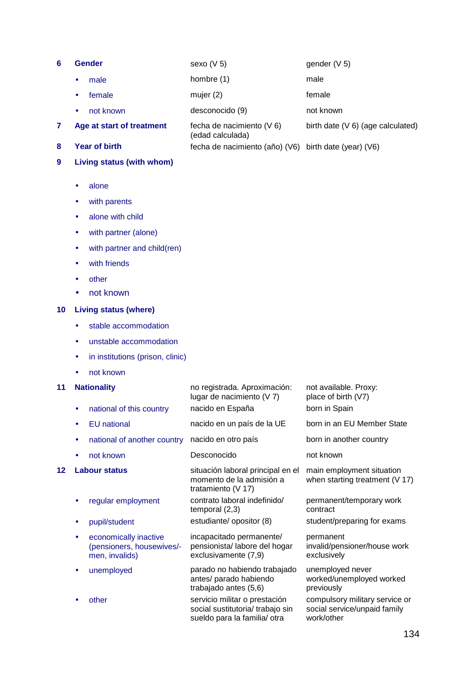- **6 Gender** sexo (V 5) gender (V 5)
	- male **hombre** (1) male

• female mujer (2) female

• not known desconocido (9) not known

(edad calculada)

birth date (V 6) (age calculated)

- **7 Age at start of treatment** fecha de nacimiento (V 6)
- **8 Year of birth** fecha de nacimiento (año) (V6) birth date (year) (V6)

### **9 Living status (with whom)**

- alone
- with parents
- alone with child
- with partner (alone)
- with partner and child(ren)
- with friends
- other
- not known

### **10 Living status (where)**

- stable accommodation
- unstable accommodation
- in institutions (prison, clinic)
- not known

### **11 Nationality** no registrada. Aproximación:

lugar de nacimiento (V 7) not available. Proxy: place of birth (V7) national of this country nacido en España born in Spain • EU national nacido en un país de la UE born in an EU Member State national of another country nacido en otro país born in another country • not known Desconocido not known **12 Labour status** situación laboral principal en el momento de la admisión a tratamiento (V 17) main employment situation when starting treatment (V 17) • regular employment contrato laboral indefinido/ temporal (2,3) permanent/temporary work contract • pupil/student estudiante/ opositor (8) student/preparing for exams • economically inactive (pensioners, housewives/ men, invalids) incapacitado permanente/ pensionista/ labore del hogar exclusivamente (7,9) permanent invalid/pensioner/house work exclusively • unemployed parado no habiendo trabajado antes/ parado habiendo trabajado antes (5,6) unemployed never worked/unemployed worked previously other entre servicio militar o prestación social sustitutoria/ trabajo sin sueldo para la familia/ otra compulsory military service or social service/unpaid family work/other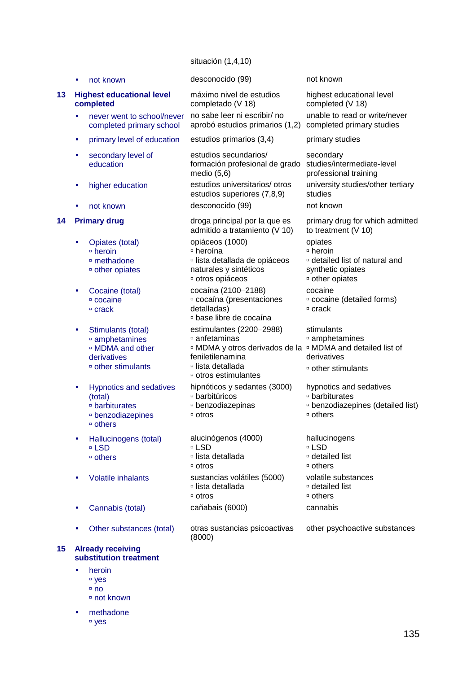### situación (1,4,10)

|    |           | not known                                                                                                         | desconocido (99)                                                                                                                                                                                          | not known                                                                                                |
|----|-----------|-------------------------------------------------------------------------------------------------------------------|-----------------------------------------------------------------------------------------------------------------------------------------------------------------------------------------------------------|----------------------------------------------------------------------------------------------------------|
| 13 |           | <b>Highest educational level</b><br>completed                                                                     | máximo nivel de estudios<br>completado (V 18)                                                                                                                                                             | highest educational level<br>completed (V 18)                                                            |
|    | $\bullet$ | never went to school/never<br>completed primary school                                                            | no sabe leer ni escribir/ no<br>aprobó estudios primarios (1,2)                                                                                                                                           | unable to read or write/never<br>completed primary studies                                               |
|    | $\bullet$ | primary level of education                                                                                        | estudios primarios (3,4)                                                                                                                                                                                  | primary studies                                                                                          |
|    |           | secondary level of<br>education                                                                                   | estudios secundarios/<br>formación profesional de grado<br>medio $(5,6)$                                                                                                                                  | secondary<br>studies/intermediate-level<br>professional training                                         |
|    | $\bullet$ | higher education                                                                                                  | estudios universitarios/ otros<br>estudios superiores (7,8,9)                                                                                                                                             | university studies/other tertiary<br>studies                                                             |
|    |           | not known                                                                                                         | desconocido (99)                                                                                                                                                                                          | not known                                                                                                |
| 14 |           | <b>Primary drug</b>                                                                                               | droga principal por la que es<br>admitido a tratamiento (V 10)                                                                                                                                            | primary drug for which admitted<br>to treatment $(V 10)$                                                 |
|    | ٠         | Opiates (total)<br><sup>□</sup> heroin<br><sup>□</sup> methadone<br>□ other opiates                               | opiáceos (1000)<br>□ heroína<br>□ lista detallada de opiáceos<br>naturales y sintéticos<br>otros opiáceos                                                                                                 | opiates<br>□ heroin<br>¤ detailed list of natural and<br>synthetic opiates<br><sup>□</sup> other opiates |
|    |           | Cocaine (total)<br>□ cocaine<br>□ crack                                                                           | cocaína (2100-2188)<br>¤ cocaína (presentaciones<br>detalladas)<br><sup>o</sup> base libre de cocaína                                                                                                     | cocaine<br>¤ cocaine (detailed forms)<br>□ crack                                                         |
|    | $\bullet$ | Stimulants (total)<br>amphetamines<br><sup>□</sup> MDMA and other<br>derivatives<br><sup>o</sup> other stimulants | estimulantes (2200-2988)<br>□ anfetaminas<br><sup>□</sup> MDMA y otros derivados de la <sup>□</sup> MDMA and detailed list of<br>feniletilenamina<br>□ lista detallada<br><sup>□</sup> otros estimulantes | stimulants<br>amphetamines<br>derivatives<br><sup>□</sup> other stimulants                               |
|    | $\bullet$ | <b>Hypnotics and sedatives</b><br>(total)<br>□ barbiturates<br>□ benzodiazepines<br>□ others                      | hipnóticos y sedantes (3000)<br>□ barbitúricos<br>□ benzodiazepinas<br>□ otros                                                                                                                            | hypnotics and sedatives<br>□ barbiturates<br><sup>□</sup> benzodiazepines (detailed list)<br>□ others    |
|    |           | Hallucinogens (total)<br>□ LSD<br><sup>o</sup> others                                                             | alucinógenos (4000)<br>□ LSD<br>□ lista detallada<br>□ otros                                                                                                                                              | hallucinogens<br>□ LSD<br><sup>□</sup> detailed list<br>□ others                                         |
|    |           | <b>Volatile inhalants</b>                                                                                         | sustancias volátiles (5000)<br>□ lista detallada<br>□ otros                                                                                                                                               | volatile substances<br>□ detailed list<br>□ others                                                       |
|    |           | Cannabis (total)                                                                                                  | cañabais (6000)                                                                                                                                                                                           | cannabis                                                                                                 |
|    |           | Other substances (total)                                                                                          | otras sustancias psicoactivas<br>(8000)                                                                                                                                                                   | other psychoactive substances                                                                            |
| 15 |           | <b>Already receiving</b><br>substitution treatment                                                                |                                                                                                                                                                                                           |                                                                                                          |

• heroin yes  $n$  no not known

• methadone yes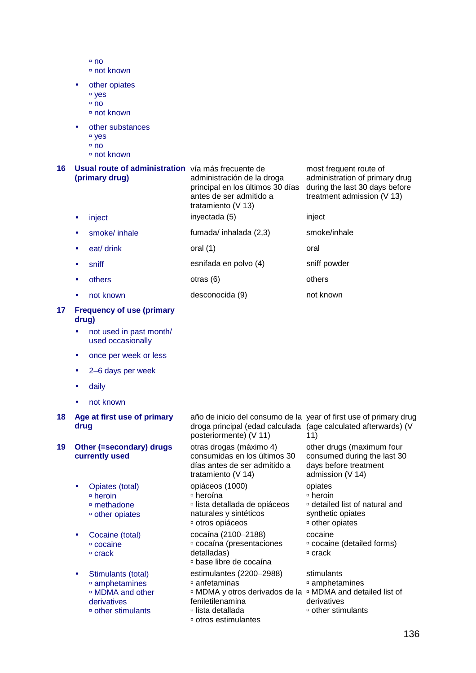- $n$ no not known
- other opiates
	- <sup>□</sup> yes
	- $n$
	- not known
- other substances
	- <sup>□</sup> yes
	- no
	- not known

| 16 | Usual route of administration vía más frecuente de<br>(primary drug) |               | administración de la droga<br>principal en los últimos 30 días<br>antes de ser admitido a<br>tratamiento ( $V$ 13) | most frequent route of<br>administration of primary drug<br>during the last 30 days before<br>treatment admission (V 13) |
|----|----------------------------------------------------------------------|---------------|--------------------------------------------------------------------------------------------------------------------|--------------------------------------------------------------------------------------------------------------------------|
|    |                                                                      | inject        | inyectada (5)                                                                                                      | inject                                                                                                                   |
|    |                                                                      | smoke/ inhale | fumada/ inhalada (2,3)                                                                                             | smoke/inhale                                                                                                             |
|    |                                                                      | eat/ drink    | oral $(1)$                                                                                                         | oral                                                                                                                     |

- sniff esnifada en polvo (4) sniff powder
- others others otras (6) others others
- not known desconocida (9) not known

### **17 Frequency of use (primary drug)**

- not used in past month/ used occasionally
- once per week or less
- 2–6 days per week
- daily
- not known

### **18 Age at first use of primary drug**

### **19 Other (=secondary) drugs currently used**

- Opiates (total) heroin methadone other opiates
	-
- Cocaine (total) cocaine  $C$  crack
- Stimulants (total) amphetamines MDMA and other derivatives other stimulants

año de inicio del consumo de la year of first use of primary drug droga principal (edad calculada (age calculated afterwards) (V posteriormente) (V 11) 11) otras drogas (máximo 4) consumidas en los últimos 30 días antes de ser admitido a tratamiento (V 14) other drugs (maximum four consumed during the last 30 days before treatment admission (V 14) opiáceos (1000) heroína lista detallada de opiáceos naturales y sintéticos otros opiáceos opiates heroin detailed list of natural and synthetic opiates other opiates cocaína (2100–2188) cocaína (presentaciones detalladas) base libre de cocaína cocaine cocaine (detailed forms) □ crack estimulantes (2200–2988) anfetaminas MDMA y otros derivados de la MDMA and detailed list of feniletilenamina lista detallada stimulants amphetamines derivatives other stimulants

otros estimulantes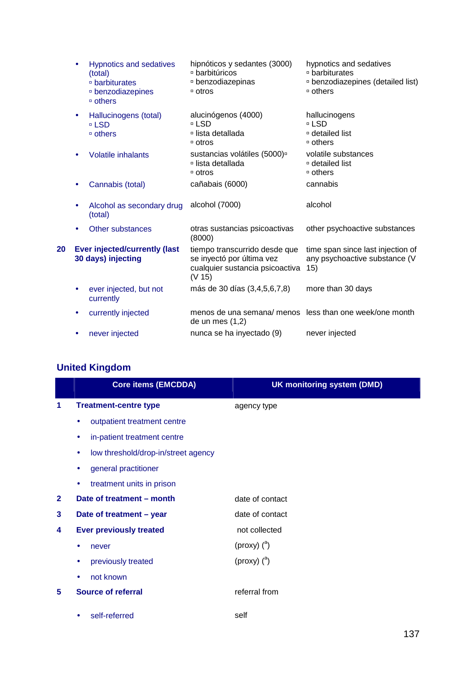|    |                                           | <b>Hypnotics and sedatives</b><br>(total)<br>□ barbiturates<br><sup>□</sup> benzodiazepines<br>□ others | hipnóticos y sedantes (3000)<br>□ barbitúricos<br>□ benzodiazepinas<br>□ otros                          | hypnotics and sedatives<br>□ barbiturates<br><sup>□</sup> benzodiazepines (detailed list)<br>□ others |  |  |
|----|-------------------------------------------|---------------------------------------------------------------------------------------------------------|---------------------------------------------------------------------------------------------------------|-------------------------------------------------------------------------------------------------------|--|--|
|    | ۰                                         | Hallucinogens (total)<br>□ LSD<br>□ others                                                              | alucinógenos (4000)<br>□ LSD<br>□ lista detallada<br>□ otros                                            | hallucinogens<br>□ LSD<br>□ detailed list<br>□ others                                                 |  |  |
|    | <b>Volatile inhalants</b><br>٠            |                                                                                                         | sustancias volátiles (5000) <sup>o</sup><br>□ lista detallada<br>□ otros                                | volatile substances<br>□ detailed list<br>□ others                                                    |  |  |
|    |                                           | Cannabis (total)                                                                                        | cañabais (6000)                                                                                         | cannabis                                                                                              |  |  |
|    | Alcohol as secondary drug<br>٠<br>(total) |                                                                                                         | alcohol (7000)                                                                                          | alcohol                                                                                               |  |  |
|    | ٠                                         | Other substances                                                                                        | otras sustancias psicoactivas<br>(8000)                                                                 | other psychoactive substances                                                                         |  |  |
| 20 |                                           | <b>Ever injected/currently (last</b><br>30 days) injecting                                              | tiempo transcurrido desde que<br>se inyectó por última vez<br>cualquier sustancia psicoactiva<br>(V 15) | time span since last injection of<br>any psychoactive substance (V<br>15)                             |  |  |
|    | ۰                                         | ever injected, but not<br>currently                                                                     | más de 30 días (3,4,5,6,7,8)                                                                            | more than 30 days                                                                                     |  |  |
|    | ٠                                         | currently injected                                                                                      | menos de una semana/menos less than one week/one month<br>de un mes $(1,2)$                             |                                                                                                       |  |  |
|    | ٠                                         | never injected                                                                                          | nunca se ha inyectado (9)                                                                               | never injected                                                                                        |  |  |

# **United Kingdom**

|              | <b>Core items (EMCDDA)</b>               | <b>UK monitoring system (DMD)</b> |
|--------------|------------------------------------------|-----------------------------------|
| 1            | <b>Treatment-centre type</b>             | agency type                       |
|              | outpatient treatment centre<br>۰         |                                   |
|              | in-patient treatment centre<br>$\bullet$ |                                   |
|              | low threshold/drop-in/street agency<br>٠ |                                   |
|              | general practitioner                     |                                   |
|              | treatment units in prison<br>۰           |                                   |
| $\mathbf{2}$ | Date of treatment - month                | date of contact                   |
| 3            | Date of treatment - year                 | date of contact                   |
| 4            | <b>Ever previously treated</b>           | not collected                     |
|              | never                                    | (proxy) $(^{a})$                  |
|              | previously treated                       | (proxy) $(^{a})$                  |
|              | not known                                |                                   |
| 5            | <b>Source of referral</b>                | referral from                     |
|              | self-referred                            | self                              |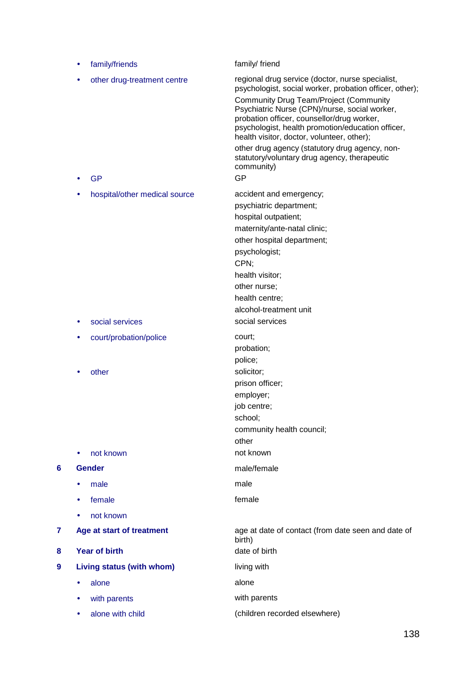|   | ٠ | family/friends                                   | family/ friend                                                                                                                                                                                                                                                                                                                                                                                                                                                                       |
|---|---|--------------------------------------------------|--------------------------------------------------------------------------------------------------------------------------------------------------------------------------------------------------------------------------------------------------------------------------------------------------------------------------------------------------------------------------------------------------------------------------------------------------------------------------------------|
|   |   | other drug-treatment centre<br><b>GP</b>         | regional drug service (doctor, nurse specialist,<br>psychologist, social worker, probation officer, other);<br><b>Community Drug Team/Project (Community</b><br>Psychiatric Nurse (CPN)/nurse, social worker,<br>probation officer, counsellor/drug worker,<br>psychologist, health promotion/education officer,<br>health visitor, doctor, volunteer, other);<br>other drug agency (statutory drug agency, non-<br>statutory/voluntary drug agency, therapeutic<br>community)<br>GP |
|   | ٠ | hospital/other medical source<br>social services | accident and emergency;<br>psychiatric department;<br>hospital outpatient;<br>maternity/ante-natal clinic;<br>other hospital department;<br>psychologist;<br>CPN;<br>health visitor;<br>other nurse;<br>health centre;<br>alcohol-treatment unit<br>social services                                                                                                                                                                                                                  |
|   |   | court/probation/police                           | court;<br>probation;<br>police;                                                                                                                                                                                                                                                                                                                                                                                                                                                      |
|   |   | other<br>not known                               | solicitor;<br>prison officer;<br>employer;<br>job centre;<br>school;<br>community health council;<br>other<br>not known                                                                                                                                                                                                                                                                                                                                                              |
| 6 |   | <b>Gender</b>                                    | male/female                                                                                                                                                                                                                                                                                                                                                                                                                                                                          |
|   |   | male                                             | male                                                                                                                                                                                                                                                                                                                                                                                                                                                                                 |
|   |   | female                                           | female                                                                                                                                                                                                                                                                                                                                                                                                                                                                               |
|   |   | not known                                        |                                                                                                                                                                                                                                                                                                                                                                                                                                                                                      |
| 7 |   | Age at start of treatment                        | age at date of contact (from date seen and date of<br>birth)                                                                                                                                                                                                                                                                                                                                                                                                                         |
| 8 |   | <b>Year of birth</b>                             | date of birth                                                                                                                                                                                                                                                                                                                                                                                                                                                                        |
| 9 |   | Living status (with whom)                        | living with                                                                                                                                                                                                                                                                                                                                                                                                                                                                          |
|   | ٠ | alone                                            | alone                                                                                                                                                                                                                                                                                                                                                                                                                                                                                |
|   |   | with parents                                     | with parents                                                                                                                                                                                                                                                                                                                                                                                                                                                                         |
|   |   | alone with child                                 | (children recorded elsewhere)                                                                                                                                                                                                                                                                                                                                                                                                                                                        |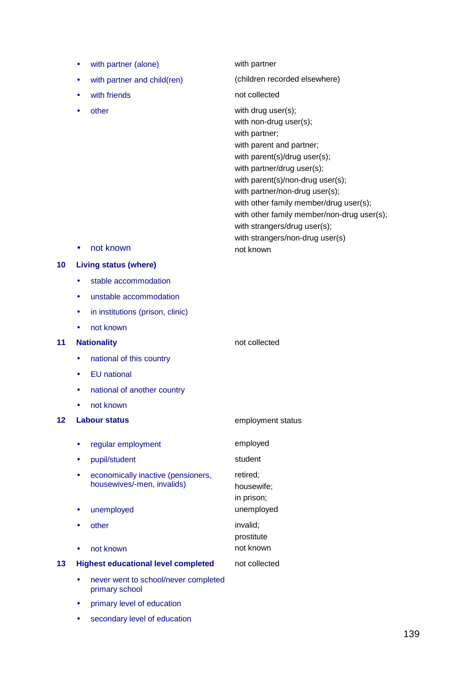- with partner (alone) with partner
- with partner and child(ren) (children recorded elsewhere)
- 
- 

with friends not collected other with drug user(s); with non-drug user(s); with partner; with parent and partner; with parent(s)/drug user(s); with partner/drug user(s); with parent(s)/non-drug user(s); with partner/non-drug user(s); with other family member/drug user(s); with other family member/non-drug user(s); with strangers/drug user(s); with strangers/non-drug user(s)

• not known not known

## **10 Living status (where)**

- stable accommodation
- unstable accommodation
- in institutions (prison, clinic)
- not known

## **11 Nationality not collected**

- national of this country
- EU national
- national of another country
- not known

#### **12 Labour status 12 Labour status employment status**

- regular employment employed pupil/student student economically inactive (pensioners, housewives/-men, invalids) retired; housewife; in prison; unemployed unemployed unemployed other invalid; prostitute • not known not known **13 Highest educational level completed** not collected
	- never went to school/never completed primary school
	- primary level of education
	- secondary level of education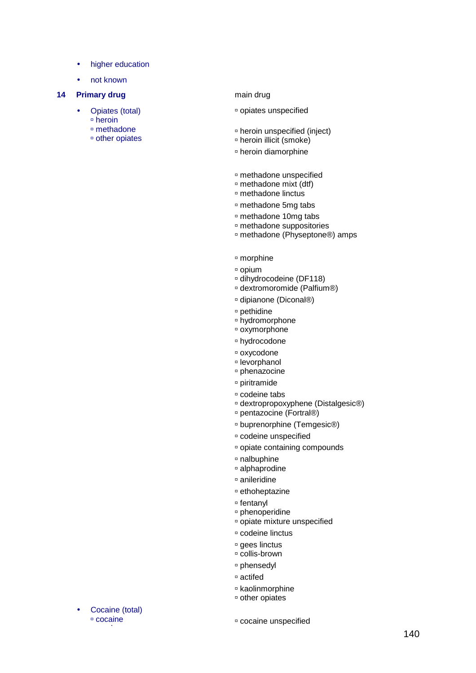- higher education
- not known

## **14 Primary drug 14 Primary drug 14 Primary drug 14 Primary drug 15 Primary drug 15 Primary drug 15 Primary drug 15 Primary drug 15 Primary drug 15 Primary drug 15 Primary drug 15 Primary drug 15 Primary drug 15 Primary dr**

- Opiates (total)<br> **•** heroin<br> **•** other opiates
	-
	-

- opiates unspecified
- heroin unspecified (inject) heroin illicit (smoke)
- 
- heroin diamorphine
- methadone unspecified methadone mixt (dtf) methadone linctus
- 
- 
- methadone 5mg tabs
- 
- methadone 10mg tabs methadone suppositories methadone (Physeptone®) amps
- morphine
- 
- □ opium<br>□ dihydrocodeine (DF118)<br>□ dextromoromide (Palfium®)
- 
- dipianone (Diconal®)
- 
- □ pethidine<br>□ hydromorphone<br>□ oxymorphone
- 
- hydrocodone
- 
- □ oxycodone<br>□ levorphanol<br>□ phenazocine
- 
- piritramide
- 
- □ codeine tabs<br>□ dextropropoxyphene (Distalgesic®)<br>□ pentazocine (Fortral®)
- 
- □ buprenorphine (Temgesic<sup>®</sup>)
- codeine unspecified
- opiate containing compounds
- nalbuphine alphaprodine
- 
- anileridine
- ethoheptazine
- 
- 
- <sup>¤</sup> fentanyl<br><sup>¤</sup> phenoperidine<br>¤ opiate mixture unspecified
- codeine linctus
- <sup>¤</sup> gees linctus<br><sup>¤</sup> collis-brown
- 
- phensedyl
- actifed
- <sup>o</sup> kaolinmorphine<br>
<sup>o</sup> other opiates
- 

Cocaine (total)<br> **c** cocaine

cocaine unspecified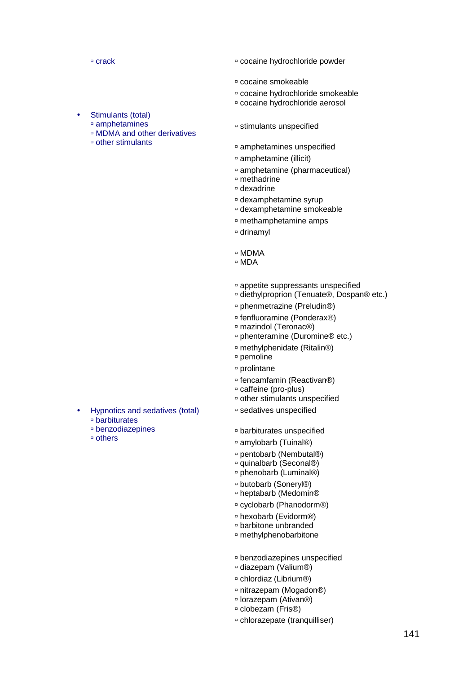**crack crack crack crack crack crack crack crack crack crack c** 

- cocaine smokeable
- cocaine hydrochloride smokeable
- cocaine hydrochloride aerosol
- stimulants unspecified
	- amphetamines unspecified
	- amphetamine (illicit)
	- amphetamine (pharmaceutical)
	- methadrine
	- dexadrine
	- dexamphetamine syrup
	- dexamphetamine smokeable
	- methamphetamine amps
	- drinamyl
	- MDMA
	- MDA
	- appetite suppressants unspecified
	- diethylproprion (Tenuate®, Dospan® etc.)
	- phenmetrazine (Preludin®)
	- fenfluoramine (Ponderax®)
	- mazindol (Teronac®)
	- phenteramine (Duromine® etc.)
	- methylphenidate (Ritalin®)
	- pemoline
	- prolintane
	- fencamfamin (Reactivan®)
	- caffeine (pro-plus)
	- other stimulants unspecified
	- sedatives unspecified
	- barbiturates unspecified
	- amylobarb (Tuinal®)
	- pentobarb (Nembutal®)
	- □ quinalbarb (Seconal®)
	- □ phenobarb (Luminal®)
	- □ butobarb (Soneryl®)
	- heptabarb (Medomin®
	- cyclobarb (Phanodorm®)
	- hexobarb (Evidorm®)
	- barbitone unbranded
	- methylphenobarbitone
	- benzodiazepines unspecified
	- diazepam (Valium®)
	- chlordiaz (Librium®)
	- □ nitrazepam (Mogadon®)
	- lorazepam (Ativan®)
	- clobezam (Fris®)
	- chlorazepate (tranquilliser)
- Hypnotics and sedatives (total) barbiturates
	- benzodiazepines
	- others

Stimulants (total) amphetamines

other stimulants

MDMA and other derivatives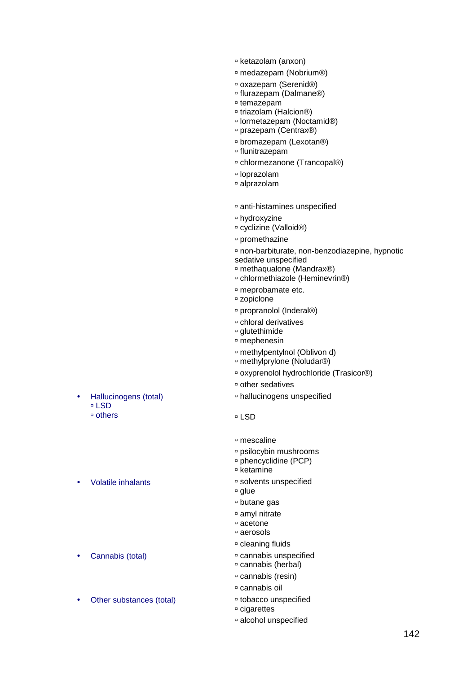- ketazolam (anxon)
- medazepam (Nobrium®)
- oxazepam (Serenid®)
- flurazepam (Dalmane®)
- temazepam
- □ triazolam (Halcion®)
- lormetazepam (Noctamid®)
- prazepam (Centrax®)
- bromazepam (Lexotan®)
- flunitrazepam
- chlormezanone (Trancopal®)
- loprazolam
- alprazolam
- anti-histamines unspecified
- hydroxyzine
- cyclizine (Valloid®)
- promethazine
- non-barbiturate, non-benzodiazepine, hypnotic sedative unspecified
- methaqualone (Mandrax®)
- chlormethiazole (Heminevrin®)
- meprobamate etc.
- zopiclone
- □ propranolol (Inderal®)
- chloral derivatives
- glutethimide
- mephenesin
- methylpentylnol (Oblivon d)
- methylprylone (Noludar®)
- oxyprenolol hydrochloride (Trasicor®)
- other sedatives
- hallucinogens unspecified
- LSD
- mescaline
- psilocybin mushrooms
- phencyclidine (PCP)
- $E$  ketamine
- Volatile inhalants and the solvents unspecified
	- □ glue
	- butane gas
	- amyl nitrate
	- acetone
	- aerosols
	- cleaning fluids
- Cannabis (total) **cannabis unspecified** 
	- cannabis (herbal)
	- cannabis (resin)
	- cannabis oil
	-
	- cigarettes
	- alcohol unspecified
- Hallucinogens (total) LSD others
- 

- 
- Other substances (total) **the substances** (total) **the substances** of the substances of the substances of the substances of the substances of the substances of the substances of the substances of the substances of the su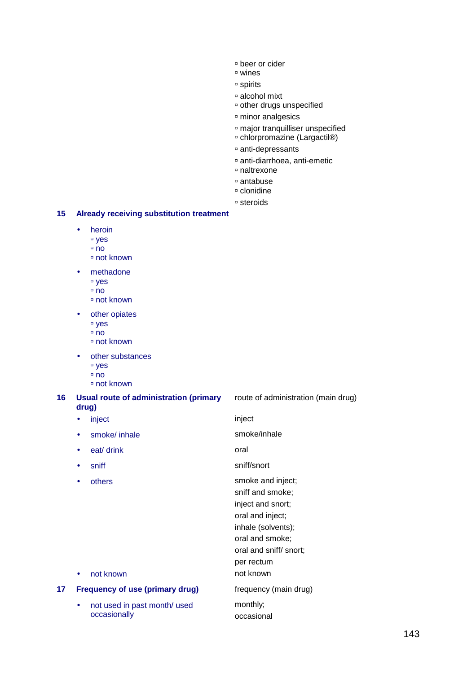- beer or cider
- wines
- spirits
- alcohol mixt
- other drugs unspecified
- minor analgesics
- major tranquilliser unspecified
- chlorpromazine (Largactil®)
- anti-depressants
- anti-diarrhoea, anti-emetic
- naltrexone
- antabuse
- clonidine
- steroids

#### **15 Already receiving substitution treatment**

- heroin
	- yes
	- $n$
	- not known
- methadone
	- yes
	- $n$
	- not known
- other opiates
	- yes
	- no
	- not known
- other substances
	- <sup>D</sup> ves
	- $n$ no
	- not known

## **16 Usual route of administration (primary drug)**

- inject inject
- smoke/ inhale smoke/inhale
- eat/ drink oral
- 
- 

route of administration (main drug)

- 
- 
- 

• sniff sniff/snort

• others **smoke and inject**; sniff and smoke; inject and snort; oral and inject; inhale (solvents); oral and smoke;

- oral and sniff/ snort;
- per rectum
- not known not known

monthly; occasional

# **17 Frequency of use (primary drug)** frequency (main drug)

• not used in past month/ used occasionally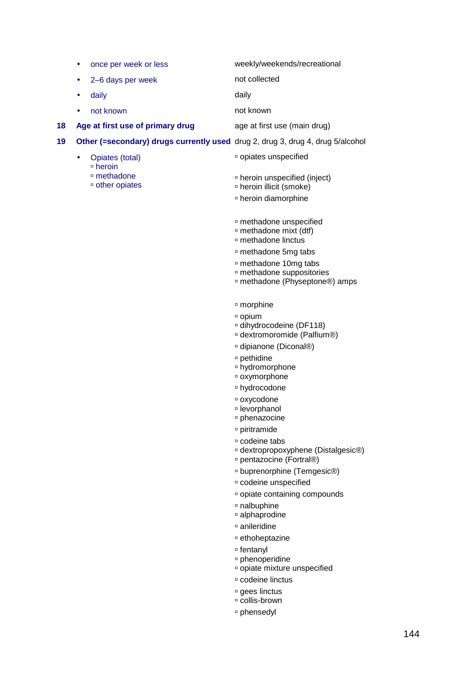|    | $\bullet$ | once per week or less                                                          | weekly/weekends/recreational                                                                                          |
|----|-----------|--------------------------------------------------------------------------------|-----------------------------------------------------------------------------------------------------------------------|
|    |           | 2-6 days per week                                                              | not collected                                                                                                         |
|    | ٠         | daily                                                                          | daily                                                                                                                 |
|    |           | not known                                                                      | not known                                                                                                             |
| 18 |           | Age at first use of primary drug                                               | age at first use (main drug)                                                                                          |
| 19 |           | Other (=secondary) drugs currently used drug 2, drug 3, drug 4, drug 5/alcohol |                                                                                                                       |
|    | $\bullet$ | Opiates (total)<br>□ heroin                                                    | <sup>□</sup> opiates unspecified                                                                                      |
|    |           | □ methadone<br><sup>o</sup> other opiates                                      | <sup>n</sup> heroin unspecified (inject)<br><sup>□</sup> heroin illicit (smoke)<br><sup>□</sup> heroin diamorphine    |
|    |           |                                                                                |                                                                                                                       |
|    |           |                                                                                | <sup>n</sup> methadone unspecified<br>methadone mixt (dtf)<br>□ methadone linctus                                     |
|    |           |                                                                                | <sup>n</sup> methadone 5mg tabs                                                                                       |
|    |           |                                                                                | <sup>n</sup> methadone 10mg tabs<br><sup>¤</sup> methadone suppositories<br><sup>n</sup> methadone (Physeptone®) amps |
|    |           |                                                                                | <sup>□</sup> morphine                                                                                                 |
|    |           |                                                                                | □ opium<br>¤ dihydrocodeine (DF118)<br>¤ dextromoromide (Palfium®)                                                    |
|    |           |                                                                                | <sup>n</sup> dipianone (Diconal®)                                                                                     |
|    |           |                                                                                | □ pethidine<br><sup>n</sup> hydromorphone<br>¤ oxymorphone                                                            |
|    |           |                                                                                | <sup>□</sup> hydrocodone                                                                                              |
|    |           |                                                                                | <sup>□</sup> oxycodone<br>□ levorphanol<br><sup>o</sup> phenazocine                                                   |
|    |           |                                                                                | □ piritramide                                                                                                         |
|    |           |                                                                                | □ codeine tabs<br>dextropropoxyphene (Distalgesic®)<br>pentazocine (Fortral®)                                         |
|    |           |                                                                                | □ buprenorphine (Temgesic®)                                                                                           |
|    |           |                                                                                | <sup>□</sup> codeine unspecified                                                                                      |
|    |           |                                                                                | □ opiate containing compounds<br><sup>□</sup> nalbuphine                                                              |
|    |           |                                                                                | □ alphaprodine                                                                                                        |
|    |           |                                                                                | <sup>□</sup> anileridine                                                                                              |
|    |           |                                                                                | □ ethoheptazine                                                                                                       |
|    |           |                                                                                | <sup>□</sup> fentanyl<br>□ phenoperidine<br><sup>□</sup> opiate mixture unspecified                                   |
|    |           |                                                                                | ¤ codeine linctus                                                                                                     |
|    |           |                                                                                | □ gees linctus<br>□ collis-brown                                                                                      |

phensedyl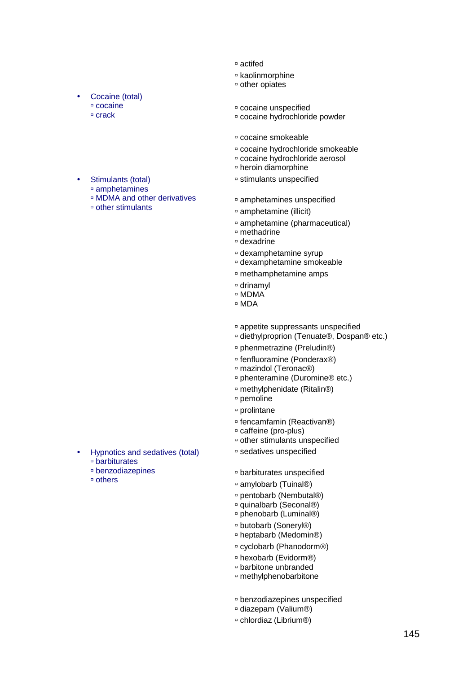- actifed
- kaolinmorphine
- other opiates

Cocaine (total) cocaine

> Stimulants (total) amphetamines

other stimulants

MDMA and other derivatives

- 
- **cocaine**<br> **crack**<br> **crack**<br> **crack**<br> **cocaine**<br> **cocaine**<br> **cocaine** 
	- cocaine hydrochloride powder
	- cocaine smokeable
	- cocaine hydrochloride smokeable
	- cocaine hydrochloride aerosol
	- heroin diamorphine
	- stimulants unspecified
	- amphetamines unspecified
	- amphetamine (illicit)
	- amphetamine (pharmaceutical)
	- methadrine
	- dexadrine
	- dexamphetamine syrup
	- dexamphetamine smokeable
	- methamphetamine amps
	- drinamyl
	- □ MDMA
	- □ MDA
	- appetite suppressants unspecified
	- □ diethylproprion (Tenuate®, Dospan® etc.)
	- □ phenmetrazine (Preludin®)
	- fenfluoramine (Ponderax®)
	- □ mazindol (Teronac<sup>®</sup>)
	- phenteramine (Duromine® etc.)
	- methylphenidate (Ritalin®)
	- pemoline
	- prolintane
	- □ fencamfamin (Reactivan®)
	- caffeine (pro-plus)
	- other stimulants unspecified
	- sedatives unspecified
	- barbiturates unspecified
	- amylobarb (Tuinal®)
	- □ pentobarb (Nembutal®)
	- □ quinalbarb (Seconal®)
	- □ phenobarb (Luminal®)
	- butobarb (Soneryl®)
	- heptabarb (Medomin®)
	- cyclobarb (Phanodorm®)
	- hexobarb (Evidorm®)
	- barbitone unbranded
	- methylphenobarbitone
	- benzodiazepines unspecified
	- diazepam (Valium®)
	- chlordiaz (Librium®)
- Hypnotics and sedatives (total) barbiturates benzodiazepines
	- others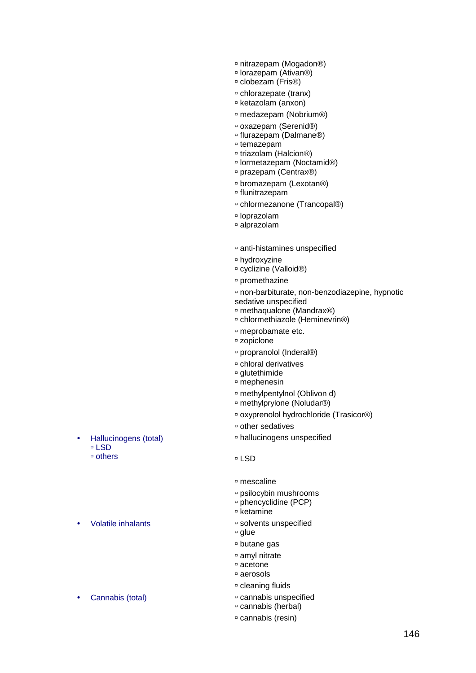- □ nitrazepam (Mogadon®)
- lorazepam (Ativan®)
- clobezam (Fris®)
- chlorazepate (tranx)
- ketazolam (anxon)
- medazepam (Nobrium®)
- oxazepam (Serenid®)
- □ flurazepam (Dalmane<sup>®</sup>)
- temazepam
- triazolam (Halcion®)
- lormetazepam (Noctamid®)
- prazepam (Centrax®)
- □ bromazepam (Lexotan®)
- flunitrazepam
- chlormezanone (Trancopal®)
- loprazolam
- alprazolam
- anti-histamines unspecified
- hydroxyzine
- cyclizine (Valloid®)
- promethazine
- non-barbiturate, non-benzodiazepine, hypnotic sedative unspecified
- methaqualone (Mandrax®)
- chlormethiazole (Heminevrin®)
- meprobamate etc.
- zopiclone
- □ propranolol (Inderal®)
- chloral derivatives
- glutethimide
- mephenesin
- methylpentylnol (Oblivon d)
- methylprylone (Noludar®)
- oxyprenolol hydrochloride (Trasicor®)
- other sedatives
- hallucinogens unspecified
- □ LSD
- mescaline
- psilocybin mushrooms
- phencyclidine (PCP)
- □ ketamine
- Volatile inhalants and solvents unspecified
	- □ glue
	- butane gas
	- amyl nitrate
	- acetone
	- aerosols
	- cleaning fluids
- Cannabis (total) cannabis unspecified
	- cannabis (herbal)
	- cannabis (resin)
- Hallucinogens (total) LSD others
- 
-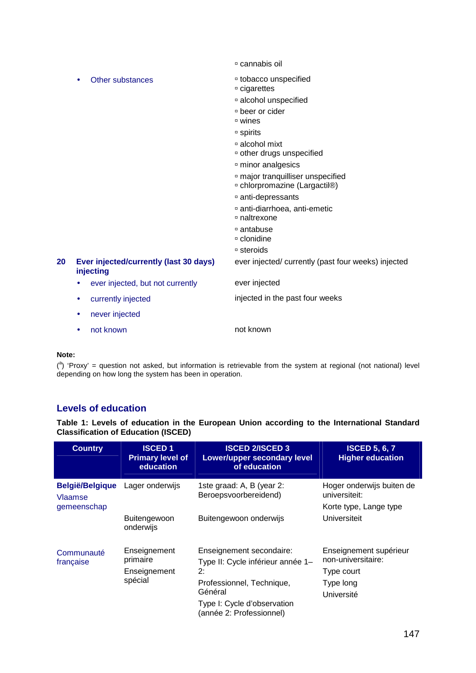cannabis oil

|    | Other substances<br>$\bullet$                       | <sup>□</sup> tobacco unspecified<br>□ cigarettes                              |
|----|-----------------------------------------------------|-------------------------------------------------------------------------------|
|    |                                                     | <sup>□</sup> alcohol unspecified                                              |
|    |                                                     | □ beer or cider<br>□ wines                                                    |
|    |                                                     | □ spirits                                                                     |
|    |                                                     | □ alcohol mixt<br><sup>□</sup> other drugs unspecified                        |
|    |                                                     | <sup>□</sup> minor analgesics                                                 |
|    |                                                     | <sup>□</sup> major tranquilliser unspecified<br>□ chlorpromazine (Largactil®) |
|    |                                                     | anti-depressants                                                              |
|    |                                                     | anti-diarrhoea, anti-emetic<br>□ naltrexone                                   |
|    |                                                     | □ antabuse<br>□ clonidine                                                     |
|    |                                                     | □ steroids                                                                    |
| 20 | Ever injected/currently (last 30 days)<br>injecting | ever injected/ currently (past four weeks) injected                           |
|    | ever injected, but not currently                    | ever injected                                                                 |
|    | currently injected<br>٠                             | injected in the past four weeks                                               |
|    | never injected<br>٠                                 |                                                                               |
|    | not known<br>٠                                      | not known                                                                     |

## **Note:**

 $(3)$  'Proxy' = question not asked, but information is retrievable from the system at regional (not national) level depending on how long the system has been in operation.

# **Levels of education**

**Table 1: Levels of education in the European Union according to the International Standard Classification of Education (ISCED)** 

| <b>Country</b>                                   | <b>ISCED1</b><br><b>Primary level of</b><br>education | <b>ISCED 2/ISCED 3</b><br><b>Lower/upper secondary level</b><br>of education                                                                                           | <b>ISCED 5, 6, 7</b><br><b>Higher education</b>                                       |
|--------------------------------------------------|-------------------------------------------------------|------------------------------------------------------------------------------------------------------------------------------------------------------------------------|---------------------------------------------------------------------------------------|
| <b>België/Belgique</b><br>Vlaamse<br>gemeenschap | Lager onderwijs                                       | 1ste graad: A, B (year 2:<br>Beroepsvoorbereidend)                                                                                                                     | Hoger onderwijs buiten de<br>universiteit:<br>Korte type, Lange type                  |
|                                                  | Buitengewoon onderwijs<br>Buitengewoon<br>onderwijs   |                                                                                                                                                                        | Universiteit                                                                          |
| Communauté<br>française                          | Enseignement<br>primaire<br>Enseignement<br>spécial   | Enseignement secondaire:<br>Type II: Cycle inférieur année 1-<br>2:<br>Professionnel, Technique,<br>Général<br>Type I: Cycle d'observation<br>(année 2: Professionnel) | Enseignement supérieur<br>non-universitaire:<br>Type court<br>Type long<br>Université |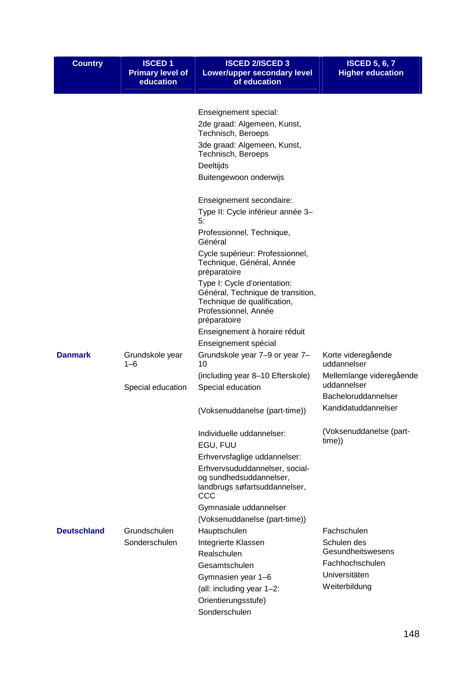| <b>Country</b>     | <b>ISCED1</b><br><b>Primary level of</b><br>education | <b>ISCED 2/ISCED 3</b><br><b>Lower/upper secondary level</b><br>of education                                                             | <b>ISCED 5, 6, 7</b><br><b>Higher education</b> |
|--------------------|-------------------------------------------------------|------------------------------------------------------------------------------------------------------------------------------------------|-------------------------------------------------|
|                    |                                                       |                                                                                                                                          |                                                 |
|                    |                                                       | Enseignement special:                                                                                                                    |                                                 |
|                    |                                                       | 2de graad: Algemeen, Kunst,<br>Technisch, Beroeps                                                                                        |                                                 |
|                    |                                                       | 3de graad: Algemeen, Kunst,<br>Technisch, Beroeps                                                                                        |                                                 |
|                    |                                                       | Deeltijds                                                                                                                                |                                                 |
|                    |                                                       | Buitengewoon onderwijs                                                                                                                   |                                                 |
|                    |                                                       | Enseignement secondaire:                                                                                                                 |                                                 |
|                    |                                                       | Type II: Cycle inférieur année 3-<br>5:                                                                                                  |                                                 |
|                    |                                                       | Professionnel, Technique,<br>Général                                                                                                     |                                                 |
|                    |                                                       | Cycle supérieur: Professionnel,<br>Technique, Général, Année<br>préparatoire                                                             |                                                 |
|                    |                                                       | Type I: Cycle d'orientation:<br>Général, Technique de transition,<br>Technique de qualification,<br>Professionnel, Année<br>préparatoire |                                                 |
|                    |                                                       | Enseignement à horaire réduit                                                                                                            |                                                 |
|                    |                                                       | Enseignement spécial                                                                                                                     |                                                 |
| <b>Danmark</b>     | Grundskole year<br>$1 - 6$                            | Grundskole year 7-9 or year 7-<br>10                                                                                                     | Korte videregående<br>uddannelser               |
|                    | Special education                                     | (including year 8-10 Efterskole)<br>Special education                                                                                    | Mellemlange videregående<br>uddannelser         |
|                    |                                                       |                                                                                                                                          | Bacheloruddannelser                             |
|                    |                                                       | (Voksenuddanelse (part-time))                                                                                                            | Kandidatuddannelser                             |
|                    |                                                       | Individuelle uddannelser:<br>EGU, FUU                                                                                                    | (Voksenuddanelse (part-<br>time))               |
|                    |                                                       | Erhvervsfaglige uddannelser:                                                                                                             |                                                 |
|                    |                                                       | Erhvervsududdannelser, social-<br>og sundhedsuddannelser,<br>landbrugs søfartsuddannelser,<br>CCC                                        |                                                 |
|                    |                                                       | Gymnasiale uddannelser                                                                                                                   |                                                 |
|                    |                                                       | (Voksenuddanelse (part-time))                                                                                                            |                                                 |
| <b>Deutschland</b> | Grundschulen                                          | Hauptschulen                                                                                                                             | Fachschulen                                     |
|                    | Sonderschulen                                         | Integrierte Klassen                                                                                                                      | Schulen des                                     |
|                    |                                                       | Realschulen                                                                                                                              | Gesundheitswesens                               |
|                    |                                                       | Gesamtschulen                                                                                                                            | Fachhochschulen                                 |
|                    |                                                       | Gymnasien year 1-6                                                                                                                       | Universitäten                                   |
|                    |                                                       | (all: including year 1-2:                                                                                                                | Weiterbildung                                   |
|                    |                                                       | Orientierungsstufe)                                                                                                                      |                                                 |
|                    |                                                       | Sonderschulen                                                                                                                            |                                                 |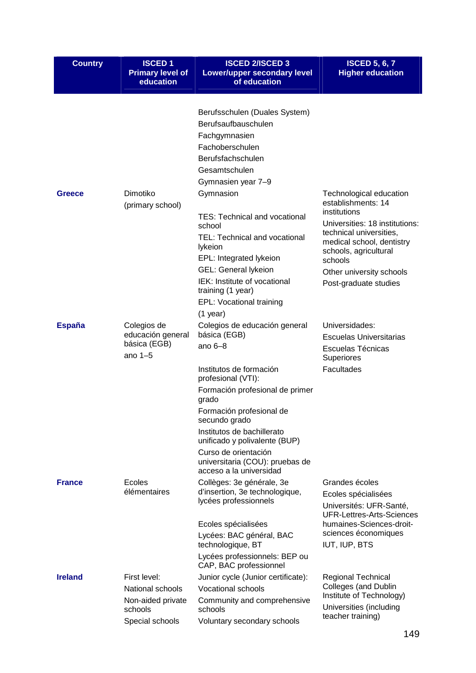| <b>Country</b> | <b>ISCED1</b><br><b>Primary level of</b><br>education                                      | <b>ISCED 2/ISCED 3</b><br><b>Lower/upper secondary level</b><br>of education                                                                                                                                                                                                                                                                                                                                             | <b>ISCED 5, 6, 7</b><br><b>Higher education</b>                                                                                                                                                                                                  |
|----------------|--------------------------------------------------------------------------------------------|--------------------------------------------------------------------------------------------------------------------------------------------------------------------------------------------------------------------------------------------------------------------------------------------------------------------------------------------------------------------------------------------------------------------------|--------------------------------------------------------------------------------------------------------------------------------------------------------------------------------------------------------------------------------------------------|
| Greece         | Dimotiko<br>(primary school)                                                               | Berufsschulen (Duales System)<br>Berufsaufbauschulen<br>Fachgymnasien<br>Fachoberschulen<br>Berufsfachschulen<br>Gesamtschulen<br>Gymnasien year 7-9<br>Gymnasion<br><b>TES: Technical and vocational</b><br>school<br>TEL: Technical and vocational<br>lykeion<br>EPL: Integrated lykeion<br><b>GEL: General lykeion</b><br>IEK: Institute of vocational<br>training (1 year)<br>EPL: Vocational training<br>$(1$ year) | Technological education<br>establishments: 14<br>institutions<br>Universities: 18 institutions:<br>technical universities,<br>medical school, dentistry<br>schools, agricultural<br>schools<br>Other university schools<br>Post-graduate studies |
| <b>España</b>  | Colegios de<br>educación general<br>básica (EGB)<br>ano $1-5$                              | Colegios de educación general<br>básica (EGB)<br>ano $6-8$<br>Institutos de formación<br>profesional (VTI):<br>Formación profesional de primer<br>grado<br>Formación profesional de<br>secundo grado<br>Institutos de bachillerato<br>unificado y polivalente (BUP)<br>Curso de orientación<br>universitaria (COU): pruebas de<br>acceso a la universidad                                                                | Universidades:<br>Escuelas Universitarias<br>Escuelas Técnicas<br>Superiores<br><b>Facultades</b>                                                                                                                                                |
| <b>France</b>  | Ecoles<br>élémentaires                                                                     | Collèges: 3e générale, 3e<br>d'insertion, 3e technologique,<br>lycées professionnels<br>Ecoles spécialisées<br>Lycées: BAC général, BAC<br>technologique, BT<br>Lycées professionnels: BEP ou<br>CAP, BAC professionnel                                                                                                                                                                                                  | Grandes écoles<br>Ecoles spécialisées<br>Universités: UFR-Santé,<br><b>UFR-Lettres-Arts-Sciences</b><br>humaines-Sciences-droit-<br>sciences économiques<br>IUT, IUP, BTS                                                                        |
| <b>Ireland</b> | First level:<br><b>National schools</b><br>Non-aided private<br>schools<br>Special schools | Junior cycle (Junior certificate):<br>Vocational schools<br>Community and comprehensive<br>schools<br>Voluntary secondary schools                                                                                                                                                                                                                                                                                        | <b>Regional Technical</b><br>Colleges (and Dublin<br>Institute of Technology)<br>Universities (including<br>teacher training)                                                                                                                    |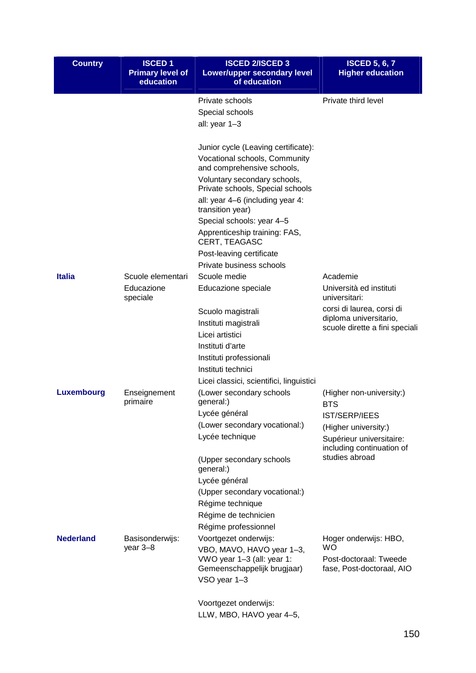| <b>Country</b>   | <b>ISCED1</b><br><b>Primary level of</b><br>education | <b>ISCED 2/ISCED 3</b><br>Lower/upper secondary level<br>of education | <b>ISCED 5, 6, 7</b><br><b>Higher education</b>       |
|------------------|-------------------------------------------------------|-----------------------------------------------------------------------|-------------------------------------------------------|
|                  |                                                       | Private schools                                                       | Private third level                                   |
|                  |                                                       | Special schools                                                       |                                                       |
|                  |                                                       | all: year 1-3                                                         |                                                       |
|                  |                                                       | Junior cycle (Leaving certificate):                                   |                                                       |
|                  |                                                       | Vocational schools, Community<br>and comprehensive schools,           |                                                       |
|                  |                                                       | Voluntary secondary schools,<br>Private schools, Special schools      |                                                       |
|                  |                                                       | all: year 4–6 (including year 4:<br>transition year)                  |                                                       |
|                  |                                                       | Special schools: year 4-5                                             |                                                       |
|                  |                                                       | Apprenticeship training: FAS,<br>CERT, TEAGASC                        |                                                       |
|                  |                                                       | Post-leaving certificate                                              |                                                       |
|                  |                                                       | Private business schools                                              |                                                       |
| <b>Italia</b>    | Scuole elementari                                     | Scuole medie                                                          | Academie                                              |
|                  | Educazione<br>speciale                                | Educazione speciale                                                   | Università ed instituti<br>universitari:              |
|                  |                                                       | Scuolo magistrali                                                     | corsi di laurea, corsi di                             |
|                  |                                                       | Instituti magistrali                                                  | diploma universitario,                                |
|                  |                                                       | Licei artistici                                                       | scuole dirette a fini speciali                        |
|                  |                                                       | Instituti d'arte                                                      |                                                       |
|                  |                                                       | Instituti professionali                                               |                                                       |
|                  |                                                       | Instituti technici                                                    |                                                       |
|                  |                                                       | Licei classici, scientifici, linguistici                              |                                                       |
| Luxembourg       | Enseignement<br>primaire                              | (Lower secondary schools<br>general:)                                 | (Higher non-university:)<br><b>BTS</b>                |
|                  |                                                       | Lycée général                                                         | <b>IST/SERP/IEES</b>                                  |
|                  |                                                       | (Lower secondary vocational:)                                         | (Higher university:)                                  |
|                  |                                                       | Lycée technique                                                       | Supérieur universitaire:<br>including continuation of |
|                  |                                                       | (Upper secondary schools<br>general:)                                 | studies abroad                                        |
|                  |                                                       | Lycée général                                                         |                                                       |
|                  |                                                       | (Upper secondary vocational:)                                         |                                                       |
|                  |                                                       | Régime technique                                                      |                                                       |
|                  |                                                       | Régime de technicien                                                  |                                                       |
|                  |                                                       | Régime professionnel                                                  |                                                       |
| <b>Nederland</b> | Basisonderwijs:                                       | Voortgezet onderwijs:                                                 | Hoger onderwijs: HBO,<br><b>WO</b>                    |
|                  | year 3-8                                              | VBO, MAVO, HAVO year 1-3,<br>VWO year 1-3 (all: year 1:               | Post-doctoraal: Tweede                                |
|                  |                                                       | Gemeenschappelijk brugjaar)                                           | fase, Post-doctoraal, AIO                             |
|                  |                                                       | VSO year 1-3                                                          |                                                       |
|                  |                                                       | Voortgezet onderwijs:                                                 |                                                       |
|                  |                                                       | LLW, MBO, HAVO year 4-5,                                              |                                                       |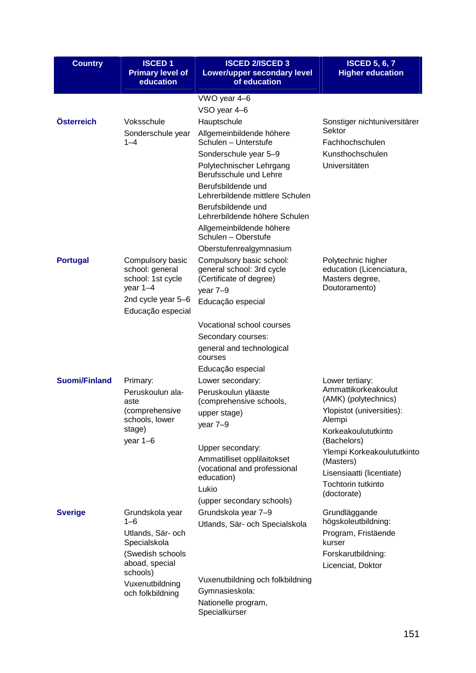| <b>Country</b>       | <b>ISCED1</b><br><b>Primary level of</b><br>education                  | <b>ISCED 2/ISCED 3</b><br>Lower/upper secondary level<br>of education                        | <b>ISCED 5, 6, 7</b><br><b>Higher education</b>                                    |
|----------------------|------------------------------------------------------------------------|----------------------------------------------------------------------------------------------|------------------------------------------------------------------------------------|
|                      |                                                                        | VWO year 4-6                                                                                 |                                                                                    |
|                      |                                                                        | VSO year 4-6                                                                                 |                                                                                    |
| Österreich           | Voksschule                                                             | Hauptschule                                                                                  | Sonstiger nichtuniversitärer                                                       |
|                      | Sonderschule year<br>$1 - 4$                                           | Allgemeinbildende höhere<br>Schulen - Unterstufe                                             | Sektor<br>Fachhochschulen                                                          |
|                      |                                                                        | Sonderschule year 5-9                                                                        | Kunsthochschulen                                                                   |
|                      |                                                                        | Polytechnischer Lehrgang<br>Berufsschule und Lehre                                           | Universitäten                                                                      |
|                      |                                                                        | Berufsbildende und<br>Lehrerbildende mittlere Schulen                                        |                                                                                    |
|                      |                                                                        | Berufsbildende und<br>Lehrerbildende höhere Schulen                                          |                                                                                    |
|                      |                                                                        | Allgemeinbildende höhere<br>Schulen - Oberstufe                                              |                                                                                    |
|                      |                                                                        | Oberstufenrealgymnasium                                                                      |                                                                                    |
| <b>Portugal</b>      | Compulsory basic<br>school: general<br>school: 1st cycle<br>year $1-4$ | Compulsory basic school:<br>general school: 3rd cycle<br>(Certificate of degree)<br>year 7-9 | Polytechnic higher<br>education (Licenciatura,<br>Masters degree,<br>Doutoramento) |
|                      | 2nd cycle year 5-6                                                     | Educação especial                                                                            |                                                                                    |
|                      | Educação especial                                                      |                                                                                              |                                                                                    |
|                      |                                                                        | Vocational school courses                                                                    |                                                                                    |
|                      |                                                                        | Secondary courses:<br>general and technological                                              |                                                                                    |
|                      |                                                                        | courses                                                                                      |                                                                                    |
| <b>Suomi/Finland</b> |                                                                        | Educação especial                                                                            |                                                                                    |
|                      | Primary:<br>Peruskoulun ala-                                           | Lower secondary:<br>Peruskoulun yläaste                                                      | Lower tertiary:<br>Ammattikorkeakoulut                                             |
|                      | aste                                                                   | (comprehensive schools,                                                                      | (AMK) (polytechnics)                                                               |
|                      | (comprehensive<br>schools, lower                                       | upper stage)                                                                                 | Ylopistot (universities):<br>Alempi                                                |
|                      | stage)                                                                 | year 7-9                                                                                     | Korkeakoulututkinto                                                                |
|                      | year $1-6$                                                             | Upper secondary:                                                                             | (Bachelors)                                                                        |
|                      |                                                                        | Ammatilliset opplilaitokset                                                                  | Ylempi Korkeakoulututkinto<br>(Masters)                                            |
|                      |                                                                        | (vocational and professional<br>education)                                                   | Lisensiaatti (licentiate)                                                          |
|                      |                                                                        | Lukio                                                                                        | <b>Tochtorin tutkinto</b><br>(doctorate)                                           |
|                      |                                                                        | (upper secondary schools)                                                                    |                                                                                    |
| <b>Sverige</b>       | Grundskola year<br>1–6                                                 | Grundskola year 7-9                                                                          | Grundläggande                                                                      |
|                      | Utlands, Sär- och                                                      | Utlands, Sär- och Specialskola                                                               | högskoleutbildning:<br>Program, Fristäende                                         |
|                      | Specialskola                                                           |                                                                                              | kurser                                                                             |
|                      | (Swedish schools                                                       |                                                                                              | Forskarutbildning:                                                                 |
|                      | aboad, special<br>schools)                                             |                                                                                              | Licenciat, Doktor                                                                  |
|                      | Vuxenutbildning                                                        | Vuxenutbildning och folkbildning                                                             |                                                                                    |
|                      | och folkbildning                                                       | Gymnasieskola:                                                                               |                                                                                    |
|                      |                                                                        | Nationelle program,<br>Specialkurser                                                         |                                                                                    |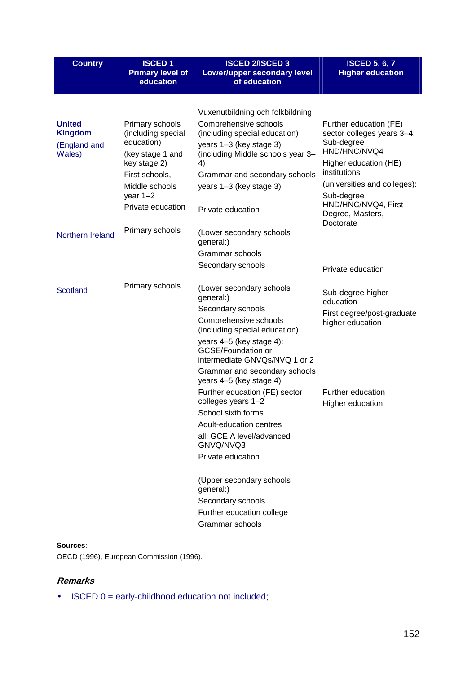| <b>Country</b>                                  | <b>ISCED1</b><br><b>Primary level of</b><br>education | <b>ISCED 2/ISCED 3</b><br>Lower/upper secondary level<br>of education             | <b>ISCED 5, 6, 7</b><br><b>Higher education</b>                    |
|-------------------------------------------------|-------------------------------------------------------|-----------------------------------------------------------------------------------|--------------------------------------------------------------------|
|                                                 |                                                       | Vuxenutbildning och folkbildning                                                  |                                                                    |
| <b>United</b><br><b>Kingdom</b><br>(England and | Primary schools<br>(including special<br>education)   | Comprehensive schools<br>(including special education)<br>years 1-3 (key stage 3) | Further education (FE)<br>sector colleges years 3-4:<br>Sub-degree |
| Wales)                                          | (key stage 1 and<br>key stage 2)                      | (including Middle schools year 3-<br>4)                                           | HND/HNC/NVQ4<br>Higher education (HE)                              |
|                                                 | First schools,                                        | Grammar and secondary schools                                                     | institutions                                                       |
|                                                 | Middle schools<br>year $1-2$                          | years 1-3 (key stage 3)                                                           | (universities and colleges):<br>Sub-degree                         |
|                                                 | Private education                                     | Private education                                                                 | HND/HNC/NVQ4, First<br>Degree, Masters,<br>Doctorate               |
| Northern Ireland                                | Primary schools                                       | (Lower secondary schools<br>general:)                                             |                                                                    |
|                                                 |                                                       | Grammar schools                                                                   |                                                                    |
|                                                 |                                                       | Secondary schools                                                                 | Private education                                                  |
| <b>Scotland</b>                                 | Primary schools                                       | (Lower secondary schools<br>general:)                                             | Sub-degree higher<br>education                                     |
|                                                 |                                                       | Secondary schools                                                                 | First degree/post-graduate                                         |
|                                                 |                                                       | Comprehensive schools<br>(including special education)                            | higher education                                                   |
|                                                 |                                                       | years 4-5 (key stage 4):<br>GCSE/Foundation or<br>intermediate GNVQs/NVQ 1 or 2   |                                                                    |
|                                                 |                                                       | Grammar and secondary schools<br>years 4-5 (key stage 4)                          |                                                                    |
|                                                 |                                                       | Further education (FE) sector<br>colleges years 1-2                               | Further education<br>Higher education                              |
|                                                 |                                                       | School sixth forms                                                                |                                                                    |
|                                                 |                                                       | Adult-education centres<br>all: GCE A level/advanced                              |                                                                    |
|                                                 |                                                       | GNVQ/NVQ3<br>Private education                                                    |                                                                    |
|                                                 |                                                       |                                                                                   |                                                                    |
|                                                 |                                                       | (Upper secondary schools<br>general:)                                             |                                                                    |
|                                                 |                                                       | Secondary schools                                                                 |                                                                    |
|                                                 |                                                       | Further education college                                                         |                                                                    |
|                                                 |                                                       | Grammar schools                                                                   |                                                                    |

#### **Sources**:

OECD (1996), European Commission (1996).

# **Remarks**

• ISCED 0 = early-childhood education not included;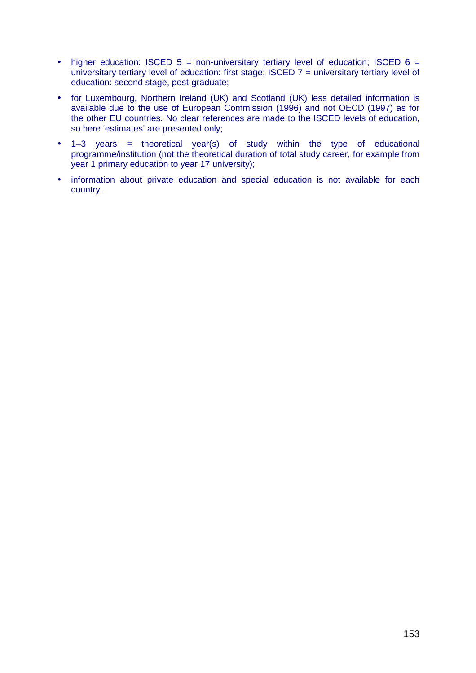- higher education: ISCED  $5 =$  non-universitary tertiary level of education; ISCED  $6 =$ universitary tertiary level of education: first stage; ISCED 7 = universitary tertiary level of education: second stage, post-graduate;
- for Luxembourg, Northern Ireland (UK) and Scotland (UK) less detailed information is available due to the use of European Commission (1996) and not OECD (1997) as for the other EU countries. No clear references are made to the ISCED levels of education, so here 'estimates' are presented only;
- 1–3 years *=* theoretical year(s) of study within the type of educational programme/institution (not the theoretical duration of total study career, for example from year 1 primary education to year 17 university);
- information about private education and special education is not available for each country.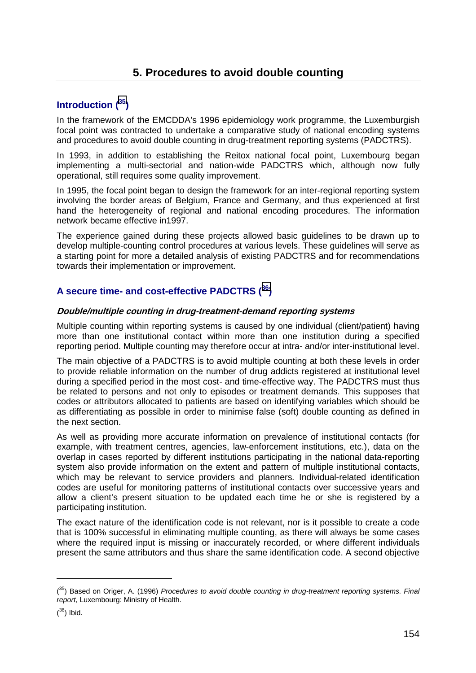# **Introduction (35)**

In the framework of the EMCDDA's 1996 epidemiology work programme, the Luxemburgish focal point was contracted to undertake a comparative study of national encoding systems and procedures to avoid double counting in drug-treatment reporting systems (PADCTRS).

In 1993, in addition to establishing the Reitox national focal point, Luxembourg began implementing a multi-sectorial and nation-wide PADCTRS which, although now fully operational, still requires some quality improvement.

In 1995, the focal point began to design the framework for an inter-regional reporting system involving the border areas of Belgium, France and Germany, and thus experienced at first hand the heterogeneity of regional and national encoding procedures. The information network became effective in1997.

The experience gained during these projects allowed basic guidelines to be drawn up to develop multiple-counting control procedures at various levels. These guidelines will serve as a starting point for more a detailed analysis of existing PADCTRS and for recommendations towards their implementation or improvement.

# **A secure time- and cost-effective PADCTRS (36)**

# **Double/multiple counting in drug-treatment-demand reporting systems**

Multiple counting within reporting systems is caused by one individual (client/patient) having more than one institutional contact within more than one institution during a specified reporting period. Multiple counting may therefore occur at intra- and/or inter-institutional level.

The main objective of a PADCTRS is to avoid multiple counting at both these levels in order to provide reliable information on the number of drug addicts registered at institutional level during a specified period in the most cost- and time-effective way. The PADCTRS must thus be related to persons and not only to episodes or treatment demands. This supposes that codes or attributors allocated to patients are based on identifying variables which should be as differentiating as possible in order to minimise false (soft) double counting as defined in the next section.

As well as providing more accurate information on prevalence of institutional contacts (for example, with treatment centres, agencies, law-enforcement institutions, etc.), data on the overlap in cases reported by different institutions participating in the national data-reporting system also provide information on the extent and pattern of multiple institutional contacts, which may be relevant to service providers and planners*.* Individual-related identification codes are useful for monitoring patterns of institutional contacts over successive years and allow a client's present situation to be updated each time he or she is registered by a participating institution.

The exact nature of the identification code is not relevant, nor is it possible to create a code that is 100% successful in eliminating multiple counting, as there will always be some cases where the required input is missing or inaccurately recorded, or where different individuals present the same attributors and thus share the same identification code. A second objective

 $\overline{a}$ 

<sup>(&</sup>lt;sup>35</sup>) Based on Origer, A. (1996) *Procedures to avoid double counting in drug-treatment reporting systems. Final report*, Luxembourg: Ministry of Health.

 $(36)$  Ibid.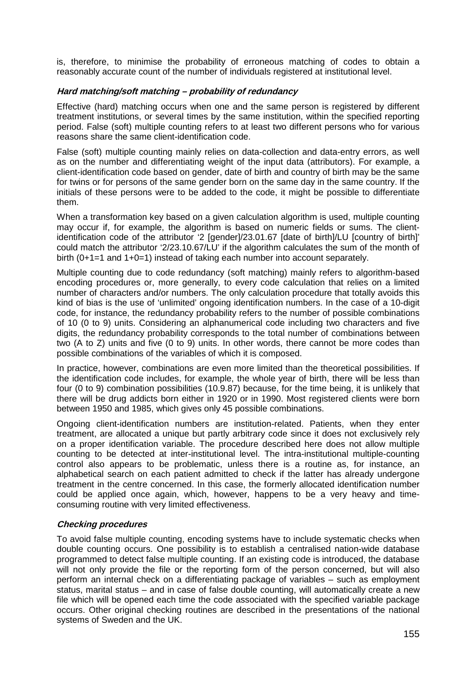is, therefore, to minimise the probability of erroneous matching of codes to obtain a reasonably accurate count of the number of individuals registered at institutional level.

## **Hard matching/soft matching – probability of redundancy**

Effective (hard) matching occurs when one and the same person is registered by different treatment institutions, or several times by the same institution, within the specified reporting period. False (soft) multiple counting refers to at least two different persons who for various reasons share the same client-identification code.

False (soft) multiple counting mainly relies on data-collection and data-entry errors, as well as on the number and differentiating weight of the input data (attributors). For example, a client-identification code based on gender, date of birth and country of birth may be the same for twins or for persons of the same gender born on the same day in the same country. If the initials of these persons were to be added to the code, it might be possible to differentiate them.

When a transformation key based on a given calculation algorithm is used, multiple counting may occur if, for example, the algorithm is based on numeric fields or sums. The clientidentification code of the attributor '2 [gender]/23.01.67 [date of birth]/LU [country of birth]' could match the attributor '2/23.10.67/LU' if the algorithm calculates the sum of the month of birth (0+1=1 and 1+0=1) instead of taking each number into account separately.

Multiple counting due to code redundancy (soft matching) mainly refers to algorithm-based encoding procedures or, more generally, to every code calculation that relies on a limited number of characters and/or numbers. The only calculation procedure that totally avoids this kind of bias is the use of 'unlimited' ongoing identification numbers. In the case of a 10-digit code, for instance, the redundancy probability refers to the number of possible combinations of 10 (0 to 9) units. Considering an alphanumerical code including two characters and five digits, the redundancy probability corresponds to the total number of combinations between two (A to Z) units and five (0 to 9) units. In other words, there cannot be more codes than possible combinations of the variables of which it is composed.

In practice, however, combinations are even more limited than the theoretical possibilities. If the identification code includes, for example, the whole year of birth, there will be less than four (0 to 9) combination possibilities (10.9.87) because, for the time being, it is unlikely that there will be drug addicts born either in 1920 or in 1990. Most registered clients were born between 1950 and 1985, which gives only 45 possible combinations.

Ongoing client-identification numbers are institution-related. Patients, when they enter treatment, are allocated a unique but partly arbitrary code since it does not exclusively rely on a proper identification variable. The procedure described here does not allow multiple counting to be detected at inter-institutional level. The intra-institutional multiple-counting control also appears to be problematic, unless there is a routine as, for instance, an alphabetical search on each patient admitted to check if the latter has already undergone treatment in the centre concerned. In this case, the formerly allocated identification number could be applied once again, which, however, happens to be a very heavy and timeconsuming routine with very limited effectiveness.

# **Checking procedures**

To avoid false multiple counting, encoding systems have to include systematic checks when double counting occurs. One possibility is to establish a centralised nation-wide database programmed to detect false multiple counting. If an existing code is introduced, the database will not only provide the file or the reporting form of the person concerned, but will also perform an internal check on a differentiating package of variables – such as employment status, marital status – and in case of false double counting, will automatically create a new file which will be opened each time the code associated with the specified variable package occurs. Other original checking routines are described in the presentations of the national systems of Sweden and the UK.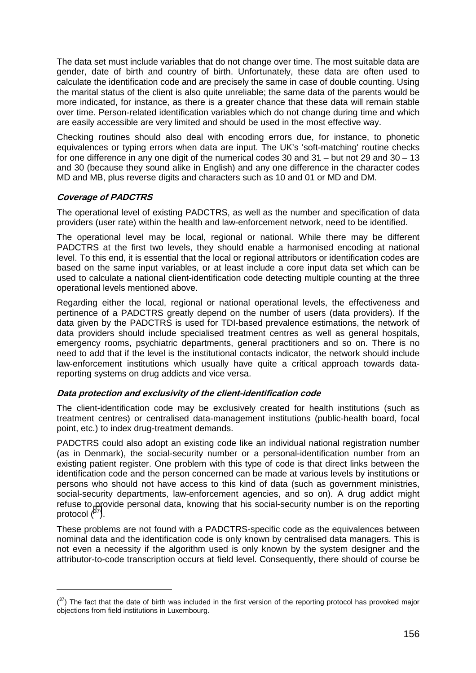The data set must include variables that do not change over time. The most suitable data are gender, date of birth and country of birth. Unfortunately, these data are often used to calculate the identification code and are precisely the same in case of double counting. Using the marital status of the client is also quite unreliable; the same data of the parents would be more indicated, for instance, as there is a greater chance that these data will remain stable over time. Person-related identification variables which do not change during time and which are easily accessible are very limited and should be used in the most effective way.

Checking routines should also deal with encoding errors due, for instance, to phonetic equivalences or typing errors when data are input. The UK's 'soft-matching' routine checks for one difference in any one digit of the numerical codes 30 and 31 – but not 29 and 30 – 13 and 30 (because they sound alike in English) and any one difference in the character codes MD and MB, plus reverse digits and characters such as 10 and 01 or MD and DM.

# **Coverage of PADCTRS**

The operational level of existing PADCTRS, as well as the number and specification of data providers (user rate) within the health and law-enforcement network, need to be identified.

The operational level may be local, regional or national. While there may be different PADCTRS at the first two levels, they should enable a harmonised encoding at national level. To this end, it is essential that the local or regional attributors or identification codes are based on the same input variables, or at least include a core input data set which can be used to calculate a national client-identification code detecting multiple counting at the three operational levels mentioned above.

Regarding either the local, regional or national operational levels, the effectiveness and pertinence of a PADCTRS greatly depend on the number of users (data providers). If the data given by the PADCTRS is used for TDI-based prevalence estimations, the network of data providers should include specialised treatment centres as well as general hospitals, emergency rooms, psychiatric departments, general practitioners and so on. There is no need to add that if the level is the institutional contacts indicator, the network should include law-enforcement institutions which usually have quite a critical approach towards datareporting systems on drug addicts and vice versa.

# **Data protection and exclusivity of the client-identification code**

The client-identification code may be exclusively created for health institutions (such as treatment centres) or centralised data-management institutions (public-health board, focal point, etc.) to index drug-treatment demands.

PADCTRS could also adopt an existing code like an individual national registration number (as in Denmark), the social-security number or a personal-identification number from an existing patient register. One problem with this type of code is that direct links between the identification code and the person concerned can be made at various levels by institutions or persons who should not have access to this kind of data (such as government ministries, social-security departments, law-enforcement agencies, and so on). A drug addict might refuse to provide personal data, knowing that his social-security number is on the reporting protocol  $(^{37})$ .

These problems are not found with a PADCTRS-specific code as the equivalences between nominal data and the identification code is only known by centralised data managers. This is not even a necessity if the algorithm used is only known by the system designer and the attributor-to-code transcription occurs at field level. Consequently, there should of course be

 $(37)$  The fact that the date of birth was included in the first version of the reporting protocol has provoked major objections from field institutions in Luxembourg.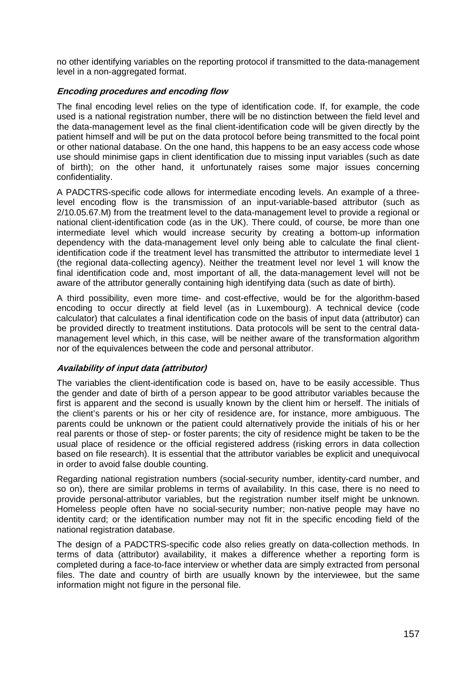no other identifying variables on the reporting protocol if transmitted to the data-management level in a non-aggregated format.

# **Encoding procedures and encoding flow**

The final encoding level relies on the type of identification code. If, for example, the code used is a national registration number, there will be no distinction between the field level and the data-management level as the final client-identification code will be given directly by the patient himself and will be put on the data protocol before being transmitted to the focal point or other national database. On the one hand, this happens to be an easy access code whose use should minimise gaps in client identification due to missing input variables (such as date of birth); on the other hand, it unfortunately raises some major issues concerning confidentiality.

A PADCTRS-specific code allows for intermediate encoding levels. An example of a threelevel encoding flow is the transmission of an input-variable-based attributor (such as 2/10.05.67.M) from the treatment level to the data-management level to provide a regional or national client-identification code (as in the UK). There could, of course, be more than one intermediate level which would increase security by creating a bottom-up information dependency with the data-management level only being able to calculate the final clientidentification code if the treatment level has transmitted the attributor to intermediate level 1 (the regional data-collecting agency). Neither the treatment level nor level 1 will know the final identification code and, most important of all, the data-management level will not be aware of the attributor generally containing high identifying data (such as date of birth).

A third possibility, even more time- and cost-effective, would be for the algorithm-based encoding to occur directly at field level (as in Luxembourg). A technical device (code calculator) that calculates a final identification code on the basis of input data (attributor) can be provided directly to treatment institutions. Data protocols will be sent to the central datamanagement level which, in this case, will be neither aware of the transformation algorithm nor of the equivalences between the code and personal attributor.

## **Availability of input data (attributor)**

The variables the client-identification code is based on, have to be easily accessible. Thus the gender and date of birth of a person appear to be good attributor variables because the first is apparent and the second is usually known by the client him or herself. The initials of the client's parents or his or her city of residence are, for instance, more ambiguous. The parents could be unknown or the patient could alternatively provide the initials of his or her real parents or those of step- or foster parents; the city of residence might be taken to be the usual place of residence or the official registered address (risking errors in data collection based on file research). It is essential that the attributor variables be explicit and unequivocal in order to avoid false double counting.

Regarding national registration numbers (social-security number, identity-card number, and so on), there are similar problems in terms of availability. In this case, there is no need to provide personal-attributor variables, but the registration number itself might be unknown. Homeless people often have no social-security number; non-native people may have no identity card; or the identification number may not fit in the specific encoding field of the national registration database.

The design of a PADCTRS-specific code also relies greatly on data-collection methods. In terms of data (attributor) availability, it makes a difference whether a reporting form is completed during a face-to-face interview or whether data are simply extracted from personal files. The date and country of birth are usually known by the interviewee, but the same information might not figure in the personal file.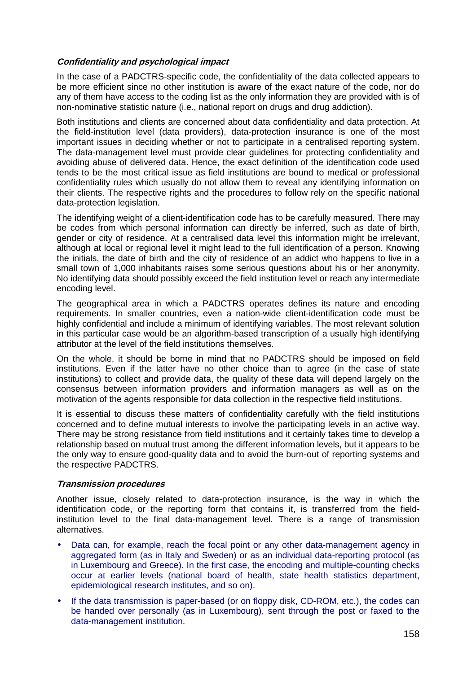# **Confidentiality and psychological impact**

In the case of a PADCTRS-specific code, the confidentiality of the data collected appears to be more efficient since no other institution is aware of the exact nature of the code, nor do any of them have access to the coding list as the only information they are provided with is of non-nominative statistic nature (i.e., national report on drugs and drug addiction).

Both institutions and clients are concerned about data confidentiality and data protection. At the field-institution level (data providers), data-protection insurance is one of the most important issues in deciding whether or not to participate in a centralised reporting system. The data-management level must provide clear guidelines for protecting confidentiality and avoiding abuse of delivered data. Hence, the exact definition of the identification code used tends to be the most critical issue as field institutions are bound to medical or professional confidentiality rules which usually do not allow them to reveal any identifying information on their clients. The respective rights and the procedures to follow rely on the specific national data-protection legislation.

The identifying weight of a client-identification code has to be carefully measured. There may be codes from which personal information can directly be inferred, such as date of birth, gender or city of residence. At a centralised data level this information might be irrelevant, although at local or regional level it might lead to the full identification of a person. Knowing the initials, the date of birth and the city of residence of an addict who happens to live in a small town of 1,000 inhabitants raises some serious questions about his or her anonymity. No identifying data should possibly exceed the field institution level or reach any intermediate encoding level.

The geographical area in which a PADCTRS operates defines its nature and encoding requirements. In smaller countries, even a nation-wide client-identification code must be highly confidential and include a minimum of identifying variables. The most relevant solution in this particular case would be an algorithm-based transcription of a usually high identifying attributor at the level of the field institutions themselves.

On the whole, it should be borne in mind that no PADCTRS should be imposed on field institutions. Even if the latter have no other choice than to agree (in the case of state institutions) to collect and provide data, the quality of these data will depend largely on the consensus between information providers and information managers as well as on the motivation of the agents responsible for data collection in the respective field institutions.

It is essential to discuss these matters of confidentiality carefully with the field institutions concerned and to define mutual interests to involve the participating levels in an active way. There may be strong resistance from field institutions and it certainly takes time to develop a relationship based on mutual trust among the different information levels, but it appears to be the only way to ensure good-quality data and to avoid the burn-out of reporting systems and the respective PADCTRS.

## **Transmission procedures**

Another issue, closely related to data-protection insurance, is the way in which the identification code, or the reporting form that contains it, is transferred from the fieldinstitution level to the final data-management level. There is a range of transmission alternatives.

- Data can, for example, reach the focal point or any other data-management agency in aggregated form (as in Italy and Sweden) or as an individual data-reporting protocol (as in Luxembourg and Greece). In the first case, the encoding and multiple-counting checks occur at earlier levels (national board of health, state health statistics department, epidemiological research institutes, and so on).
- If the data transmission is paper-based (or on floppy disk, CD-ROM, etc.), the codes can be handed over personally (as in Luxembourg), sent through the post or faxed to the data-management institution.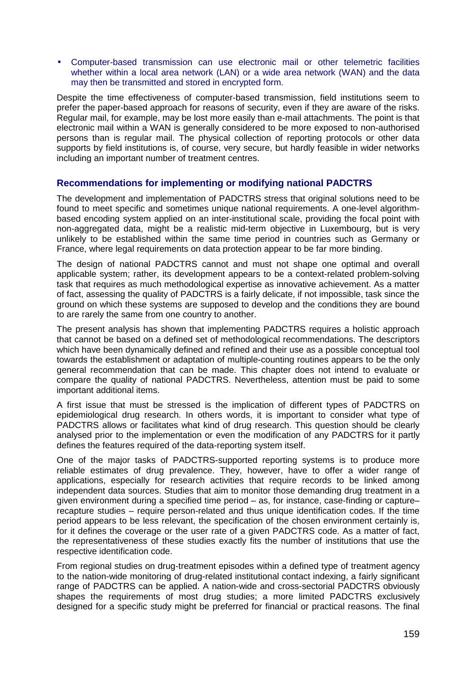• Computer-based transmission can use electronic mail or other telemetric facilities whether within a local area network (LAN) or a wide area network (WAN) and the data may then be transmitted and stored in encrypted form.

Despite the time effectiveness of computer-based transmission, field institutions seem to prefer the paper-based approach for reasons of security, even if they are aware of the risks. Regular mail, for example, may be lost more easily than e-mail attachments. The point is that electronic mail within a WAN is generally considered to be more exposed to non-authorised persons than is regular mail. The physical collection of reporting protocols or other data supports by field institutions is, of course, very secure, but hardly feasible in wider networks including an important number of treatment centres.

# **Recommendations for implementing or modifying national PADCTRS**

The development and implementation of PADCTRS stress that original solutions need to be found to meet specific and sometimes unique national requirements. A one-level algorithmbased encoding system applied on an inter-institutional scale, providing the focal point with non-aggregated data, might be a realistic mid-term objective in Luxembourg, but is very unlikely to be established within the same time period in countries such as Germany or France, where legal requirements on data protection appear to be far more binding.

The design of national PADCTRS cannot and must not shape one optimal and overall applicable system; rather, its development appears to be a context-related problem-solving task that requires as much methodological expertise as innovative achievement. As a matter of fact, assessing the quality of PADCTRS is a fairly delicate, if not impossible, task since the ground on which these systems are supposed to develop and the conditions they are bound to are rarely the same from one country to another.

The present analysis has shown that implementing PADCTRS requires a holistic approach that cannot be based on a defined set of methodological recommendations. The descriptors which have been dynamically defined and refined and their use as a possible conceptual tool towards the establishment or adaptation of multiple-counting routines appears to be the only general recommendation that can be made. This chapter does not intend to evaluate or compare the quality of national PADCTRS. Nevertheless, attention must be paid to some important additional items.

A first issue that must be stressed is the implication of different types of PADCTRS on epidemiological drug research. In others words, it is important to consider what type of PADCTRS allows or facilitates what kind of drug research. This question should be clearly analysed prior to the implementation or even the modification of any PADCTRS for it partly defines the features required of the data-reporting system itself.

One of the major tasks of PADCTRS-supported reporting systems is to produce more reliable estimates of drug prevalence. They, however, have to offer a wider range of applications, especially for research activities that require records to be linked among independent data sources. Studies that aim to monitor those demanding drug treatment in a given environment during a specified time period – as, for instance, case-finding or capture– recapture studies – require person-related and thus unique identification codes. If the time period appears to be less relevant, the specification of the chosen environment certainly is, for it defines the coverage or the user rate of a given PADCTRS code. As a matter of fact, the representativeness of these studies exactly fits the number of institutions that use the respective identification code.

From regional studies on drug-treatment episodes within a defined type of treatment agency to the nation-wide monitoring of drug-related institutional contact indexing, a fairly significant range of PADCTRS can be applied. A nation-wide and cross-sectorial PADCTRS obviously shapes the requirements of most drug studies; a more limited PADCTRS exclusively designed for a specific study might be preferred for financial or practical reasons. The final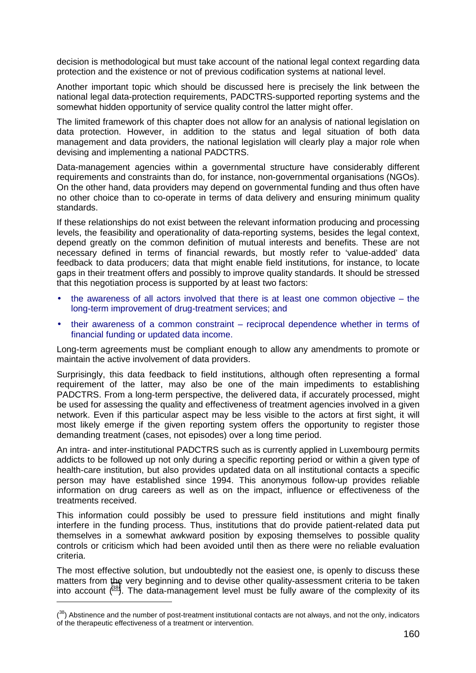decision is methodological but must take account of the national legal context regarding data protection and the existence or not of previous codification systems at national level.

Another important topic which should be discussed here is precisely the link between the national legal data-protection requirements, PADCTRS-supported reporting systems and the somewhat hidden opportunity of service quality control the latter might offer.

The limited framework of this chapter does not allow for an analysis of national legislation on data protection. However, in addition to the status and legal situation of both data management and data providers, the national legislation will clearly play a major role when devising and implementing a national PADCTRS.

Data-management agencies within a governmental structure have considerably different requirements and constraints than do, for instance, non-governmental organisations (NGOs). On the other hand, data providers may depend on governmental funding and thus often have no other choice than to co-operate in terms of data delivery and ensuring minimum quality standards.

If these relationships do not exist between the relevant information producing and processing levels, the feasibility and operationality of data-reporting systems, besides the legal context, depend greatly on the common definition of mutual interests and benefits. These are not necessary defined in terms of financial rewards, but mostly refer to 'value-added' data feedback to data producers; data that might enable field institutions, for instance, to locate gaps in their treatment offers and possibly to improve quality standards. It should be stressed that this negotiation process is supported by at least two factors:

- the awareness of all actors involved that there is at least one common objective  $-$  the long-term improvement of drug-treatment services; and
- their awareness of a common constraint reciprocal dependence whether in terms of financial funding or updated data income.

Long-term agreements must be compliant enough to allow any amendments to promote or maintain the active involvement of data providers.

Surprisingly, this data feedback to field institutions, although often representing a formal requirement of the latter, may also be one of the main impediments to establishing PADCTRS. From a long-term perspective, the delivered data, if accurately processed, might be used for assessing the quality and effectiveness of treatment agencies involved in a given network. Even if this particular aspect may be less visible to the actors at first sight, it will most likely emerge if the given reporting system offers the opportunity to register those demanding treatment (cases, not episodes) over a long time period.

An intra- and inter-institutional PADCTRS such as is currently applied in Luxembourg permits addicts to be followed up not only during a specific reporting period or within a given type of health-care institution, but also provides updated data on all institutional contacts a specific person may have established since 1994. This anonymous follow-up provides reliable information on drug careers as well as on the impact, influence or effectiveness of the treatments received.

This information could possibly be used to pressure field institutions and might finally interfere in the funding process. Thus, institutions that do provide patient-related data put themselves in a somewhat awkward position by exposing themselves to possible quality controls or criticism which had been avoided until then as there were no reliable evaluation criteria.

The most effective solution, but undoubtedly not the easiest one, is openly to discuss these matters from the very beginning and to devise other quality-assessment criteria to be taken into account  $(38)$ . The data-management level must be fully aware of the complexity of its

 $(38)$  Abstinence and the number of post-treatment institutional contacts are not always, and not the only, indicators of the therapeutic effectiveness of a treatment or intervention.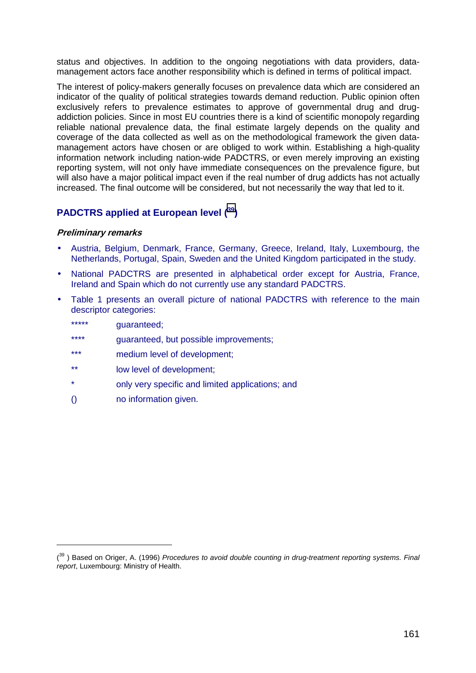status and objectives. In addition to the ongoing negotiations with data providers, datamanagement actors face another responsibility which is defined in terms of political impact.

The interest of policy-makers generally focuses on prevalence data which are considered an indicator of the quality of political strategies towards demand reduction. Public opinion often exclusively refers to prevalence estimates to approve of governmental drug and drugaddiction policies. Since in most EU countries there is a kind of scientific monopoly regarding reliable national prevalence data, the final estimate largely depends on the quality and coverage of the data collected as well as on the methodological framework the given datamanagement actors have chosen or are obliged to work within. Establishing a high-quality information network including nation-wide PADCTRS, or even merely improving an existing reporting system, will not only have immediate consequences on the prevalence figure, but will also have a major political impact even if the real number of drug addicts has not actually increased. The final outcome will be considered, but not necessarily the way that led to it.

# **PADCTRS applied at European level (39)**

## **Preliminary remarks**

- Austria, Belgium, Denmark, France, Germany, Greece, Ireland, Italy, Luxembourg, the Netherlands, Portugal, Spain, Sweden and the United Kingdom participated in the study.
- National PADCTRS are presented in alphabetical order except for Austria, France, Ireland and Spain which do not currently use any standard PADCTRS.
- Table 1 presents an overall picture of national PADCTRS with reference to the main descriptor categories:
	- \*\*\*\*\* **guaranteed**;

 $\overline{a}$ 

- \*\*\*\* guaranteed, but possible improvements;
- \*\*\* medium level of development;
- \*\* low level of development;
- \* only very specific and limited applications; and
- () no information given.

<sup>(</sup> 39 ) Based on Origer, A. (1996) *Procedures to avoid double counting in drug-treatment reporting systems. Final report*, Luxembourg: Ministry of Health.